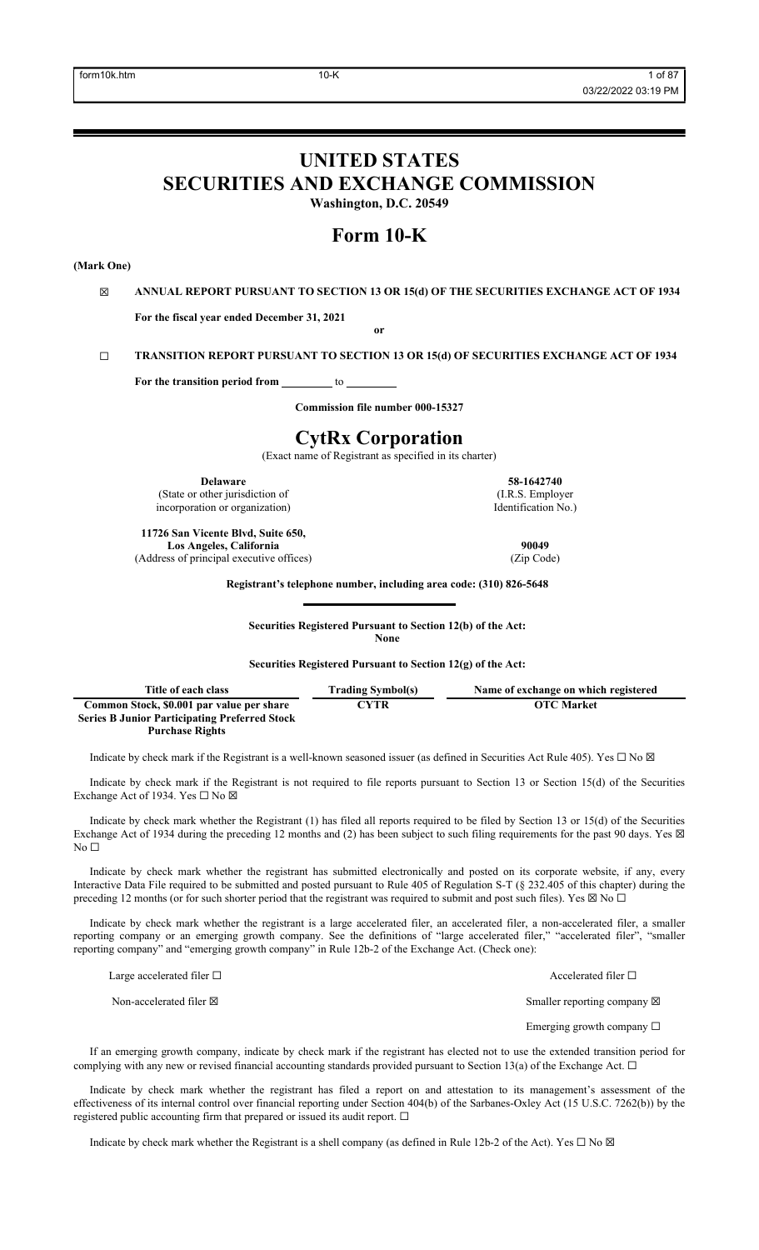# **UNITED STATES SECURITIES AND EXCHANGE COMMISSION Washington, D.C. 20549**

# **Form 10-K**

**(Mark One)**

# ց **ANNUAL REPORT PURSUANT TO SECTION 13 OR 15(d) OF THE SECURITIES EXCHANGE ACT OF 1934**

**For the fiscal year ended December 31, 2021** 

**TRANSITION REPORT PURSUANT TO SECTION 13 OR 15(d) OF SECURITIES EXCHANGE ACT OF 1934** 

**or**

For the transition period from \_\_\_\_\_\_\_\_\_\_\_ to \_

**Commission file number 000-15327**

# **CytRx Corporation**

(Exact name of Registrant as specified in its charter)

(State or other jurisdiction of (I.R.S. Employer incorporation or organization) (I.R.S. Employer incorporation or organization)

**Delaware 58-1642740**

**11726 San Vicente Blvd, Suite 650, Los Angeles, California 90049** (Address of principal executive offices) (Zip Code)

**Registrant's telephone number, including area code: (310) 826-5648**

**Securities Registered Pursuant to Section 12(b) of the Act: None**

**Securities Registered Pursuant to Section 12(g) of the Act:**

| Title of each class                                  | <b>Trading Symbol(s)</b> | Name of exchange on which registered |
|------------------------------------------------------|--------------------------|--------------------------------------|
| Common Stock, \$0.001 par value per share            | CYTR                     | <b>OTC</b> Market                    |
| <b>Series B Junior Participating Preferred Stock</b> |                          |                                      |
| <b>Purchase Rights</b>                               |                          |                                      |

Indicate by check mark if the Registrant is a well-known seasoned issuer (as defined in Securities Act Rule 405). Yes  $\Box$  No  $\boxtimes$ 

Indicate by check mark if the Registrant is not required to file reports pursuant to Section 13 or Section 15(d) of the Securities Exchange Act of 1934. Yes  $\square$  No  $\square$ 

Indicate by check mark whether the Registrant (1) has filed all reports required to be filed by Section 13 or 15(d) of the Securities Exchange Act of 1934 during the preceding 12 months and (2) has been subject to such filing requirements for the past 90 days. Yes  $\boxtimes$  $No<sub>1</sub>$ 

Indicate by check mark whether the registrant has submitted electronically and posted on its corporate website, if any, every Interactive Data File required to be submitted and posted pursuant to Rule 405 of Regulation S-T (§ 232.405 of this chapter) during the preceding 12 months (or for such shorter period that the registrant was required to submit and post such files). Yes  $\boxtimes$  No  $\Box$ 

Indicate by check mark whether the registrant is a large accelerated filer, an accelerated filer, a non-accelerated filer, a smaller reporting company or an emerging growth company. See the definitions of "large accelerated filer," "accelerated filer", "smaller reporting company" and "emerging growth company" in Rule 12b-2 of the Exchange Act. (Check one):

Large accelerated filer  $\Box$ 

Non-accelerated filer  $\nabla$ 

Accelerated filer  $\Box$ 

Smaller reporting company ⊠

Emerging growth company  $\Box$ 

If an emerging growth company, indicate by check mark if the registrant has elected not to use the extended transition period for complying with any new or revised financial accounting standards provided pursuant to Section 13(a) of the Exchange Act.  $\Box$ 

Indicate by check mark whether the registrant has filed a report on and attestation to its management's assessment of the effectiveness of its internal control over financial reporting under Section 404(b) of the Sarbanes-Oxley Act (15 U.S.C. 7262(b)) by the registered public accounting firm that prepared or issued its audit report.  $\Box$ 

Indicate by check mark whether the Registrant is a shell company (as defined in Rule 12b-2 of the Act). Yes  $\Box$  No  $\boxtimes$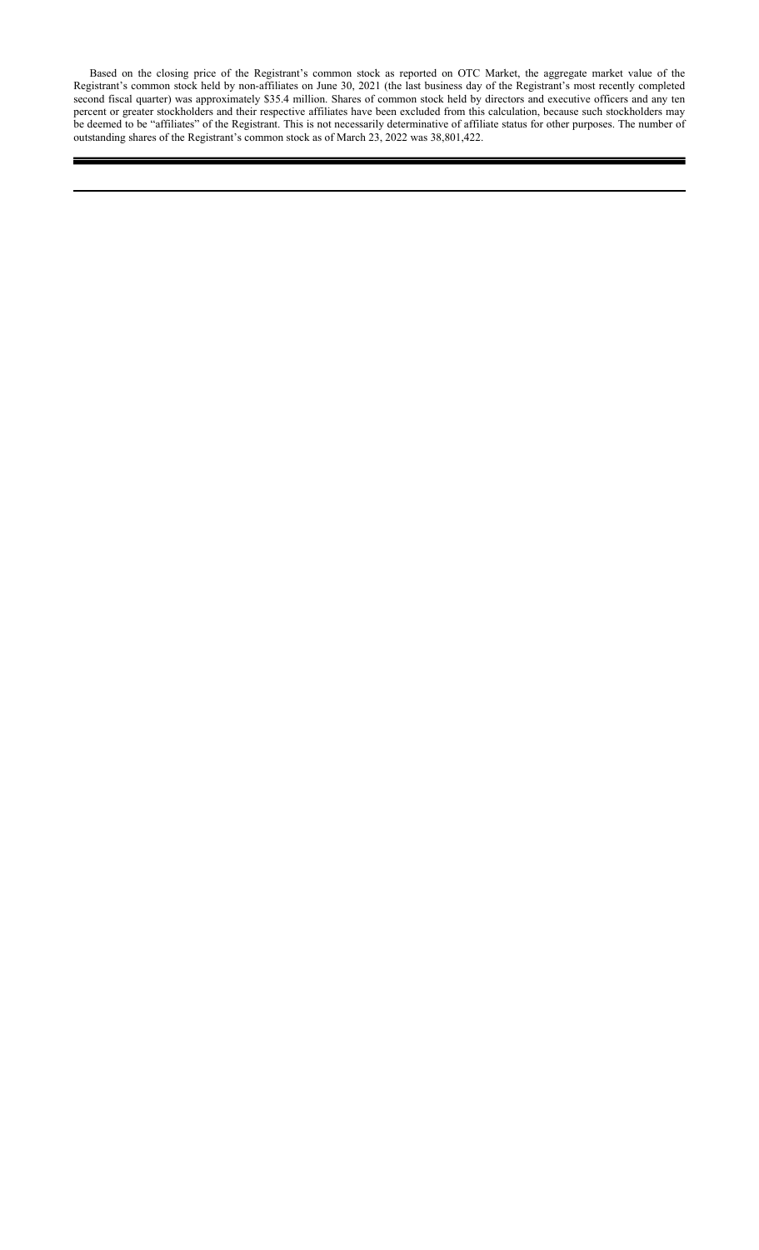Based on the closing price of the Registrant's common stock as reported on OTC Market, the aggregate market value of the Registrant's common stock held by non-affiliates on June 30, 2021 (the last business day of the Registrant's most recently completed second fiscal quarter) was approximately \$35.4 million. Shares of common stock held by directors and executive officers and any ten percent or greater stockholders and their respective affiliates have been excluded from this calculation, because such stockholders may be deemed to be "affiliates" of the Registrant. This is not necessarily determinative of affiliate status for other purposes. The number of outstanding shares of the Registrant's common stock as of March 23, 2022 was 38,801,422.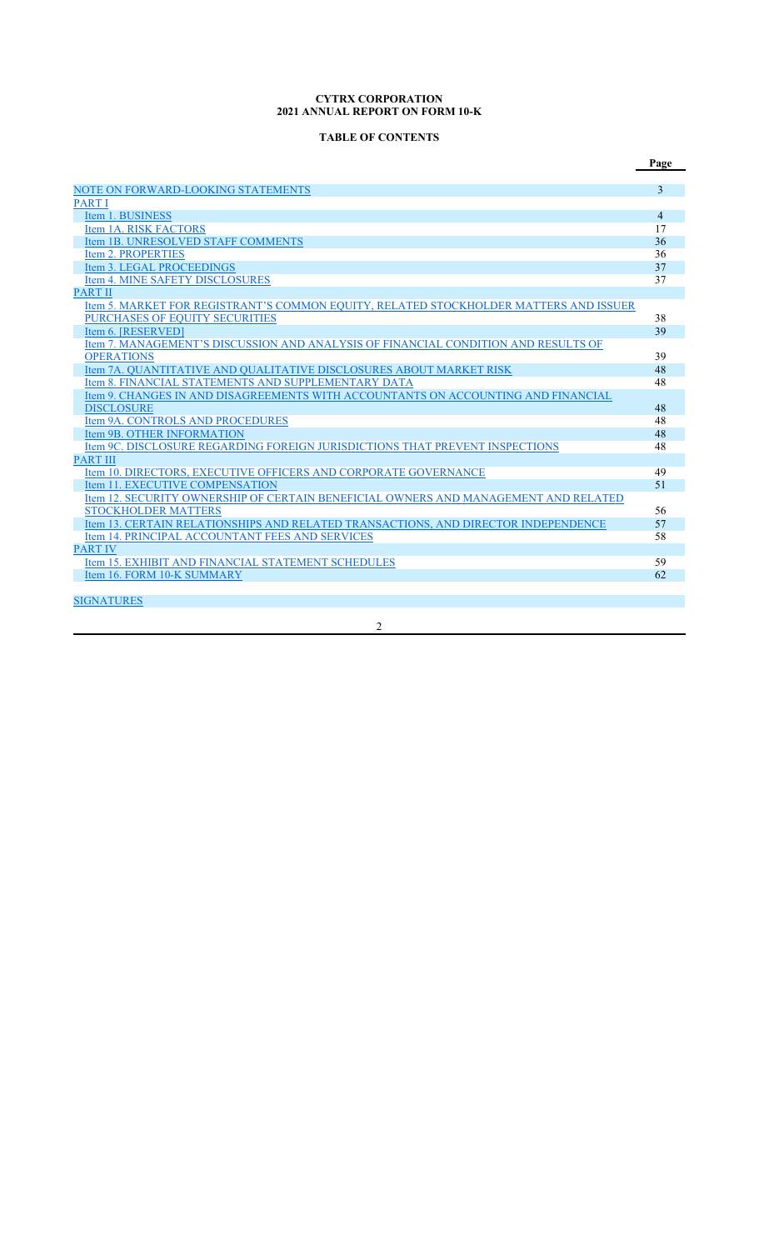## **CYTRX CORPORATION 2021 ANNUAL REPORT ON FORM 10-K**

# **TABLE OF CONTENTS**

|                                                                                       | Page           |
|---------------------------------------------------------------------------------------|----------------|
| NOTE ON FORWARD-LOOKING STATEMENTS                                                    | 3              |
| <b>PARTI</b>                                                                          |                |
| Item 1. BUSINESS                                                                      | $\overline{4}$ |
| Item 1A. RISK FACTORS                                                                 | 17             |
| Item 1B. UNRESOLVED STAFF COMMENTS                                                    | 36             |
| Item 2. PROPERTIES                                                                    | 36             |
| Item 3. LEGAL PROCEEDINGS                                                             | 37             |
| <b>Item 4. MINE SAFETY DISCLOSURES</b>                                                | 37             |
| <b>PART II</b>                                                                        |                |
| Item 5. MARKET FOR REGISTRANT'S COMMON EQUITY, RELATED STOCKHOLDER MATTERS AND ISSUER |                |
| PURCHASES OF EQUITY SECURITIES                                                        | 38             |
| Item 6. [RESERVED]                                                                    | 39             |
| Item 7. MANAGEMENT'S DISCUSSION AND ANALYSIS OF FINANCIAL CONDITION AND RESULTS OF    |                |
| <b>OPERATIONS</b>                                                                     | 39             |
| Item 7A. OUANTITATIVE AND OUALITATIVE DISCLOSURES ABOUT MARKET RISK                   | 48             |
| Item 8. FINANCIAL STATEMENTS AND SUPPLEMENTARY DATA                                   | 48             |
| Item 9. CHANGES IN AND DISAGREEMENTS WITH ACCOUNTANTS ON ACCOUNTING AND FINANCIAL     |                |
| <b>DISCLOSURE</b>                                                                     | 48             |
| Item 9A. CONTROLS AND PROCEDURES                                                      | 48             |
| Item 9B. OTHER INFORMATION                                                            | 48             |
| Item 9C. DISCLOSURE REGARDING FOREIGN JURISDICTIONS THAT PREVENT INSPECTIONS          | 48             |
| <b>PART III</b>                                                                       |                |
| Item 10. DIRECTORS. EXECUTIVE OFFICERS AND CORPORATE GOVERNANCE                       | 49             |
| Item 11. EXECUTIVE COMPENSATION                                                       | 51             |
| Item 12. SECURITY OWNERSHIP OF CERTAIN BENEFICIAL OWNERS AND MANAGEMENT AND RELATED   |                |
| <b>STOCKHOLDER MATTERS</b>                                                            | 56             |
| Item 13. CERTAIN RELATIONSHIPS AND RELATED TRANSACTIONS. AND DIRECTOR INDEPENDENCE    | 57             |
| Item 14. PRINCIPAL ACCOUNTANT FEES AND SERVICES                                       | 58             |
| <b>PART IV</b>                                                                        |                |
| Item 15. EXHIBIT AND FINANCIAL STATEMENT SCHEDULES                                    | 59             |
| Item 16. FORM 10-K SUMMARY                                                            | 62             |
|                                                                                       |                |
| <b>SIGNATURES</b>                                                                     |                |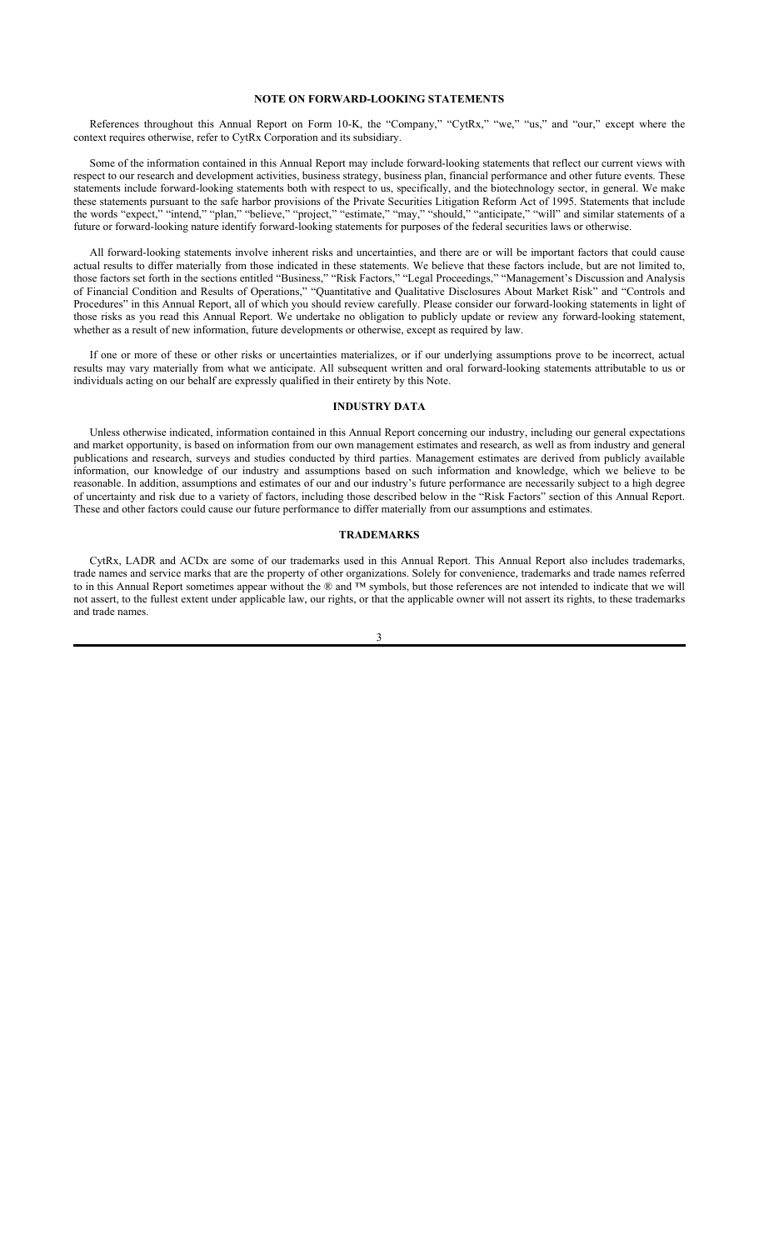#### **NOTE ON FORWARD-LOOKING STATEMENTS**

References throughout this Annual Report on Form 10-K, the "Company," "CytRx," "we," "us," and "our," except where the context requires otherwise, refer to CytRx Corporation and its subsidiary.

Some of the information contained in this Annual Report may include forward-looking statements that reflect our current views with respect to our research and development activities, business strategy, business plan, financial performance and other future events. These statements include forward-looking statements both with respect to us, specifically, and the biotechnology sector, in general. We make these statements pursuant to the safe harbor provisions of the Private Securities Litigation Reform Act of 1995. Statements that include the words "expect," "intend," "plan," "believe," "project," "estimate," "may," "should," "anticipate," "will" and similar statements of a future or forward-looking nature identify forward-looking statements for purposes of the federal securities laws or otherwise.

All forward-looking statements involve inherent risks and uncertainties, and there are or will be important factors that could cause actual results to differ materially from those indicated in these statements. We believe that these factors include, but are not limited to, those factors set forth in the sections entitled "Business," "Risk Factors," "Legal Proceedings," "Management's Discussion and Analysis of Financial Condition and Results of Operations," "Quantitative and Qualitative Disclosures About Market Risk" and "Controls and Procedures" in this Annual Report, all of which you should review carefully. Please consider our forward-looking statements in light of those risks as you read this Annual Report. We undertake no obligation to publicly update or review any forward-looking statement, whether as a result of new information, future developments or otherwise, except as required by law.

If one or more of these or other risks or uncertainties materializes, or if our underlying assumptions prove to be incorrect, actual results may vary materially from what we anticipate. All subsequent written and oral forward-looking statements attributable to us or individuals acting on our behalf are expressly qualified in their entirety by this Note.

#### **INDUSTRY DATA**

Unless otherwise indicated, information contained in this Annual Report concerning our industry, including our general expectations and market opportunity, is based on information from our own management estimates and research, as well as from industry and general publications and research, surveys and studies conducted by third parties. Management estimates are derived from publicly available information, our knowledge of our industry and assumptions based on such information and knowledge, which we believe to be reasonable. In addition, assumptions and estimates of our and our industry's future performance are necessarily subject to a high degree of uncertainty and risk due to a variety of factors, including those described below in the "Risk Factors" section of this Annual Report. These and other factors could cause our future performance to differ materially from our assumptions and estimates.

## **TRADEMARKS**

CytRx, LADR and ACDx are some of our trademarks used in this Annual Report. This Annual Report also includes trademarks, trade names and service marks that are the property of other organizations. Solely for convenience, trademarks and trade names referred to in this Annual Report sometimes appear without the ® and ™ symbols, but those references are not intended to indicate that we will not assert, to the fullest extent under applicable law, our rights, or that the applicable owner will not assert its rights, to these trademarks and trade names.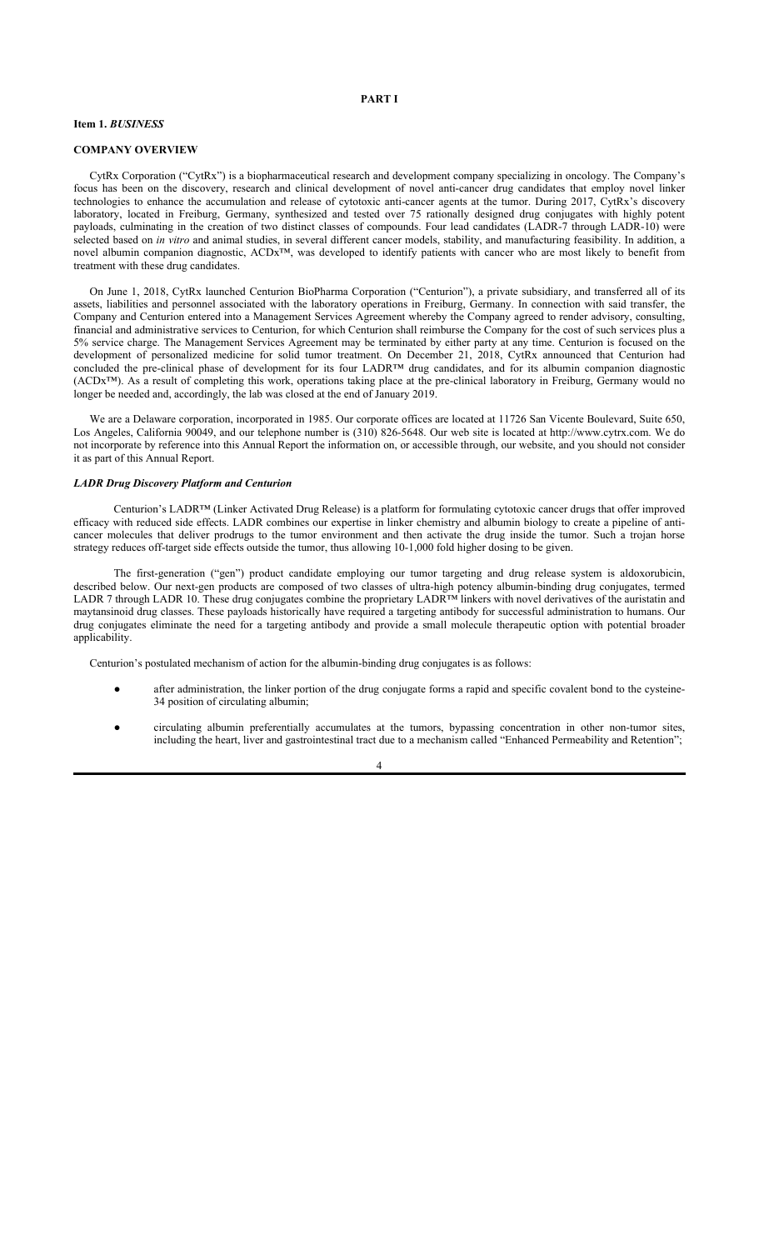# **Item 1.** *BUSINESS*

# **COMPANY OVERVIEW**

CytRx Corporation ("CytRx") is a biopharmaceutical research and development company specializing in oncology. The Company's focus has been on the discovery, research and clinical development of novel anti-cancer drug candidates that employ novel linker technologies to enhance the accumulation and release of cytotoxic anti-cancer agents at the tumor. During 2017, CytRx's discovery laboratory, located in Freiburg, Germany, synthesized and tested over 75 rationally designed drug conjugates with highly potent payloads, culminating in the creation of two distinct classes of compounds. Four lead candidates (LADR-7 through LADR-10) were selected based on *in vitro* and animal studies, in several different cancer models, stability, and manufacturing feasibility. In addition, a novel albumin companion diagnostic, ACDx™, was developed to identify patients with cancer who are most likely to benefit from treatment with these drug candidates.

On June 1, 2018, CytRx launched Centurion BioPharma Corporation ("Centurion"), a private subsidiary, and transferred all of its assets, liabilities and personnel associated with the laboratory operations in Freiburg, Germany. In connection with said transfer, the Company and Centurion entered into a Management Services Agreement whereby the Company agreed to render advisory, consulting, financial and administrative services to Centurion, for which Centurion shall reimburse the Company for the cost of such services plus a 5% service charge. The Management Services Agreement may be terminated by either party at any time. Centurion is focused on the development of personalized medicine for solid tumor treatment. On December 21, 2018, CytRx announced that Centurion had concluded the pre-clinical phase of development for its four LADR™ drug candidates, and for its albumin companion diagnostic (ACDx™). As a result of completing this work, operations taking place at the pre-clinical laboratory in Freiburg, Germany would no longer be needed and, accordingly, the lab was closed at the end of January 2019.

We are a Delaware corporation, incorporated in 1985. Our corporate offices are located at 11726 San Vicente Boulevard, Suite 650, Los Angeles, California 90049, and our telephone number is (310) 826-5648. Our web site is located at http://www.cytrx.com. We do not incorporate by reference into this Annual Report the information on, or accessible through, our website, and you should not consider it as part of this Annual Report.

#### *LADR Drug Discovery Platform and Centurion*

Centurion's LADR™ (Linker Activated Drug Release) is a platform for formulating cytotoxic cancer drugs that offer improved efficacy with reduced side effects. LADR combines our expertise in linker chemistry and albumin biology to create a pipeline of anticancer molecules that deliver prodrugs to the tumor environment and then activate the drug inside the tumor. Such a trojan horse strategy reduces off-target side effects outside the tumor, thus allowing 10-1,000 fold higher dosing to be given.

The first-generation ("gen") product candidate employing our tumor targeting and drug release system is aldoxorubicin, described below. Our next-gen products are composed of two classes of ultra-high potency albumin-binding drug conjugates, termed LADR 7 through LADR 10. These drug conjugates combine the proprietary LADR™ linkers with novel derivatives of the auristatin and maytansinoid drug classes. These payloads historically have required a targeting antibody for successful administration to humans. Our drug conjugates eliminate the need for a targeting antibody and provide a small molecule therapeutic option with potential broader applicability.

Centurion's postulated mechanism of action for the albumin-binding drug conjugates is as follows:

- after administration, the linker portion of the drug conjugate forms a rapid and specific covalent bond to the cysteine-34 position of circulating albumin;
- Ɣ circulating albumin preferentially accumulates at the tumors, bypassing concentration in other non-tumor sites, including the heart, liver and gastrointestinal tract due to a mechanism called "Enhanced Permeability and Retention";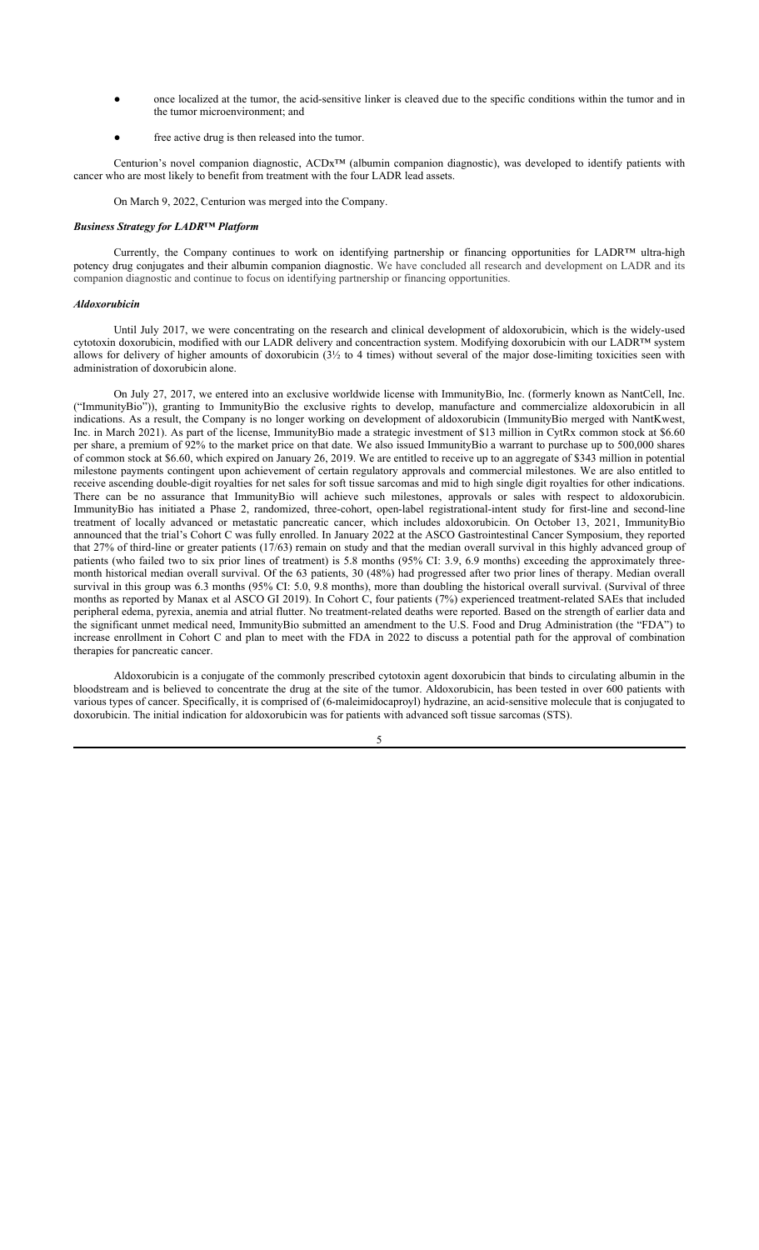- Ɣ once localized at the tumor, the acid-sensitive linker is cleaved due to the specific conditions within the tumor and in the tumor microenvironment; and
- free active drug is then released into the tumor.

Centurion's novel companion diagnostic, ACDx™ (albumin companion diagnostic), was developed to identify patients with cancer who are most likely to benefit from treatment with the four LADR lead assets.

On March 9, 2022, Centurion was merged into the Company.

# *Business Strategy for LADR™ Platform*

Currently, the Company continues to work on identifying partnership or financing opportunities for LADR™ ultra-high potency drug conjugates and their albumin companion diagnostic. We have concluded all research and development on LADR and its companion diagnostic and continue to focus on identifying partnership or financing opportunities.

#### *Aldoxorubicin*

Until July 2017, we were concentrating on the research and clinical development of aldoxorubicin, which is the widely-used cytotoxin doxorubicin, modified with our LADR delivery and concentraction system. Modifying doxorubicin with our LADR™ system allows for delivery of higher amounts of doxorubicin  $(3\frac{1}{2})$  to 4 times) without several of the major dose-limiting toxicities seen with administration of doxorubicin alone.

On July 27, 2017, we entered into an exclusive worldwide license with ImmunityBio, Inc. (formerly known as NantCell, Inc. ("ImmunityBio")), granting to ImmunityBio the exclusive rights to develop, manufacture and commercialize aldoxorubicin in all indications. As a result, the Company is no longer working on development of aldoxorubicin (ImmunityBio merged with NantKwest, Inc. in March 2021). As part of the license, ImmunityBio made a strategic investment of \$13 million in CytRx common stock at \$6.60 per share, a premium of 92% to the market price on that date. We also issued ImmunityBio a warrant to purchase up to 500,000 shares of common stock at \$6.60, which expired on January 26, 2019. We are entitled to receive up to an aggregate of \$343 million in potential milestone payments contingent upon achievement of certain regulatory approvals and commercial milestones. We are also entitled to receive ascending double-digit royalties for net sales for soft tissue sarcomas and mid to high single digit royalties for other indications. There can be no assurance that ImmunityBio will achieve such milestones, approvals or sales with respect to aldoxorubicin. ImmunityBio has initiated a Phase 2, randomized, three-cohort, open-label registrational-intent study for first-line and second-line treatment of locally advanced or metastatic pancreatic cancer, which includes aldoxorubicin. On October 13, 2021, ImmunityBio announced that the trial's Cohort C was fully enrolled. In January 2022 at the ASCO Gastrointestinal Cancer Symposium, they reported that 27% of third-line or greater patients (17/63) remain on study and that the median overall survival in this highly advanced group of patients (who failed two to six prior lines of treatment) is 5.8 months (95% CI: 3.9, 6.9 months) exceeding the approximately threemonth historical median overall survival. Of the 63 patients, 30 (48%) had progressed after two prior lines of therapy. Median overall survival in this group was 6.3 months (95% CI: 5.0, 9.8 months), more than doubling the historical overall survival. (Survival of three months as reported by Manax et al ASCO GI 2019). In Cohort C, four patients (7%) experienced treatment-related SAEs that included peripheral edema, pyrexia, anemia and atrial flutter. No treatment-related deaths were reported. Based on the strength of earlier data and the significant unmet medical need, ImmunityBio submitted an amendment to the U.S. Food and Drug Administration (the "FDA") to increase enrollment in Cohort C and plan to meet with the FDA in 2022 to discuss a potential path for the approval of combination therapies for pancreatic cancer.

Aldoxorubicin is a conjugate of the commonly prescribed cytotoxin agent doxorubicin that binds to circulating albumin in the bloodstream and is believed to concentrate the drug at the site of the tumor. Aldoxorubicin, has been tested in over 600 patients with various types of cancer. Specifically, it is comprised of (6-maleimidocaproyl) hydrazine, an acid-sensitive molecule that is conjugated to doxorubicin. The initial indication for aldoxorubicin was for patients with advanced soft tissue sarcomas (STS).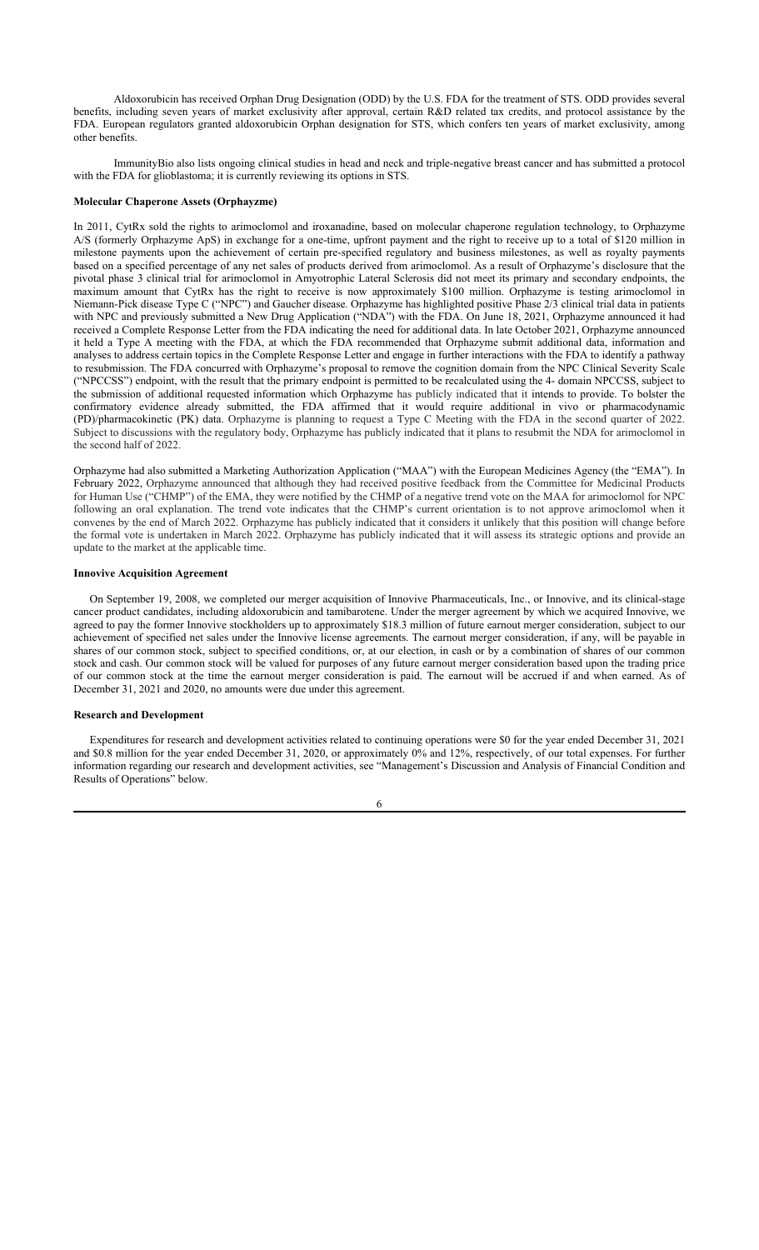Aldoxorubicin has received Orphan Drug Designation (ODD) by the U.S. FDA for the treatment of STS. ODD provides several benefits, including seven years of market exclusivity after approval, certain R&D related tax credits, and protocol assistance by the FDA. European regulators granted aldoxorubicin Orphan designation for STS, which confers ten years of market exclusivity, among other benefits.

ImmunityBio also lists ongoing clinical studies in head and neck and triple-negative breast cancer and has submitted a protocol with the FDA for glioblastoma; it is currently reviewing its options in STS.

#### **Molecular Chaperone Assets (Orphayzme)**

In 2011, CytRx sold the rights to arimoclomol and iroxanadine, based on molecular chaperone regulation technology, to Orphazyme A/S (formerly Orphazyme ApS) in exchange for a one-time, upfront payment and the right to receive up to a total of \$120 million in milestone payments upon the achievement of certain pre-specified regulatory and business milestones, as well as royalty payments based on a specified percentage of any net sales of products derived from arimoclomol. As a result of Orphazyme's disclosure that the pivotal phase 3 clinical trial for arimoclomol in Amyotrophic Lateral Sclerosis did not meet its primary and secondary endpoints, the maximum amount that CytRx has the right to receive is now approximately \$100 million. Orphazyme is testing arimoclomol in Niemann-Pick disease Type C ("NPC") and Gaucher disease. Orphazyme has highlighted positive Phase 2/3 clinical trial data in patients with NPC and previously submitted a New Drug Application ("NDA") with the FDA. On June 18, 2021, Orphazyme announced it had received a Complete Response Letter from the FDA indicating the need for additional data. In late October 2021, Orphazyme announced it held a Type A meeting with the FDA, at which the FDA recommended that Orphazyme submit additional data, information and analyses to address certain topics in the Complete Response Letter and engage in further interactions with the FDA to identify a pathway to resubmission. The FDA concurred with Orphazyme's proposal to remove the cognition domain from the NPC Clinical Severity Scale ("NPCCSS") endpoint, with the result that the primary endpoint is permitted to be recalculated using the 4- domain NPCCSS, subject to the submission of additional requested information which Orphazyme has publicly indicated that it intends to provide. To bolster the confirmatory evidence already submitted, the FDA affirmed that it would require additional in vivo or pharmacodynamic (PD)/pharmacokinetic (PK) data. Orphazyme is planning to request a Type C Meeting with the FDA in the second quarter of 2022. Subject to discussions with the regulatory body, Orphazyme has publicly indicated that it plans to resubmit the NDA for arimoclomol in the second half of 2022.

Orphazyme had also submitted a Marketing Authorization Application ("MAA") with the European Medicines Agency (the "EMA"). In February 2022, Orphazyme announced that although they had received positive feedback from the Committee for Medicinal Products for Human Use ("CHMP") of the EMA, they were notified by the CHMP of a negative trend vote on the MAA for arimoclomol for NPC following an oral explanation. The trend vote indicates that the CHMP's current orientation is to not approve arimoclomol when it convenes by the end of March 2022. Orphazyme has publicly indicated that it considers it unlikely that this position will change before the formal vote is undertaken in March 2022. Orphazyme has publicly indicated that it will assess its strategic options and provide an update to the market at the applicable time.

#### **Innovive Acquisition Agreement**

On September 19, 2008, we completed our merger acquisition of Innovive Pharmaceuticals, Inc., or Innovive, and its clinical-stage cancer product candidates, including aldoxorubicin and tamibarotene. Under the merger agreement by which we acquired Innovive, we agreed to pay the former Innovive stockholders up to approximately \$18.3 million of future earnout merger consideration, subject to our achievement of specified net sales under the Innovive license agreements. The earnout merger consideration, if any, will be payable in shares of our common stock, subject to specified conditions, or, at our election, in cash or by a combination of shares of our common stock and cash. Our common stock will be valued for purposes of any future earnout merger consideration based upon the trading price of our common stock at the time the earnout merger consideration is paid. The earnout will be accrued if and when earned. As of December 31, 2021 and 2020, no amounts were due under this agreement.

#### **Research and Development**

Expenditures for research and development activities related to continuing operations were \$0 for the year ended December 31, 2021 and \$0.8 million for the year ended December 31, 2020, or approximately 0% and 12%, respectively, of our total expenses. For further information regarding our research and development activities, see "Management's Discussion and Analysis of Financial Condition and Results of Operations" below.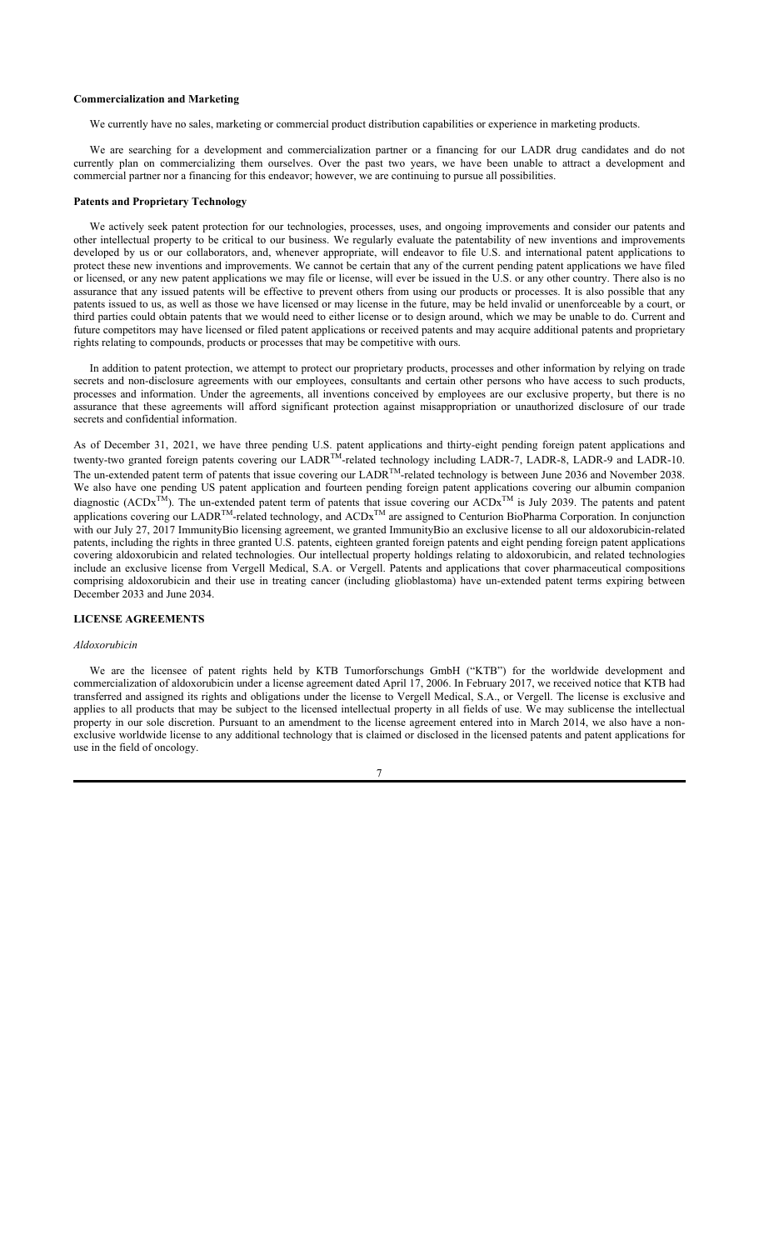#### **Commercialization and Marketing**

We currently have no sales, marketing or commercial product distribution capabilities or experience in marketing products.

We are searching for a development and commercialization partner or a financing for our LADR drug candidates and do not currently plan on commercializing them ourselves. Over the past two years, we have been unable to attract a development and commercial partner nor a financing for this endeavor; however, we are continuing to pursue all possibilities.

#### **Patents and Proprietary Technology**

We actively seek patent protection for our technologies, processes, uses, and ongoing improvements and consider our patents and other intellectual property to be critical to our business. We regularly evaluate the patentability of new inventions and improvements developed by us or our collaborators, and, whenever appropriate, will endeavor to file U.S. and international patent applications to protect these new inventions and improvements. We cannot be certain that any of the current pending patent applications we have filed or licensed, or any new patent applications we may file or license, will ever be issued in the U.S. or any other country. There also is no assurance that any issued patents will be effective to prevent others from using our products or processes. It is also possible that any patents issued to us, as well as those we have licensed or may license in the future, may be held invalid or unenforceable by a court, or third parties could obtain patents that we would need to either license or to design around, which we may be unable to do. Current and future competitors may have licensed or filed patent applications or received patents and may acquire additional patents and proprietary rights relating to compounds, products or processes that may be competitive with ours.

In addition to patent protection, we attempt to protect our proprietary products, processes and other information by relying on trade secrets and non-disclosure agreements with our employees, consultants and certain other persons who have access to such products, processes and information. Under the agreements, all inventions conceived by employees are our exclusive property, but there is no assurance that these agreements will afford significant protection against misappropriation or unauthorized disclosure of our trade secrets and confidential information.

As of December 31, 2021, we have three pending U.S. patent applications and thirty-eight pending foreign patent applications and twenty-two granted foreign patents covering our LADR<sup>TM</sup>-related technology including LADR-7, LADR-8, LADR-9 and LADR-10. The un-extended patent term of patents that issue covering our LADR<sup>TM</sup>-related technology is between June 2036 and November 2038. We also have one pending US patent application and fourteen pending foreign patent applications covering our albumin companion diagnostic (ACDx<sup>TM</sup>). The un-extended patent term of patents that issue covering our ACDx<sup>TM</sup> is July 2039. The patents and patent applications covering our LADR<sup>TM</sup>-related technology, and  $ACDx^{TM}$  are assigned to Centurion BioPharma Corporation. In conjunction with our July 27, 2017 ImmunityBio licensing agreement, we granted ImmunityBio an exclusive license to all our aldoxorubicin-related patents, including the rights in three granted U.S. patents, eighteen granted foreign patents and eight pending foreign patent applications covering aldoxorubicin and related technologies. Our intellectual property holdings relating to aldoxorubicin, and related technologies include an exclusive license from Vergell Medical, S.A. or Vergell. Patents and applications that cover pharmaceutical compositions comprising aldoxorubicin and their use in treating cancer (including glioblastoma) have un-extended patent terms expiring between December 2033 and June 2034.

## **LICENSE AGREEMENTS**

# *Aldoxorubicin*

We are the licensee of patent rights held by KTB Tumorforschungs GmbH ("KTB") for the worldwide development and commercialization of aldoxorubicin under a license agreement dated April 17, 2006. In February 2017, we received notice that KTB had transferred and assigned its rights and obligations under the license to Vergell Medical, S.A., or Vergell. The license is exclusive and applies to all products that may be subject to the licensed intellectual property in all fields of use. We may sublicense the intellectual property in our sole discretion. Pursuant to an amendment to the license agreement entered into in March 2014, we also have a nonexclusive worldwide license to any additional technology that is claimed or disclosed in the licensed patents and patent applications for use in the field of oncology.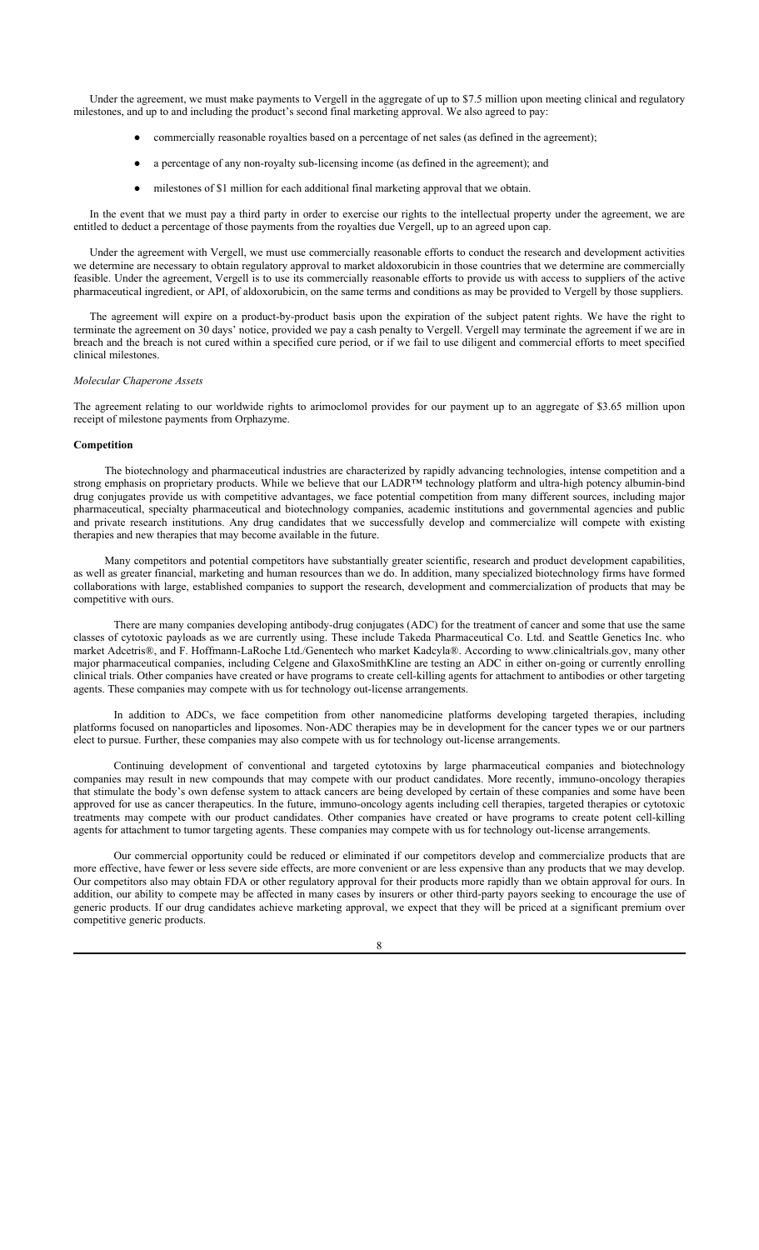Under the agreement, we must make payments to Vergell in the aggregate of up to \$7.5 million upon meeting clinical and regulatory milestones, and up to and including the product's second final marketing approval. We also agreed to pay:

- Ɣ commercially reasonable royalties based on a percentage of net sales (as defined in the agreement);
- Ɣ a percentage of any non-royalty sub-licensing income (as defined in the agreement); and
- $\bullet$  milestones of \$1 million for each additional final marketing approval that we obtain.

In the event that we must pay a third party in order to exercise our rights to the intellectual property under the agreement, we are entitled to deduct a percentage of those payments from the royalties due Vergell, up to an agreed upon cap.

Under the agreement with Vergell, we must use commercially reasonable efforts to conduct the research and development activities we determine are necessary to obtain regulatory approval to market aldoxorubicin in those countries that we determine are commercially feasible. Under the agreement, Vergell is to use its commercially reasonable efforts to provide us with access to suppliers of the active pharmaceutical ingredient, or API, of aldoxorubicin, on the same terms and conditions as may be provided to Vergell by those suppliers.

The agreement will expire on a product-by-product basis upon the expiration of the subject patent rights. We have the right to terminate the agreement on 30 days' notice, provided we pay a cash penalty to Vergell. Vergell may terminate the agreement if we are in breach and the breach is not cured within a specified cure period, or if we fail to use diligent and commercial efforts to meet specified clinical milestones.

# *Molecular Chaperone Assets*

The agreement relating to our worldwide rights to arimoclomol provides for our payment up to an aggregate of \$3.65 million upon receipt of milestone payments from Orphazyme.

# **Competition**

The biotechnology and pharmaceutical industries are characterized by rapidly advancing technologies, intense competition and a strong emphasis on proprietary products. While we believe that our LADR™ technology platform and ultra-high potency albumin-bind drug conjugates provide us with competitive advantages, we face potential competition from many different sources, including major pharmaceutical, specialty pharmaceutical and biotechnology companies, academic institutions and governmental agencies and public and private research institutions. Any drug candidates that we successfully develop and commercialize will compete with existing therapies and new therapies that may become available in the future.

Many competitors and potential competitors have substantially greater scientific, research and product development capabilities, as well as greater financial, marketing and human resources than we do. In addition, many specialized biotechnology firms have formed collaborations with large, established companies to support the research, development and commercialization of products that may be competitive with ours.

There are many companies developing antibody-drug conjugates (ADC) for the treatment of cancer and some that use the same classes of cytotoxic payloads as we are currently using. These include Takeda Pharmaceutical Co. Ltd. and Seattle Genetics Inc. who market Adcetris®, and F. Hoffmann-LaRoche Ltd./Genentech who market Kadcyla®. According to www.clinicaltrials.gov, many other major pharmaceutical companies, including Celgene and GlaxoSmithKline are testing an ADC in either on-going or currently enrolling clinical trials. Other companies have created or have programs to create cell-killing agents for attachment to antibodies or other targeting agents. These companies may compete with us for technology out-license arrangements.

In addition to ADCs, we face competition from other nanomedicine platforms developing targeted therapies, including platforms focused on nanoparticles and liposomes. Non-ADC therapies may be in development for the cancer types we or our partners elect to pursue. Further, these companies may also compete with us for technology out-license arrangements.

Continuing development of conventional and targeted cytotoxins by large pharmaceutical companies and biotechnology companies may result in new compounds that may compete with our product candidates. More recently, immuno-oncology therapies that stimulate the body's own defense system to attack cancers are being developed by certain of these companies and some have been approved for use as cancer therapeutics. In the future, immuno-oncology agents including cell therapies, targeted therapies or cytotoxic treatments may compete with our product candidates. Other companies have created or have programs to create potent cell-killing agents for attachment to tumor targeting agents. These companies may compete with us for technology out-license arrangements.

Our commercial opportunity could be reduced or eliminated if our competitors develop and commercialize products that are more effective, have fewer or less severe side effects, are more convenient or are less expensive than any products that we may develop. Our competitors also may obtain FDA or other regulatory approval for their products more rapidly than we obtain approval for ours. In addition, our ability to compete may be affected in many cases by insurers or other third-party payors seeking to encourage the use of generic products. If our drug candidates achieve marketing approval, we expect that they will be priced at a significant premium over competitive generic products.

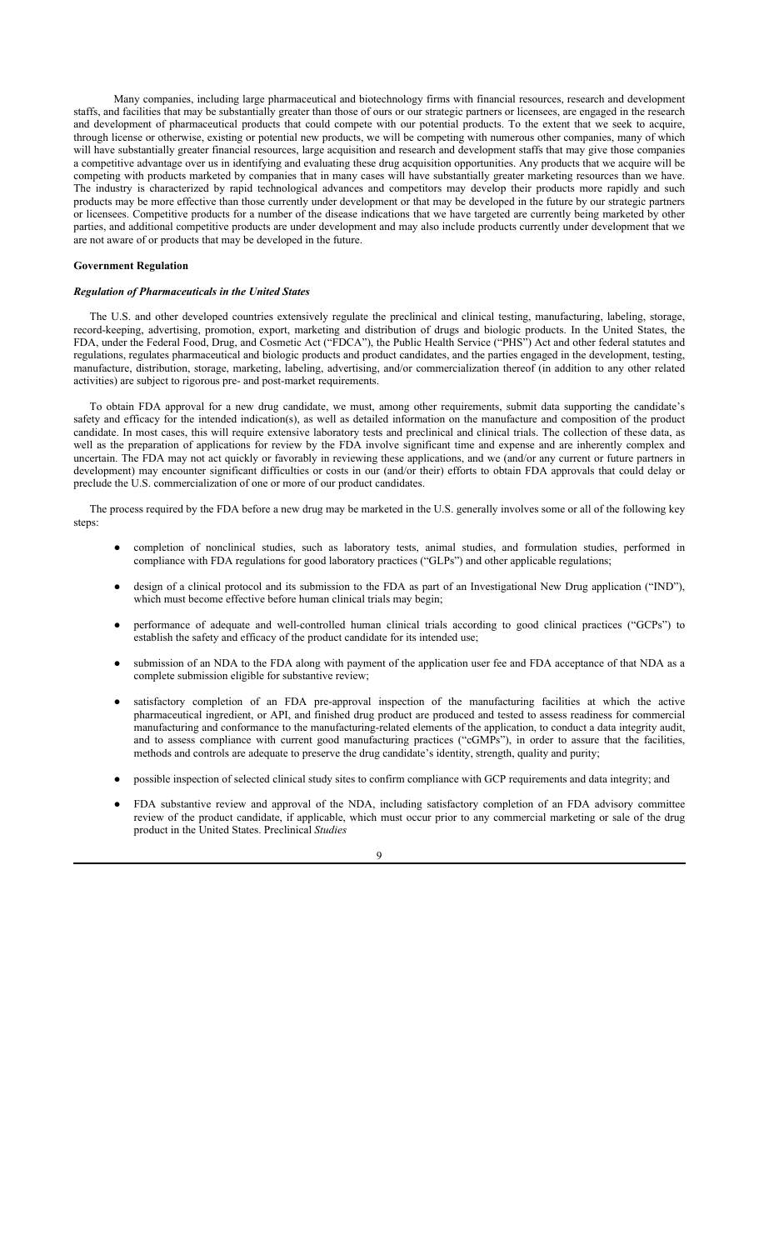Many companies, including large pharmaceutical and biotechnology firms with financial resources, research and development staffs, and facilities that may be substantially greater than those of ours or our strategic partners or licensees, are engaged in the research and development of pharmaceutical products that could compete with our potential products. To the extent that we seek to acquire, through license or otherwise, existing or potential new products, we will be competing with numerous other companies, many of which will have substantially greater financial resources, large acquisition and research and development staffs that may give those companies a competitive advantage over us in identifying and evaluating these drug acquisition opportunities. Any products that we acquire will be competing with products marketed by companies that in many cases will have substantially greater marketing resources than we have. The industry is characterized by rapid technological advances and competitors may develop their products more rapidly and such products may be more effective than those currently under development or that may be developed in the future by our strategic partners or licensees. Competitive products for a number of the disease indications that we have targeted are currently being marketed by other parties, and additional competitive products are under development and may also include products currently under development that we are not aware of or products that may be developed in the future.

### **Government Regulation**

# *Regulation of Pharmaceuticals in the United States*

The U.S. and other developed countries extensively regulate the preclinical and clinical testing, manufacturing, labeling, storage, record-keeping, advertising, promotion, export, marketing and distribution of drugs and biologic products. In the United States, the FDA, under the Federal Food, Drug, and Cosmetic Act ("FDCA"), the Public Health Service ("PHS") Act and other federal statutes and regulations, regulates pharmaceutical and biologic products and product candidates, and the parties engaged in the development, testing, manufacture, distribution, storage, marketing, labeling, advertising, and/or commercialization thereof (in addition to any other related activities) are subject to rigorous pre- and post-market requirements.

To obtain FDA approval for a new drug candidate, we must, among other requirements, submit data supporting the candidate's safety and efficacy for the intended indication(s), as well as detailed information on the manufacture and composition of the product candidate. In most cases, this will require extensive laboratory tests and preclinical and clinical trials. The collection of these data, as well as the preparation of applications for review by the FDA involve significant time and expense and are inherently complex and uncertain. The FDA may not act quickly or favorably in reviewing these applications, and we (and/or any current or future partners in development) may encounter significant difficulties or costs in our (and/or their) efforts to obtain FDA approvals that could delay or preclude the U.S. commercialization of one or more of our product candidates.

The process required by the FDA before a new drug may be marketed in the U.S. generally involves some or all of the following key steps:

- Ɣ completion of nonclinical studies, such as laboratory tests, animal studies, and formulation studies, performed in compliance with FDA regulations for good laboratory practices ("GLPs") and other applicable regulations;
- design of a clinical protocol and its submission to the FDA as part of an Investigational New Drug application ("IND"), which must become effective before human clinical trials may begin;
- performance of adequate and well-controlled human clinical trials according to good clinical practices ("GCPs") to establish the safety and efficacy of the product candidate for its intended use;
- submission of an NDA to the FDA along with payment of the application user fee and FDA acceptance of that NDA as a complete submission eligible for substantive review;
- Ɣ satisfactory completion of an FDA pre-approval inspection of the manufacturing facilities at which the active pharmaceutical ingredient, or API, and finished drug product are produced and tested to assess readiness for commercial manufacturing and conformance to the manufacturing-related elements of the application, to conduct a data integrity audit, and to assess compliance with current good manufacturing practices ("cGMPs"), in order to assure that the facilities, methods and controls are adequate to preserve the drug candidate's identity, strength, quality and purity;
- Ɣ possible inspection of selected clinical study sites to confirm compliance with GCP requirements and data integrity; and
- FDA substantive review and approval of the NDA, including satisfactory completion of an FDA advisory committee review of the product candidate, if applicable, which must occur prior to any commercial marketing or sale of the drug product in the United States. Preclinical *Studies*

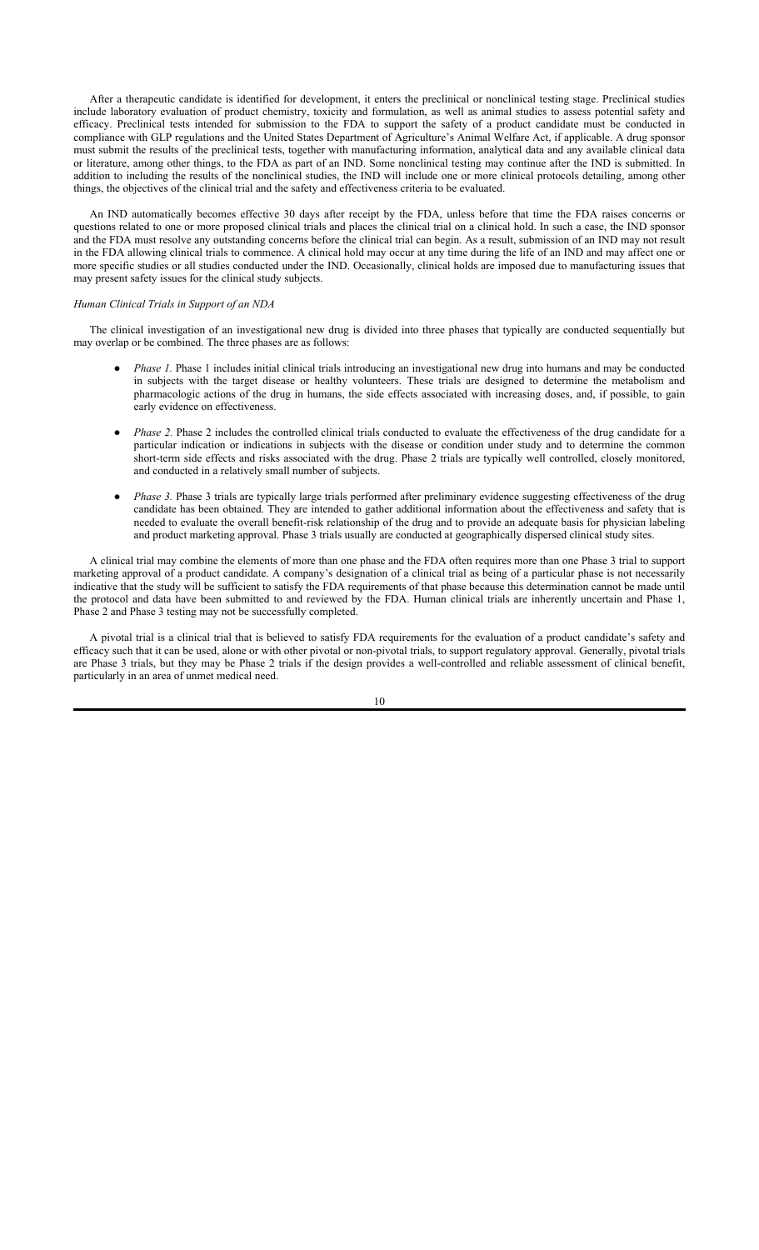After a therapeutic candidate is identified for development, it enters the preclinical or nonclinical testing stage. Preclinical studies include laboratory evaluation of product chemistry, toxicity and formulation, as well as animal studies to assess potential safety and efficacy. Preclinical tests intended for submission to the FDA to support the safety of a product candidate must be conducted in compliance with GLP regulations and the United States Department of Agriculture's Animal Welfare Act, if applicable. A drug sponsor must submit the results of the preclinical tests, together with manufacturing information, analytical data and any available clinical data or literature, among other things, to the FDA as part of an IND. Some nonclinical testing may continue after the IND is submitted. In addition to including the results of the nonclinical studies, the IND will include one or more clinical protocols detailing, among other things, the objectives of the clinical trial and the safety and effectiveness criteria to be evaluated.

An IND automatically becomes effective 30 days after receipt by the FDA, unless before that time the FDA raises concerns or questions related to one or more proposed clinical trials and places the clinical trial on a clinical hold. In such a case, the IND sponsor and the FDA must resolve any outstanding concerns before the clinical trial can begin. As a result, submission of an IND may not result in the FDA allowing clinical trials to commence. A clinical hold may occur at any time during the life of an IND and may affect one or more specific studies or all studies conducted under the IND. Occasionally, clinical holds are imposed due to manufacturing issues that may present safety issues for the clinical study subjects.

#### *Human Clinical Trials in Support of an NDA*

The clinical investigation of an investigational new drug is divided into three phases that typically are conducted sequentially but may overlap or be combined. The three phases are as follows:

- Phase 1. Phase 1 includes initial clinical trials introducing an investigational new drug into humans and may be conducted in subjects with the target disease or healthy volunteers. These trials are designed to determine the metabolism and pharmacologic actions of the drug in humans, the side effects associated with increasing doses, and, if possible, to gain early evidence on effectiveness.
- Phase 2. Phase 2 includes the controlled clinical trials conducted to evaluate the effectiveness of the drug candidate for a particular indication or indications in subjects with the disease or condition under study and to determine the common short-term side effects and risks associated with the drug. Phase 2 trials are typically well controlled, closely monitored, and conducted in a relatively small number of subjects.
- Phase 3. Phase 3 trials are typically large trials performed after preliminary evidence suggesting effectiveness of the drug candidate has been obtained. They are intended to gather additional information about the effectiveness and safety that is needed to evaluate the overall benefit-risk relationship of the drug and to provide an adequate basis for physician labeling and product marketing approval. Phase 3 trials usually are conducted at geographically dispersed clinical study sites.

A clinical trial may combine the elements of more than one phase and the FDA often requires more than one Phase 3 trial to support marketing approval of a product candidate. A company's designation of a clinical trial as being of a particular phase is not necessarily indicative that the study will be sufficient to satisfy the FDA requirements of that phase because this determination cannot be made until the protocol and data have been submitted to and reviewed by the FDA. Human clinical trials are inherently uncertain and Phase 1, Phase 2 and Phase 3 testing may not be successfully completed.

A pivotal trial is a clinical trial that is believed to satisfy FDA requirements for the evaluation of a product candidate's safety and efficacy such that it can be used, alone or with other pivotal or non-pivotal trials, to support regulatory approval. Generally, pivotal trials are Phase 3 trials, but they may be Phase 2 trials if the design provides a well-controlled and reliable assessment of clinical benefit, particularly in an area of unmet medical need.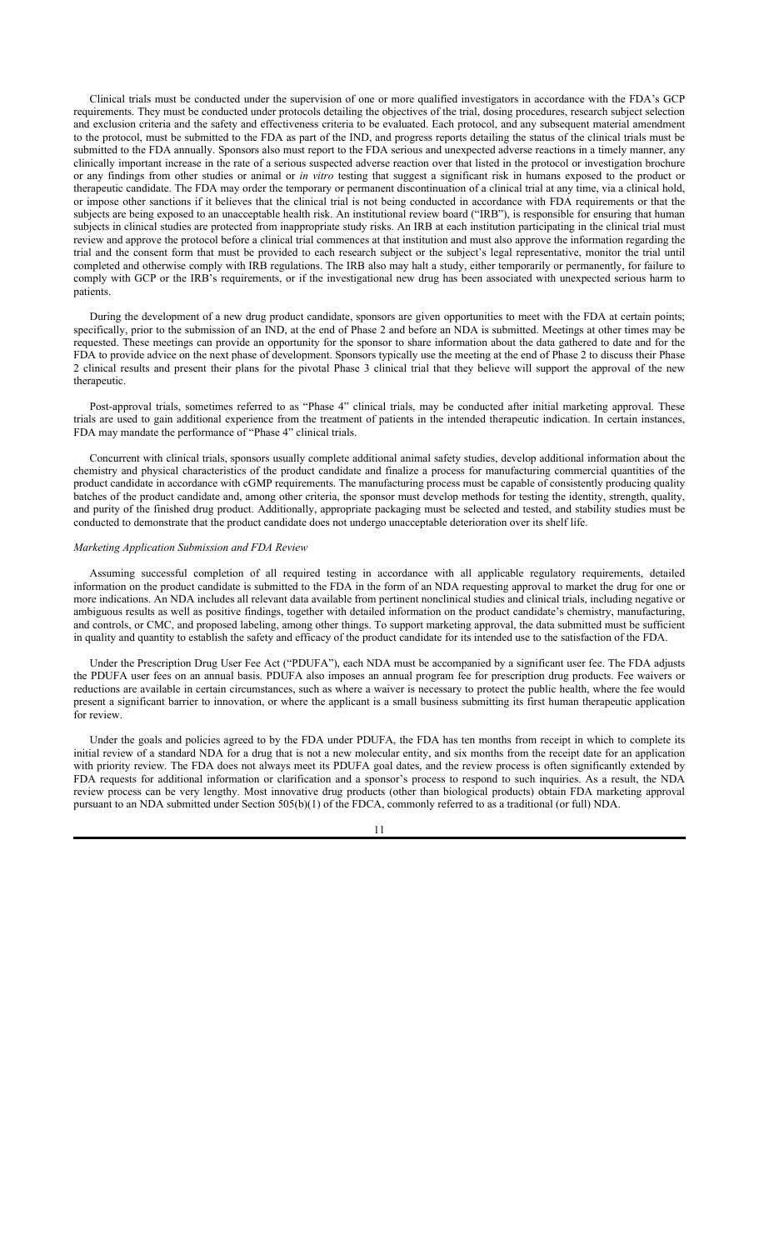Clinical trials must be conducted under the supervision of one or more qualified investigators in accordance with the FDA's GCP requirements. They must be conducted under protocols detailing the objectives of the trial, dosing procedures, research subject selection and exclusion criteria and the safety and effectiveness criteria to be evaluated. Each protocol, and any subsequent material amendment to the protocol, must be submitted to the FDA as part of the IND, and progress reports detailing the status of the clinical trials must be submitted to the FDA annually. Sponsors also must report to the FDA serious and unexpected adverse reactions in a timely manner, any clinically important increase in the rate of a serious suspected adverse reaction over that listed in the protocol or investigation brochure or any findings from other studies or animal or *in vitro* testing that suggest a significant risk in humans exposed to the product or therapeutic candidate. The FDA may order the temporary or permanent discontinuation of a clinical trial at any time, via a clinical hold, or impose other sanctions if it believes that the clinical trial is not being conducted in accordance with FDA requirements or that the subjects are being exposed to an unacceptable health risk. An institutional review board ("IRB"), is responsible for ensuring that human subjects in clinical studies are protected from inappropriate study risks. An IRB at each institution participating in the clinical trial must review and approve the protocol before a clinical trial commences at that institution and must also approve the information regarding the trial and the consent form that must be provided to each research subject or the subject's legal representative, monitor the trial until completed and otherwise comply with IRB regulations. The IRB also may halt a study, either temporarily or permanently, for failure to comply with GCP or the IRB's requirements, or if the investigational new drug has been associated with unexpected serious harm to patients.

During the development of a new drug product candidate, sponsors are given opportunities to meet with the FDA at certain points; specifically, prior to the submission of an IND, at the end of Phase 2 and before an NDA is submitted. Meetings at other times may be requested. These meetings can provide an opportunity for the sponsor to share information about the data gathered to date and for the FDA to provide advice on the next phase of development. Sponsors typically use the meeting at the end of Phase 2 to discuss their Phase 2 clinical results and present their plans for the pivotal Phase 3 clinical trial that they believe will support the approval of the new therapeutic.

Post-approval trials, sometimes referred to as "Phase 4" clinical trials, may be conducted after initial marketing approval. These trials are used to gain additional experience from the treatment of patients in the intended therapeutic indication. In certain instances, FDA may mandate the performance of "Phase 4" clinical trials.

Concurrent with clinical trials, sponsors usually complete additional animal safety studies, develop additional information about the chemistry and physical characteristics of the product candidate and finalize a process for manufacturing commercial quantities of the product candidate in accordance with cGMP requirements. The manufacturing process must be capable of consistently producing quality batches of the product candidate and, among other criteria, the sponsor must develop methods for testing the identity, strength, quality, and purity of the finished drug product. Additionally, appropriate packaging must be selected and tested, and stability studies must be conducted to demonstrate that the product candidate does not undergo unacceptable deterioration over its shelf life.

# *Marketing Application Submission and FDA Review*

Assuming successful completion of all required testing in accordance with all applicable regulatory requirements, detailed information on the product candidate is submitted to the FDA in the form of an NDA requesting approval to market the drug for one or more indications. An NDA includes all relevant data available from pertinent nonclinical studies and clinical trials, including negative or ambiguous results as well as positive findings, together with detailed information on the product candidate's chemistry, manufacturing, and controls, or CMC, and proposed labeling, among other things. To support marketing approval, the data submitted must be sufficient in quality and quantity to establish the safety and efficacy of the product candidate for its intended use to the satisfaction of the FDA.

Under the Prescription Drug User Fee Act ("PDUFA"), each NDA must be accompanied by a significant user fee. The FDA adjusts the PDUFA user fees on an annual basis. PDUFA also imposes an annual program fee for prescription drug products. Fee waivers or reductions are available in certain circumstances, such as where a waiver is necessary to protect the public health, where the fee would present a significant barrier to innovation, or where the applicant is a small business submitting its first human therapeutic application for review.

Under the goals and policies agreed to by the FDA under PDUFA, the FDA has ten months from receipt in which to complete its initial review of a standard NDA for a drug that is not a new molecular entity, and six months from the receipt date for an application with priority review. The FDA does not always meet its PDUFA goal dates, and the review process is often significantly extended by FDA requests for additional information or clarification and a sponsor's process to respond to such inquiries. As a result, the NDA review process can be very lengthy. Most innovative drug products (other than biological products) obtain FDA marketing approval pursuant to an NDA submitted under Section 505(b)(1) of the FDCA, commonly referred to as a traditional (or full) NDA.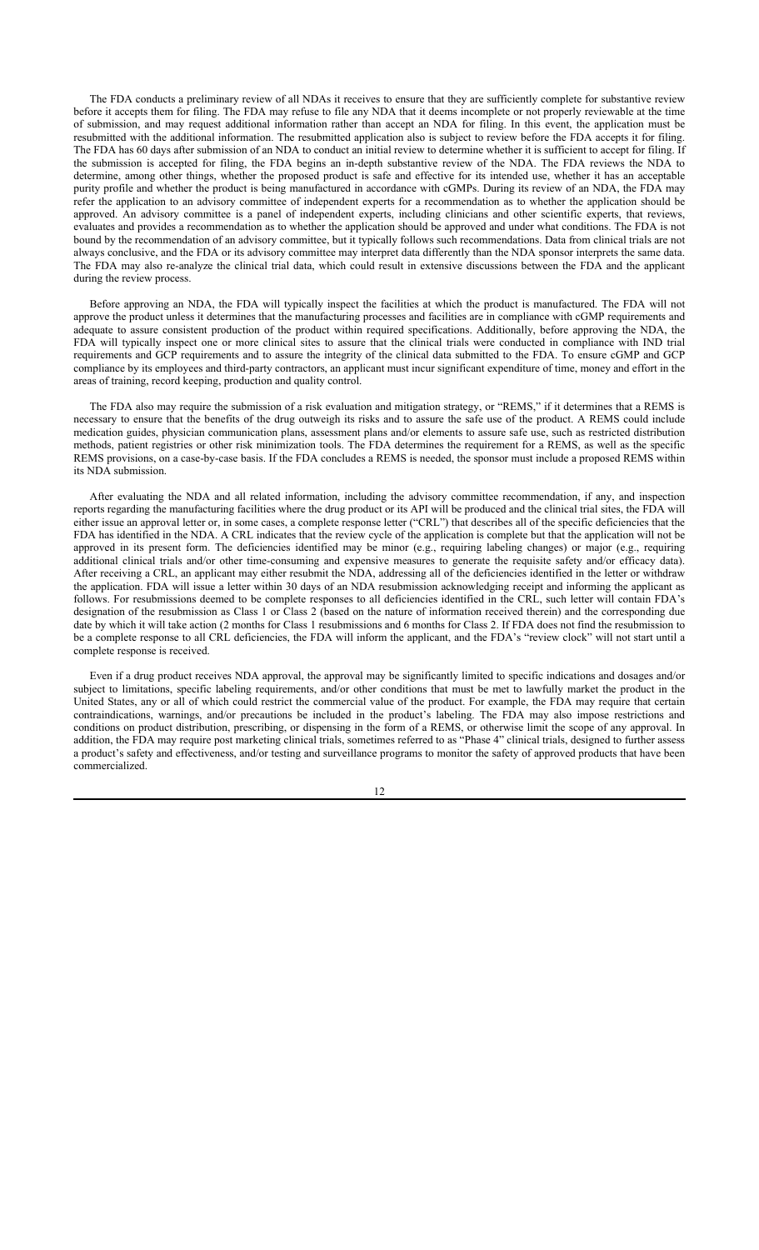The FDA conducts a preliminary review of all NDAs it receives to ensure that they are sufficiently complete for substantive review before it accepts them for filing. The FDA may refuse to file any NDA that it deems incomplete or not properly reviewable at the time of submission, and may request additional information rather than accept an NDA for filing. In this event, the application must be resubmitted with the additional information. The resubmitted application also is subject to review before the FDA accepts it for filing. The FDA has 60 days after submission of an NDA to conduct an initial review to determine whether it is sufficient to accept for filing. If the submission is accepted for filing, the FDA begins an in-depth substantive review of the NDA. The FDA reviews the NDA to determine, among other things, whether the proposed product is safe and effective for its intended use, whether it has an acceptable purity profile and whether the product is being manufactured in accordance with cGMPs. During its review of an NDA, the FDA may refer the application to an advisory committee of independent experts for a recommendation as to whether the application should be approved. An advisory committee is a panel of independent experts, including clinicians and other scientific experts, that reviews, evaluates and provides a recommendation as to whether the application should be approved and under what conditions. The FDA is not bound by the recommendation of an advisory committee, but it typically follows such recommendations. Data from clinical trials are not always conclusive, and the FDA or its advisory committee may interpret data differently than the NDA sponsor interprets the same data. The FDA may also re-analyze the clinical trial data, which could result in extensive discussions between the FDA and the applicant during the review process.

Before approving an NDA, the FDA will typically inspect the facilities at which the product is manufactured. The FDA will not approve the product unless it determines that the manufacturing processes and facilities are in compliance with cGMP requirements and adequate to assure consistent production of the product within required specifications. Additionally, before approving the NDA, the FDA will typically inspect one or more clinical sites to assure that the clinical trials were conducted in compliance with IND trial requirements and GCP requirements and to assure the integrity of the clinical data submitted to the FDA. To ensure cGMP and GCP compliance by its employees and third-party contractors, an applicant must incur significant expenditure of time, money and effort in the areas of training, record keeping, production and quality control.

The FDA also may require the submission of a risk evaluation and mitigation strategy, or "REMS," if it determines that a REMS is necessary to ensure that the benefits of the drug outweigh its risks and to assure the safe use of the product. A REMS could include medication guides, physician communication plans, assessment plans and/or elements to assure safe use, such as restricted distribution methods, patient registries or other risk minimization tools. The FDA determines the requirement for a REMS, as well as the specific REMS provisions, on a case-by-case basis. If the FDA concludes a REMS is needed, the sponsor must include a proposed REMS within its NDA submission.

After evaluating the NDA and all related information, including the advisory committee recommendation, if any, and inspection reports regarding the manufacturing facilities where the drug product or its API will be produced and the clinical trial sites, the FDA will either issue an approval letter or, in some cases, a complete response letter ("CRL") that describes all of the specific deficiencies that the FDA has identified in the NDA. A CRL indicates that the review cycle of the application is complete but that the application will not be approved in its present form. The deficiencies identified may be minor (e.g., requiring labeling changes) or major (e.g., requiring additional clinical trials and/or other time-consuming and expensive measures to generate the requisite safety and/or efficacy data). After receiving a CRL, an applicant may either resubmit the NDA, addressing all of the deficiencies identified in the letter or withdraw the application. FDA will issue a letter within 30 days of an NDA resubmission acknowledging receipt and informing the applicant as follows. For resubmissions deemed to be complete responses to all deficiencies identified in the CRL, such letter will contain FDA's designation of the resubmission as Class 1 or Class 2 (based on the nature of information received therein) and the corresponding due date by which it will take action (2 months for Class 1 resubmissions and 6 months for Class 2. If FDA does not find the resubmission to be a complete response to all CRL deficiencies, the FDA will inform the applicant, and the FDA's "review clock" will not start until a complete response is received.

Even if a drug product receives NDA approval, the approval may be significantly limited to specific indications and dosages and/or subject to limitations, specific labeling requirements, and/or other conditions that must be met to lawfully market the product in the United States, any or all of which could restrict the commercial value of the product. For example, the FDA may require that certain contraindications, warnings, and/or precautions be included in the product's labeling. The FDA may also impose restrictions and conditions on product distribution, prescribing, or dispensing in the form of a REMS, or otherwise limit the scope of any approval. In addition, the FDA may require post marketing clinical trials, sometimes referred to as "Phase 4" clinical trials, designed to further assess a product's safety and effectiveness, and/or testing and surveillance programs to monitor the safety of approved products that have been commercialized.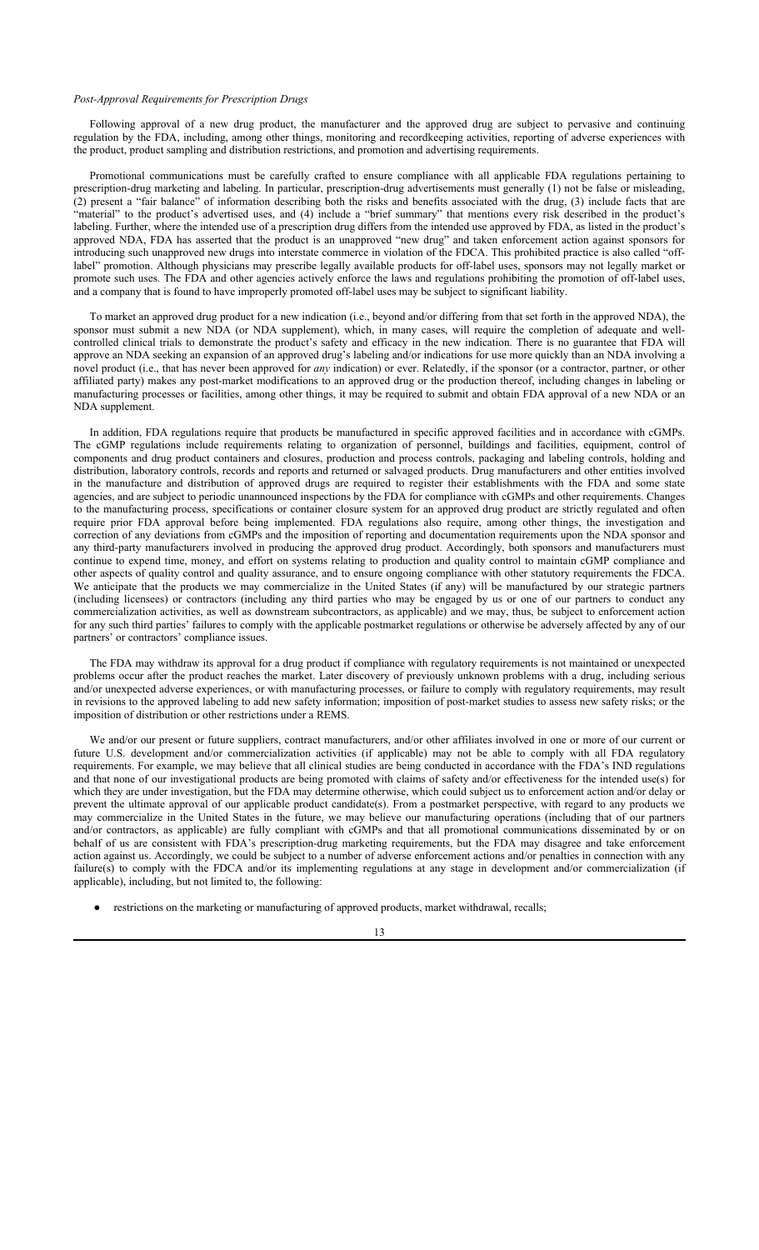#### *Post-Approval Requirements for Prescription Drugs*

Following approval of a new drug product, the manufacturer and the approved drug are subject to pervasive and continuing regulation by the FDA, including, among other things, monitoring and recordkeeping activities, reporting of adverse experiences with the product, product sampling and distribution restrictions, and promotion and advertising requirements.

Promotional communications must be carefully crafted to ensure compliance with all applicable FDA regulations pertaining to prescription-drug marketing and labeling. In particular, prescription-drug advertisements must generally (1) not be false or misleading, (2) present a "fair balance" of information describing both the risks and benefits associated with the drug, (3) include facts that are "material" to the product's advertised uses, and (4) include a "brief summary" that mentions every risk described in the product's labeling. Further, where the intended use of a prescription drug differs from the intended use approved by FDA, as listed in the product's approved NDA, FDA has asserted that the product is an unapproved "new drug" and taken enforcement action against sponsors for introducing such unapproved new drugs into interstate commerce in violation of the FDCA. This prohibited practice is also called "offlabel" promotion. Although physicians may prescribe legally available products for off-label uses, sponsors may not legally market or promote such uses. The FDA and other agencies actively enforce the laws and regulations prohibiting the promotion of off-label uses, and a company that is found to have improperly promoted off-label uses may be subject to significant liability.

To market an approved drug product for a new indication (i.e., beyond and/or differing from that set forth in the approved NDA), the sponsor must submit a new NDA (or NDA supplement), which, in many cases, will require the completion of adequate and wellcontrolled clinical trials to demonstrate the product's safety and efficacy in the new indication. There is no guarantee that FDA will approve an NDA seeking an expansion of an approved drug's labeling and/or indications for use more quickly than an NDA involving a novel product (i.e., that has never been approved for *any* indication) or ever. Relatedly, if the sponsor (or a contractor, partner, or other affiliated party) makes any post-market modifications to an approved drug or the production thereof, including changes in labeling or manufacturing processes or facilities, among other things, it may be required to submit and obtain FDA approval of a new NDA or an NDA supplement.

In addition, FDA regulations require that products be manufactured in specific approved facilities and in accordance with cGMPs. The cGMP regulations include requirements relating to organization of personnel, buildings and facilities, equipment, control of components and drug product containers and closures, production and process controls, packaging and labeling controls, holding and distribution, laboratory controls, records and reports and returned or salvaged products. Drug manufacturers and other entities involved in the manufacture and distribution of approved drugs are required to register their establishments with the FDA and some state agencies, and are subject to periodic unannounced inspections by the FDA for compliance with cGMPs and other requirements. Changes to the manufacturing process, specifications or container closure system for an approved drug product are strictly regulated and often require prior FDA approval before being implemented. FDA regulations also require, among other things, the investigation and correction of any deviations from cGMPs and the imposition of reporting and documentation requirements upon the NDA sponsor and any third-party manufacturers involved in producing the approved drug product. Accordingly, both sponsors and manufacturers must continue to expend time, money, and effort on systems relating to production and quality control to maintain cGMP compliance and other aspects of quality control and quality assurance, and to ensure ongoing compliance with other statutory requirements the FDCA. We anticipate that the products we may commercialize in the United States (if any) will be manufactured by our strategic partners (including licensees) or contractors (including any third parties who may be engaged by us or one of our partners to conduct any commercialization activities, as well as downstream subcontractors, as applicable) and we may, thus, be subject to enforcement action for any such third parties' failures to comply with the applicable postmarket regulations or otherwise be adversely affected by any of our partners' or contractors' compliance issues.

The FDA may withdraw its approval for a drug product if compliance with regulatory requirements is not maintained or unexpected problems occur after the product reaches the market. Later discovery of previously unknown problems with a drug, including serious and/or unexpected adverse experiences, or with manufacturing processes, or failure to comply with regulatory requirements, may result in revisions to the approved labeling to add new safety information; imposition of post-market studies to assess new safety risks; or the imposition of distribution or other restrictions under a REMS.

We and/or our present or future suppliers, contract manufacturers, and/or other affiliates involved in one or more of our current or future U.S. development and/or commercialization activities (if applicable) may not be able to comply with all FDA regulatory requirements. For example, we may believe that all clinical studies are being conducted in accordance with the FDA's IND regulations and that none of our investigational products are being promoted with claims of safety and/or effectiveness for the intended use(s) for which they are under investigation, but the FDA may determine otherwise, which could subject us to enforcement action and/or delay or prevent the ultimate approval of our applicable product candidate(s). From a postmarket perspective, with regard to any products we may commercialize in the United States in the future, we may believe our manufacturing operations (including that of our partners and/or contractors, as applicable) are fully compliant with cGMPs and that all promotional communications disseminated by or on behalf of us are consistent with FDA's prescription-drug marketing requirements, but the FDA may disagree and take enforcement action against us. Accordingly, we could be subject to a number of adverse enforcement actions and/or penalties in connection with any failure(s) to comply with the FDCA and/or its implementing regulations at any stage in development and/or commercialization (if applicable), including, but not limited to, the following:

Ɣ restrictions on the marketing or manufacturing of approved products, market withdrawal, recalls;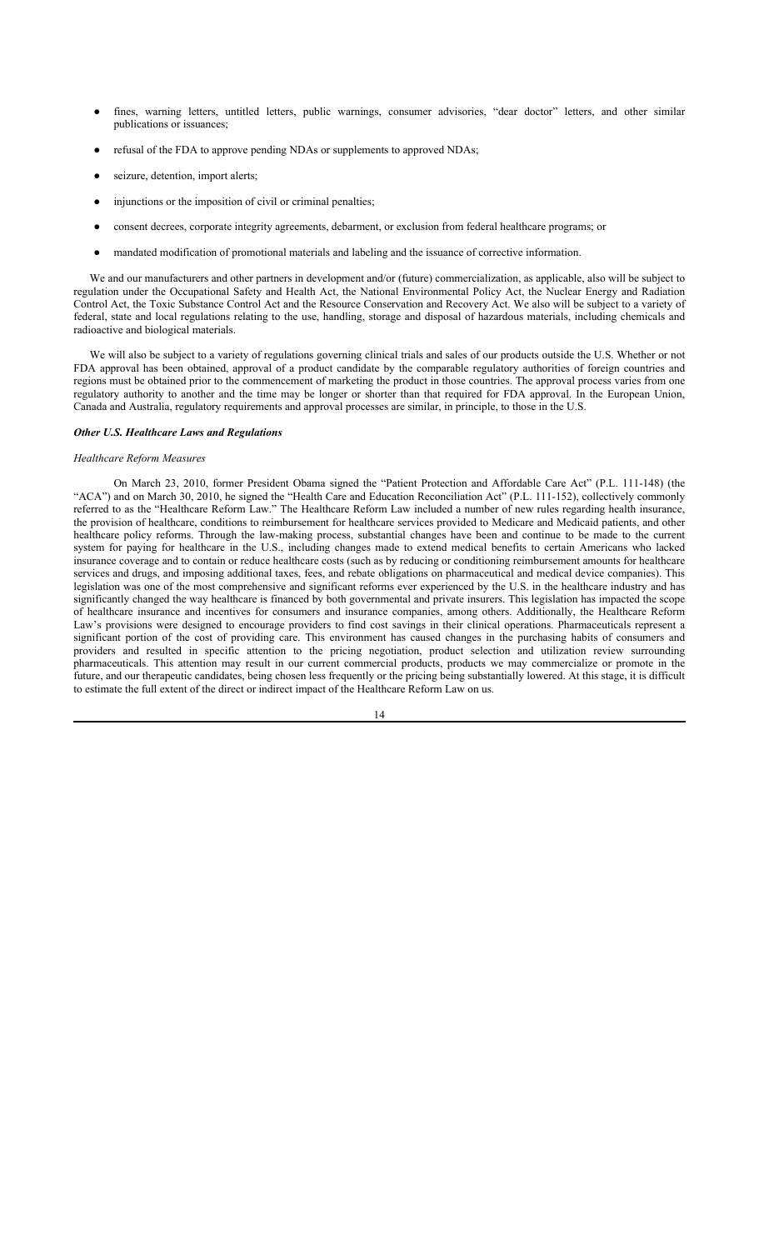- fines, warning letters, untitled letters, public warnings, consumer advisories, "dear doctor" letters, and other similar publications or issuances;
- refusal of the FDA to approve pending NDAs or supplements to approved NDAs;
- seizure, detention, import alerts;
- injunctions or the imposition of civil or criminal penalties;
- Ɣ consent decrees, corporate integrity agreements, debarment, or exclusion from federal healthcare programs; or
- Ɣ mandated modification of promotional materials and labeling and the issuance of corrective information.

We and our manufacturers and other partners in development and/or (future) commercialization, as applicable, also will be subject to regulation under the Occupational Safety and Health Act, the National Environmental Policy Act, the Nuclear Energy and Radiation Control Act, the Toxic Substance Control Act and the Resource Conservation and Recovery Act. We also will be subject to a variety of federal, state and local regulations relating to the use, handling, storage and disposal of hazardous materials, including chemicals and radioactive and biological materials.

We will also be subject to a variety of regulations governing clinical trials and sales of our products outside the U.S. Whether or not FDA approval has been obtained, approval of a product candidate by the comparable regulatory authorities of foreign countries and regions must be obtained prior to the commencement of marketing the product in those countries. The approval process varies from one regulatory authority to another and the time may be longer or shorter than that required for FDA approval. In the European Union, Canada and Australia, regulatory requirements and approval processes are similar, in principle, to those in the U.S.

#### *Other U.S. Healthcare Laws and Regulations*

#### *Healthcare Reform Measures*

On March 23, 2010, former President Obama signed the "Patient Protection and Affordable Care Act" (P.L. 111-148) (the "ACA") and on March 30, 2010, he signed the "Health Care and Education Reconciliation Act" (P.L. 111-152), collectively commonly referred to as the "Healthcare Reform Law." The Healthcare Reform Law included a number of new rules regarding health insurance, the provision of healthcare, conditions to reimbursement for healthcare services provided to Medicare and Medicaid patients, and other healthcare policy reforms. Through the law-making process, substantial changes have been and continue to be made to the current system for paying for healthcare in the U.S., including changes made to extend medical benefits to certain Americans who lacked insurance coverage and to contain or reduce healthcare costs (such as by reducing or conditioning reimbursement amounts for healthcare services and drugs, and imposing additional taxes, fees, and rebate obligations on pharmaceutical and medical device companies). This legislation was one of the most comprehensive and significant reforms ever experienced by the U.S. in the healthcare industry and has significantly changed the way healthcare is financed by both governmental and private insurers. This legislation has impacted the scope of healthcare insurance and incentives for consumers and insurance companies, among others. Additionally, the Healthcare Reform Law's provisions were designed to encourage providers to find cost savings in their clinical operations. Pharmaceuticals represent a significant portion of the cost of providing care. This environment has caused changes in the purchasing habits of consumers and providers and resulted in specific attention to the pricing negotiation, product selection and utilization review surrounding pharmaceuticals. This attention may result in our current commercial products, products we may commercialize or promote in the future, and our therapeutic candidates, being chosen less frequently or the pricing being substantially lowered. At this stage, it is difficult to estimate the full extent of the direct or indirect impact of the Healthcare Reform Law on us.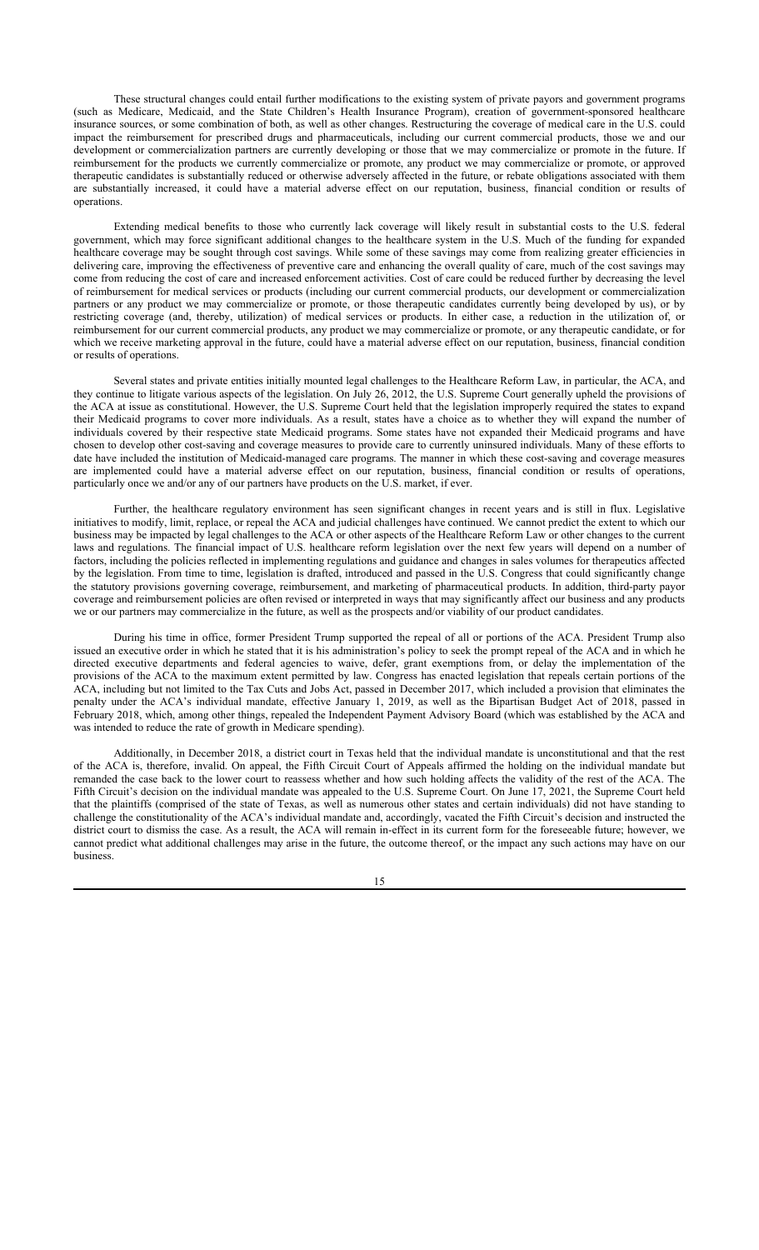These structural changes could entail further modifications to the existing system of private payors and government programs (such as Medicare, Medicaid, and the State Children's Health Insurance Program), creation of government-sponsored healthcare insurance sources, or some combination of both, as well as other changes. Restructuring the coverage of medical care in the U.S. could impact the reimbursement for prescribed drugs and pharmaceuticals, including our current commercial products, those we and our development or commercialization partners are currently developing or those that we may commercialize or promote in the future. If reimbursement for the products we currently commercialize or promote, any product we may commercialize or promote, or approved therapeutic candidates is substantially reduced or otherwise adversely affected in the future, or rebate obligations associated with them are substantially increased, it could have a material adverse effect on our reputation, business, financial condition or results of operations.

Extending medical benefits to those who currently lack coverage will likely result in substantial costs to the U.S. federal government, which may force significant additional changes to the healthcare system in the U.S. Much of the funding for expanded healthcare coverage may be sought through cost savings. While some of these savings may come from realizing greater efficiencies in delivering care, improving the effectiveness of preventive care and enhancing the overall quality of care, much of the cost savings may come from reducing the cost of care and increased enforcement activities. Cost of care could be reduced further by decreasing the level of reimbursement for medical services or products (including our current commercial products, our development or commercialization partners or any product we may commercialize or promote, or those therapeutic candidates currently being developed by us), or by restricting coverage (and, thereby, utilization) of medical services or products. In either case, a reduction in the utilization of, or reimbursement for our current commercial products, any product we may commercialize or promote, or any therapeutic candidate, or for which we receive marketing approval in the future, could have a material adverse effect on our reputation, business, financial condition or results of operations.

Several states and private entities initially mounted legal challenges to the Healthcare Reform Law, in particular, the ACA, and they continue to litigate various aspects of the legislation. On July 26, 2012, the U.S. Supreme Court generally upheld the provisions of the ACA at issue as constitutional. However, the U.S. Supreme Court held that the legislation improperly required the states to expand their Medicaid programs to cover more individuals. As a result, states have a choice as to whether they will expand the number of individuals covered by their respective state Medicaid programs. Some states have not expanded their Medicaid programs and have chosen to develop other cost-saving and coverage measures to provide care to currently uninsured individuals. Many of these efforts to date have included the institution of Medicaid-managed care programs. The manner in which these cost-saving and coverage measures are implemented could have a material adverse effect on our reputation, business, financial condition or results of operations, particularly once we and/or any of our partners have products on the U.S. market, if ever.

Further, the healthcare regulatory environment has seen significant changes in recent years and is still in flux. Legislative initiatives to modify, limit, replace, or repeal the ACA and judicial challenges have continued. We cannot predict the extent to which our business may be impacted by legal challenges to the ACA or other aspects of the Healthcare Reform Law or other changes to the current laws and regulations. The financial impact of U.S. healthcare reform legislation over the next few years will depend on a number of factors, including the policies reflected in implementing regulations and guidance and changes in sales volumes for therapeutics affected by the legislation. From time to time, legislation is drafted, introduced and passed in the U.S. Congress that could significantly change the statutory provisions governing coverage, reimbursement, and marketing of pharmaceutical products. In addition, third-party payor coverage and reimbursement policies are often revised or interpreted in ways that may significantly affect our business and any products we or our partners may commercialize in the future, as well as the prospects and/or viability of our product candidates.

During his time in office, former President Trump supported the repeal of all or portions of the ACA. President Trump also issued an executive order in which he stated that it is his administration's policy to seek the prompt repeal of the ACA and in which he directed executive departments and federal agencies to waive, defer, grant exemptions from, or delay the implementation of the provisions of the ACA to the maximum extent permitted by law. Congress has enacted legislation that repeals certain portions of the ACA, including but not limited to the Tax Cuts and Jobs Act, passed in December 2017, which included a provision that eliminates the penalty under the ACA's individual mandate, effective January 1, 2019, as well as the Bipartisan Budget Act of 2018, passed in February 2018, which, among other things, repealed the Independent Payment Advisory Board (which was established by the ACA and was intended to reduce the rate of growth in Medicare spending).

Additionally, in December 2018, a district court in Texas held that the individual mandate is unconstitutional and that the rest of the ACA is, therefore, invalid. On appeal, the Fifth Circuit Court of Appeals affirmed the holding on the individual mandate but remanded the case back to the lower court to reassess whether and how such holding affects the validity of the rest of the ACA. The Fifth Circuit's decision on the individual mandate was appealed to the U.S. Supreme Court. On June 17, 2021, the Supreme Court held that the plaintiffs (comprised of the state of Texas, as well as numerous other states and certain individuals) did not have standing to challenge the constitutionality of the ACA's individual mandate and, accordingly, vacated the Fifth Circuit's decision and instructed the district court to dismiss the case. As a result, the ACA will remain in-effect in its current form for the foreseeable future; however, we cannot predict what additional challenges may arise in the future, the outcome thereof, or the impact any such actions may have on our business.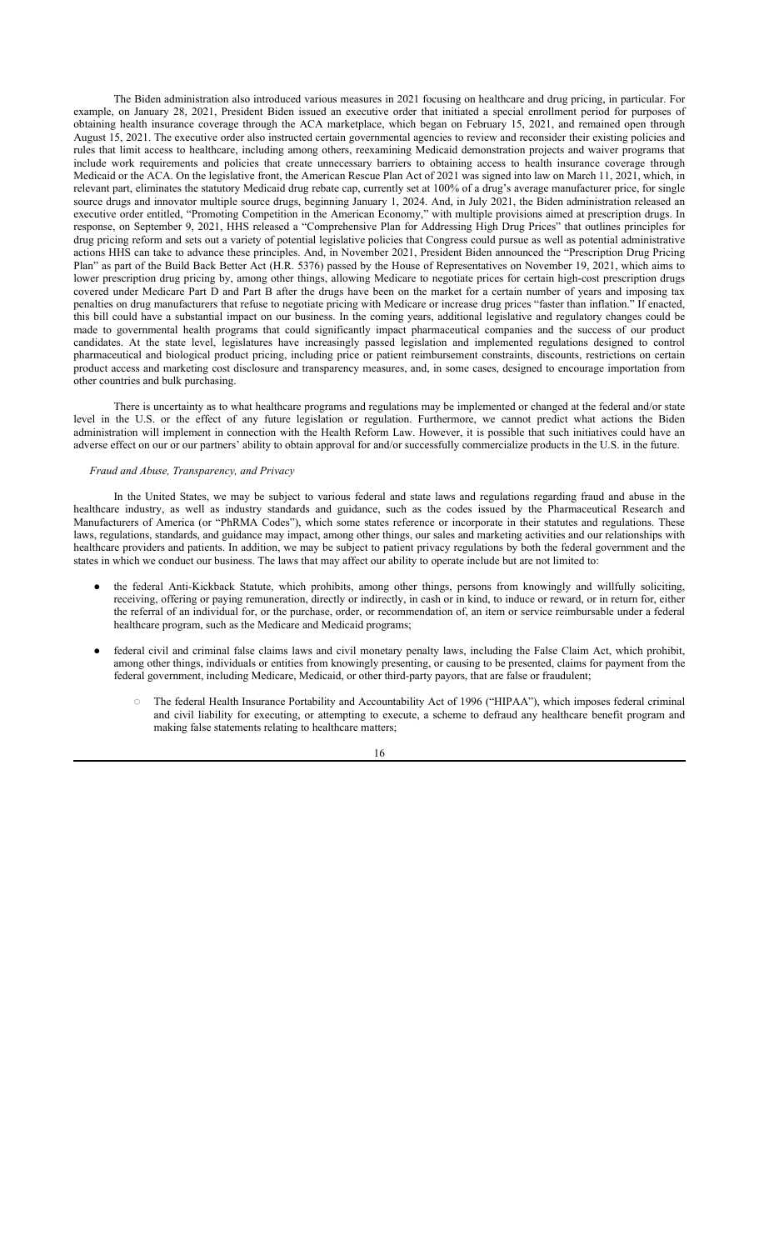The Biden administration also introduced various measures in 2021 focusing on healthcare and drug pricing, in particular. For example, on January 28, 2021, President Biden issued an executive order that initiated a special enrollment period for purposes of obtaining health insurance coverage through the ACA marketplace, which began on February 15, 2021, and remained open through August 15, 2021. The executive order also instructed certain governmental agencies to review and reconsider their existing policies and rules that limit access to healthcare, including among others, reexamining Medicaid demonstration projects and waiver programs that include work requirements and policies that create unnecessary barriers to obtaining access to health insurance coverage through Medicaid or the ACA. On the legislative front, the American Rescue Plan Act of 2021 was signed into law on March 11, 2021, which, in relevant part, eliminates the statutory Medicaid drug rebate cap, currently set at 100% of a drug's average manufacturer price, for single source drugs and innovator multiple source drugs, beginning January 1, 2024. And, in July 2021, the Biden administration released an executive order entitled, "Promoting Competition in the American Economy," with multiple provisions aimed at prescription drugs. In response, on September 9, 2021, HHS released a "Comprehensive Plan for Addressing High Drug Prices" that outlines principles for drug pricing reform and sets out a variety of potential legislative policies that Congress could pursue as well as potential administrative actions HHS can take to advance these principles. And, in November 2021, President Biden announced the "Prescription Drug Pricing Plan" as part of the Build Back Better Act (H.R. 5376) passed by the House of Representatives on November 19, 2021, which aims to lower prescription drug pricing by, among other things, allowing Medicare to negotiate prices for certain high-cost prescription drugs covered under Medicare Part D and Part B after the drugs have been on the market for a certain number of years and imposing tax penalties on drug manufacturers that refuse to negotiate pricing with Medicare or increase drug prices "faster than inflation." If enacted, this bill could have a substantial impact on our business. In the coming years, additional legislative and regulatory changes could be made to governmental health programs that could significantly impact pharmaceutical companies and the success of our product candidates. At the state level, legislatures have increasingly passed legislation and implemented regulations designed to control pharmaceutical and biological product pricing, including price or patient reimbursement constraints, discounts, restrictions on certain product access and marketing cost disclosure and transparency measures, and, in some cases, designed to encourage importation from other countries and bulk purchasing.

There is uncertainty as to what healthcare programs and regulations may be implemented or changed at the federal and/or state level in the U.S. or the effect of any future legislation or regulation. Furthermore, we cannot predict what actions the Biden administration will implement in connection with the Health Reform Law. However, it is possible that such initiatives could have an adverse effect on our or our partners' ability to obtain approval for and/or successfully commercialize products in the U.S. in the future.

## *Fraud and Abuse, Transparency, and Privacy*

In the United States, we may be subject to various federal and state laws and regulations regarding fraud and abuse in the healthcare industry, as well as industry standards and guidance, such as the codes issued by the Pharmaceutical Research and Manufacturers of America (or "PhRMA Codes"), which some states reference or incorporate in their statutes and regulations. These laws, regulations, standards, and guidance may impact, among other things, our sales and marketing activities and our relationships with healthcare providers and patients. In addition, we may be subject to patient privacy regulations by both the federal government and the states in which we conduct our business. The laws that may affect our ability to operate include but are not limited to:

- Ɣ the federal Anti-Kickback Statute, which prohibits, among other things, persons from knowingly and willfully soliciting, receiving, offering or paying remuneration, directly or indirectly, in cash or in kind, to induce or reward, or in return for, either the referral of an individual for, or the purchase, order, or recommendation of, an item or service reimbursable under a federal healthcare program, such as the Medicare and Medicaid programs;
- federal civil and criminal false claims laws and civil monetary penalty laws, including the False Claim Act, which prohibit, among other things, individuals or entities from knowingly presenting, or causing to be presented, claims for payment from the federal government, including Medicare, Medicaid, or other third-party payors, that are false or fraudulent;
	- ଉ The federal Health Insurance Portability and Accountability Act of 1996 ("HIPAA"), which imposes federal criminal and civil liability for executing, or attempting to execute, a scheme to defraud any healthcare benefit program and making false statements relating to healthcare matters;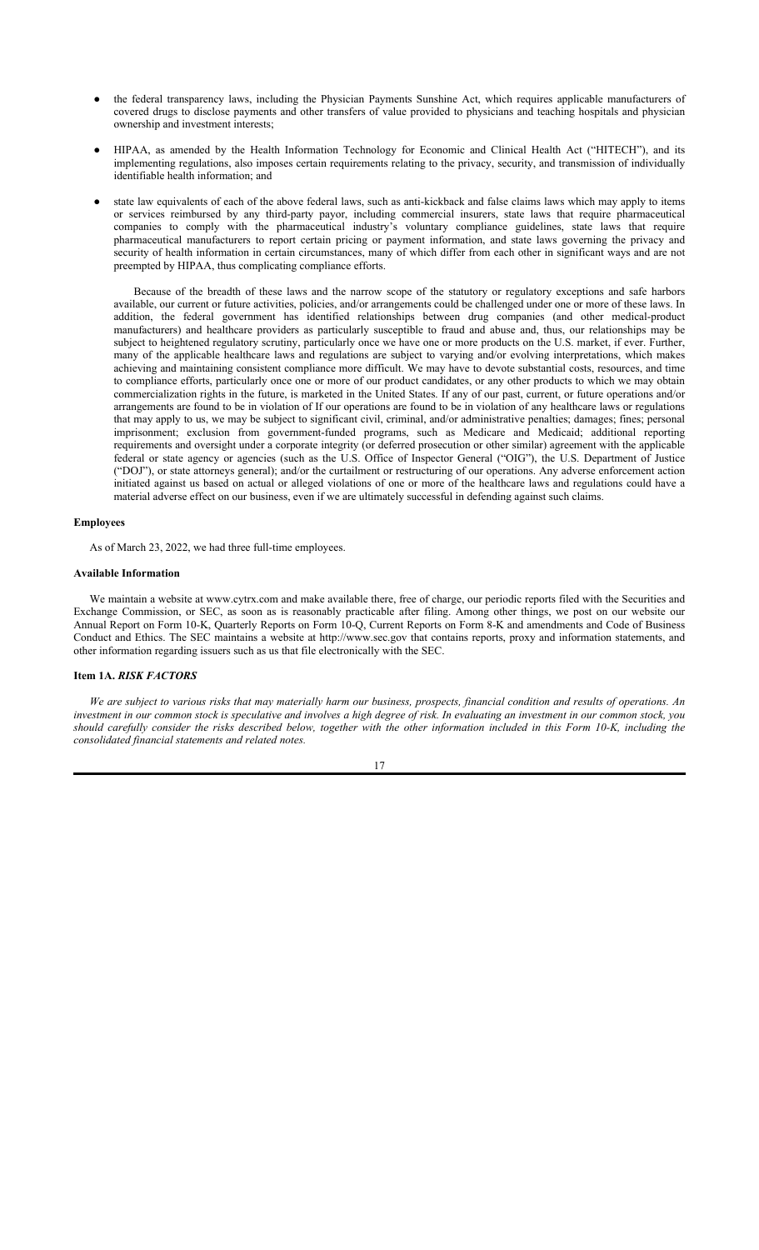- the federal transparency laws, including the Physician Payments Sunshine Act, which requires applicable manufacturers of covered drugs to disclose payments and other transfers of value provided to physicians and teaching hospitals and physician ownership and investment interests;
- HIPAA, as amended by the Health Information Technology for Economic and Clinical Health Act ("HITECH"), and its implementing regulations, also imposes certain requirements relating to the privacy, security, and transmission of individually identifiable health information; and
- state law equivalents of each of the above federal laws, such as anti-kickback and false claims laws which may apply to items or services reimbursed by any third-party payor, including commercial insurers, state laws that require pharmaceutical companies to comply with the pharmaceutical industry's voluntary compliance guidelines, state laws that require pharmaceutical manufacturers to report certain pricing or payment information, and state laws governing the privacy and security of health information in certain circumstances, many of which differ from each other in significant ways and are not preempted by HIPAA, thus complicating compliance efforts.

Because of the breadth of these laws and the narrow scope of the statutory or regulatory exceptions and safe harbors available, our current or future activities, policies, and/or arrangements could be challenged under one or more of these laws. In addition, the federal government has identified relationships between drug companies (and other medical-product manufacturers) and healthcare providers as particularly susceptible to fraud and abuse and, thus, our relationships may be subject to heightened regulatory scrutiny, particularly once we have one or more products on the U.S. market, if ever. Further, many of the applicable healthcare laws and regulations are subject to varying and/or evolving interpretations, which makes achieving and maintaining consistent compliance more difficult. We may have to devote substantial costs, resources, and time to compliance efforts, particularly once one or more of our product candidates, or any other products to which we may obtain commercialization rights in the future, is marketed in the United States. If any of our past, current, or future operations and/or arrangements are found to be in violation of If our operations are found to be in violation of any healthcare laws or regulations that may apply to us, we may be subject to significant civil, criminal, and/or administrative penalties; damages; fines; personal imprisonment; exclusion from government-funded programs, such as Medicare and Medicaid; additional reporting requirements and oversight under a corporate integrity (or deferred prosecution or other similar) agreement with the applicable federal or state agency or agencies (such as the U.S. Office of Inspector General ("OIG"), the U.S. Department of Justice ("DOJ"), or state attorneys general); and/or the curtailment or restructuring of our operations. Any adverse enforcement action initiated against us based on actual or alleged violations of one or more of the healthcare laws and regulations could have a material adverse effect on our business, even if we are ultimately successful in defending against such claims.

#### **Employees**

As of March 23, 2022, we had three full-time employees.

#### **Available Information**

We maintain a website at www.cytrx.com and make available there, free of charge, our periodic reports filed with the Securities and Exchange Commission, or SEC, as soon as is reasonably practicable after filing. Among other things, we post on our website our Annual Report on Form 10-K, Quarterly Reports on Form 10-Q, Current Reports on Form 8-K and amendments and Code of Business Conduct and Ethics. The SEC maintains a website at http://www.sec.gov that contains reports, proxy and information statements, and other information regarding issuers such as us that file electronically with the SEC.

# **Item 1A.** *RISK FACTORS*

*We are subject to various risks that may materially harm our business, prospects, financial condition and results of operations. An investment in our common stock is speculative and involves a high degree of risk. In evaluating an investment in our common stock, you should carefully consider the risks described below, together with the other information included in this Form 10-K, including the consolidated financial statements and related notes.*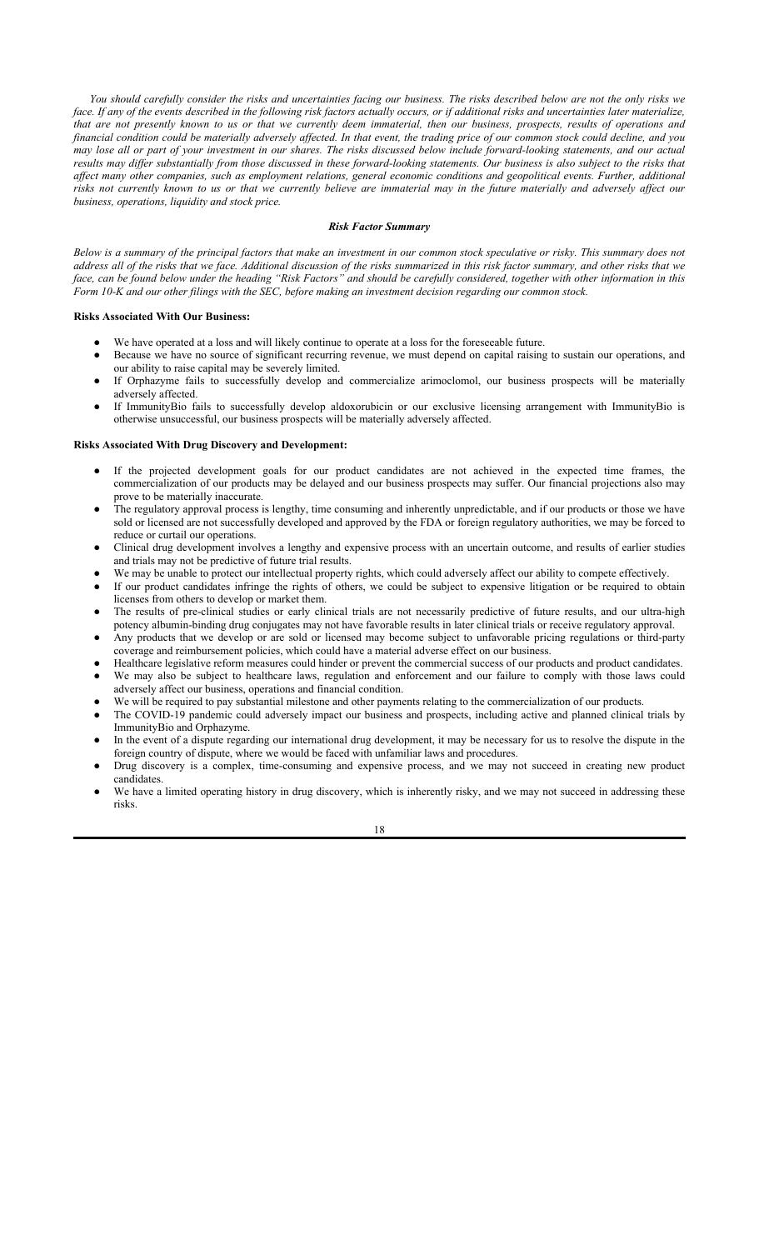*You should carefully consider the risks and uncertainties facing our business. The risks described below are not the only risks we*  face. If any of the events described in the following risk factors actually occurs, or if additional risks and uncertainties later materialize, *that are not presently known to us or that we currently deem immaterial, then our business, prospects, results of operations and financial condition could be materially adversely affected. In that event, the trading price of our common stock could decline, and you may lose all or part of your investment in our shares. The risks discussed below include forward-looking statements, and our actual*  results may differ substantially from those discussed in these forward-looking statements. Our business is also subject to the risks that *affect many other companies, such as employment relations, general economic conditions and geopolitical events. Further, additional risks not currently known to us or that we currently believe are immaterial may in the future materially and adversely affect our business, operations, liquidity and stock price.*

#### *Risk Factor Summary*

*Below is a summary of the principal factors that make an investment in our common stock speculative or risky. This summary does not address all of the risks that we face. Additional discussion of the risks summarized in this risk factor summary, and other risks that we face, can be found below under the heading "Risk Factors" and should be carefully considered, together with other information in this Form 10-K and our other filings with the SEC, before making an investment decision regarding our common stock.*

# **Risks Associated With Our Business:**

- We have operated at a loss and will likely continue to operate at a loss for the foreseeable future.
- Because we have no source of significant recurring revenue, we must depend on capital raising to sustain our operations, and our ability to raise capital may be severely limited.
- If Orphazyme fails to successfully develop and commercialize arimoclomol, our business prospects will be materially adversely affected.
- Ɣ If ImmunityBio fails to successfully develop aldoxorubicin or our exclusive licensing arrangement with ImmunityBio is otherwise unsuccessful, our business prospects will be materially adversely affected.

### **Risks Associated With Drug Discovery and Development:**

- Ɣ If the projected development goals for our product candidates are not achieved in the expected time frames, the commercialization of our products may be delayed and our business prospects may suffer. Our financial projections also may prove to be materially inaccurate.
- The regulatory approval process is lengthy, time consuming and inherently unpredictable, and if our products or those we have sold or licensed are not successfully developed and approved by the FDA or foreign regulatory authorities, we may be forced to reduce or curtail our operations.
- Ɣ Clinical drug development involves a lengthy and expensive process with an uncertain outcome, and results of earlier studies and trials may not be predictive of future trial results.
- We may be unable to protect our intellectual property rights, which could adversely affect our ability to compete effectively.
- If our product candidates infringe the rights of others, we could be subject to expensive litigation or be required to obtain licenses from others to develop or market them.
- The results of pre-clinical studies or early clinical trials are not necessarily predictive of future results, and our ultra-high potency albumin-binding drug conjugates may not have favorable results in later clinical trials or receive regulatory approval.
- Any products that we develop or are sold or licensed may become subject to unfavorable pricing regulations or third-party coverage and reimbursement policies, which could have a material adverse effect on our business.
- Healthcare legislative reform measures could hinder or prevent the commercial success of our products and product candidates. We may also be subject to healthcare laws, regulation and enforcement and our failure to comply with those laws could adversely affect our business, operations and financial condition.
- We will be required to pay substantial milestone and other payments relating to the commercialization of our products.
- Ɣ The COVID-19 pandemic could adversely impact our business and prospects, including active and planned clinical trials by ImmunityBio and Orphazyme.
- In the event of a dispute regarding our international drug development, it may be necessary for us to resolve the dispute in the foreign country of dispute, where we would be faced with unfamiliar laws and procedures.
- Ɣ Drug discovery is a complex, time-consuming and expensive process, and we may not succeed in creating new product candidates.
- We have a limited operating history in drug discovery, which is inherently risky, and we may not succeed in addressing these risks.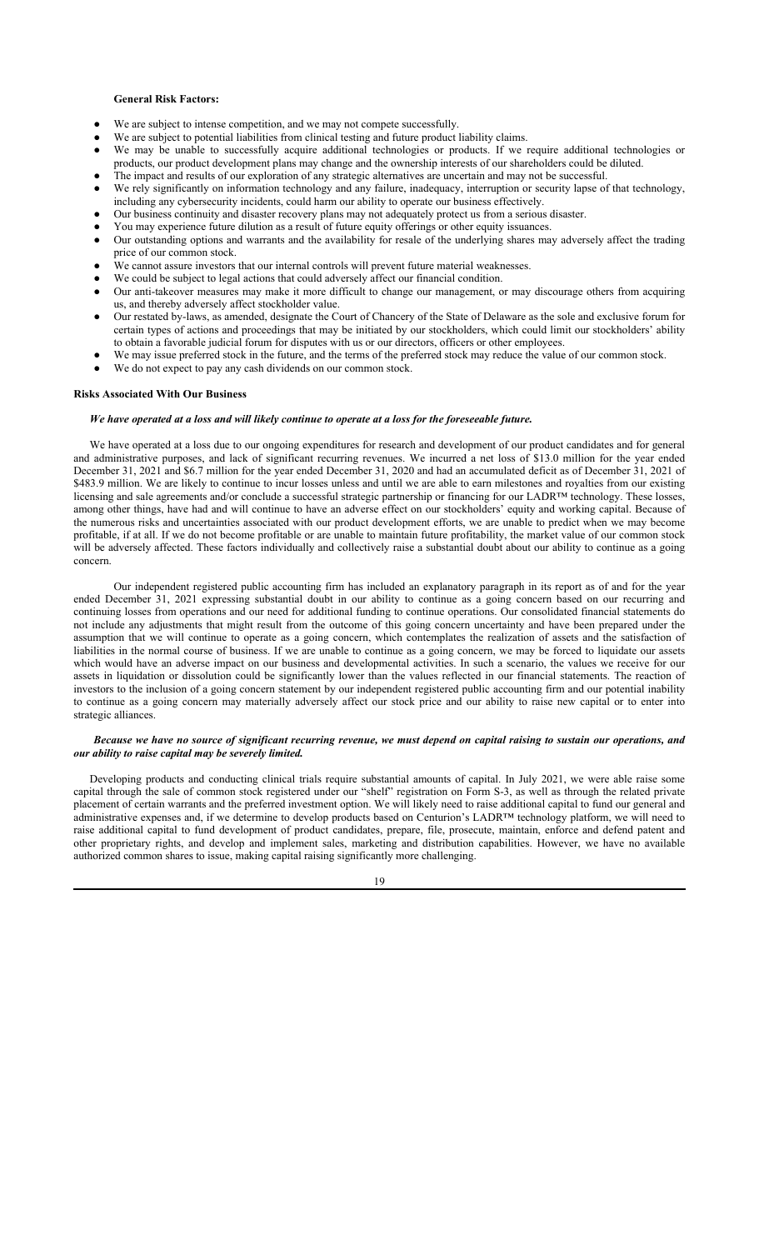#### **General Risk Factors:**

- We are subject to intense competition, and we may not compete successfully.
- We are subject to potential liabilities from clinical testing and future product liability claims.
- We may be unable to successfully acquire additional technologies or products. If we require additional technologies or products, our product development plans may change and the ownership interests of our shareholders could be diluted.
- The impact and results of our exploration of any strategic alternatives are uncertain and may not be successful.
- Ɣ We rely significantly on information technology and any failure, inadequacy, interruption or security lapse of that technology, including any cybersecurity incidents, could harm our ability to operate our business effectively.
- Ɣ Our business continuity and disaster recovery plans may not adequately protect us from a serious disaster.
- You may experience future dilution as a result of future equity offerings or other equity issuances.
- Ɣ Our outstanding options and warrants and the availability for resale of the underlying shares may adversely affect the trading price of our common stock.
- We cannot assure investors that our internal controls will prevent future material weaknesses. We could be subject to legal actions that could adversely affect our financial condition.
- Our anti-takeover measures may make it more difficult to change our management, or may discourage others from acquiring us, and thereby adversely affect stockholder value.
- Ɣ Our restated by-laws, as amended, designate the Court of Chancery of the State of Delaware as the sole and exclusive forum for certain types of actions and proceedings that may be initiated by our stockholders, which could limit our stockholders' ability to obtain a favorable judicial forum for disputes with us or our directors, officers or other employees.
- We may issue preferred stock in the future, and the terms of the preferred stock may reduce the value of our common stock.
- We do not expect to pay any cash dividends on our common stock.

#### **Risks Associated With Our Business**

#### *We have operated at a loss and will likely continue to operate at a loss for the foreseeable future.*

We have operated at a loss due to our ongoing expenditures for research and development of our product candidates and for general and administrative purposes, and lack of significant recurring revenues. We incurred a net loss of \$13.0 million for the year ended December 31, 2021 and \$6.7 million for the year ended December 31, 2020 and had an accumulated deficit as of December 31, 2021 of \$483.9 million. We are likely to continue to incur losses unless and until we are able to earn milestones and royalties from our existing licensing and sale agreements and/or conclude a successful strategic partnership or financing for our LADR™ technology. These losses, among other things, have had and will continue to have an adverse effect on our stockholders' equity and working capital. Because of the numerous risks and uncertainties associated with our product development efforts, we are unable to predict when we may become profitable, if at all. If we do not become profitable or are unable to maintain future profitability, the market value of our common stock will be adversely affected. These factors individually and collectively raise a substantial doubt about our ability to continue as a going concern.

Our independent registered public accounting firm has included an explanatory paragraph in its report as of and for the year ended December 31, 2021 expressing substantial doubt in our ability to continue as a going concern based on our recurring and continuing losses from operations and our need for additional funding to continue operations. Our consolidated financial statements do not include any adjustments that might result from the outcome of this going concern uncertainty and have been prepared under the assumption that we will continue to operate as a going concern, which contemplates the realization of assets and the satisfaction of liabilities in the normal course of business. If we are unable to continue as a going concern, we may be forced to liquidate our assets which would have an adverse impact on our business and developmental activities. In such a scenario, the values we receive for our assets in liquidation or dissolution could be significantly lower than the values reflected in our financial statements. The reaction of investors to the inclusion of a going concern statement by our independent registered public accounting firm and our potential inability to continue as a going concern may materially adversely affect our stock price and our ability to raise new capital or to enter into strategic alliances.

#### *Because we have no source of significant recurring revenue, we must depend on capital raising to sustain our operations, and our ability to raise capital may be severely limited.*

Developing products and conducting clinical trials require substantial amounts of capital. In July 2021, we were able raise some capital through the sale of common stock registered under our "shelf" registration on Form S-3, as well as through the related private placement of certain warrants and the preferred investment option. We will likely need to raise additional capital to fund our general and administrative expenses and, if we determine to develop products based on Centurion's LADR™ technology platform, we will need to raise additional capital to fund development of product candidates, prepare, file, prosecute, maintain, enforce and defend patent and other proprietary rights, and develop and implement sales, marketing and distribution capabilities. However, we have no available authorized common shares to issue, making capital raising significantly more challenging.

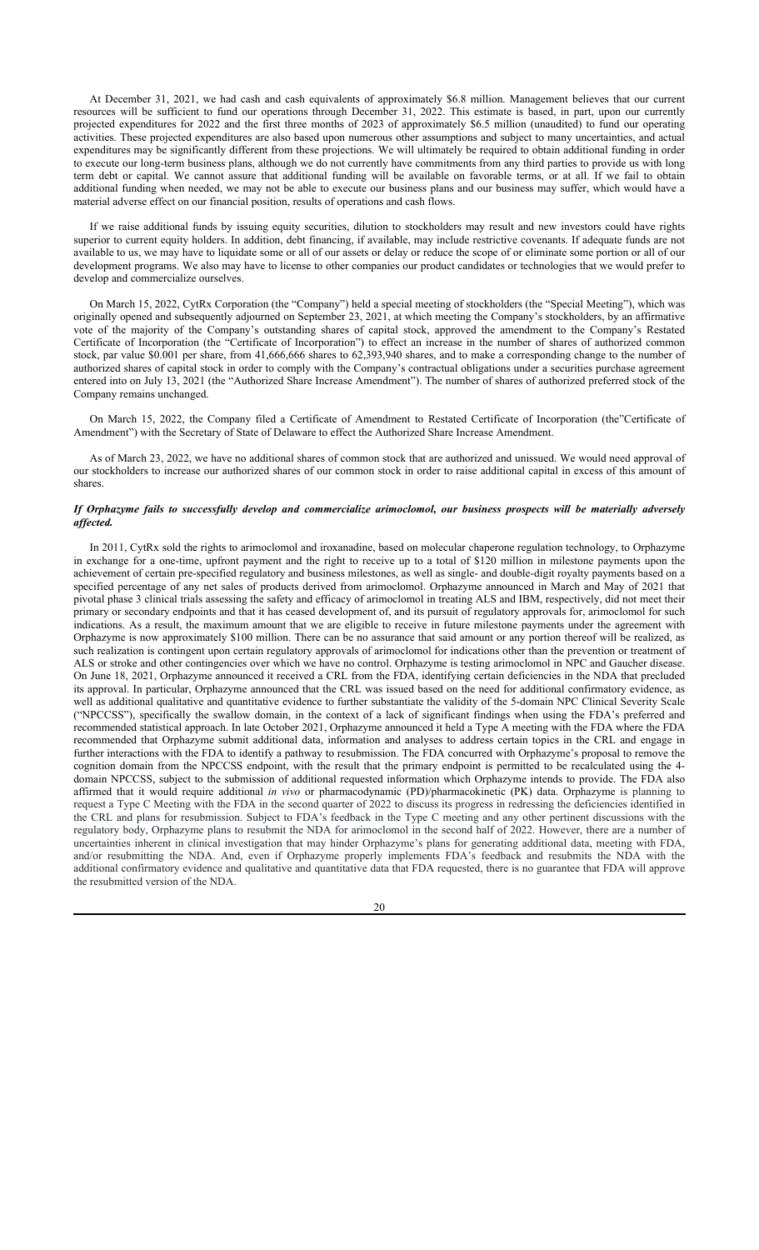At December 31, 2021, we had cash and cash equivalents of approximately \$6.8 million. Management believes that our current resources will be sufficient to fund our operations through December 31, 2022. This estimate is based, in part, upon our currently projected expenditures for 2022 and the first three months of 2023 of approximately \$6.5 million (unaudited) to fund our operating activities. These projected expenditures are also based upon numerous other assumptions and subject to many uncertainties, and actual expenditures may be significantly different from these projections. We will ultimately be required to obtain additional funding in order to execute our long-term business plans, although we do not currently have commitments from any third parties to provide us with long term debt or capital. We cannot assure that additional funding will be available on favorable terms, or at all. If we fail to obtain additional funding when needed, we may not be able to execute our business plans and our business may suffer, which would have a material adverse effect on our financial position, results of operations and cash flows.

If we raise additional funds by issuing equity securities, dilution to stockholders may result and new investors could have rights superior to current equity holders. In addition, debt financing, if available, may include restrictive covenants. If adequate funds are not available to us, we may have to liquidate some or all of our assets or delay or reduce the scope of or eliminate some portion or all of our development programs. We also may have to license to other companies our product candidates or technologies that we would prefer to develop and commercialize ourselves.

On March 15, 2022, CytRx Corporation (the "Company") held a special meeting of stockholders (the "Special Meeting"), which was originally opened and subsequently adjourned on September 23, 2021, at which meeting the Company's stockholders, by an affirmative vote of the majority of the Company's outstanding shares of capital stock, approved the amendment to the Company's Restated Certificate of Incorporation (the "Certificate of Incorporation") to effect an increase in the number of shares of authorized common stock, par value \$0.001 per share, from 41,666,666 shares to 62,393,940 shares, and to make a corresponding change to the number of authorized shares of capital stock in order to comply with the Company's contractual obligations under a securities purchase agreement entered into on July 13, 2021 (the "Authorized Share Increase Amendment"). The number of shares of authorized preferred stock of the Company remains unchanged.

On March 15, 2022, the Company filed a Certificate of Amendment to Restated Certificate of Incorporation (the"Certificate of Amendment") with the Secretary of State of Delaware to effect the Authorized Share Increase Amendment.

As of March 23, 2022, we have no additional shares of common stock that are authorized and unissued. We would need approval of our stockholders to increase our authorized shares of our common stock in order to raise additional capital in excess of this amount of shares.

# *If Orphazyme fails to successfully develop and commercialize arimoclomol, our business prospects will be materially adversely affected.*

In 2011, CytRx sold the rights to arimoclomol and iroxanadine, based on molecular chaperone regulation technology, to Orphazyme in exchange for a one-time, upfront payment and the right to receive up to a total of \$120 million in milestone payments upon the achievement of certain pre-specified regulatory and business milestones, as well as single- and double-digit royalty payments based on a specified percentage of any net sales of products derived from arimoclomol. Orphazyme announced in March and May of 2021 that pivotal phase 3 clinical trials assessing the safety and efficacy of arimoclomol in treating ALS and IBM, respectively, did not meet their primary or secondary endpoints and that it has ceased development of, and its pursuit of regulatory approvals for, arimoclomol for such indications. As a result, the maximum amount that we are eligible to receive in future milestone payments under the agreement with Orphazyme is now approximately \$100 million. There can be no assurance that said amount or any portion thereof will be realized, as such realization is contingent upon certain regulatory approvals of arimoclomol for indications other than the prevention or treatment of ALS or stroke and other contingencies over which we have no control. Orphazyme is testing arimoclomol in NPC and Gaucher disease. On June 18, 2021, Orphazyme announced it received a CRL from the FDA, identifying certain deficiencies in the NDA that precluded its approval. In particular, Orphazyme announced that the CRL was issued based on the need for additional confirmatory evidence, as well as additional qualitative and quantitative evidence to further substantiate the validity of the 5-domain NPC Clinical Severity Scale ("NPCCSS"), specifically the swallow domain, in the context of a lack of significant findings when using the FDA's preferred and recommended statistical approach. In late October 2021, Orphazyme announced it held a Type A meeting with the FDA where the FDA recommended that Orphazyme submit additional data, information and analyses to address certain topics in the CRL and engage in further interactions with the FDA to identify a pathway to resubmission. The FDA concurred with Orphazyme's proposal to remove the cognition domain from the NPCCSS endpoint, with the result that the primary endpoint is permitted to be recalculated using the 4 domain NPCCSS, subject to the submission of additional requested information which Orphazyme intends to provide. The FDA also affirmed that it would require additional *in vivo* or pharmacodynamic (PD)/pharmacokinetic (PK) data. Orphazyme is planning to request a Type C Meeting with the FDA in the second quarter of 2022 to discuss its progress in redressing the deficiencies identified in the CRL and plans for resubmission. Subject to FDA's feedback in the Type C meeting and any other pertinent discussions with the regulatory body, Orphazyme plans to resubmit the NDA for arimoclomol in the second half of 2022. However, there are a number of uncertainties inherent in clinical investigation that may hinder Orphazyme's plans for generating additional data, meeting with FDA, and/or resubmitting the NDA. And, even if Orphazyme properly implements FDA's feedback and resubmits the NDA with the additional confirmatory evidence and qualitative and quantitative data that FDA requested, there is no guarantee that FDA will approve the resubmitted version of the NDA.

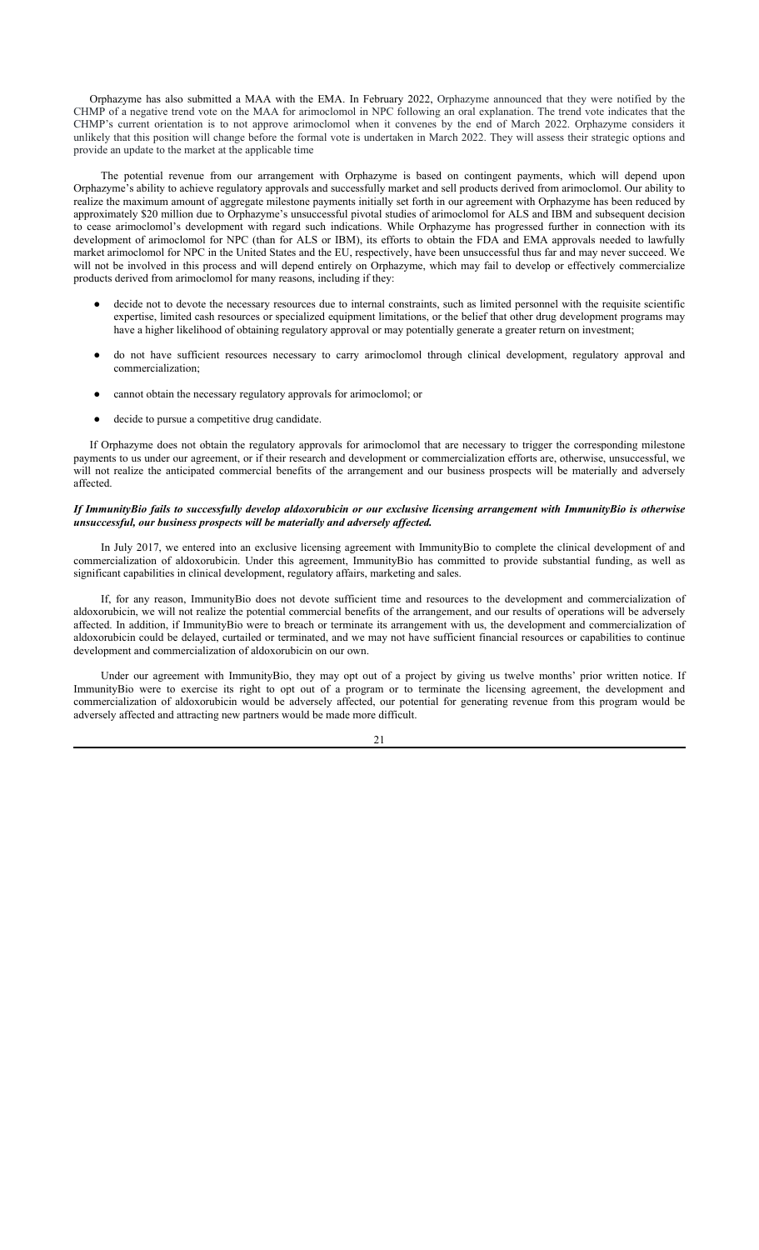Orphazyme has also submitted a MAA with the EMA. In February 2022, Orphazyme announced that they were notified by the CHMP of a negative trend vote on the MAA for arimoclomol in NPC following an oral explanation. The trend vote indicates that the CHMP's current orientation is to not approve arimoclomol when it convenes by the end of March 2022. Orphazyme considers it unlikely that this position will change before the formal vote is undertaken in March 2022. They will assess their strategic options and provide an update to the market at the applicable time

The potential revenue from our arrangement with Orphazyme is based on contingent payments, which will depend upon Orphazyme's ability to achieve regulatory approvals and successfully market and sell products derived from arimoclomol. Our ability to realize the maximum amount of aggregate milestone payments initially set forth in our agreement with Orphazyme has been reduced by approximately \$20 million due to Orphazyme's unsuccessful pivotal studies of arimoclomol for ALS and IBM and subsequent decision to cease arimoclomol's development with regard such indications. While Orphazyme has progressed further in connection with its development of arimoclomol for NPC (than for ALS or IBM), its efforts to obtain the FDA and EMA approvals needed to lawfully market arimoclomol for NPC in the United States and the EU, respectively, have been unsuccessful thus far and may never succeed. We will not be involved in this process and will depend entirely on Orphazyme, which may fail to develop or effectively commercialize products derived from arimoclomol for many reasons, including if they:

- decide not to devote the necessary resources due to internal constraints, such as limited personnel with the requisite scientific expertise, limited cash resources or specialized equipment limitations, or the belief that other drug development programs may have a higher likelihood of obtaining regulatory approval or may potentially generate a greater return on investment;
- do not have sufficient resources necessary to carry arimoclomol through clinical development, regulatory approval and commercialization;
- Ɣ cannot obtain the necessary regulatory approvals for arimoclomol; or
- $\bullet$  decide to pursue a competitive drug candidate.

If Orphazyme does not obtain the regulatory approvals for arimoclomol that are necessary to trigger the corresponding milestone payments to us under our agreement, or if their research and development or commercialization efforts are, otherwise, unsuccessful, we will not realize the anticipated commercial benefits of the arrangement and our business prospects will be materially and adversely affected.

#### *If ImmunityBio fails to successfully develop aldoxorubicin or our exclusive licensing arrangement with ImmunityBio is otherwise unsuccessful, our business prospects will be materially and adversely affected.*

In July 2017, we entered into an exclusive licensing agreement with ImmunityBio to complete the clinical development of and commercialization of aldoxorubicin. Under this agreement, ImmunityBio has committed to provide substantial funding, as well as significant capabilities in clinical development, regulatory affairs, marketing and sales.

If, for any reason, ImmunityBio does not devote sufficient time and resources to the development and commercialization of aldoxorubicin, we will not realize the potential commercial benefits of the arrangement, and our results of operations will be adversely affected. In addition, if ImmunityBio were to breach or terminate its arrangement with us, the development and commercialization of aldoxorubicin could be delayed, curtailed or terminated, and we may not have sufficient financial resources or capabilities to continue development and commercialization of aldoxorubicin on our own.

Under our agreement with ImmunityBio, they may opt out of a project by giving us twelve months' prior written notice. If ImmunityBio were to exercise its right to opt out of a program or to terminate the licensing agreement, the development and commercialization of aldoxorubicin would be adversely affected, our potential for generating revenue from this program would be adversely affected and attracting new partners would be made more difficult.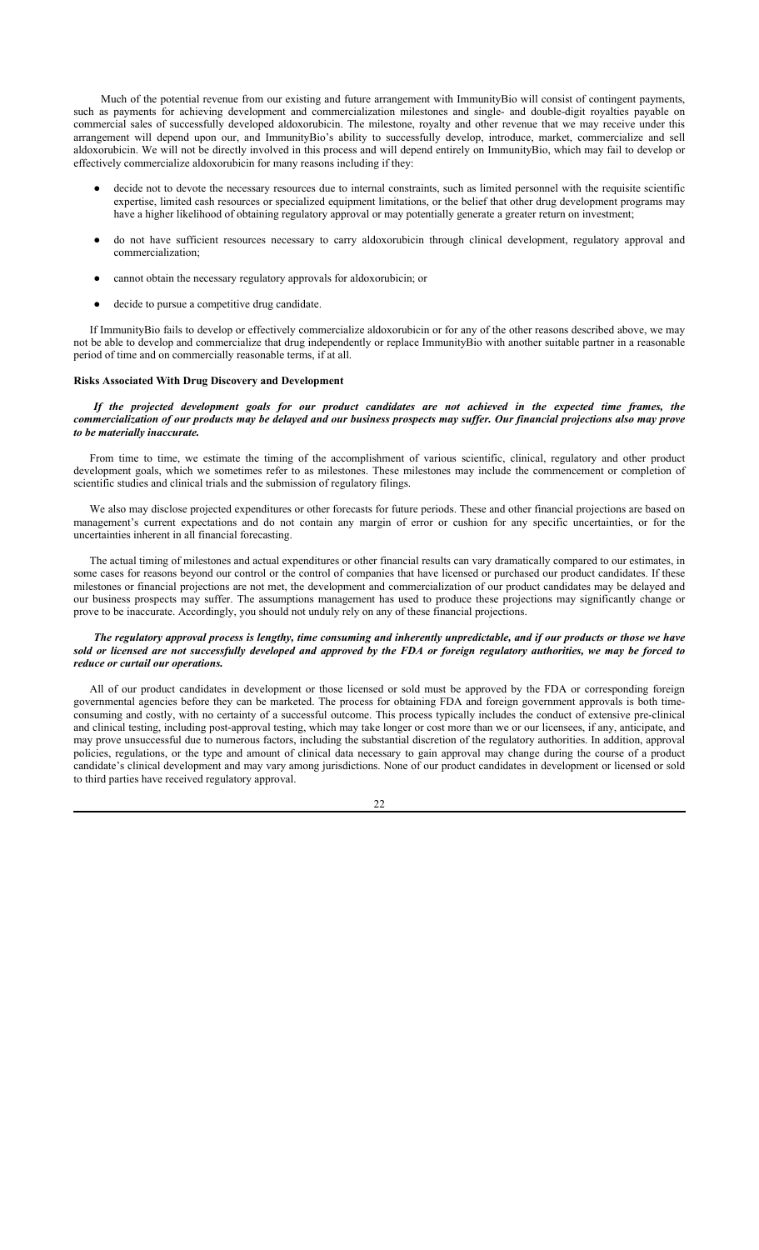Much of the potential revenue from our existing and future arrangement with ImmunityBio will consist of contingent payments, such as payments for achieving development and commercialization milestones and single- and double-digit royalties payable on commercial sales of successfully developed aldoxorubicin. The milestone, royalty and other revenue that we may receive under this arrangement will depend upon our, and ImmunityBio's ability to successfully develop, introduce, market, commercialize and sell aldoxorubicin. We will not be directly involved in this process and will depend entirely on ImmunityBio, which may fail to develop or effectively commercialize aldoxorubicin for many reasons including if they:

- decide not to devote the necessary resources due to internal constraints, such as limited personnel with the requisite scientific expertise, limited cash resources or specialized equipment limitations, or the belief that other drug development programs may have a higher likelihood of obtaining regulatory approval or may potentially generate a greater return on investment;
- do not have sufficient resources necessary to carry aldoxorubicin through clinical development, regulatory approval and commercialization;
- Ɣ cannot obtain the necessary regulatory approvals for aldoxorubicin; or
- decide to pursue a competitive drug candidate.

If ImmunityBio fails to develop or effectively commercialize aldoxorubicin or for any of the other reasons described above, we may not be able to develop and commercialize that drug independently or replace ImmunityBio with another suitable partner in a reasonable period of time and on commercially reasonable terms, if at all.

#### **Risks Associated With Drug Discovery and Development**

*If the projected development goals for our product candidates are not achieved in the expected time frames, the commercialization of our products may be delayed and our business prospects may suffer. Our financial projections also may prove to be materially inaccurate.*

From time to time, we estimate the timing of the accomplishment of various scientific, clinical, regulatory and other product development goals, which we sometimes refer to as milestones. These milestones may include the commencement or completion of scientific studies and clinical trials and the submission of regulatory filings.

We also may disclose projected expenditures or other forecasts for future periods. These and other financial projections are based on management's current expectations and do not contain any margin of error or cushion for any specific uncertainties, or for the uncertainties inherent in all financial forecasting.

The actual timing of milestones and actual expenditures or other financial results can vary dramatically compared to our estimates, in some cases for reasons beyond our control or the control of companies that have licensed or purchased our product candidates. If these milestones or financial projections are not met, the development and commercialization of our product candidates may be delayed and our business prospects may suffer. The assumptions management has used to produce these projections may significantly change or prove to be inaccurate. Accordingly, you should not unduly rely on any of these financial projections.

#### *The regulatory approval process is lengthy, time consuming and inherently unpredictable, and if our products or those we have sold or licensed are not successfully developed and approved by the FDA or foreign regulatory authorities, we may be forced to reduce or curtail our operations.*

All of our product candidates in development or those licensed or sold must be approved by the FDA or corresponding foreign governmental agencies before they can be marketed. The process for obtaining FDA and foreign government approvals is both timeconsuming and costly, with no certainty of a successful outcome. This process typically includes the conduct of extensive pre-clinical and clinical testing, including post-approval testing, which may take longer or cost more than we or our licensees, if any, anticipate, and may prove unsuccessful due to numerous factors, including the substantial discretion of the regulatory authorities. In addition, approval policies, regulations, or the type and amount of clinical data necessary to gain approval may change during the course of a product candidate's clinical development and may vary among jurisdictions. None of our product candidates in development or licensed or sold to third parties have received regulatory approval.

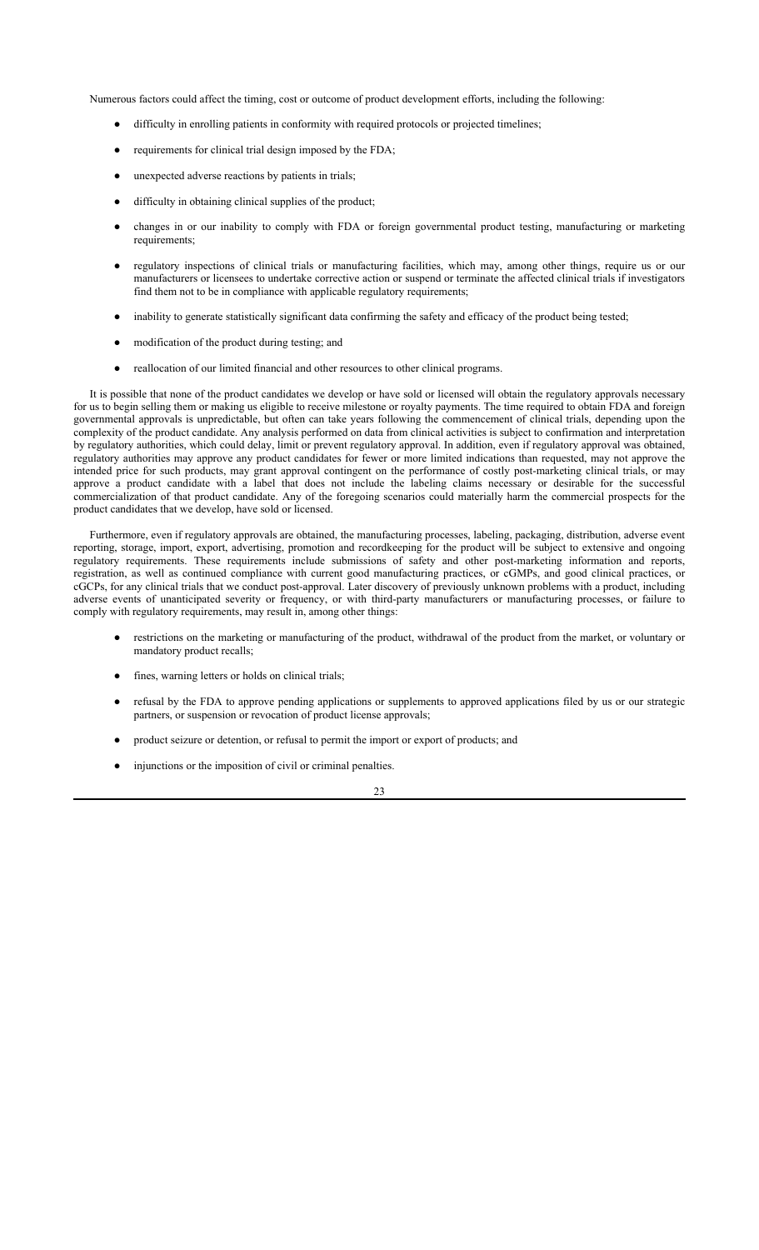Numerous factors could affect the timing, cost or outcome of product development efforts, including the following:

- difficulty in enrolling patients in conformity with required protocols or projected timelines;
- requirements for clinical trial design imposed by the FDA;
- $\bullet$  unexpected adverse reactions by patients in trials;
- difficulty in obtaining clinical supplies of the product;
- Ɣ changes in or our inability to comply with FDA or foreign governmental product testing, manufacturing or marketing requirements;
- regulatory inspections of clinical trials or manufacturing facilities, which may, among other things, require us or our manufacturers or licensees to undertake corrective action or suspend or terminate the affected clinical trials if investigators find them not to be in compliance with applicable regulatory requirements;
- Ɣ inability to generate statistically significant data confirming the safety and efficacy of the product being tested;
- modification of the product during testing; and
- reallocation of our limited financial and other resources to other clinical programs.

It is possible that none of the product candidates we develop or have sold or licensed will obtain the regulatory approvals necessary for us to begin selling them or making us eligible to receive milestone or royalty payments. The time required to obtain FDA and foreign governmental approvals is unpredictable, but often can take years following the commencement of clinical trials, depending upon the complexity of the product candidate. Any analysis performed on data from clinical activities is subject to confirmation and interpretation by regulatory authorities, which could delay, limit or prevent regulatory approval. In addition, even if regulatory approval was obtained, regulatory authorities may approve any product candidates for fewer or more limited indications than requested, may not approve the intended price for such products, may grant approval contingent on the performance of costly post-marketing clinical trials, or may approve a product candidate with a label that does not include the labeling claims necessary or desirable for the successful commercialization of that product candidate. Any of the foregoing scenarios could materially harm the commercial prospects for the product candidates that we develop, have sold or licensed.

Furthermore, even if regulatory approvals are obtained, the manufacturing processes, labeling, packaging, distribution, adverse event reporting, storage, import, export, advertising, promotion and recordkeeping for the product will be subject to extensive and ongoing regulatory requirements. These requirements include submissions of safety and other post-marketing information and reports, registration, as well as continued compliance with current good manufacturing practices, or cGMPs, and good clinical practices, or cGCPs, for any clinical trials that we conduct post-approval. Later discovery of previously unknown problems with a product, including adverse events of unanticipated severity or frequency, or with third-party manufacturers or manufacturing processes, or failure to comply with regulatory requirements, may result in, among other things:

- Ɣ restrictions on the marketing or manufacturing of the product, withdrawal of the product from the market, or voluntary or mandatory product recalls;
- $\bullet$  fines, warning letters or holds on clinical trials;
- Ɣ refusal by the FDA to approve pending applications or supplements to approved applications filed by us or our strategic partners, or suspension or revocation of product license approvals;
- product seizure or detention, or refusal to permit the import or export of products; and
- injunctions or the imposition of civil or criminal penalties.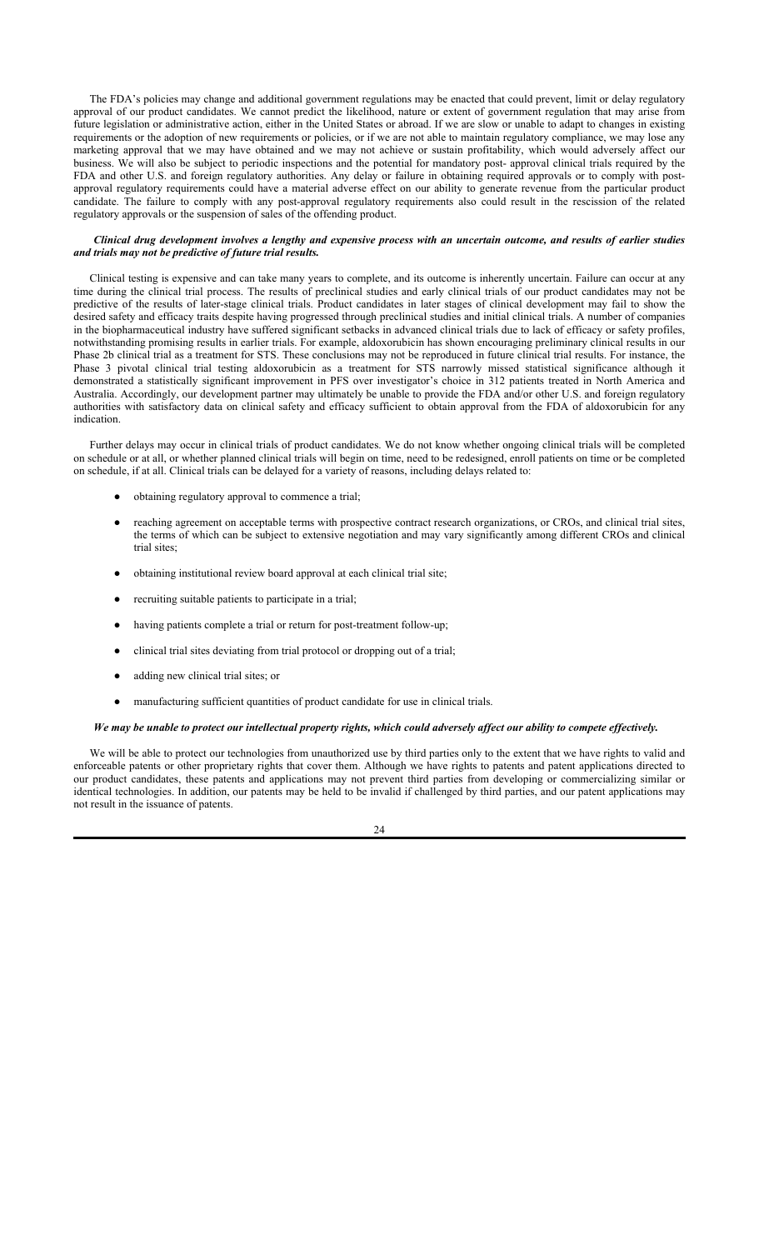The FDA's policies may change and additional government regulations may be enacted that could prevent, limit or delay regulatory approval of our product candidates. We cannot predict the likelihood, nature or extent of government regulation that may arise from future legislation or administrative action, either in the United States or abroad. If we are slow or unable to adapt to changes in existing requirements or the adoption of new requirements or policies, or if we are not able to maintain regulatory compliance, we may lose any marketing approval that we may have obtained and we may not achieve or sustain profitability, which would adversely affect our business. We will also be subject to periodic inspections and the potential for mandatory post- approval clinical trials required by the FDA and other U.S. and foreign regulatory authorities. Any delay or failure in obtaining required approvals or to comply with postapproval regulatory requirements could have a material adverse effect on our ability to generate revenue from the particular product candidate. The failure to comply with any post-approval regulatory requirements also could result in the rescission of the related regulatory approvals or the suspension of sales of the offending product.

#### *Clinical drug development involves a lengthy and expensive process with an uncertain outcome, and results of earlier studies and trials may not be predictive of future trial results.*

Clinical testing is expensive and can take many years to complete, and its outcome is inherently uncertain. Failure can occur at any time during the clinical trial process. The results of preclinical studies and early clinical trials of our product candidates may not be predictive of the results of later-stage clinical trials. Product candidates in later stages of clinical development may fail to show the desired safety and efficacy traits despite having progressed through preclinical studies and initial clinical trials. A number of companies in the biopharmaceutical industry have suffered significant setbacks in advanced clinical trials due to lack of efficacy or safety profiles, notwithstanding promising results in earlier trials. For example, aldoxorubicin has shown encouraging preliminary clinical results in our Phase 2b clinical trial as a treatment for STS. These conclusions may not be reproduced in future clinical trial results. For instance, the Phase 3 pivotal clinical trial testing aldoxorubicin as a treatment for STS narrowly missed statistical significance although it demonstrated a statistically significant improvement in PFS over investigator's choice in 312 patients treated in North America and Australia. Accordingly, our development partner may ultimately be unable to provide the FDA and/or other U.S. and foreign regulatory authorities with satisfactory data on clinical safety and efficacy sufficient to obtain approval from the FDA of aldoxorubicin for any indication.

Further delays may occur in clinical trials of product candidates. We do not know whether ongoing clinical trials will be completed on schedule or at all, or whether planned clinical trials will begin on time, need to be redesigned, enroll patients on time or be completed on schedule, if at all. Clinical trials can be delayed for a variety of reasons, including delays related to:

- obtaining regulatory approval to commence a trial;
- reaching agreement on acceptable terms with prospective contract research organizations, or CROs, and clinical trial sites, the terms of which can be subject to extensive negotiation and may vary significantly among different CROs and clinical trial sites;
- Ɣ obtaining institutional review board approval at each clinical trial site;
- recruiting suitable patients to participate in a trial;
- having patients complete a trial or return for post-treatment follow-up;
- clinical trial sites deviating from trial protocol or dropping out of a trial;
- adding new clinical trial sites; or
- Ɣ manufacturing sufficient quantities of product candidate for use in clinical trials.

#### *We may be unable to protect our intellectual property rights, which could adversely affect our ability to compete effectively.*

We will be able to protect our technologies from unauthorized use by third parties only to the extent that we have rights to valid and enforceable patents or other proprietary rights that cover them. Although we have rights to patents and patent applications directed to our product candidates, these patents and applications may not prevent third parties from developing or commercializing similar or identical technologies. In addition, our patents may be held to be invalid if challenged by third parties, and our patent applications may not result in the issuance of patents.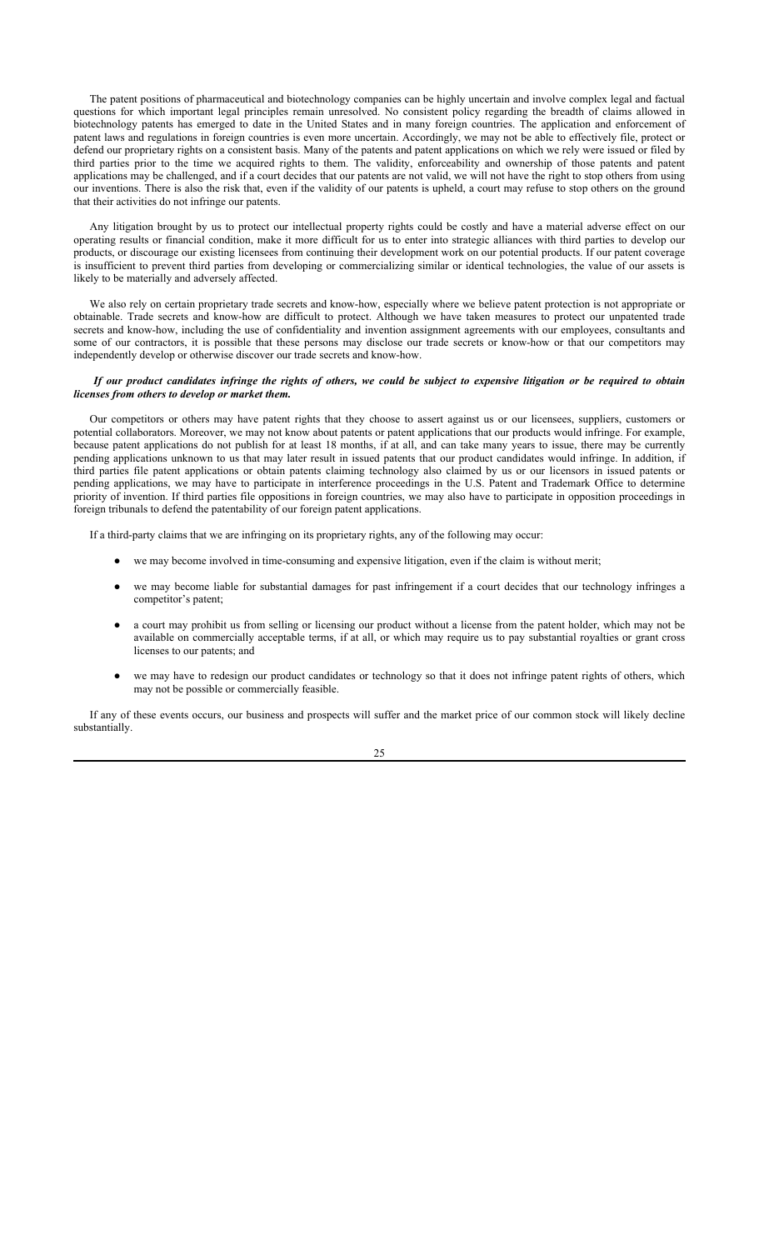The patent positions of pharmaceutical and biotechnology companies can be highly uncertain and involve complex legal and factual questions for which important legal principles remain unresolved. No consistent policy regarding the breadth of claims allowed in biotechnology patents has emerged to date in the United States and in many foreign countries. The application and enforcement of patent laws and regulations in foreign countries is even more uncertain. Accordingly, we may not be able to effectively file, protect or defend our proprietary rights on a consistent basis. Many of the patents and patent applications on which we rely were issued or filed by third parties prior to the time we acquired rights to them. The validity, enforceability and ownership of those patents and patent applications may be challenged, and if a court decides that our patents are not valid, we will not have the right to stop others from using our inventions. There is also the risk that, even if the validity of our patents is upheld, a court may refuse to stop others on the ground that their activities do not infringe our patents.

Any litigation brought by us to protect our intellectual property rights could be costly and have a material adverse effect on our operating results or financial condition, make it more difficult for us to enter into strategic alliances with third parties to develop our products, or discourage our existing licensees from continuing their development work on our potential products. If our patent coverage is insufficient to prevent third parties from developing or commercializing similar or identical technologies, the value of our assets is likely to be materially and adversely affected.

We also rely on certain proprietary trade secrets and know-how, especially where we believe patent protection is not appropriate or obtainable. Trade secrets and know-how are difficult to protect. Although we have taken measures to protect our unpatented trade secrets and know-how, including the use of confidentiality and invention assignment agreements with our employees, consultants and some of our contractors, it is possible that these persons may disclose our trade secrets or know-how or that our competitors may independently develop or otherwise discover our trade secrets and know-how.

## *If our product candidates infringe the rights of others, we could be subject to expensive litigation or be required to obtain licenses from others to develop or market them.*

Our competitors or others may have patent rights that they choose to assert against us or our licensees, suppliers, customers or potential collaborators. Moreover, we may not know about patents or patent applications that our products would infringe. For example, because patent applications do not publish for at least 18 months, if at all, and can take many years to issue, there may be currently pending applications unknown to us that may later result in issued patents that our product candidates would infringe. In addition, if third parties file patent applications or obtain patents claiming technology also claimed by us or our licensors in issued patents or pending applications, we may have to participate in interference proceedings in the U.S. Patent and Trademark Office to determine priority of invention. If third parties file oppositions in foreign countries, we may also have to participate in opposition proceedings in foreign tribunals to defend the patentability of our foreign patent applications.

If a third-party claims that we are infringing on its proprietary rights, any of the following may occur:

- Ɣ we may become involved in time-consuming and expensive litigation, even if the claim is without merit;
- we may become liable for substantial damages for past infringement if a court decides that our technology infringes a competitor's patent;
- a court may prohibit us from selling or licensing our product without a license from the patent holder, which may not be available on commercially acceptable terms, if at all, or which may require us to pay substantial royalties or grant cross licenses to our patents; and
- we may have to redesign our product candidates or technology so that it does not infringe patent rights of others, which may not be possible or commercially feasible.

If any of these events occurs, our business and prospects will suffer and the market price of our common stock will likely decline substantially.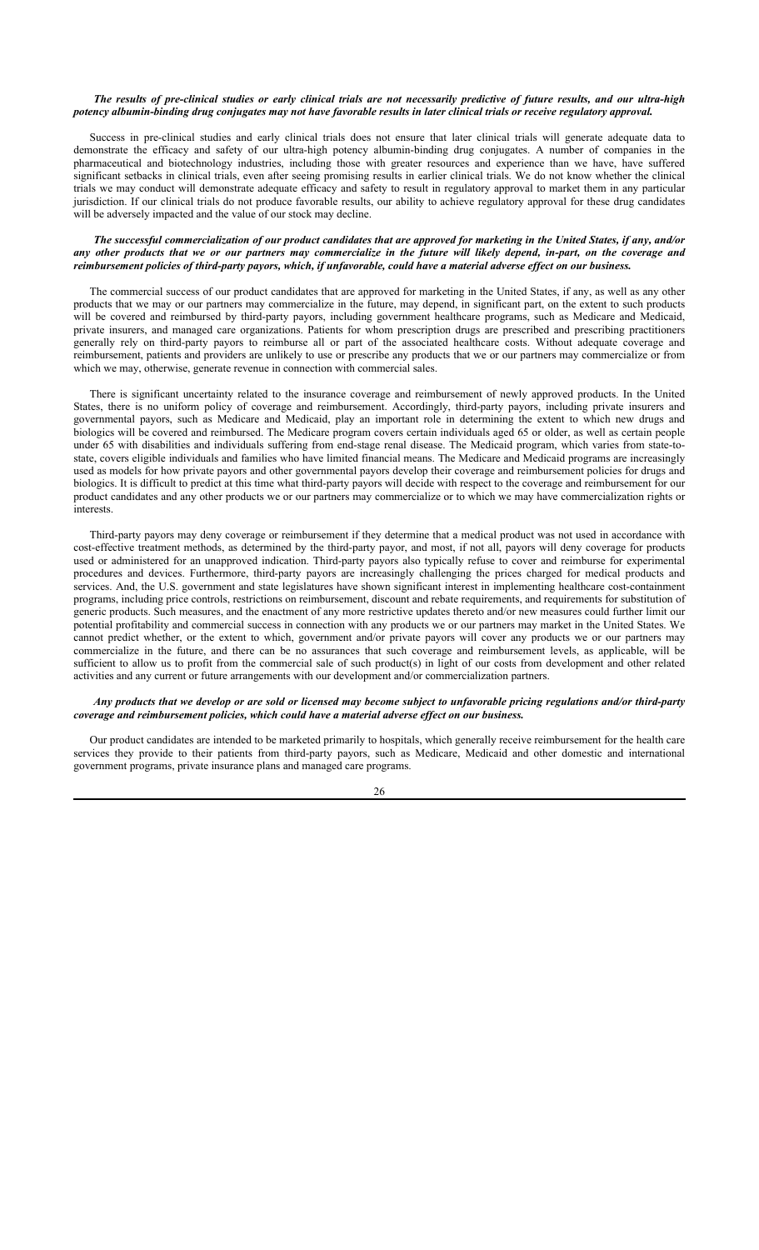#### *The results of pre-clinical studies or early clinical trials are not necessarily predictive of future results, and our ultra-high potency albumin-binding drug conjugates may not have favorable results in later clinical trials or receive regulatory approval.*

Success in pre-clinical studies and early clinical trials does not ensure that later clinical trials will generate adequate data to demonstrate the efficacy and safety of our ultra-high potency albumin-binding drug conjugates. A number of companies in the pharmaceutical and biotechnology industries, including those with greater resources and experience than we have, have suffered significant setbacks in clinical trials, even after seeing promising results in earlier clinical trials. We do not know whether the clinical trials we may conduct will demonstrate adequate efficacy and safety to result in regulatory approval to market them in any particular jurisdiction. If our clinical trials do not produce favorable results, our ability to achieve regulatory approval for these drug candidates will be adversely impacted and the value of our stock may decline.

#### *The successful commercialization of our product candidates that are approved for marketing in the United States, if any, and/or any other products that we or our partners may commercialize in the future will likely depend, in-part, on the coverage and reimbursement policies of third-party payors, which, if unfavorable, could have a material adverse effect on our business.*

The commercial success of our product candidates that are approved for marketing in the United States, if any, as well as any other products that we may or our partners may commercialize in the future, may depend, in significant part, on the extent to such products will be covered and reimbursed by third-party payors, including government healthcare programs, such as Medicare and Medicaid, private insurers, and managed care organizations. Patients for whom prescription drugs are prescribed and prescribing practitioners generally rely on third-party payors to reimburse all or part of the associated healthcare costs. Without adequate coverage and reimbursement, patients and providers are unlikely to use or prescribe any products that we or our partners may commercialize or from which we may, otherwise, generate revenue in connection with commercial sales.

There is significant uncertainty related to the insurance coverage and reimbursement of newly approved products. In the United States, there is no uniform policy of coverage and reimbursement. Accordingly, third-party payors, including private insurers and governmental payors, such as Medicare and Medicaid, play an important role in determining the extent to which new drugs and biologics will be covered and reimbursed. The Medicare program covers certain individuals aged 65 or older, as well as certain people under 65 with disabilities and individuals suffering from end-stage renal disease. The Medicaid program, which varies from state-tostate, covers eligible individuals and families who have limited financial means. The Medicare and Medicaid programs are increasingly used as models for how private payors and other governmental payors develop their coverage and reimbursement policies for drugs and biologics. It is difficult to predict at this time what third-party payors will decide with respect to the coverage and reimbursement for our product candidates and any other products we or our partners may commercialize or to which we may have commercialization rights or interests.

Third-party payors may deny coverage or reimbursement if they determine that a medical product was not used in accordance with cost-effective treatment methods, as determined by the third-party payor, and most, if not all, payors will deny coverage for products used or administered for an unapproved indication. Third-party payors also typically refuse to cover and reimburse for experimental procedures and devices. Furthermore, third-party payors are increasingly challenging the prices charged for medical products and services. And, the U.S. government and state legislatures have shown significant interest in implementing healthcare cost-containment programs, including price controls, restrictions on reimbursement, discount and rebate requirements, and requirements for substitution of generic products. Such measures, and the enactment of any more restrictive updates thereto and/or new measures could further limit our potential profitability and commercial success in connection with any products we or our partners may market in the United States. We cannot predict whether, or the extent to which, government and/or private payors will cover any products we or our partners may commercialize in the future, and there can be no assurances that such coverage and reimbursement levels, as applicable, will be sufficient to allow us to profit from the commercial sale of such product(s) in light of our costs from development and other related activities and any current or future arrangements with our development and/or commercialization partners.

#### *Any products that we develop or are sold or licensed may become subject to unfavorable pricing regulations and/or third-party coverage and reimbursement policies, which could have a material adverse effect on our business.*

Our product candidates are intended to be marketed primarily to hospitals, which generally receive reimbursement for the health care services they provide to their patients from third-party payors, such as Medicare, Medicaid and other domestic and international government programs, private insurance plans and managed care programs.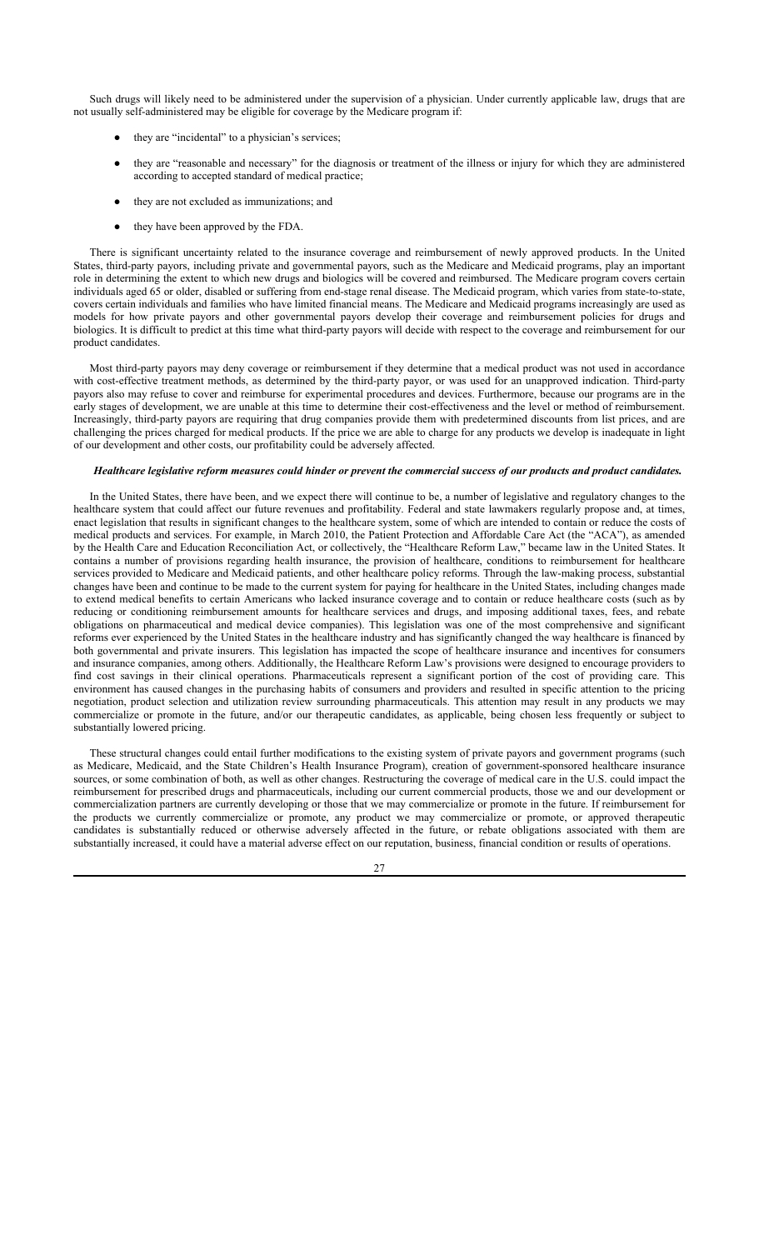Such drugs will likely need to be administered under the supervision of a physician. Under currently applicable law, drugs that are not usually self-administered may be eligible for coverage by the Medicare program if:

- they are "incidental" to a physician's services;
- Ɣ they are "reasonable and necessary" for the diagnosis or treatment of the illness or injury for which they are administered according to accepted standard of medical practice;
- they are not excluded as immunizations; and
- they have been approved by the FDA.

There is significant uncertainty related to the insurance coverage and reimbursement of newly approved products. In the United States, third-party payors, including private and governmental payors, such as the Medicare and Medicaid programs, play an important role in determining the extent to which new drugs and biologics will be covered and reimbursed. The Medicare program covers certain individuals aged 65 or older, disabled or suffering from end-stage renal disease. The Medicaid program, which varies from state-to-state, covers certain individuals and families who have limited financial means. The Medicare and Medicaid programs increasingly are used as models for how private payors and other governmental payors develop their coverage and reimbursement policies for drugs and biologics. It is difficult to predict at this time what third-party payors will decide with respect to the coverage and reimbursement for our product candidates.

Most third-party payors may deny coverage or reimbursement if they determine that a medical product was not used in accordance with cost-effective treatment methods, as determined by the third-party payor, or was used for an unapproved indication. Third-party payors also may refuse to cover and reimburse for experimental procedures and devices. Furthermore, because our programs are in the early stages of development, we are unable at this time to determine their cost-effectiveness and the level or method of reimbursement. Increasingly, third-party payors are requiring that drug companies provide them with predetermined discounts from list prices, and are challenging the prices charged for medical products. If the price we are able to charge for any products we develop is inadequate in light of our development and other costs, our profitability could be adversely affected.

# *Healthcare legislative reform measures could hinder or prevent the commercial success of our products and product candidates.*

In the United States, there have been, and we expect there will continue to be, a number of legislative and regulatory changes to the healthcare system that could affect our future revenues and profitability. Federal and state lawmakers regularly propose and, at times, enact legislation that results in significant changes to the healthcare system, some of which are intended to contain or reduce the costs of medical products and services. For example, in March 2010, the Patient Protection and Affordable Care Act (the "ACA"), as amended by the Health Care and Education Reconciliation Act, or collectively, the "Healthcare Reform Law," became law in the United States. It contains a number of provisions regarding health insurance, the provision of healthcare, conditions to reimbursement for healthcare services provided to Medicare and Medicaid patients, and other healthcare policy reforms. Through the law-making process, substantial changes have been and continue to be made to the current system for paying for healthcare in the United States, including changes made to extend medical benefits to certain Americans who lacked insurance coverage and to contain or reduce healthcare costs (such as by reducing or conditioning reimbursement amounts for healthcare services and drugs, and imposing additional taxes, fees, and rebate obligations on pharmaceutical and medical device companies). This legislation was one of the most comprehensive and significant reforms ever experienced by the United States in the healthcare industry and has significantly changed the way healthcare is financed by both governmental and private insurers. This legislation has impacted the scope of healthcare insurance and incentives for consumers and insurance companies, among others. Additionally, the Healthcare Reform Law's provisions were designed to encourage providers to find cost savings in their clinical operations. Pharmaceuticals represent a significant portion of the cost of providing care. This environment has caused changes in the purchasing habits of consumers and providers and resulted in specific attention to the pricing negotiation, product selection and utilization review surrounding pharmaceuticals. This attention may result in any products we may commercialize or promote in the future, and/or our therapeutic candidates, as applicable, being chosen less frequently or subject to substantially lowered pricing.

These structural changes could entail further modifications to the existing system of private payors and government programs (such as Medicare, Medicaid, and the State Children's Health Insurance Program), creation of government-sponsored healthcare insurance sources, or some combination of both, as well as other changes. Restructuring the coverage of medical care in the U.S. could impact the reimbursement for prescribed drugs and pharmaceuticals, including our current commercial products, those we and our development or commercialization partners are currently developing or those that we may commercialize or promote in the future. If reimbursement for the products we currently commercialize or promote, any product we may commercialize or promote, or approved therapeutic candidates is substantially reduced or otherwise adversely affected in the future, or rebate obligations associated with them are substantially increased, it could have a material adverse effect on our reputation, business, financial condition or results of operations.

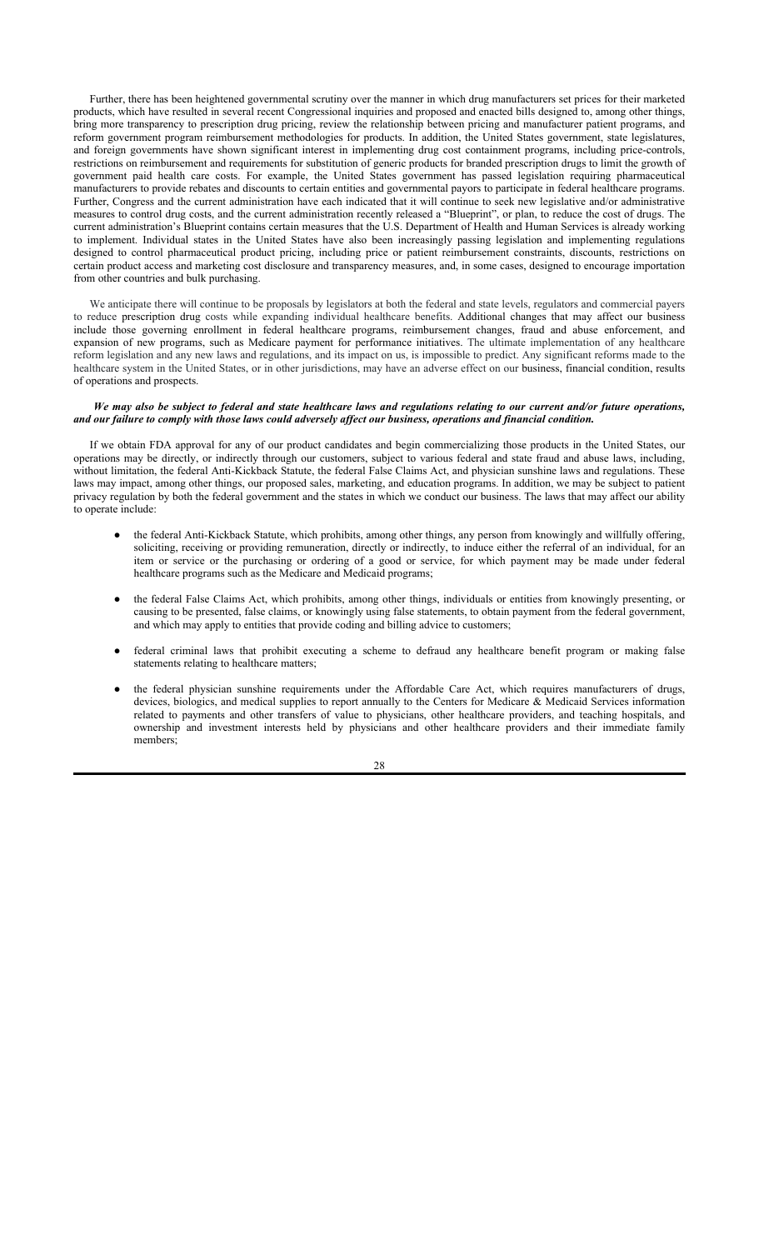Further, there has been heightened governmental scrutiny over the manner in which drug manufacturers set prices for their marketed products, which have resulted in several recent Congressional inquiries and proposed and enacted bills designed to, among other things, bring more transparency to prescription drug pricing, review the relationship between pricing and manufacturer patient programs, and reform government program reimbursement methodologies for products. In addition, the United States government, state legislatures, and foreign governments have shown significant interest in implementing drug cost containment programs, including price-controls, restrictions on reimbursement and requirements for substitution of generic products for branded prescription drugs to limit the growth of government paid health care costs. For example, the United States government has passed legislation requiring pharmaceutical manufacturers to provide rebates and discounts to certain entities and governmental payors to participate in federal healthcare programs. Further, Congress and the current administration have each indicated that it will continue to seek new legislative and/or administrative measures to control drug costs, and the current administration recently released a "Blueprint", or plan, to reduce the cost of drugs. The current administration's Blueprint contains certain measures that the U.S. Department of Health and Human Services is already working to implement. Individual states in the United States have also been increasingly passing legislation and implementing regulations designed to control pharmaceutical product pricing, including price or patient reimbursement constraints, discounts, restrictions on certain product access and marketing cost disclosure and transparency measures, and, in some cases, designed to encourage importation from other countries and bulk purchasing.

We anticipate there will continue to be proposals by legislators at both the federal and state levels, regulators and commercial payers to reduce prescription drug costs while expanding individual healthcare benefits. Additional changes that may affect our business include those governing enrollment in federal healthcare programs, reimbursement changes, fraud and abuse enforcement, and expansion of new programs, such as Medicare payment for performance initiatives. The ultimate implementation of any healthcare reform legislation and any new laws and regulations, and its impact on us, is impossible to predict. Any significant reforms made to the healthcare system in the United States, or in other jurisdictions, may have an adverse effect on our business, financial condition, results of operations and prospects.

#### *We may also be subject to federal and state healthcare laws and regulations relating to our current and/or future operations, and our failure to comply with those laws could adversely affect our business, operations and financial condition.*

If we obtain FDA approval for any of our product candidates and begin commercializing those products in the United States, our operations may be directly, or indirectly through our customers, subject to various federal and state fraud and abuse laws, including, without limitation, the federal Anti-Kickback Statute, the federal False Claims Act, and physician sunshine laws and regulations. These laws may impact, among other things, our proposed sales, marketing, and education programs. In addition, we may be subject to patient privacy regulation by both the federal government and the states in which we conduct our business. The laws that may affect our ability to operate include:

- the federal Anti-Kickback Statute, which prohibits, among other things, any person from knowingly and willfully offering, soliciting, receiving or providing remuneration, directly or indirectly, to induce either the referral of an individual, for an item or service or the purchasing or ordering of a good or service, for which payment may be made under federal healthcare programs such as the Medicare and Medicaid programs;
- the federal False Claims Act, which prohibits, among other things, individuals or entities from knowingly presenting, or causing to be presented, false claims, or knowingly using false statements, to obtain payment from the federal government, and which may apply to entities that provide coding and billing advice to customers;
- federal criminal laws that prohibit executing a scheme to defraud any healthcare benefit program or making false statements relating to healthcare matters;
- the federal physician sunshine requirements under the Affordable Care Act, which requires manufacturers of drugs, devices, biologics, and medical supplies to report annually to the Centers for Medicare & Medicaid Services information related to payments and other transfers of value to physicians, other healthcare providers, and teaching hospitals, and ownership and investment interests held by physicians and other healthcare providers and their immediate family members;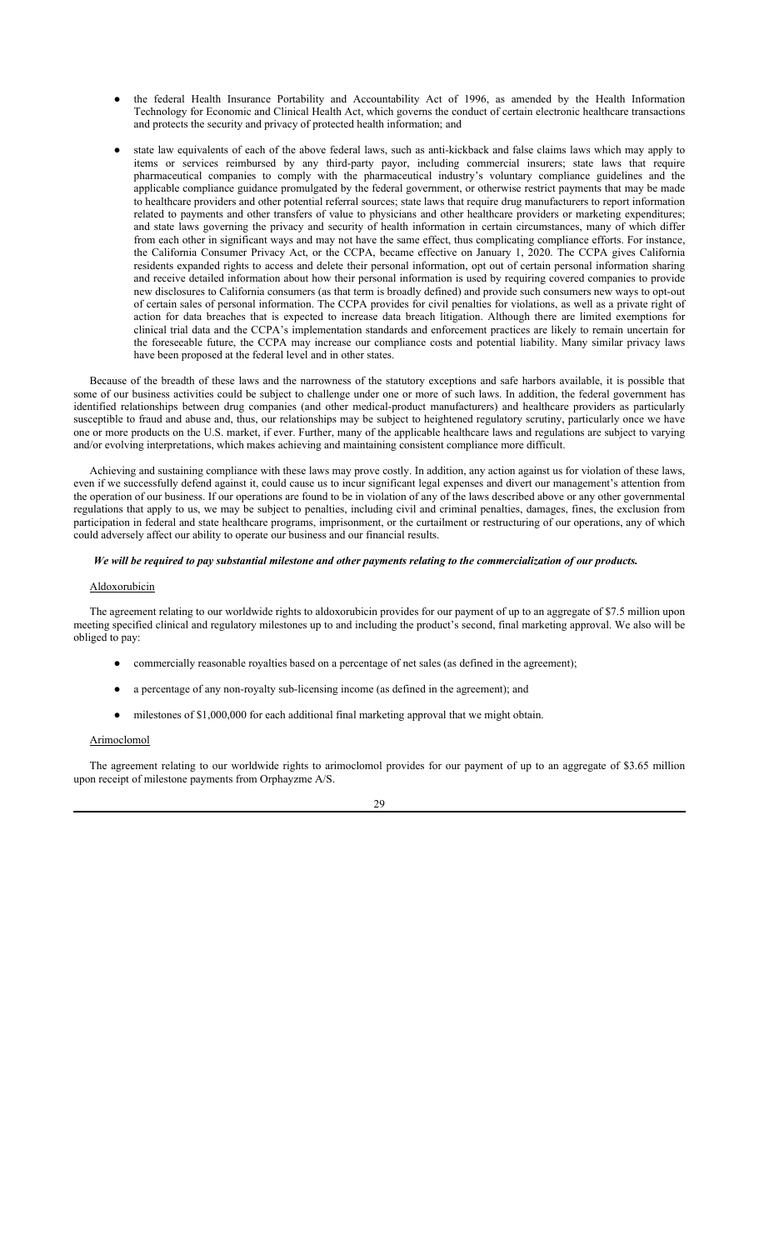- the federal Health Insurance Portability and Accountability Act of 1996, as amended by the Health Information Technology for Economic and Clinical Health Act, which governs the conduct of certain electronic healthcare transactions and protects the security and privacy of protected health information; and
- state law equivalents of each of the above federal laws, such as anti-kickback and false claims laws which may apply to items or services reimbursed by any third-party payor, including commercial insurers; state laws that require pharmaceutical companies to comply with the pharmaceutical industry's voluntary compliance guidelines and the applicable compliance guidance promulgated by the federal government, or otherwise restrict payments that may be made to healthcare providers and other potential referral sources; state laws that require drug manufacturers to report information related to payments and other transfers of value to physicians and other healthcare providers or marketing expenditures; and state laws governing the privacy and security of health information in certain circumstances, many of which differ from each other in significant ways and may not have the same effect, thus complicating compliance efforts. For instance, the California Consumer Privacy Act, or the CCPA, became effective on January 1, 2020. The CCPA gives California residents expanded rights to access and delete their personal information, opt out of certain personal information sharing and receive detailed information about how their personal information is used by requiring covered companies to provide new disclosures to California consumers (as that term is broadly defined) and provide such consumers new ways to opt-out of certain sales of personal information. The CCPA provides for civil penalties for violations, as well as a private right of action for data breaches that is expected to increase data breach litigation. Although there are limited exemptions for clinical trial data and the CCPA's implementation standards and enforcement practices are likely to remain uncertain for the foreseeable future, the CCPA may increase our compliance costs and potential liability. Many similar privacy laws have been proposed at the federal level and in other states.

Because of the breadth of these laws and the narrowness of the statutory exceptions and safe harbors available, it is possible that some of our business activities could be subject to challenge under one or more of such laws. In addition, the federal government has identified relationships between drug companies (and other medical-product manufacturers) and healthcare providers as particularly susceptible to fraud and abuse and, thus, our relationships may be subject to heightened regulatory scrutiny, particularly once we have one or more products on the U.S. market, if ever. Further, many of the applicable healthcare laws and regulations are subject to varying and/or evolving interpretations, which makes achieving and maintaining consistent compliance more difficult.

Achieving and sustaining compliance with these laws may prove costly. In addition, any action against us for violation of these laws, even if we successfully defend against it, could cause us to incur significant legal expenses and divert our management's attention from the operation of our business. If our operations are found to be in violation of any of the laws described above or any other governmental regulations that apply to us, we may be subject to penalties, including civil and criminal penalties, damages, fines, the exclusion from participation in federal and state healthcare programs, imprisonment, or the curtailment or restructuring of our operations, any of which could adversely affect our ability to operate our business and our financial results.

#### *We will be required to pay substantial milestone and other payments relating to the commercialization of our products.*

#### Aldoxorubicin

The agreement relating to our worldwide rights to aldoxorubicin provides for our payment of up to an aggregate of \$7.5 million upon meeting specified clinical and regulatory milestones up to and including the product's second, final marketing approval. We also will be obliged to pay:

- Ɣ commercially reasonable royalties based on a percentage of net sales (as defined in the agreement);
- Ɣ a percentage of any non-royalty sub-licensing income (as defined in the agreement); and
- milestones of \$1,000,000 for each additional final marketing approval that we might obtain.

#### Arimoclomol

The agreement relating to our worldwide rights to arimoclomol provides for our payment of up to an aggregate of \$3.65 million upon receipt of milestone payments from Orphayzme A/S.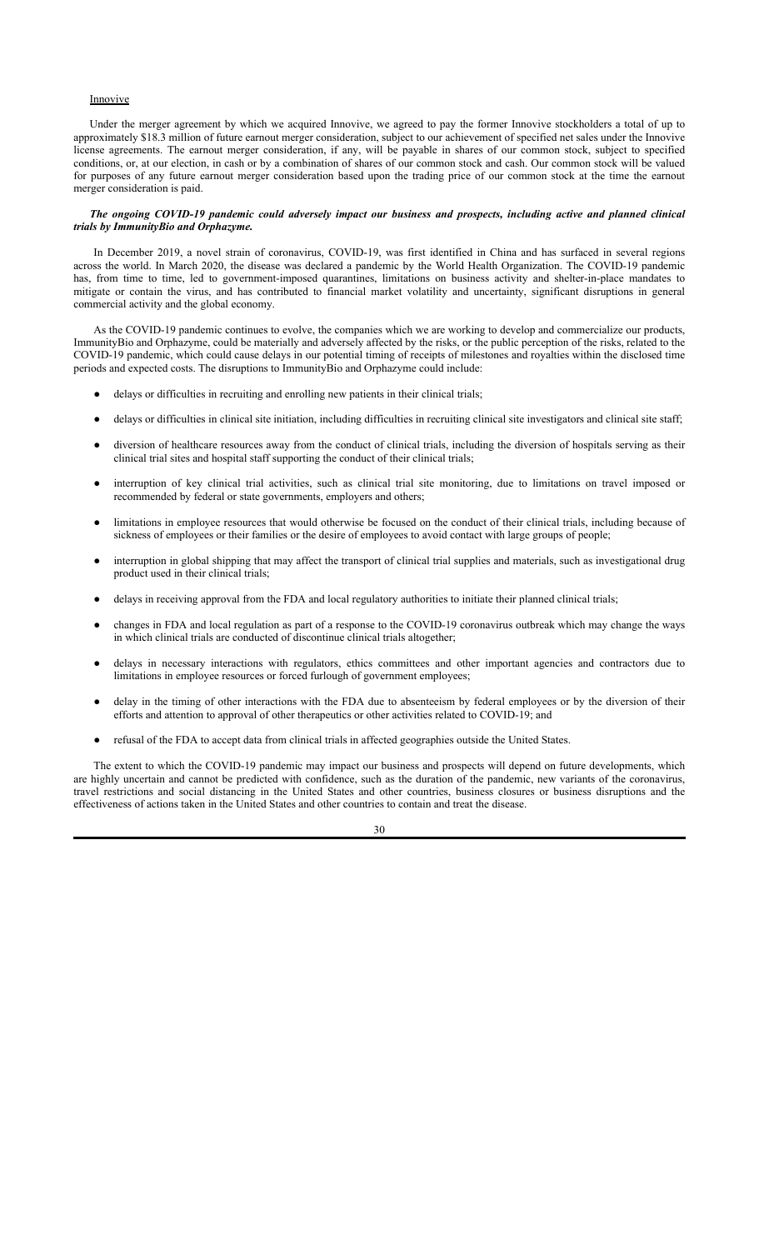#### Innovive

Under the merger agreement by which we acquired Innovive, we agreed to pay the former Innovive stockholders a total of up to approximately \$18.3 million of future earnout merger consideration, subject to our achievement of specified net sales under the Innovive license agreements. The earnout merger consideration, if any, will be payable in shares of our common stock, subject to specified conditions, or, at our election, in cash or by a combination of shares of our common stock and cash. Our common stock will be valued for purposes of any future earnout merger consideration based upon the trading price of our common stock at the time the earnout merger consideration is paid.

#### *The ongoing COVID-19 pandemic could adversely impact our business and prospects, including active and planned clinical trials by ImmunityBio and Orphazyme.*

In December 2019, a novel strain of coronavirus, COVID-19, was first identified in China and has surfaced in several regions across the world. In March 2020, the disease was declared a pandemic by the World Health Organization. The COVID-19 pandemic has, from time to time, led to government-imposed quarantines, limitations on business activity and shelter-in-place mandates to mitigate or contain the virus, and has contributed to financial market volatility and uncertainty, significant disruptions in general commercial activity and the global economy.

As the COVID-19 pandemic continues to evolve, the companies which we are working to develop and commercialize our products, ImmunityBio and Orphazyme, could be materially and adversely affected by the risks, or the public perception of the risks, related to the COVID-19 pandemic, which could cause delays in our potential timing of receipts of milestones and royalties within the disclosed time periods and expected costs. The disruptions to ImmunityBio and Orphazyme could include:

- delays or difficulties in recruiting and enrolling new patients in their clinical trials;
- delays or difficulties in clinical site initiation, including difficulties in recruiting clinical site investigators and clinical site staff;
- diversion of healthcare resources away from the conduct of clinical trials, including the diversion of hospitals serving as their clinical trial sites and hospital staff supporting the conduct of their clinical trials;
- Ɣ interruption of key clinical trial activities, such as clinical trial site monitoring, due to limitations on travel imposed or recommended by federal or state governments, employers and others;
- limitations in employee resources that would otherwise be focused on the conduct of their clinical trials, including because of sickness of employees or their families or the desire of employees to avoid contact with large groups of people;
- interruption in global shipping that may affect the transport of clinical trial supplies and materials, such as investigational drug product used in their clinical trials;
- delays in receiving approval from the FDA and local regulatory authorities to initiate their planned clinical trials;
- changes in FDA and local regulation as part of a response to the COVID-19 coronavirus outbreak which may change the ways in which clinical trials are conducted of discontinue clinical trials altogether;
- delays in necessary interactions with regulators, ethics committees and other important agencies and contractors due to limitations in employee resources or forced furlough of government employees;
- Ɣ delay in the timing of other interactions with the FDA due to absenteeism by federal employees or by the diversion of their efforts and attention to approval of other therapeutics or other activities related to COVID-19; and
- Ɣ refusal of the FDA to accept data from clinical trials in affected geographies outside the United States.

The extent to which the COVID-19 pandemic may impact our business and prospects will depend on future developments, which are highly uncertain and cannot be predicted with confidence, such as the duration of the pandemic, new variants of the coronavirus, travel restrictions and social distancing in the United States and other countries, business closures or business disruptions and the effectiveness of actions taken in the United States and other countries to contain and treat the disease.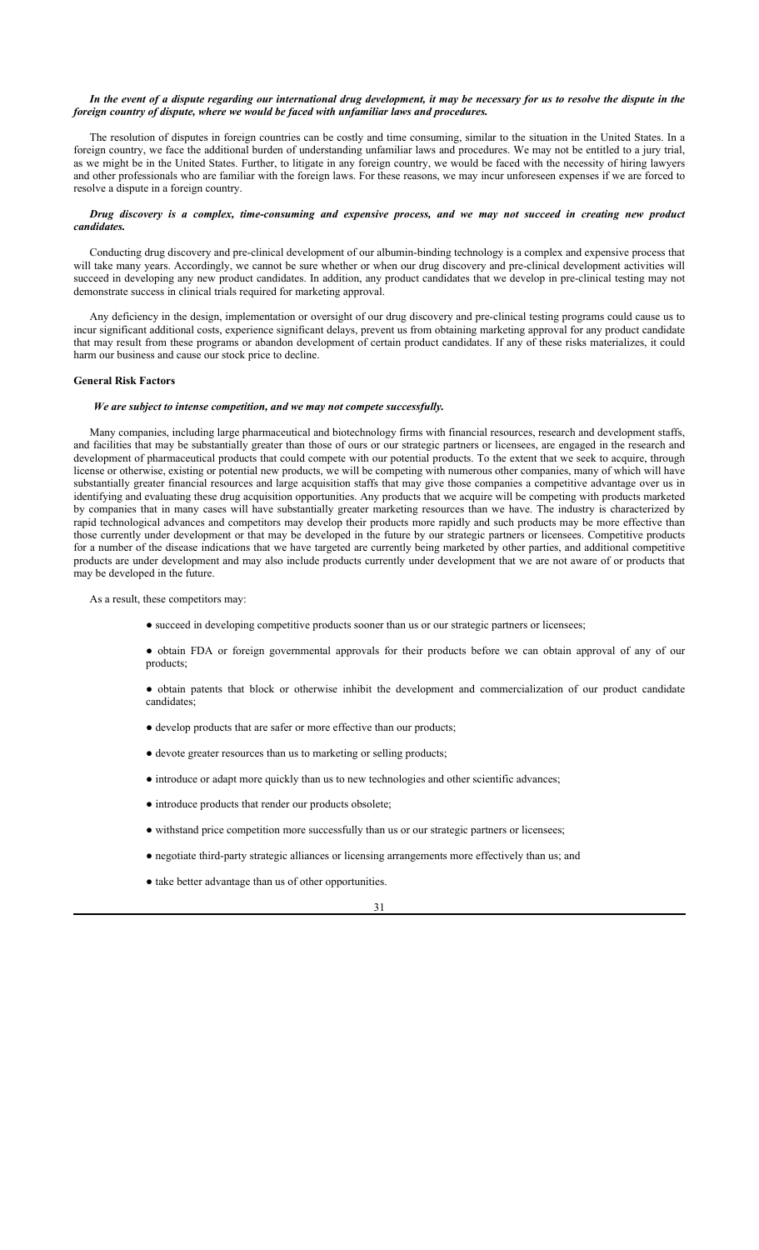#### *In the event of a dispute regarding our international drug development, it may be necessary for us to resolve the dispute in the foreign country of dispute, where we would be faced with unfamiliar laws and procedures.*

The resolution of disputes in foreign countries can be costly and time consuming, similar to the situation in the United States. In a foreign country, we face the additional burden of understanding unfamiliar laws and procedures. We may not be entitled to a jury trial, as we might be in the United States. Further, to litigate in any foreign country, we would be faced with the necessity of hiring lawyers and other professionals who are familiar with the foreign laws. For these reasons, we may incur unforeseen expenses if we are forced to resolve a dispute in a foreign country.

#### *Drug discovery is a complex, time-consuming and expensive process, and we may not succeed in creating new product candidates.*

Conducting drug discovery and pre-clinical development of our albumin-binding technology is a complex and expensive process that will take many years. Accordingly, we cannot be sure whether or when our drug discovery and pre-clinical development activities will succeed in developing any new product candidates. In addition, any product candidates that we develop in pre-clinical testing may not demonstrate success in clinical trials required for marketing approval.

Any deficiency in the design, implementation or oversight of our drug discovery and pre-clinical testing programs could cause us to incur significant additional costs, experience significant delays, prevent us from obtaining marketing approval for any product candidate that may result from these programs or abandon development of certain product candidates. If any of these risks materializes, it could harm our business and cause our stock price to decline.

#### **General Risk Factors**

#### *We are subject to intense competition, and we may not compete successfully.*

Many companies, including large pharmaceutical and biotechnology firms with financial resources, research and development staffs, and facilities that may be substantially greater than those of ours or our strategic partners or licensees, are engaged in the research and development of pharmaceutical products that could compete with our potential products. To the extent that we seek to acquire, through license or otherwise, existing or potential new products, we will be competing with numerous other companies, many of which will have substantially greater financial resources and large acquisition staffs that may give those companies a competitive advantage over us in identifying and evaluating these drug acquisition opportunities. Any products that we acquire will be competing with products marketed by companies that in many cases will have substantially greater marketing resources than we have. The industry is characterized by rapid technological advances and competitors may develop their products more rapidly and such products may be more effective than those currently under development or that may be developed in the future by our strategic partners or licensees. Competitive products for a number of the disease indications that we have targeted are currently being marketed by other parties, and additional competitive products are under development and may also include products currently under development that we are not aware of or products that may be developed in the future.

As a result, these competitors may:

- Ɣ succeed in developing competitive products sooner than us or our strategic partners or licensees;
- Ɣ obtain FDA or foreign governmental approvals for their products before we can obtain approval of any of our products;
- Ɣ obtain patents that block or otherwise inhibit the development and commercialization of our product candidate candidates;
- Ɣ develop products that are safer or more effective than our products;
- Ɣ devote greater resources than us to marketing or selling products;
- $\bullet$  introduce or adapt more quickly than us to new technologies and other scientific advances;
- $\bullet$  introduce products that render our products obsolete;
- Ɣ withstand price competition more successfully than us or our strategic partners or licensees;
- Ɣ negotiate third-party strategic alliances or licensing arrangements more effectively than us; and
- Ɣ take better advantage than us of other opportunities.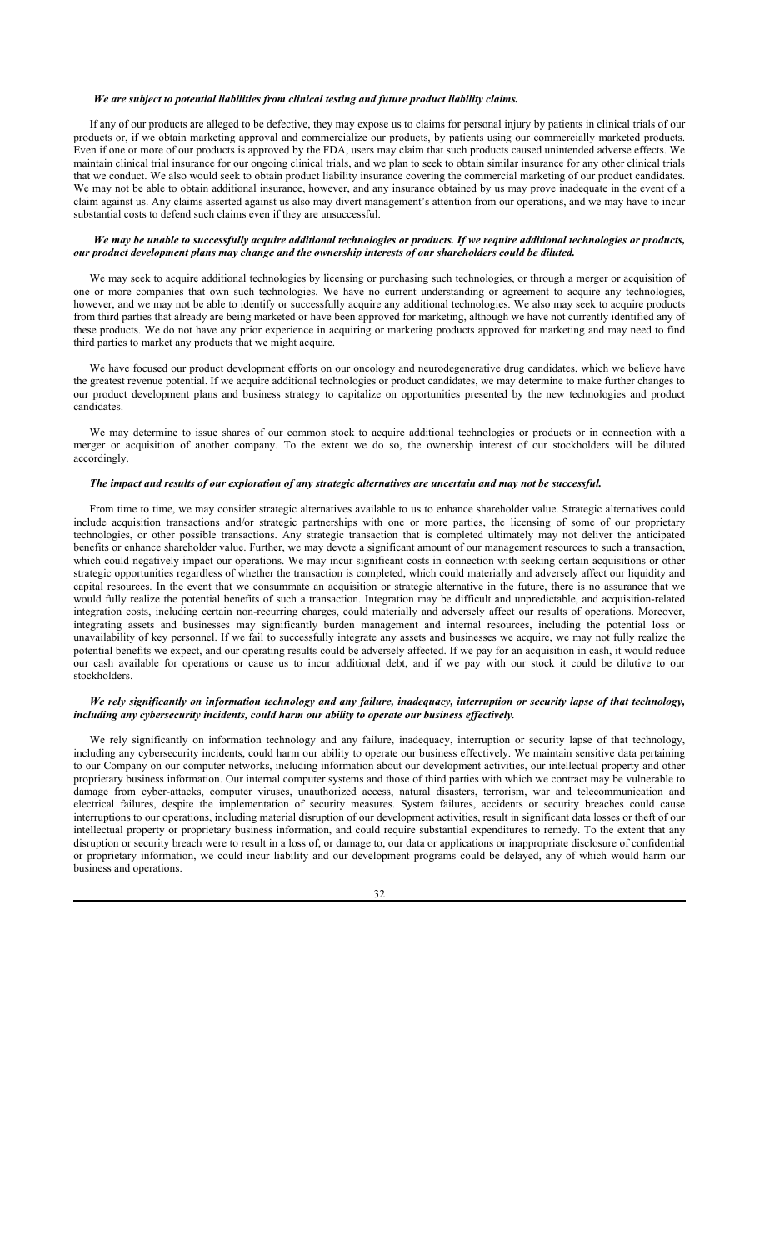#### *We are subject to potential liabilities from clinical testing and future product liability claims.*

If any of our products are alleged to be defective, they may expose us to claims for personal injury by patients in clinical trials of our products or, if we obtain marketing approval and commercialize our products, by patients using our commercially marketed products. Even if one or more of our products is approved by the FDA, users may claim that such products caused unintended adverse effects. We maintain clinical trial insurance for our ongoing clinical trials, and we plan to seek to obtain similar insurance for any other clinical trials that we conduct. We also would seek to obtain product liability insurance covering the commercial marketing of our product candidates. We may not be able to obtain additional insurance, however, and any insurance obtained by us may prove inadequate in the event of a claim against us. Any claims asserted against us also may divert management's attention from our operations, and we may have to incur substantial costs to defend such claims even if they are unsuccessful.

#### *We may be unable to successfully acquire additional technologies or products. If we require additional technologies or products, our product development plans may change and the ownership interests of our shareholders could be diluted.*

We may seek to acquire additional technologies by licensing or purchasing such technologies, or through a merger or acquisition of one or more companies that own such technologies. We have no current understanding or agreement to acquire any technologies, however, and we may not be able to identify or successfully acquire any additional technologies. We also may seek to acquire products from third parties that already are being marketed or have been approved for marketing, although we have not currently identified any of these products. We do not have any prior experience in acquiring or marketing products approved for marketing and may need to find third parties to market any products that we might acquire.

We have focused our product development efforts on our oncology and neurodegenerative drug candidates, which we believe have the greatest revenue potential. If we acquire additional technologies or product candidates, we may determine to make further changes to our product development plans and business strategy to capitalize on opportunities presented by the new technologies and product candidates.

We may determine to issue shares of our common stock to acquire additional technologies or products or in connection with a merger or acquisition of another company. To the extent we do so, the ownership interest of our stockholders will be diluted accordingly.

## *The impact and results of our exploration of any strategic alternatives are uncertain and may not be successful.*

From time to time, we may consider strategic alternatives available to us to enhance shareholder value. Strategic alternatives could include acquisition transactions and/or strategic partnerships with one or more parties, the licensing of some of our proprietary technologies, or other possible transactions. Any strategic transaction that is completed ultimately may not deliver the anticipated benefits or enhance shareholder value. Further, we may devote a significant amount of our management resources to such a transaction, which could negatively impact our operations. We may incur significant costs in connection with seeking certain acquisitions or other strategic opportunities regardless of whether the transaction is completed, which could materially and adversely affect our liquidity and capital resources. In the event that we consummate an acquisition or strategic alternative in the future, there is no assurance that we would fully realize the potential benefits of such a transaction. Integration may be difficult and unpredictable, and acquisition-related integration costs, including certain non-recurring charges, could materially and adversely affect our results of operations. Moreover, integrating assets and businesses may significantly burden management and internal resources, including the potential loss or unavailability of key personnel. If we fail to successfully integrate any assets and businesses we acquire, we may not fully realize the potential benefits we expect, and our operating results could be adversely affected. If we pay for an acquisition in cash, it would reduce our cash available for operations or cause us to incur additional debt, and if we pay with our stock it could be dilutive to our stockholders.

#### *We rely significantly on information technology and any failure, inadequacy, interruption or security lapse of that technology, including any cybersecurity incidents, could harm our ability to operate our business effectively.*

We rely significantly on information technology and any failure, inadequacy, interruption or security lapse of that technology, including any cybersecurity incidents, could harm our ability to operate our business effectively. We maintain sensitive data pertaining to our Company on our computer networks, including information about our development activities, our intellectual property and other proprietary business information. Our internal computer systems and those of third parties with which we contract may be vulnerable to damage from cyber-attacks, computer viruses, unauthorized access, natural disasters, terrorism, war and telecommunication and electrical failures, despite the implementation of security measures. System failures, accidents or security breaches could cause interruptions to our operations, including material disruption of our development activities, result in significant data losses or theft of our intellectual property or proprietary business information, and could require substantial expenditures to remedy. To the extent that any disruption or security breach were to result in a loss of, or damage to, our data or applications or inappropriate disclosure of confidential or proprietary information, we could incur liability and our development programs could be delayed, any of which would harm our business and operations.

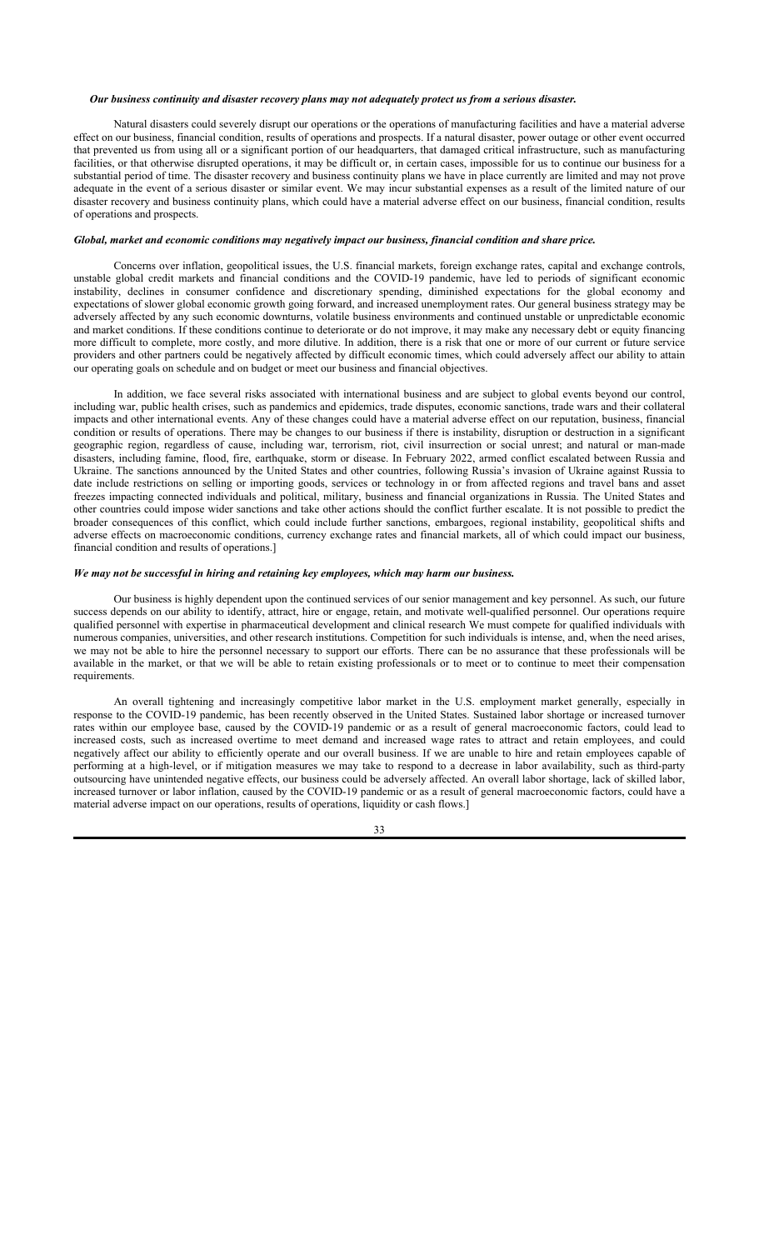#### *Our business continuity and disaster recovery plans may not adequately protect us from a serious disaster.*

Natural disasters could severely disrupt our operations or the operations of manufacturing facilities and have a material adverse effect on our business, financial condition, results of operations and prospects. If a natural disaster, power outage or other event occurred that prevented us from using all or a significant portion of our headquarters, that damaged critical infrastructure, such as manufacturing facilities, or that otherwise disrupted operations, it may be difficult or, in certain cases, impossible for us to continue our business for a substantial period of time. The disaster recovery and business continuity plans we have in place currently are limited and may not prove adequate in the event of a serious disaster or similar event. We may incur substantial expenses as a result of the limited nature of our disaster recovery and business continuity plans, which could have a material adverse effect on our business, financial condition, results of operations and prospects.

# *Global, market and economic conditions may negatively impact our business, financial condition and share price.*

Concerns over inflation, geopolitical issues, the U.S. financial markets, foreign exchange rates, capital and exchange controls, unstable global credit markets and financial conditions and the COVID-19 pandemic, have led to periods of significant economic instability, declines in consumer confidence and discretionary spending, diminished expectations for the global economy and expectations of slower global economic growth going forward, and increased unemployment rates. Our general business strategy may be adversely affected by any such economic downturns, volatile business environments and continued unstable or unpredictable economic and market conditions. If these conditions continue to deteriorate or do not improve, it may make any necessary debt or equity financing more difficult to complete, more costly, and more dilutive. In addition, there is a risk that one or more of our current or future service providers and other partners could be negatively affected by difficult economic times, which could adversely affect our ability to attain our operating goals on schedule and on budget or meet our business and financial objectives.

In addition, we face several risks associated with international business and are subject to global events beyond our control, including war, public health crises, such as pandemics and epidemics, trade disputes, economic sanctions, trade wars and their collateral impacts and other international events. Any of these changes could have a material adverse effect on our reputation, business, financial condition or results of operations. There may be changes to our business if there is instability, disruption or destruction in a significant geographic region, regardless of cause, including war, terrorism, riot, civil insurrection or social unrest; and natural or man-made disasters, including famine, flood, fire, earthquake, storm or disease. In February 2022, armed conflict escalated between Russia and Ukraine. The sanctions announced by the United States and other countries, following Russia's invasion of Ukraine against Russia to date include restrictions on selling or importing goods, services or technology in or from affected regions and travel bans and asset freezes impacting connected individuals and political, military, business and financial organizations in Russia. The United States and other countries could impose wider sanctions and take other actions should the conflict further escalate. It is not possible to predict the broader consequences of this conflict, which could include further sanctions, embargoes, regional instability, geopolitical shifts and adverse effects on macroeconomic conditions, currency exchange rates and financial markets, all of which could impact our business, financial condition and results of operations.]

## *We may not be successful in hiring and retaining key employees, which may harm our business.*

Our business is highly dependent upon the continued services of our senior management and key personnel. As such, our future success depends on our ability to identify, attract, hire or engage, retain, and motivate well-qualified personnel. Our operations require qualified personnel with expertise in pharmaceutical development and clinical research We must compete for qualified individuals with numerous companies, universities, and other research institutions. Competition for such individuals is intense, and, when the need arises, we may not be able to hire the personnel necessary to support our efforts. There can be no assurance that these professionals will be available in the market, or that we will be able to retain existing professionals or to meet or to continue to meet their compensation requirements.

An overall tightening and increasingly competitive labor market in the U.S. employment market generally, especially in response to the COVID-19 pandemic, has been recently observed in the United States. Sustained labor shortage or increased turnover rates within our employee base, caused by the COVID-19 pandemic or as a result of general macroeconomic factors, could lead to increased costs, such as increased overtime to meet demand and increased wage rates to attract and retain employees, and could negatively affect our ability to efficiently operate and our overall business. If we are unable to hire and retain employees capable of performing at a high-level, or if mitigation measures we may take to respond to a decrease in labor availability, such as third-party outsourcing have unintended negative effects, our business could be adversely affected. An overall labor shortage, lack of skilled labor, increased turnover or labor inflation, caused by the COVID-19 pandemic or as a result of general macroeconomic factors, could have a material adverse impact on our operations, results of operations, liquidity or cash flows.]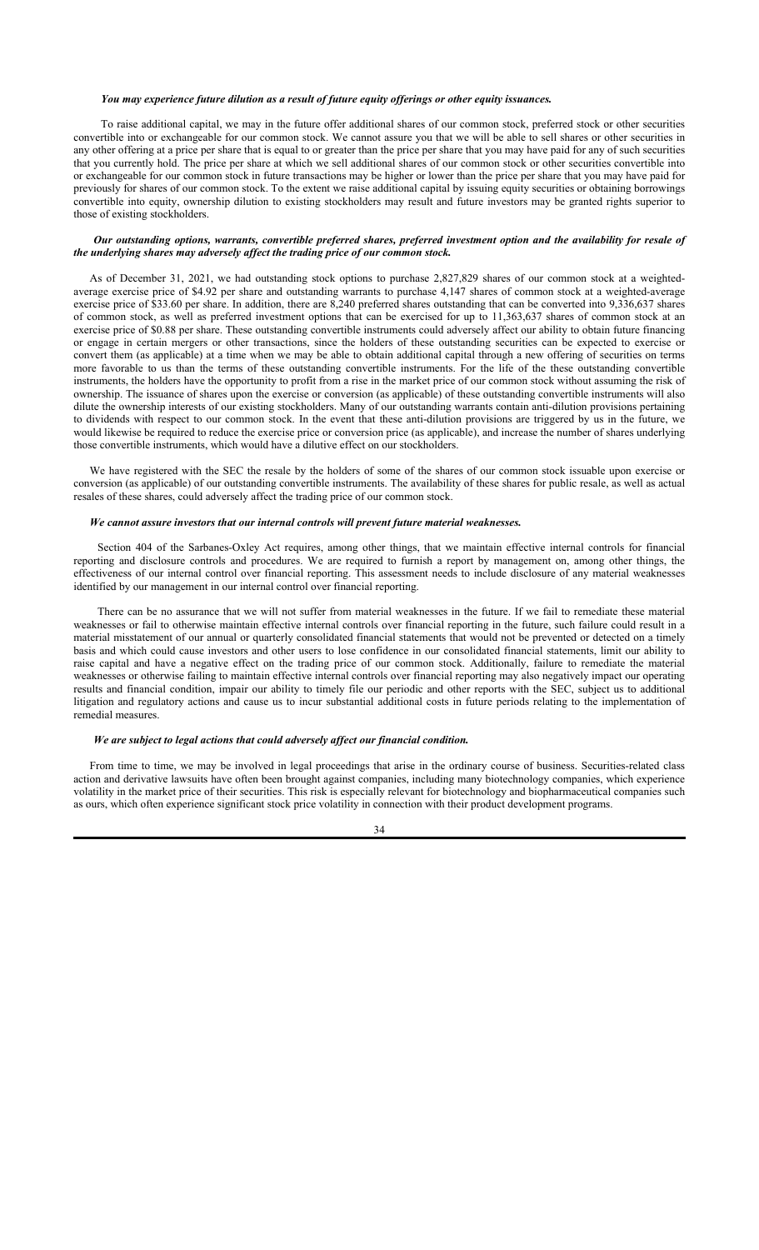#### *You may experience future dilution as a result of future equity offerings or other equity issuances.*

To raise additional capital, we may in the future offer additional shares of our common stock, preferred stock or other securities convertible into or exchangeable for our common stock. We cannot assure you that we will be able to sell shares or other securities in any other offering at a price per share that is equal to or greater than the price per share that you may have paid for any of such securities that you currently hold. The price per share at which we sell additional shares of our common stock or other securities convertible into or exchangeable for our common stock in future transactions may be higher or lower than the price per share that you may have paid for previously for shares of our common stock. To the extent we raise additional capital by issuing equity securities or obtaining borrowings convertible into equity, ownership dilution to existing stockholders may result and future investors may be granted rights superior to those of existing stockholders.

#### *Our outstanding options, warrants, convertible preferred shares, preferred investment option and the availability for resale of the underlying shares may adversely affect the trading price of our common stock.*

As of December 31, 2021, we had outstanding stock options to purchase 2,827,829 shares of our common stock at a weightedaverage exercise price of \$4.92 per share and outstanding warrants to purchase 4,147 shares of common stock at a weighted-average exercise price of \$33.60 per share. In addition, there are 8,240 preferred shares outstanding that can be converted into 9,336,637 shares of common stock, as well as preferred investment options that can be exercised for up to 11,363,637 shares of common stock at an exercise price of \$0.88 per share. These outstanding convertible instruments could adversely affect our ability to obtain future financing or engage in certain mergers or other transactions, since the holders of these outstanding securities can be expected to exercise or convert them (as applicable) at a time when we may be able to obtain additional capital through a new offering of securities on terms more favorable to us than the terms of these outstanding convertible instruments. For the life of the these outstanding convertible instruments, the holders have the opportunity to profit from a rise in the market price of our common stock without assuming the risk of ownership. The issuance of shares upon the exercise or conversion (as applicable) of these outstanding convertible instruments will also dilute the ownership interests of our existing stockholders. Many of our outstanding warrants contain anti-dilution provisions pertaining to dividends with respect to our common stock. In the event that these anti-dilution provisions are triggered by us in the future, we would likewise be required to reduce the exercise price or conversion price (as applicable), and increase the number of shares underlying those convertible instruments, which would have a dilutive effect on our stockholders.

We have registered with the SEC the resale by the holders of some of the shares of our common stock issuable upon exercise or conversion (as applicable) of our outstanding convertible instruments. The availability of these shares for public resale, as well as actual resales of these shares, could adversely affect the trading price of our common stock.

### *We cannot assure investors that our internal controls will prevent future material weaknesses.*

Section 404 of the Sarbanes-Oxley Act requires, among other things, that we maintain effective internal controls for financial reporting and disclosure controls and procedures. We are required to furnish a report by management on, among other things, the effectiveness of our internal control over financial reporting. This assessment needs to include disclosure of any material weaknesses identified by our management in our internal control over financial reporting.

There can be no assurance that we will not suffer from material weaknesses in the future. If we fail to remediate these material weaknesses or fail to otherwise maintain effective internal controls over financial reporting in the future, such failure could result in a material misstatement of our annual or quarterly consolidated financial statements that would not be prevented or detected on a timely basis and which could cause investors and other users to lose confidence in our consolidated financial statements, limit our ability to raise capital and have a negative effect on the trading price of our common stock. Additionally, failure to remediate the material weaknesses or otherwise failing to maintain effective internal controls over financial reporting may also negatively impact our operating results and financial condition, impair our ability to timely file our periodic and other reports with the SEC, subject us to additional litigation and regulatory actions and cause us to incur substantial additional costs in future periods relating to the implementation of remedial measures.

#### *We are subject to legal actions that could adversely affect our financial condition.*

From time to time, we may be involved in legal proceedings that arise in the ordinary course of business. Securities-related class action and derivative lawsuits have often been brought against companies, including many biotechnology companies, which experience volatility in the market price of their securities. This risk is especially relevant for biotechnology and biopharmaceutical companies such as ours, which often experience significant stock price volatility in connection with their product development programs.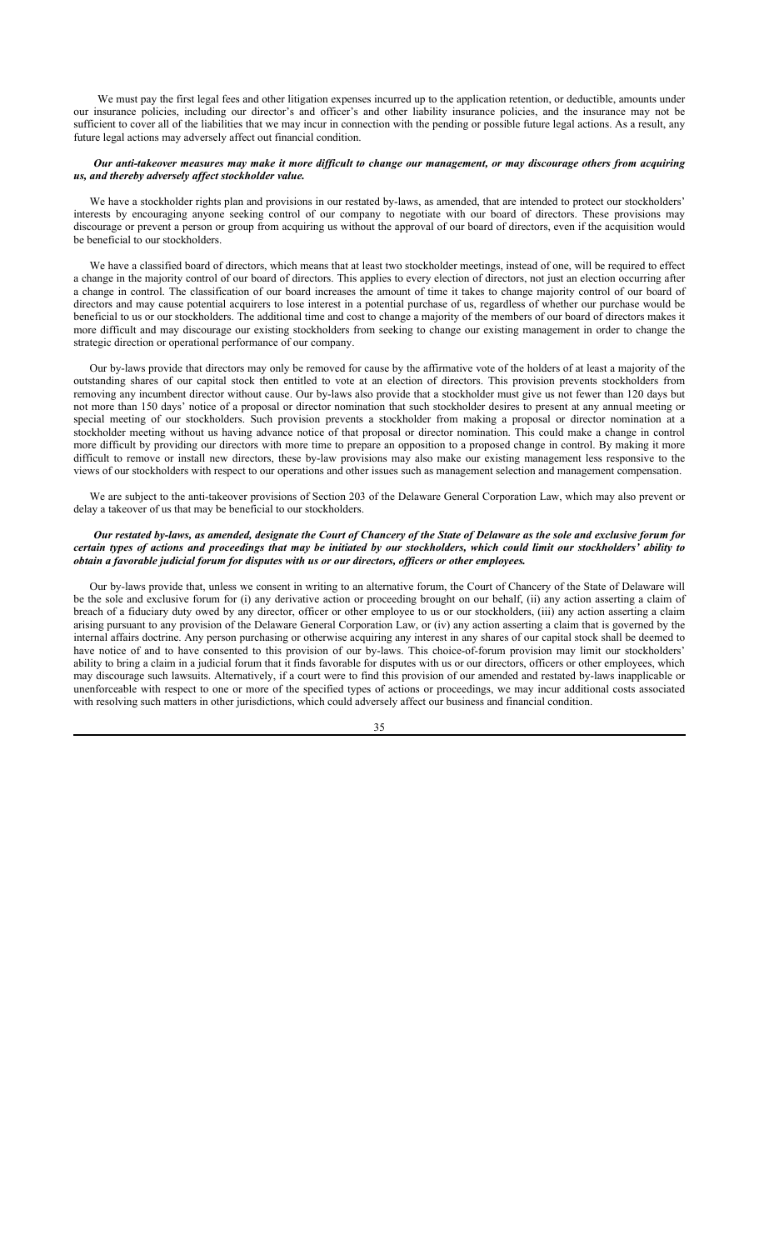We must pay the first legal fees and other litigation expenses incurred up to the application retention, or deductible, amounts under our insurance policies, including our director's and officer's and other liability insurance policies, and the insurance may not be sufficient to cover all of the liabilities that we may incur in connection with the pending or possible future legal actions. As a result, any future legal actions may adversely affect out financial condition.

#### *Our anti-takeover measures may make it more difficult to change our management, or may discourage others from acquiring us, and thereby adversely affect stockholder value.*

We have a stockholder rights plan and provisions in our restated by-laws, as amended, that are intended to protect our stockholders' interests by encouraging anyone seeking control of our company to negotiate with our board of directors. These provisions may discourage or prevent a person or group from acquiring us without the approval of our board of directors, even if the acquisition would be beneficial to our stockholders.

We have a classified board of directors, which means that at least two stockholder meetings, instead of one, will be required to effect a change in the majority control of our board of directors. This applies to every election of directors, not just an election occurring after a change in control. The classification of our board increases the amount of time it takes to change majority control of our board of directors and may cause potential acquirers to lose interest in a potential purchase of us, regardless of whether our purchase would be beneficial to us or our stockholders. The additional time and cost to change a majority of the members of our board of directors makes it more difficult and may discourage our existing stockholders from seeking to change our existing management in order to change the strategic direction or operational performance of our company.

Our by-laws provide that directors may only be removed for cause by the affirmative vote of the holders of at least a majority of the outstanding shares of our capital stock then entitled to vote at an election of directors. This provision prevents stockholders from removing any incumbent director without cause. Our by-laws also provide that a stockholder must give us not fewer than 120 days but not more than 150 days' notice of a proposal or director nomination that such stockholder desires to present at any annual meeting or special meeting of our stockholders. Such provision prevents a stockholder from making a proposal or director nomination at a stockholder meeting without us having advance notice of that proposal or director nomination. This could make a change in control more difficult by providing our directors with more time to prepare an opposition to a proposed change in control. By making it more difficult to remove or install new directors, these by-law provisions may also make our existing management less responsive to the views of our stockholders with respect to our operations and other issues such as management selection and management compensation.

We are subject to the anti-takeover provisions of Section 203 of the Delaware General Corporation Law, which may also prevent or delay a takeover of us that may be beneficial to our stockholders.

### *Our restated by-laws, as amended, designate the Court of Chancery of the State of Delaware as the sole and exclusive forum for certain types of actions and proceedings that may be initiated by our stockholders, which could limit our stockholders' ability to obtain a favorable judicial forum for disputes with us or our directors, officers or other employees.*

Our by-laws provide that, unless we consent in writing to an alternative forum, the Court of Chancery of the State of Delaware will be the sole and exclusive forum for (i) any derivative action or proceeding brought on our behalf, (ii) any action asserting a claim of breach of a fiduciary duty owed by any director, officer or other employee to us or our stockholders, (iii) any action asserting a claim arising pursuant to any provision of the Delaware General Corporation Law, or (iv) any action asserting a claim that is governed by the internal affairs doctrine. Any person purchasing or otherwise acquiring any interest in any shares of our capital stock shall be deemed to have notice of and to have consented to this provision of our by-laws. This choice-of-forum provision may limit our stockholders' ability to bring a claim in a judicial forum that it finds favorable for disputes with us or our directors, officers or other employees, which may discourage such lawsuits. Alternatively, if a court were to find this provision of our amended and restated by-laws inapplicable or unenforceable with respect to one or more of the specified types of actions or proceedings, we may incur additional costs associated with resolving such matters in other jurisdictions, which could adversely affect our business and financial condition.

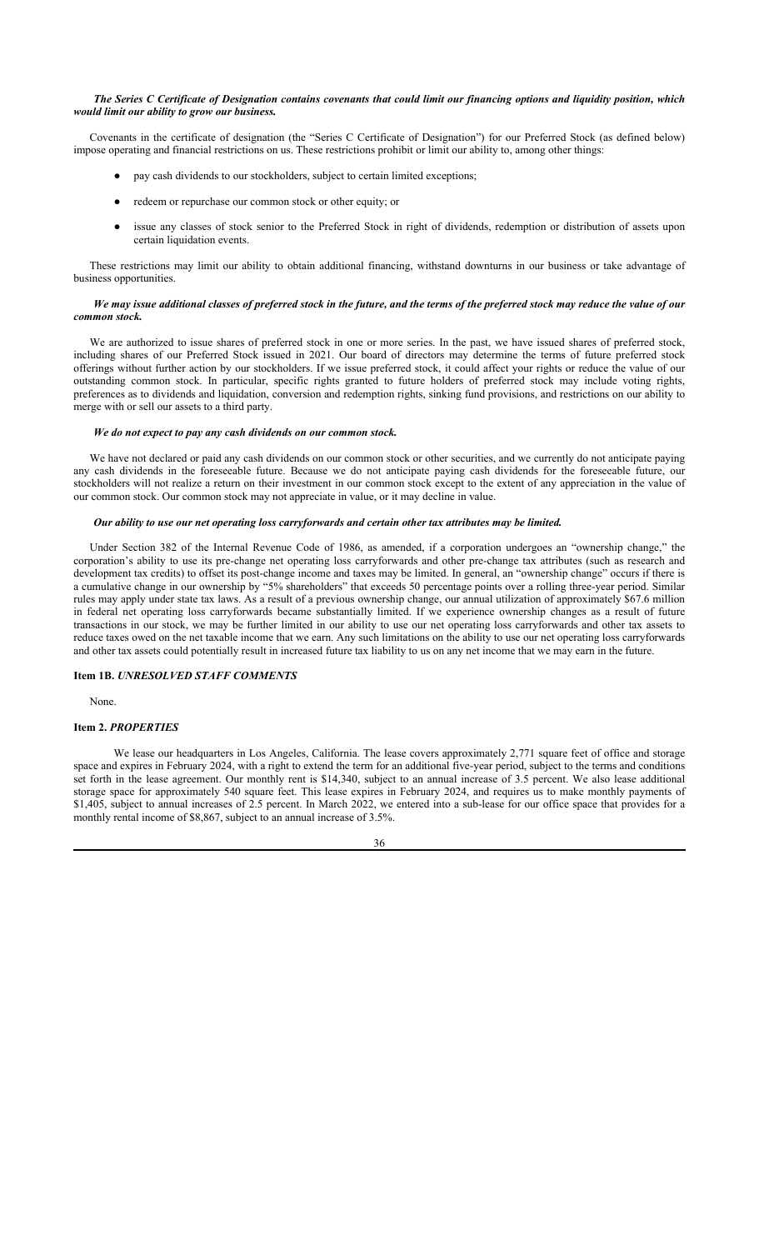## *The Series C Certificate of Designation contains covenants that could limit our financing options and liquidity position, which would limit our ability to grow our business.*

Covenants in the certificate of designation (the "Series C Certificate of Designation") for our Preferred Stock (as defined below) impose operating and financial restrictions on us. These restrictions prohibit or limit our ability to, among other things:

- pay cash dividends to our stockholders, subject to certain limited exceptions;
- redeem or repurchase our common stock or other equity; or
- Ɣ issue any classes of stock senior to the Preferred Stock in right of dividends, redemption or distribution of assets upon certain liquidation events.

These restrictions may limit our ability to obtain additional financing, withstand downturns in our business or take advantage of business opportunities.

## *We may issue additional classes of preferred stock in the future, and the terms of the preferred stock may reduce the value of our common stock.*

We are authorized to issue shares of preferred stock in one or more series. In the past, we have issued shares of preferred stock, including shares of our Preferred Stock issued in 2021. Our board of directors may determine the terms of future preferred stock offerings without further action by our stockholders. If we issue preferred stock, it could affect your rights or reduce the value of our outstanding common stock. In particular, specific rights granted to future holders of preferred stock may include voting rights, preferences as to dividends and liquidation, conversion and redemption rights, sinking fund provisions, and restrictions on our ability to merge with or sell our assets to a third party.

## *We do not expect to pay any cash dividends on our common stock.*

We have not declared or paid any cash dividends on our common stock or other securities, and we currently do not anticipate paying any cash dividends in the foreseeable future. Because we do not anticipate paying cash dividends for the foreseeable future, our stockholders will not realize a return on their investment in our common stock except to the extent of any appreciation in the value of our common stock. Our common stock may not appreciate in value, or it may decline in value.

## *Our ability to use our net operating loss carryforwards and certain other tax attributes may be limited.*

Under Section 382 of the Internal Revenue Code of 1986, as amended, if a corporation undergoes an "ownership change," the corporation's ability to use its pre-change net operating loss carryforwards and other pre-change tax attributes (such as research and development tax credits) to offset its post-change income and taxes may be limited. In general, an "ownership change" occurs if there is a cumulative change in our ownership by "5% shareholders" that exceeds 50 percentage points over a rolling three-year period. Similar rules may apply under state tax laws. As a result of a previous ownership change, our annual utilization of approximately \$67.6 million in federal net operating loss carryforwards became substantially limited. If we experience ownership changes as a result of future transactions in our stock, we may be further limited in our ability to use our net operating loss carryforwards and other tax assets to reduce taxes owed on the net taxable income that we earn. Any such limitations on the ability to use our net operating loss carryforwards and other tax assets could potentially result in increased future tax liability to us on any net income that we may earn in the future.

## **Item 1B.** *UNRESOLVED STAFF COMMENTS*

None.

## **Item 2.** *PROPERTIES*

We lease our headquarters in Los Angeles, California. The lease covers approximately 2,771 square feet of office and storage space and expires in February 2024, with a right to extend the term for an additional five-year period, subject to the terms and conditions set forth in the lease agreement. Our monthly rent is \$14,340, subject to an annual increase of 3.5 percent. We also lease additional storage space for approximately 540 square feet. This lease expires in February 2024, and requires us to make monthly payments of \$1,405, subject to annual increases of 2.5 percent. In March 2022, we entered into a sub-lease for our office space that provides for a monthly rental income of \$8,867, subject to an annual increase of 3.5%.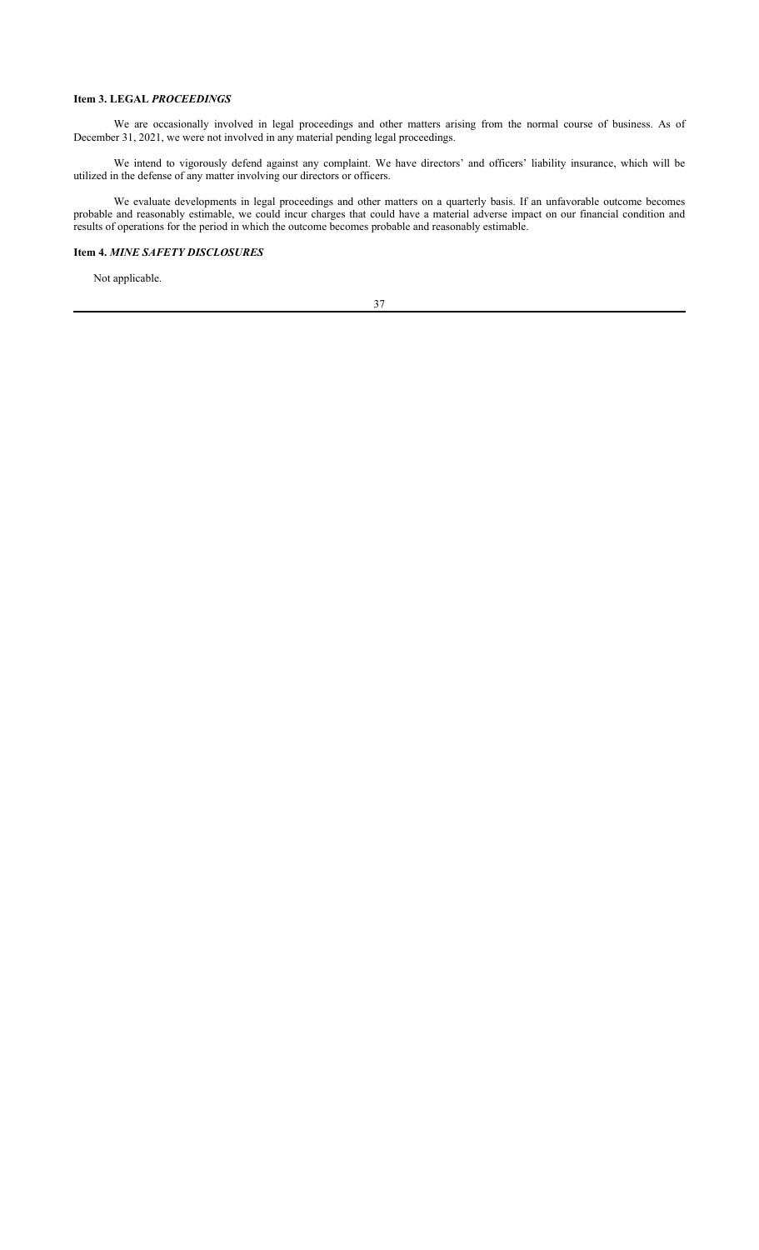## **Item 3. LEGAL** *PROCEEDINGS*

We are occasionally involved in legal proceedings and other matters arising from the normal course of business. As of December 31, 2021, we were not involved in any material pending legal proceedings.

We intend to vigorously defend against any complaint. We have directors' and officers' liability insurance, which will be utilized in the defense of any matter involving our directors or officers.

We evaluate developments in legal proceedings and other matters on a quarterly basis. If an unfavorable outcome becomes probable and reasonably estimable, we could incur charges that could have a material adverse impact on our financial condition and results of operations for the period in which the outcome becomes probable and reasonably estimable.

## **Item 4.** *MINE SAFETY DISCLOSURES*

Not applicable.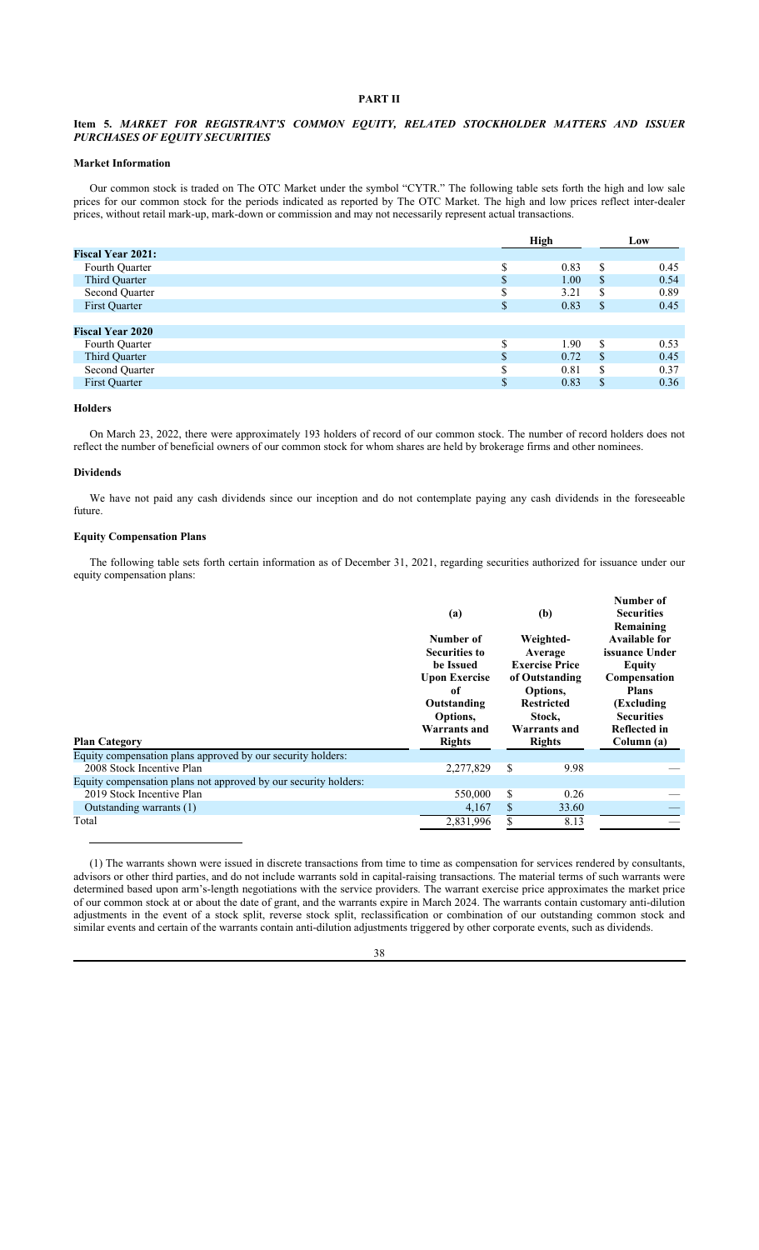## **PART II**

## **Item 5.** *MARKET FOR REGISTRANT'S COMMON EQUITY, RELATED STOCKHOLDER MATTERS AND ISSUER PURCHASES OF EQUITY SECURITIES*

#### **Market Information**

Our common stock is traded on The OTC Market under the symbol "CYTR." The following table sets forth the high and low sale prices for our common stock for the periods indicated as reported by The OTC Market. The high and low prices reflect inter-dealer prices, without retail mark-up, mark-down or commission and may not necessarily represent actual transactions.

|                          |         | High |              | Low  |
|--------------------------|---------|------|--------------|------|
| <b>Fiscal Year 2021:</b> |         |      |              |      |
| Fourth Quarter           | Φ       | 0.83 | S            | 0.45 |
| Third Quarter            | D       | 1.00 | <sup>S</sup> | 0.54 |
| Second Quarter           |         | 3.21 | S            | 0.89 |
| First Quarter            | D       | 0.83 | \$           | 0.45 |
|                          |         |      |              |      |
| <b>Fiscal Year 2020</b>  |         |      |              |      |
| Fourth Quarter           |         | 1.90 | \$           | 0.53 |
| Third Quarter            | $\cdot$ | 0.72 | $\mathbf{s}$ | 0.45 |
| Second Quarter           |         | 0.81 | \$           | 0.37 |
| First Quarter            | ۰D      | 0.83 | \$.          | 0.36 |

## **Holders**

On March 23, 2022, there were approximately 193 holders of record of our common stock. The number of record holders does not reflect the number of beneficial owners of our common stock for whom shares are held by brokerage firms and other nominees.

## **Dividends**

We have not paid any cash dividends since our inception and do not contemplate paying any cash dividends in the foreseeable future.

## **Equity Compensation Plans**

The following table sets forth certain information as of December 31, 2021, regarding securities authorized for issuance under our equity compensation plans:

|                                                                 | (a)                                                                                                         |    | (b)                                                                                                           | Number of<br><b>Securities</b><br>Remaining                                                                                |
|-----------------------------------------------------------------|-------------------------------------------------------------------------------------------------------------|----|---------------------------------------------------------------------------------------------------------------|----------------------------------------------------------------------------------------------------------------------------|
|                                                                 | Number of                                                                                                   |    | Weighted-                                                                                                     | <b>Available for</b>                                                                                                       |
|                                                                 | <b>Securities to</b><br>be Issued<br><b>Upon Exercise</b><br>-of<br>Outstanding<br>Options,<br>Warrants and |    | Average<br><b>Exercise Price</b><br>of Outstanding<br>Options,<br><b>Restricted</b><br>Stock,<br>Warrants and | issuance Under<br><b>Equity</b><br>Compensation<br><b>Plans</b><br>(Excluding)<br><b>Securities</b><br><b>Reflected in</b> |
| <b>Plan Category</b>                                            | <b>Rights</b>                                                                                               |    | <b>Rights</b>                                                                                                 | Column (a)                                                                                                                 |
| Equity compensation plans approved by our security holders:     |                                                                                                             |    |                                                                                                               |                                                                                                                            |
| 2008 Stock Incentive Plan                                       | 2,277,829                                                                                                   | S  | 9.98                                                                                                          |                                                                                                                            |
| Equity compensation plans not approved by our security holders: |                                                                                                             |    |                                                                                                               |                                                                                                                            |
| 2019 Stock Incentive Plan                                       | 550,000                                                                                                     | \$ | 0.26                                                                                                          |                                                                                                                            |
| Outstanding warrants (1)                                        | 4,167                                                                                                       | \$ | 33.60                                                                                                         |                                                                                                                            |
| Total                                                           | 2,831,996                                                                                                   |    | 8.13                                                                                                          |                                                                                                                            |

(1) The warrants shown were issued in discrete transactions from time to time as compensation for services rendered by consultants, advisors or other third parties, and do not include warrants sold in capital-raising transactions. The material terms of such warrants were determined based upon arm's-length negotiations with the service providers. The warrant exercise price approximates the market price of our common stock at or about the date of grant, and the warrants expire in March 2024. The warrants contain customary anti-dilution adjustments in the event of a stock split, reverse stock split, reclassification or combination of our outstanding common stock and similar events and certain of the warrants contain anti-dilution adjustments triggered by other corporate events, such as dividends.

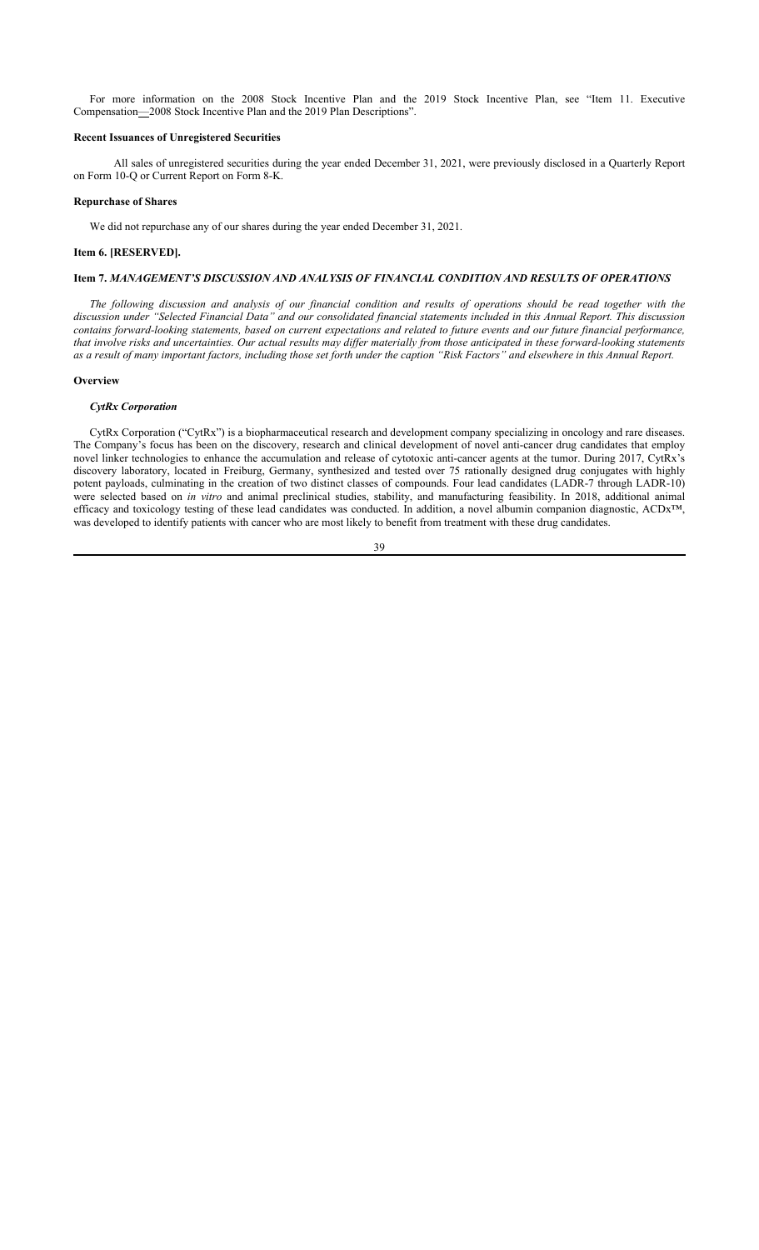For more information on the 2008 Stock Incentive Plan and the 2019 Stock Incentive Plan, see "Item 11. Executive Compensation—2008 Stock Incentive Plan and the 2019 Plan Descriptions".

## **Recent Issuances of Unregistered Securities**

All sales of unregistered securities during the year ended December 31, 2021, were previously disclosed in a Quarterly Report on Form 10-Q or Current Report on Form 8-K.

#### **Repurchase of Shares**

We did not repurchase any of our shares during the year ended December 31, 2021.

## **Item 6. [RESERVED].**

#### **Item 7.** *MANAGEMENT'S DISCUSSION AND ANALYSIS OF FINANCIAL CONDITION AND RESULTS OF OPERATIONS*

*The following discussion and analysis of our financial condition and results of operations should be read together with the discussion under "Selected Financial Data" and our consolidated financial statements included in this Annual Report. This discussion contains forward-looking statements, based on current expectations and related to future events and our future financial performance, that involve risks and uncertainties. Our actual results may differ materially from those anticipated in these forward-looking statements as a result of many important factors, including those set forth under the caption "Risk Factors" and elsewhere in this Annual Report.*

#### **Overview**

## *CytRx Corporation*

CytRx Corporation ("CytRx") is a biopharmaceutical research and development company specializing in oncology and rare diseases. The Company's focus has been on the discovery, research and clinical development of novel anti-cancer drug candidates that employ novel linker technologies to enhance the accumulation and release of cytotoxic anti-cancer agents at the tumor. During 2017, CytRx's discovery laboratory, located in Freiburg, Germany, synthesized and tested over 75 rationally designed drug conjugates with highly potent payloads, culminating in the creation of two distinct classes of compounds. Four lead candidates (LADR-7 through LADR-10) were selected based on *in vitro* and animal preclinical studies, stability, and manufacturing feasibility. In 2018, additional animal efficacy and toxicology testing of these lead candidates was conducted. In addition, a novel albumin companion diagnostic, ACDx™, was developed to identify patients with cancer who are most likely to benefit from treatment with these drug candidates.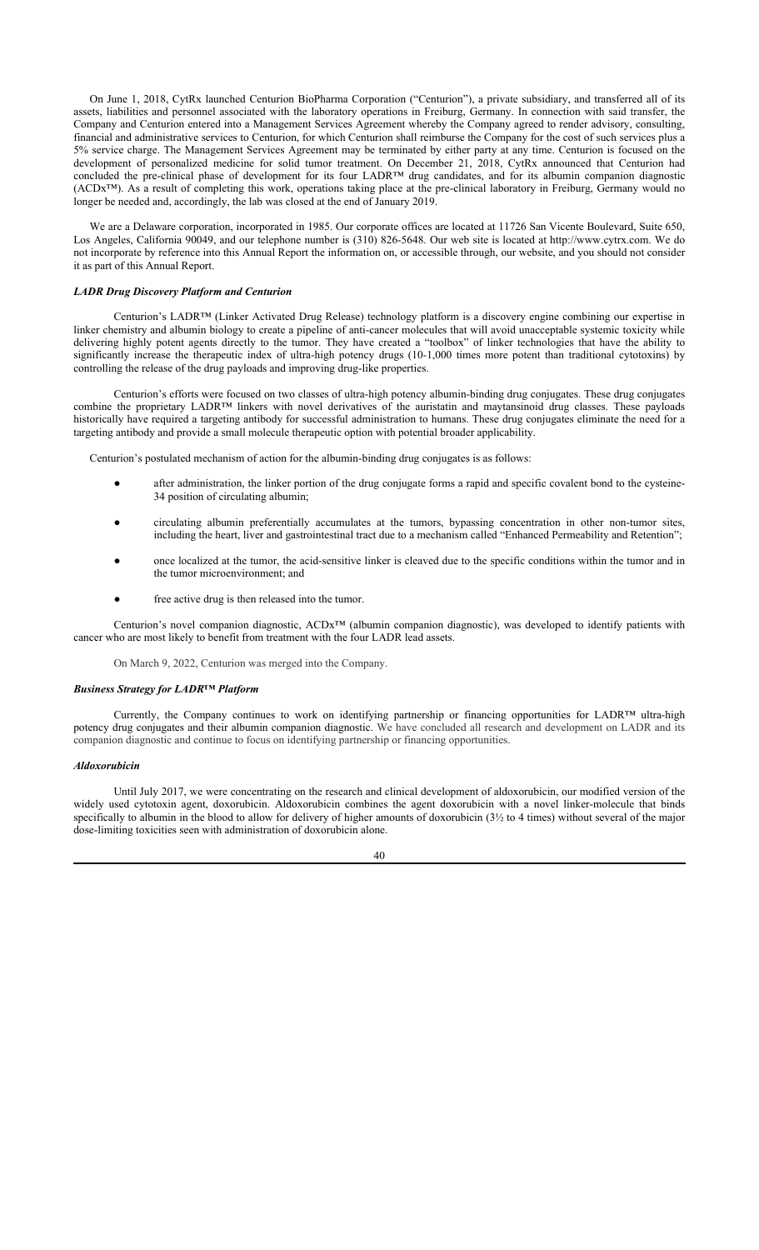On June 1, 2018, CytRx launched Centurion BioPharma Corporation ("Centurion"), a private subsidiary, and transferred all of its assets, liabilities and personnel associated with the laboratory operations in Freiburg, Germany. In connection with said transfer, the Company and Centurion entered into a Management Services Agreement whereby the Company agreed to render advisory, consulting, financial and administrative services to Centurion, for which Centurion shall reimburse the Company for the cost of such services plus a 5% service charge. The Management Services Agreement may be terminated by either party at any time. Centurion is focused on the development of personalized medicine for solid tumor treatment. On December 21, 2018, CytRx announced that Centurion had concluded the pre-clinical phase of development for its four LADR™ drug candidates, and for its albumin companion diagnostic (ACDx™). As a result of completing this work, operations taking place at the pre-clinical laboratory in Freiburg, Germany would no longer be needed and, accordingly, the lab was closed at the end of January 2019.

We are a Delaware corporation, incorporated in 1985. Our corporate offices are located at 11726 San Vicente Boulevard, Suite 650, Los Angeles, California 90049, and our telephone number is (310) 826-5648. Our web site is located at http://www.cytrx.com. We do not incorporate by reference into this Annual Report the information on, or accessible through, our website, and you should not consider it as part of this Annual Report.

## *LADR Drug Discovery Platform and Centurion*

Centurion's LADR™ (Linker Activated Drug Release) technology platform is a discovery engine combining our expertise in linker chemistry and albumin biology to create a pipeline of anti-cancer molecules that will avoid unacceptable systemic toxicity while delivering highly potent agents directly to the tumor. They have created a "toolbox" of linker technologies that have the ability to significantly increase the therapeutic index of ultra-high potency drugs (10-1,000 times more potent than traditional cytotoxins) by controlling the release of the drug payloads and improving drug-like properties.

Centurion's efforts were focused on two classes of ultra-high potency albumin-binding drug conjugates. These drug conjugates combine the proprietary LADR™ linkers with novel derivatives of the auristatin and maytansinoid drug classes. These payloads historically have required a targeting antibody for successful administration to humans. These drug conjugates eliminate the need for a targeting antibody and provide a small molecule therapeutic option with potential broader applicability.

Centurion's postulated mechanism of action for the albumin-binding drug conjugates is as follows:

- after administration, the linker portion of the drug conjugate forms a rapid and specific covalent bond to the cysteine-34 position of circulating albumin;
- Ɣ circulating albumin preferentially accumulates at the tumors, bypassing concentration in other non-tumor sites, including the heart, liver and gastrointestinal tract due to a mechanism called "Enhanced Permeability and Retention";
- once localized at the tumor, the acid-sensitive linker is cleaved due to the specific conditions within the tumor and in the tumor microenvironment; and
- free active drug is then released into the tumor.

Centurion's novel companion diagnostic, ACDx™ (albumin companion diagnostic), was developed to identify patients with cancer who are most likely to benefit from treatment with the four LADR lead assets.

On March 9, 2022, Centurion was merged into the Company.

## *Business Strategy for LADR™ Platform*

Currently, the Company continues to work on identifying partnership or financing opportunities for LADR™ ultra-high potency drug conjugates and their albumin companion diagnostic. We have concluded all research and development on LADR and its companion diagnostic and continue to focus on identifying partnership or financing opportunities.

### *Aldoxorubicin*

Until July 2017, we were concentrating on the research and clinical development of aldoxorubicin, our modified version of the widely used cytotoxin agent, doxorubicin. Aldoxorubicin combines the agent doxorubicin with a novel linker-molecule that binds specifically to albumin in the blood to allow for delivery of higher amounts of doxorubicin (3½ to 4 times) without several of the major dose-limiting toxicities seen with administration of doxorubicin alone.

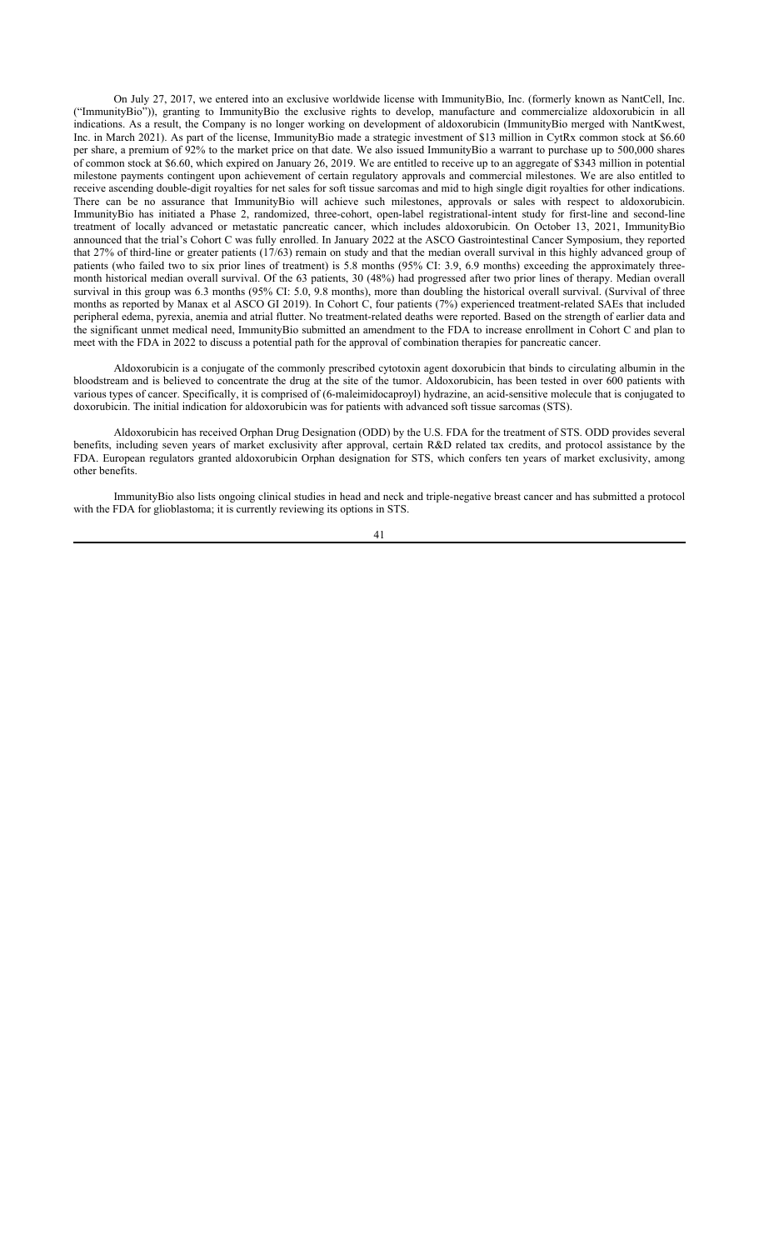On July 27, 2017, we entered into an exclusive worldwide license with ImmunityBio, Inc. (formerly known as NantCell, Inc. ("ImmunityBio")), granting to ImmunityBio the exclusive rights to develop, manufacture and commercialize aldoxorubicin in all indications. As a result, the Company is no longer working on development of aldoxorubicin (ImmunityBio merged with NantKwest, Inc. in March 2021). As part of the license, ImmunityBio made a strategic investment of \$13 million in CytRx common stock at \$6.60 per share, a premium of 92% to the market price on that date. We also issued ImmunityBio a warrant to purchase up to 500,000 shares of common stock at \$6.60, which expired on January 26, 2019. We are entitled to receive up to an aggregate of \$343 million in potential milestone payments contingent upon achievement of certain regulatory approvals and commercial milestones. We are also entitled to receive ascending double-digit royalties for net sales for soft tissue sarcomas and mid to high single digit royalties for other indications. There can be no assurance that ImmunityBio will achieve such milestones, approvals or sales with respect to aldoxorubicin. ImmunityBio has initiated a Phase 2, randomized, three-cohort, open-label registrational-intent study for first-line and second-line treatment of locally advanced or metastatic pancreatic cancer, which includes aldoxorubicin. On October 13, 2021, ImmunityBio announced that the trial's Cohort C was fully enrolled. In January 2022 at the ASCO Gastrointestinal Cancer Symposium, they reported that 27% of third-line or greater patients (17/63) remain on study and that the median overall survival in this highly advanced group of patients (who failed two to six prior lines of treatment) is 5.8 months (95% CI: 3.9, 6.9 months) exceeding the approximately threemonth historical median overall survival. Of the 63 patients, 30 (48%) had progressed after two prior lines of therapy. Median overall survival in this group was 6.3 months (95% CI: 5.0, 9.8 months), more than doubling the historical overall survival. (Survival of three months as reported by Manax et al ASCO GI 2019). In Cohort C, four patients (7%) experienced treatment-related SAEs that included peripheral edema, pyrexia, anemia and atrial flutter. No treatment-related deaths were reported. Based on the strength of earlier data and the significant unmet medical need, ImmunityBio submitted an amendment to the FDA to increase enrollment in Cohort C and plan to meet with the FDA in 2022 to discuss a potential path for the approval of combination therapies for pancreatic cancer.

Aldoxorubicin is a conjugate of the commonly prescribed cytotoxin agent doxorubicin that binds to circulating albumin in the bloodstream and is believed to concentrate the drug at the site of the tumor. Aldoxorubicin, has been tested in over 600 patients with various types of cancer. Specifically, it is comprised of (6-maleimidocaproyl) hydrazine, an acid-sensitive molecule that is conjugated to doxorubicin. The initial indication for aldoxorubicin was for patients with advanced soft tissue sarcomas (STS).

Aldoxorubicin has received Orphan Drug Designation (ODD) by the U.S. FDA for the treatment of STS. ODD provides several benefits, including seven years of market exclusivity after approval, certain R&D related tax credits, and protocol assistance by the FDA. European regulators granted aldoxorubicin Orphan designation for STS, which confers ten years of market exclusivity, among other benefits.

ImmunityBio also lists ongoing clinical studies in head and neck and triple-negative breast cancer and has submitted a protocol with the FDA for glioblastoma; it is currently reviewing its options in STS.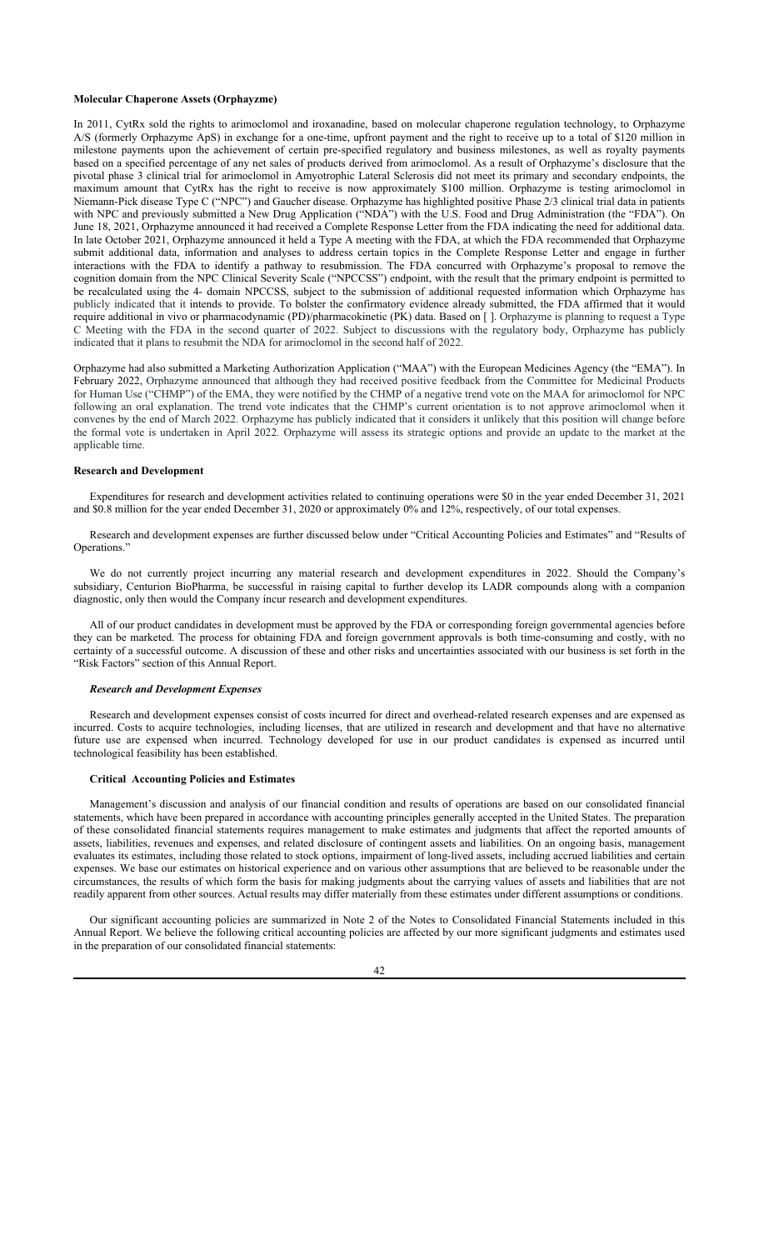## **Molecular Chaperone Assets (Orphayzme)**

In 2011, CytRx sold the rights to arimoclomol and iroxanadine, based on molecular chaperone regulation technology, to Orphazyme A/S (formerly Orphazyme ApS) in exchange for a one-time, upfront payment and the right to receive up to a total of \$120 million in milestone payments upon the achievement of certain pre-specified regulatory and business milestones, as well as royalty payments based on a specified percentage of any net sales of products derived from arimoclomol. As a result of Orphazyme's disclosure that the pivotal phase 3 clinical trial for arimoclomol in Amyotrophic Lateral Sclerosis did not meet its primary and secondary endpoints, the maximum amount that CytRx has the right to receive is now approximately \$100 million. Orphazyme is testing arimoclomol in Niemann-Pick disease Type C ("NPC") and Gaucher disease. Orphazyme has highlighted positive Phase 2/3 clinical trial data in patients with NPC and previously submitted a New Drug Application ("NDA") with the U.S. Food and Drug Administration (the "FDA"). On June 18, 2021, Orphazyme announced it had received a Complete Response Letter from the FDA indicating the need for additional data. In late October 2021, Orphazyme announced it held a Type A meeting with the FDA, at which the FDA recommended that Orphazyme submit additional data, information and analyses to address certain topics in the Complete Response Letter and engage in further interactions with the FDA to identify a pathway to resubmission. The FDA concurred with Orphazyme's proposal to remove the cognition domain from the NPC Clinical Severity Scale ("NPCCSS") endpoint, with the result that the primary endpoint is permitted to be recalculated using the 4- domain NPCCSS, subject to the submission of additional requested information which Orphazyme has publicly indicated that it intends to provide. To bolster the confirmatory evidence already submitted, the FDA affirmed that it would require additional in vivo or pharmacodynamic (PD)/pharmacokinetic (PK) data. Based on [ ]. Orphazyme is planning to request a Type C Meeting with the FDA in the second quarter of 2022. Subject to discussions with the regulatory body, Orphazyme has publicly indicated that it plans to resubmit the NDA for arimoclomol in the second half of 2022.

Orphazyme had also submitted a Marketing Authorization Application ("MAA") with the European Medicines Agency (the "EMA"). In February 2022, Orphazyme announced that although they had received positive feedback from the Committee for Medicinal Products for Human Use ("CHMP") of the EMA, they were notified by the CHMP of a negative trend vote on the MAA for arimoclomol for NPC following an oral explanation. The trend vote indicates that the CHMP's current orientation is to not approve arimoclomol when it convenes by the end of March 2022. Orphazyme has publicly indicated that it considers it unlikely that this position will change before the formal vote is undertaken in April 2022. Orphazyme will assess its strategic options and provide an update to the market at the applicable time.

## **Research and Development**

Expenditures for research and development activities related to continuing operations were \$0 in the year ended December 31, 2021 and \$0.8 million for the year ended December 31, 2020 or approximately 0% and 12%, respectively, of our total expenses.

Research and development expenses are further discussed below under "Critical Accounting Policies and Estimates" and "Results of Operations.'

We do not currently project incurring any material research and development expenditures in 2022. Should the Company's subsidiary, Centurion BioPharma, be successful in raising capital to further develop its LADR compounds along with a companion diagnostic, only then would the Company incur research and development expenditures.

All of our product candidates in development must be approved by the FDA or corresponding foreign governmental agencies before they can be marketed. The process for obtaining FDA and foreign government approvals is both time-consuming and costly, with no certainty of a successful outcome. A discussion of these and other risks and uncertainties associated with our business is set forth in the "Risk Factors" section of this Annual Report.

## *Research and Development Expenses*

Research and development expenses consist of costs incurred for direct and overhead-related research expenses and are expensed as incurred. Costs to acquire technologies, including licenses, that are utilized in research and development and that have no alternative future use are expensed when incurred. Technology developed for use in our product candidates is expensed as incurred until technological feasibility has been established.

## **Critical Accounting Policies and Estimates**

Management's discussion and analysis of our financial condition and results of operations are based on our consolidated financial statements, which have been prepared in accordance with accounting principles generally accepted in the United States. The preparation of these consolidated financial statements requires management to make estimates and judgments that affect the reported amounts of assets, liabilities, revenues and expenses, and related disclosure of contingent assets and liabilities. On an ongoing basis, management evaluates its estimates, including those related to stock options, impairment of long-lived assets, including accrued liabilities and certain expenses. We base our estimates on historical experience and on various other assumptions that are believed to be reasonable under the circumstances, the results of which form the basis for making judgments about the carrying values of assets and liabilities that are not readily apparent from other sources. Actual results may differ materially from these estimates under different assumptions or conditions.

Our significant accounting policies are summarized in Note 2 of the Notes to Consolidated Financial Statements included in this Annual Report. We believe the following critical accounting policies are affected by our more significant judgments and estimates used in the preparation of our consolidated financial statements:

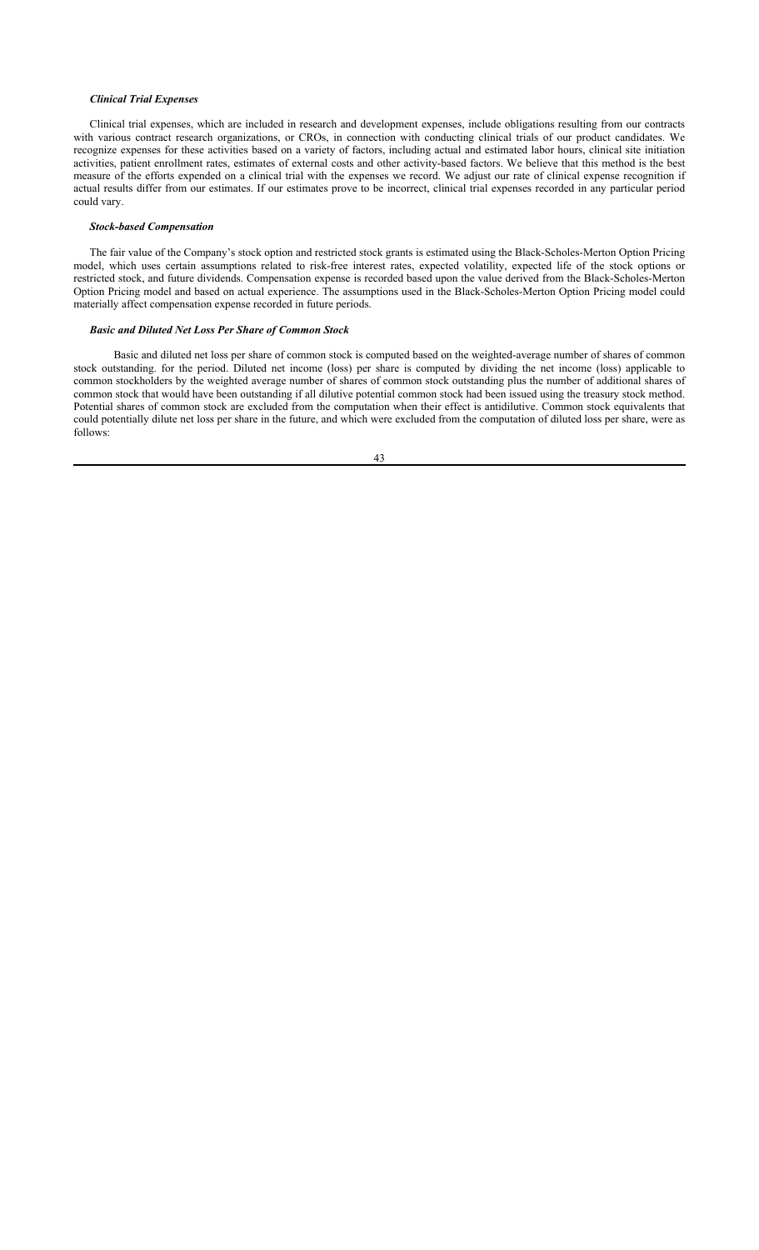## *Clinical Trial Expenses*

Clinical trial expenses, which are included in research and development expenses, include obligations resulting from our contracts with various contract research organizations, or CROs, in connection with conducting clinical trials of our product candidates. We recognize expenses for these activities based on a variety of factors, including actual and estimated labor hours, clinical site initiation activities, patient enrollment rates, estimates of external costs and other activity-based factors. We believe that this method is the best measure of the efforts expended on a clinical trial with the expenses we record. We adjust our rate of clinical expense recognition if actual results differ from our estimates. If our estimates prove to be incorrect, clinical trial expenses recorded in any particular period could vary.

## *Stock-based Compensation*

The fair value of the Company's stock option and restricted stock grants is estimated using the Black-Scholes-Merton Option Pricing model, which uses certain assumptions related to risk-free interest rates, expected volatility, expected life of the stock options or restricted stock, and future dividends. Compensation expense is recorded based upon the value derived from the Black-Scholes-Merton Option Pricing model and based on actual experience. The assumptions used in the Black-Scholes-Merton Option Pricing model could materially affect compensation expense recorded in future periods.

## *Basic and Diluted Net Loss Per Share of Common Stock*

Basic and diluted net loss per share of common stock is computed based on the weighted-average number of shares of common stock outstanding. for the period. Diluted net income (loss) per share is computed by dividing the net income (loss) applicable to common stockholders by the weighted average number of shares of common stock outstanding plus the number of additional shares of common stock that would have been outstanding if all dilutive potential common stock had been issued using the treasury stock method. Potential shares of common stock are excluded from the computation when their effect is antidilutive. Common stock equivalents that could potentially dilute net loss per share in the future, and which were excluded from the computation of diluted loss per share, were as follows: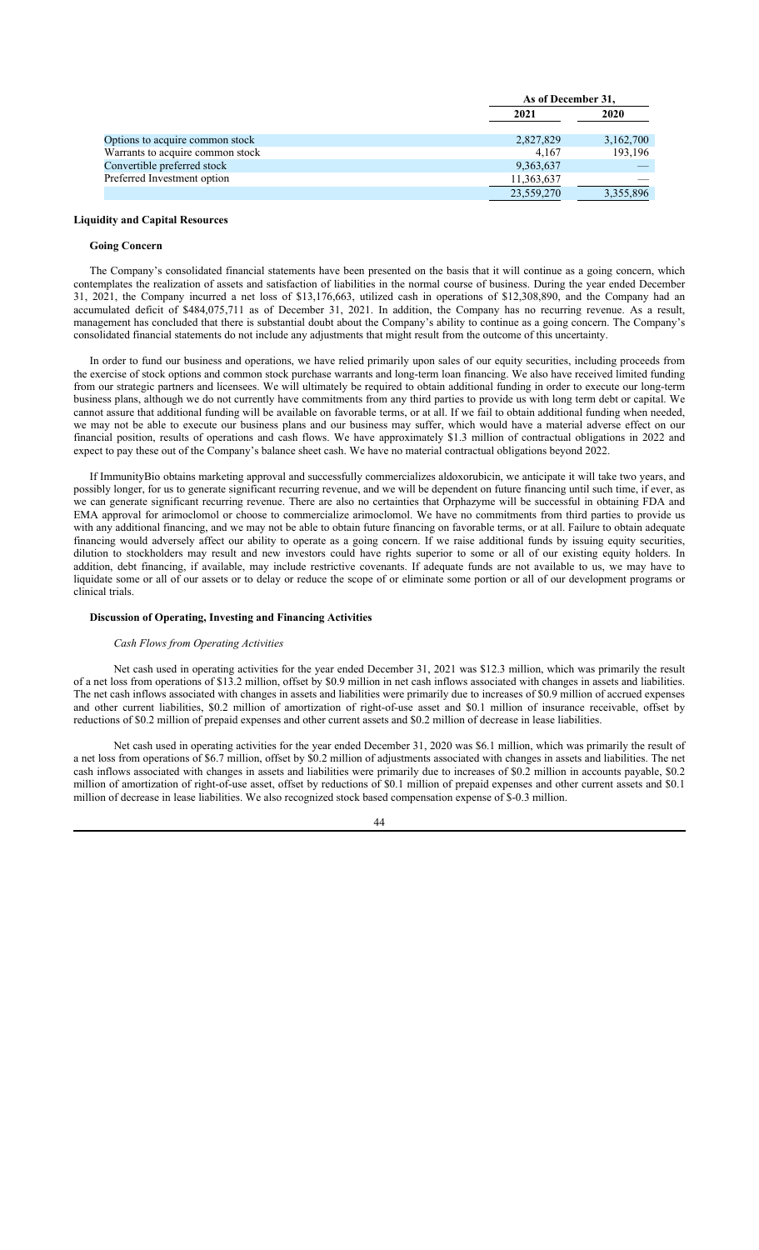|                                  | As of December 31, |           |  |
|----------------------------------|--------------------|-----------|--|
|                                  | 2021               | 2020      |  |
| Options to acquire common stock  | 2,827,829          | 3,162,700 |  |
| Warrants to acquire common stock | 4.167              | 193,196   |  |
| Convertible preferred stock      | 9,363,637          |           |  |
| Preferred Investment option      | 11,363,637         |           |  |
|                                  | 23,559,270         | 3,355,896 |  |

## **Liquidity and Capital Resources**

#### **Going Concern**

The Company's consolidated financial statements have been presented on the basis that it will continue as a going concern, which contemplates the realization of assets and satisfaction of liabilities in the normal course of business. During the year ended December 31, 2021, the Company incurred a net loss of \$13,176,663, utilized cash in operations of \$12,308,890, and the Company had an accumulated deficit of \$484,075,711 as of December 31, 2021. In addition, the Company has no recurring revenue. As a result, management has concluded that there is substantial doubt about the Company's ability to continue as a going concern. The Company's consolidated financial statements do not include any adjustments that might result from the outcome of this uncertainty.

In order to fund our business and operations, we have relied primarily upon sales of our equity securities, including proceeds from the exercise of stock options and common stock purchase warrants and long-term loan financing. We also have received limited funding from our strategic partners and licensees. We will ultimately be required to obtain additional funding in order to execute our long-term business plans, although we do not currently have commitments from any third parties to provide us with long term debt or capital. We cannot assure that additional funding will be available on favorable terms, or at all. If we fail to obtain additional funding when needed, we may not be able to execute our business plans and our business may suffer, which would have a material adverse effect on our financial position, results of operations and cash flows. We have approximately \$1.3 million of contractual obligations in 2022 and expect to pay these out of the Company's balance sheet cash. We have no material contractual obligations beyond 2022.

If ImmunityBio obtains marketing approval and successfully commercializes aldoxorubicin, we anticipate it will take two years, and possibly longer, for us to generate significant recurring revenue, and we will be dependent on future financing until such time, if ever, as we can generate significant recurring revenue. There are also no certainties that Orphazyme will be successful in obtaining FDA and EMA approval for arimoclomol or choose to commercialize arimoclomol. We have no commitments from third parties to provide us with any additional financing, and we may not be able to obtain future financing on favorable terms, or at all. Failure to obtain adequate financing would adversely affect our ability to operate as a going concern. If we raise additional funds by issuing equity securities, dilution to stockholders may result and new investors could have rights superior to some or all of our existing equity holders. In addition, debt financing, if available, may include restrictive covenants. If adequate funds are not available to us, we may have to liquidate some or all of our assets or to delay or reduce the scope of or eliminate some portion or all of our development programs or clinical trials.

## **Discussion of Operating, Investing and Financing Activities**

#### *Cash Flows from Operating Activities*

Net cash used in operating activities for the year ended December 31, 2021 was \$12.3 million, which was primarily the result of a net loss from operations of \$13.2 million, offset by \$0.9 million in net cash inflows associated with changes in assets and liabilities. The net cash inflows associated with changes in assets and liabilities were primarily due to increases of \$0.9 million of accrued expenses and other current liabilities, \$0.2 million of amortization of right-of-use asset and \$0.1 million of insurance receivable, offset by reductions of \$0.2 million of prepaid expenses and other current assets and \$0.2 million of decrease in lease liabilities.

Net cash used in operating activities for the year ended December 31, 2020 was \$6.1 million, which was primarily the result of a net loss from operations of \$6.7 million, offset by \$0.2 million of adjustments associated with changes in assets and liabilities. The net cash inflows associated with changes in assets and liabilities were primarily due to increases of \$0.2 million in accounts payable, \$0.2 million of amortization of right-of-use asset, offset by reductions of \$0.1 million of prepaid expenses and other current assets and \$0.1 million of decrease in lease liabilities. We also recognized stock based compensation expense of \$-0.3 million.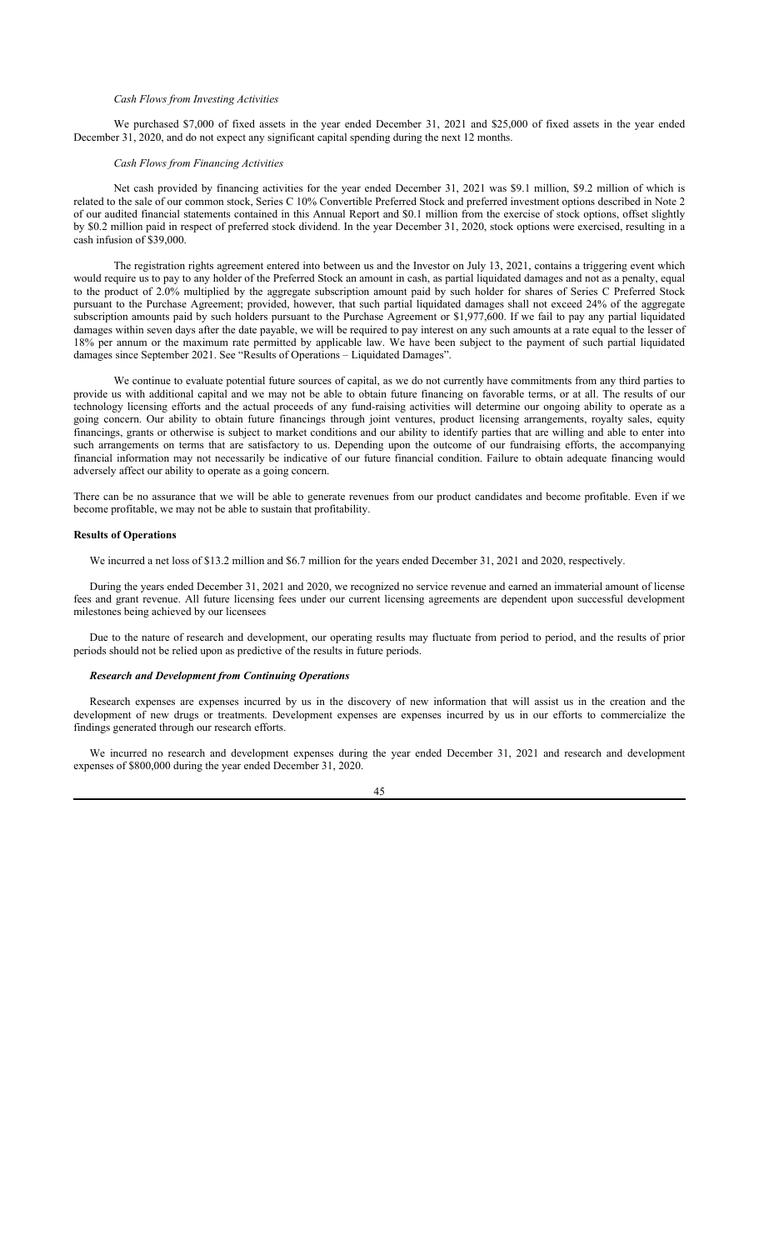## *Cash Flows from Investing Activities*

We purchased \$7,000 of fixed assets in the year ended December 31, 2021 and \$25,000 of fixed assets in the year ended December 31, 2020, and do not expect any significant capital spending during the next 12 months.

#### *Cash Flows from Financing Activities*

Net cash provided by financing activities for the year ended December 31, 2021 was \$9.1 million, \$9.2 million of which is related to the sale of our common stock, Series C 10% Convertible Preferred Stock and preferred investment options described in Note 2 of our audited financial statements contained in this Annual Report and \$0.1 million from the exercise of stock options, offset slightly by \$0.2 million paid in respect of preferred stock dividend. In the year December 31, 2020, stock options were exercised, resulting in a cash infusion of \$39,000.

The registration rights agreement entered into between us and the Investor on July 13, 2021, contains a triggering event which would require us to pay to any holder of the Preferred Stock an amount in cash, as partial liquidated damages and not as a penalty, equal to the product of 2.0% multiplied by the aggregate subscription amount paid by such holder for shares of Series C Preferred Stock pursuant to the Purchase Agreement; provided, however, that such partial liquidated damages shall not exceed 24% of the aggregate subscription amounts paid by such holders pursuant to the Purchase Agreement or \$1,977,600. If we fail to pay any partial liquidated damages within seven days after the date payable, we will be required to pay interest on any such amounts at a rate equal to the lesser of 18% per annum or the maximum rate permitted by applicable law. We have been subject to the payment of such partial liquidated damages since September 2021. See "Results of Operations – Liquidated Damages".

We continue to evaluate potential future sources of capital, as we do not currently have commitments from any third parties to provide us with additional capital and we may not be able to obtain future financing on favorable terms, or at all. The results of our technology licensing efforts and the actual proceeds of any fund-raising activities will determine our ongoing ability to operate as a going concern. Our ability to obtain future financings through joint ventures, product licensing arrangements, royalty sales, equity financings, grants or otherwise is subject to market conditions and our ability to identify parties that are willing and able to enter into such arrangements on terms that are satisfactory to us. Depending upon the outcome of our fundraising efforts, the accompanying financial information may not necessarily be indicative of our future financial condition. Failure to obtain adequate financing would adversely affect our ability to operate as a going concern.

There can be no assurance that we will be able to generate revenues from our product candidates and become profitable. Even if we become profitable, we may not be able to sustain that profitability.

## **Results of Operations**

We incurred a net loss of \$13.2 million and \$6.7 million for the years ended December 31, 2021 and 2020, respectively.

During the years ended December 31, 2021 and 2020, we recognized no service revenue and earned an immaterial amount of license fees and grant revenue. All future licensing fees under our current licensing agreements are dependent upon successful development milestones being achieved by our licensees

Due to the nature of research and development, our operating results may fluctuate from period to period, and the results of prior periods should not be relied upon as predictive of the results in future periods.

#### *Research and Development from Continuing Operations*

Research expenses are expenses incurred by us in the discovery of new information that will assist us in the creation and the development of new drugs or treatments. Development expenses are expenses incurred by us in our efforts to commercialize the findings generated through our research efforts.

We incurred no research and development expenses during the year ended December 31, 2021 and research and development expenses of \$800,000 during the year ended December 31, 2020.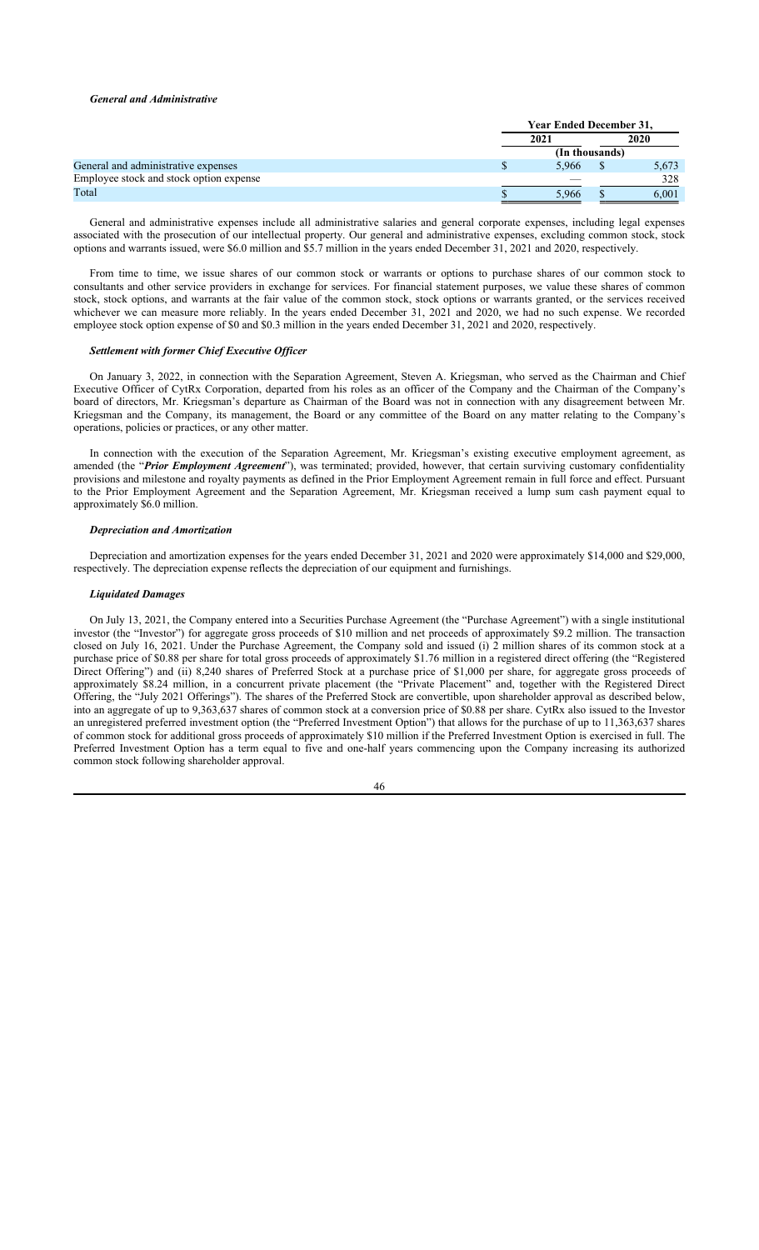#### *General and Administrative*

|                                         | <b>Year Ended December 31,</b> |  |       |
|-----------------------------------------|--------------------------------|--|-------|
|                                         | 2021                           |  | 2020  |
|                                         | (In thousands)                 |  |       |
| General and administrative expenses     | 5.966                          |  | 5,673 |
| Employee stock and stock option expense |                                |  | 328   |
| Total                                   | 5.966                          |  | 6.001 |

General and administrative expenses include all administrative salaries and general corporate expenses, including legal expenses associated with the prosecution of our intellectual property. Our general and administrative expenses, excluding common stock, stock options and warrants issued, were \$6.0 million and \$5.7 million in the years ended December 31, 2021 and 2020, respectively.

From time to time, we issue shares of our common stock or warrants or options to purchase shares of our common stock to consultants and other service providers in exchange for services. For financial statement purposes, we value these shares of common stock, stock options, and warrants at the fair value of the common stock, stock options or warrants granted, or the services received whichever we can measure more reliably. In the years ended December 31, 2021 and 2020, we had no such expense. We recorded employee stock option expense of \$0 and \$0.3 million in the years ended December 31, 2021 and 2020, respectively.

## *Settlement with former Chief Executive Officer*

On January 3, 2022, in connection with the Separation Agreement, Steven A. Kriegsman, who served as the Chairman and Chief Executive Officer of CytRx Corporation, departed from his roles as an officer of the Company and the Chairman of the Company's board of directors, Mr. Kriegsman's departure as Chairman of the Board was not in connection with any disagreement between Mr. Kriegsman and the Company, its management, the Board or any committee of the Board on any matter relating to the Company's operations, policies or practices, or any other matter.

In connection with the execution of the Separation Agreement, Mr. Kriegsman's existing executive employment agreement, as amended (the "*Prior Employment Agreement*"), was terminated; provided, however, that certain surviving customary confidentiality provisions and milestone and royalty payments as defined in the Prior Employment Agreement remain in full force and effect. Pursuant to the Prior Employment Agreement and the Separation Agreement, Mr. Kriegsman received a lump sum cash payment equal to approximately \$6.0 million.

### *Depreciation and Amortization*

Depreciation and amortization expenses for the years ended December 31, 2021 and 2020 were approximately \$14,000 and \$29,000, respectively. The depreciation expense reflects the depreciation of our equipment and furnishings.

#### *Liquidated Damages*

On July 13, 2021, the Company entered into a Securities Purchase Agreement (the "Purchase Agreement") with a single institutional investor (the "Investor") for aggregate gross proceeds of \$10 million and net proceeds of approximately \$9.2 million. The transaction closed on July 16, 2021. Under the Purchase Agreement, the Company sold and issued (i) 2 million shares of its common stock at a purchase price of \$0.88 per share for total gross proceeds of approximately \$1.76 million in a registered direct offering (the "Registered Direct Offering") and (ii) 8,240 shares of Preferred Stock at a purchase price of \$1,000 per share, for aggregate gross proceeds of approximately \$8.24 million, in a concurrent private placement (the "Private Placement" and, together with the Registered Direct Offering, the "July 2021 Offerings"). The shares of the Preferred Stock are convertible, upon shareholder approval as described below, into an aggregate of up to 9,363,637 shares of common stock at a conversion price of \$0.88 per share. CytRx also issued to the Investor an unregistered preferred investment option (the "Preferred Investment Option") that allows for the purchase of up to 11,363,637 shares of common stock for additional gross proceeds of approximately \$10 million if the Preferred Investment Option is exercised in full. The Preferred Investment Option has a term equal to five and one-half years commencing upon the Company increasing its authorized common stock following shareholder approval.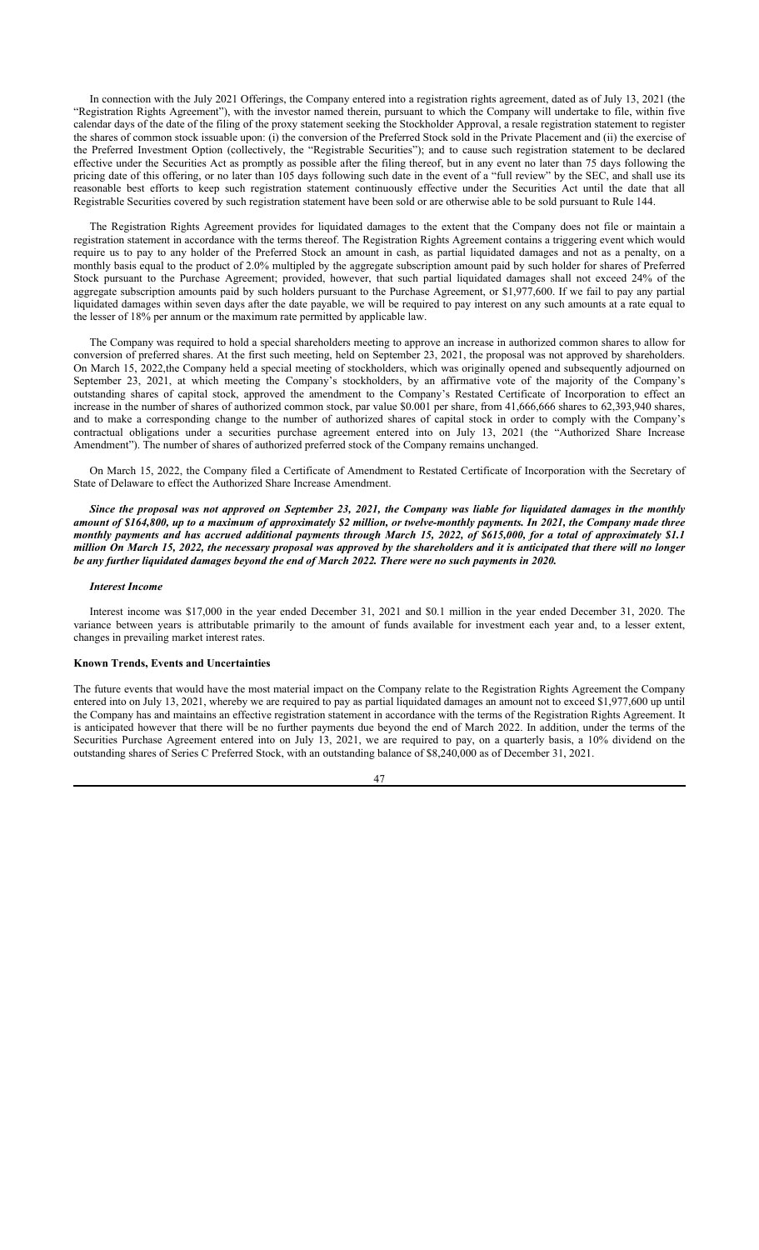In connection with the July 2021 Offerings, the Company entered into a registration rights agreement, dated as of July 13, 2021 (the "Registration Rights Agreement"), with the investor named therein, pursuant to which the Company will undertake to file, within five calendar days of the date of the filing of the proxy statement seeking the Stockholder Approval, a resale registration statement to register the shares of common stock issuable upon: (i) the conversion of the Preferred Stock sold in the Private Placement and (ii) the exercise of the Preferred Investment Option (collectively, the "Registrable Securities"); and to cause such registration statement to be declared effective under the Securities Act as promptly as possible after the filing thereof, but in any event no later than 75 days following the pricing date of this offering, or no later than 105 days following such date in the event of a "full review" by the SEC, and shall use its reasonable best efforts to keep such registration statement continuously effective under the Securities Act until the date that all Registrable Securities covered by such registration statement have been sold or are otherwise able to be sold pursuant to Rule 144.

The Registration Rights Agreement provides for liquidated damages to the extent that the Company does not file or maintain a registration statement in accordance with the terms thereof. The Registration Rights Agreement contains a triggering event which would require us to pay to any holder of the Preferred Stock an amount in cash, as partial liquidated damages and not as a penalty, on a monthly basis equal to the product of 2.0% multipled by the aggregate subscription amount paid by such holder for shares of Preferred Stock pursuant to the Purchase Agreement; provided, however, that such partial liquidated damages shall not exceed 24% of the aggregate subscription amounts paid by such holders pursuant to the Purchase Agreement, or \$1,977,600. If we fail to pay any partial liquidated damages within seven days after the date payable, we will be required to pay interest on any such amounts at a rate equal to the lesser of 18% per annum or the maximum rate permitted by applicable law.

The Company was required to hold a special shareholders meeting to approve an increase in authorized common shares to allow for conversion of preferred shares. At the first such meeting, held on September 23, 2021, the proposal was not approved by shareholders. On March 15, 2022,the Company held a special meeting of stockholders, which was originally opened and subsequently adjourned on September 23, 2021, at which meeting the Company's stockholders, by an affirmative vote of the majority of the Company's outstanding shares of capital stock, approved the amendment to the Company's Restated Certificate of Incorporation to effect an increase in the number of shares of authorized common stock, par value \$0.001 per share, from 41,666,666 shares to 62,393,940 shares, and to make a corresponding change to the number of authorized shares of capital stock in order to comply with the Company's contractual obligations under a securities purchase agreement entered into on July 13, 2021 (the "Authorized Share Increase Amendment"). The number of shares of authorized preferred stock of the Company remains unchanged.

On March 15, 2022, the Company filed a Certificate of Amendment to Restated Certificate of Incorporation with the Secretary of State of Delaware to effect the Authorized Share Increase Amendment.

*Since the proposal was not approved on September 23, 2021, the Company was liable for liquidated damages in the monthly amount of \$164,800, up to a maximum of approximately \$2 million, or twelve-monthly payments. In 2021, the Company made three monthly payments and has accrued additional payments through March 15, 2022, of \$615,000, for a total of approximately \$1.1 million On March 15, 2022, the necessary proposal was approved by the shareholders and it is anticipated that there will no longer be any further liquidated damages beyond the end of March 2022. There were no such payments in 2020.*

#### *Interest Income*

Interest income was \$17,000 in the year ended December 31, 2021 and \$0.1 million in the year ended December 31, 2020. The variance between years is attributable primarily to the amount of funds available for investment each year and, to a lesser extent, changes in prevailing market interest rates.

## **Known Trends, Events and Uncertainties**

The future events that would have the most material impact on the Company relate to the Registration Rights Agreement the Company entered into on July 13, 2021, whereby we are required to pay as partial liquidated damages an amount not to exceed \$1,977,600 up until the Company has and maintains an effective registration statement in accordance with the terms of the Registration Rights Agreement. It is anticipated however that there will be no further payments due beyond the end of March 2022. In addition, under the terms of the Securities Purchase Agreement entered into on July 13, 2021, we are required to pay, on a quarterly basis, a 10% dividend on the outstanding shares of Series C Preferred Stock, with an outstanding balance of \$8,240,000 as of December 31, 2021.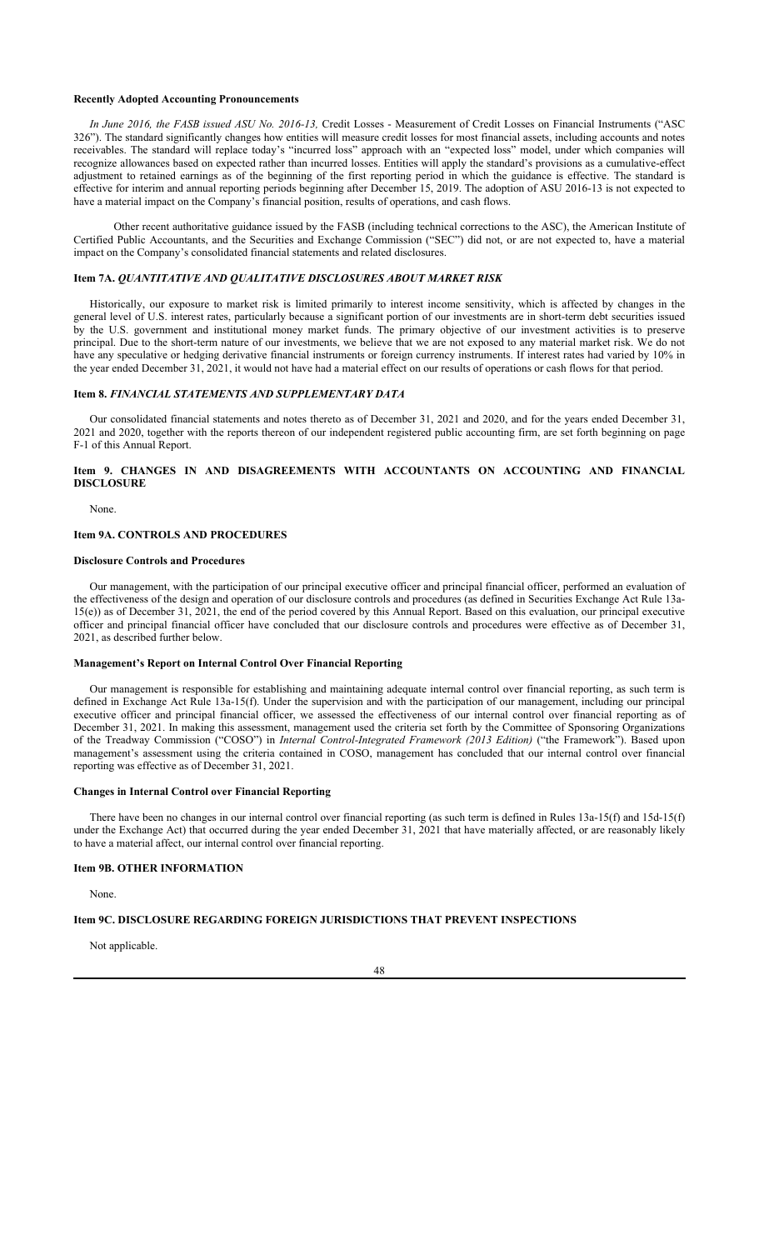## **Recently Adopted Accounting Pronouncements**

*In June 2016, the FASB issued ASU No. 2016-13,* Credit Losses - Measurement of Credit Losses on Financial Instruments ("ASC 326"). The standard significantly changes how entities will measure credit losses for most financial assets, including accounts and notes receivables. The standard will replace today's "incurred loss" approach with an "expected loss" model, under which companies will recognize allowances based on expected rather than incurred losses. Entities will apply the standard's provisions as a cumulative-effect adjustment to retained earnings as of the beginning of the first reporting period in which the guidance is effective. The standard is effective for interim and annual reporting periods beginning after December 15, 2019. The adoption of ASU 2016-13 is not expected to have a material impact on the Company's financial position, results of operations, and cash flows.

Other recent authoritative guidance issued by the FASB (including technical corrections to the ASC), the American Institute of Certified Public Accountants, and the Securities and Exchange Commission ("SEC") did not, or are not expected to, have a material impact on the Company's consolidated financial statements and related disclosures.

#### **Item 7A.** *QUANTITATIVE AND QUALITATIVE DISCLOSURES ABOUT MARKET RISK*

Historically, our exposure to market risk is limited primarily to interest income sensitivity, which is affected by changes in the general level of U.S. interest rates, particularly because a significant portion of our investments are in short-term debt securities issued by the U.S. government and institutional money market funds. The primary objective of our investment activities is to preserve principal. Due to the short-term nature of our investments, we believe that we are not exposed to any material market risk. We do not have any speculative or hedging derivative financial instruments or foreign currency instruments. If interest rates had varied by 10% in the year ended December 31, 2021, it would not have had a material effect on our results of operations or cash flows for that period.

## **Item 8.** *FINANCIAL STATEMENTS AND SUPPLEMENTARY DATA*

Our consolidated financial statements and notes thereto as of December 31, 2021 and 2020, and for the years ended December 31, 2021 and 2020, together with the reports thereon of our independent registered public accounting firm, are set forth beginning on page F-1 of this Annual Report.

## **Item 9. CHANGES IN AND DISAGREEMENTS WITH ACCOUNTANTS ON ACCOUNTING AND FINANCIAL DISCLOSURE**

None.

## **Item 9A. CONTROLS AND PROCEDURES**

#### **Disclosure Controls and Procedures**

Our management, with the participation of our principal executive officer and principal financial officer, performed an evaluation of the effectiveness of the design and operation of our disclosure controls and procedures (as defined in Securities Exchange Act Rule 13a-15(e)) as of December 31, 2021, the end of the period covered by this Annual Report. Based on this evaluation, our principal executive officer and principal financial officer have concluded that our disclosure controls and procedures were effective as of December 31, 2021, as described further below.

## **Management's Report on Internal Control Over Financial Reporting**

Our management is responsible for establishing and maintaining adequate internal control over financial reporting, as such term is defined in Exchange Act Rule 13a-15(f). Under the supervision and with the participation of our management, including our principal executive officer and principal financial officer, we assessed the effectiveness of our internal control over financial reporting as of December 31, 2021. In making this assessment, management used the criteria set forth by the Committee of Sponsoring Organizations of the Treadway Commission ("COSO") in *Internal Control-Integrated Framework (2013 Edition)* ("the Framework"). Based upon management's assessment using the criteria contained in COSO, management has concluded that our internal control over financial reporting was effective as of December 31, 2021.

#### **Changes in Internal Control over Financial Reporting**

There have been no changes in our internal control over financial reporting (as such term is defined in Rules 13a-15(f) and 15d-15(f) under the Exchange Act) that occurred during the year ended December 31, 2021 that have materially affected, or are reasonably likely to have a material affect, our internal control over financial reporting.

## **Item 9B. OTHER INFORMATION**

None.

## **Item 9C. DISCLOSURE REGARDING FOREIGN JURISDICTIONS THAT PREVENT INSPECTIONS**

Not applicable.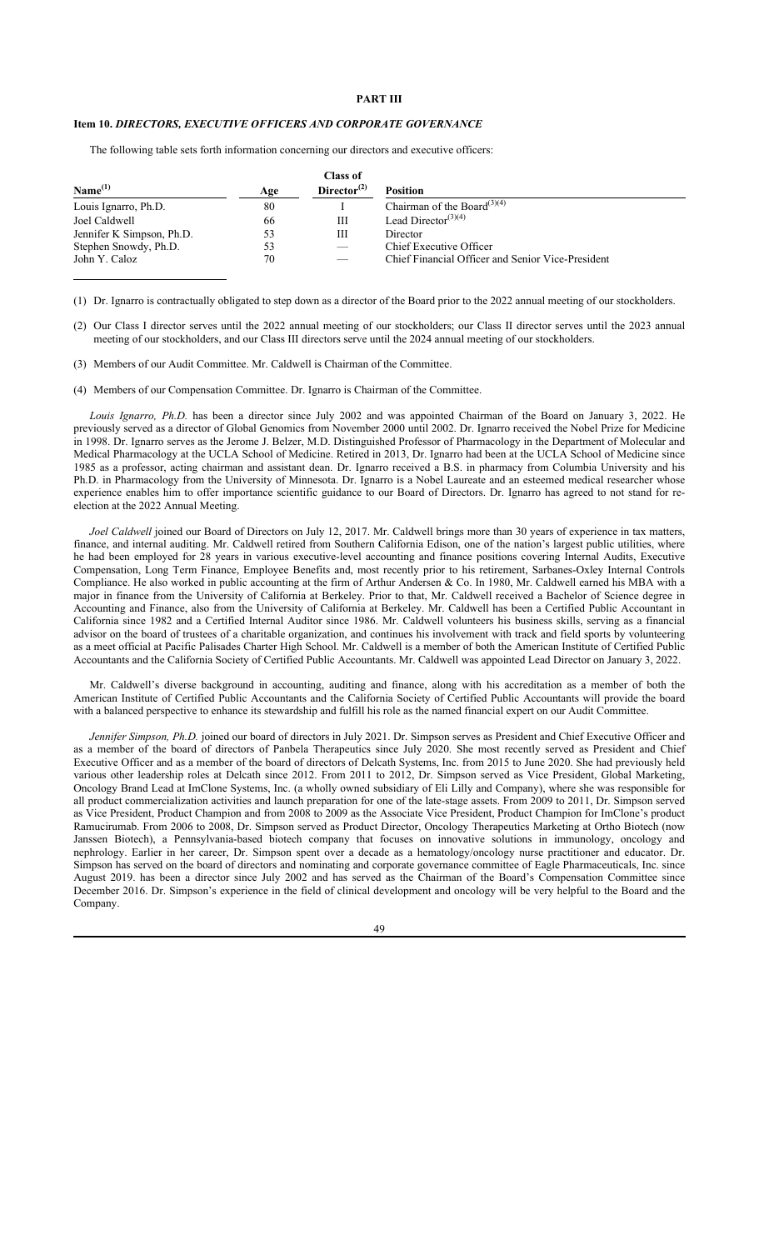## **PART III**

## **Item 10.** *DIRECTORS, EXECUTIVE OFFICERS AND CORPORATE GOVERNANCE*

The following table sets forth information concerning our directors and executive officers:

|                           |     | <b>Class of</b>         |                                                   |
|---------------------------|-----|-------------------------|---------------------------------------------------|
| Name <sup>(1)</sup>       | Age | Director <sup>(2)</sup> | <b>Position</b>                                   |
| Louis Ignarro, Ph.D.      | 80  |                         | Chairman of the Board $(3)(4)$                    |
| Joel Caldwell             | 66  | Ш                       | Lead Director <sup><math>(3)(4)</math></sup>      |
| Jennifer K Simpson, Ph.D. | 53  | Ш                       | Director                                          |
| Stephen Snowdy, Ph.D.     | 53  |                         | Chief Executive Officer                           |
| John Y. Caloz             | 70  | $\frac{1}{2}$           | Chief Financial Officer and Senior Vice-President |

(1) Dr. Ignarro is contractually obligated to step down as a director of the Board prior to the 2022 annual meeting of our stockholders.

- (2) Our Class I director serves until the 2022 annual meeting of our stockholders; our Class II director serves until the 2023 annual meeting of our stockholders, and our Class III directors serve until the 2024 annual meeting of our stockholders.
- (3) Members of our Audit Committee. Mr. Caldwell is Chairman of the Committee.
- (4) Members of our Compensation Committee. Dr. Ignarro is Chairman of the Committee.

*Louis Ignarro, Ph.D.* has been a director since July 2002 and was appointed Chairman of the Board on January 3, 2022. He previously served as a director of Global Genomics from November 2000 until 2002. Dr. Ignarro received the Nobel Prize for Medicine in 1998. Dr. Ignarro serves as the Jerome J. Belzer, M.D. Distinguished Professor of Pharmacology in the Department of Molecular and Medical Pharmacology at the UCLA School of Medicine. Retired in 2013, Dr. Ignarro had been at the UCLA School of Medicine since 1985 as a professor, acting chairman and assistant dean. Dr. Ignarro received a B.S. in pharmacy from Columbia University and his Ph.D. in Pharmacology from the University of Minnesota. Dr. Ignarro is a Nobel Laureate and an esteemed medical researcher whose experience enables him to offer importance scientific guidance to our Board of Directors. Dr. Ignarro has agreed to not stand for reelection at the 2022 Annual Meeting.

*Joel Caldwell* joined our Board of Directors on July 12, 2017. Mr. Caldwell brings more than 30 years of experience in tax matters, finance, and internal auditing. Mr. Caldwell retired from Southern California Edison, one of the nation's largest public utilities, where he had been employed for 28 years in various executive-level accounting and finance positions covering Internal Audits, Executive Compensation, Long Term Finance, Employee Benefits and, most recently prior to his retirement, Sarbanes-Oxley Internal Controls Compliance. He also worked in public accounting at the firm of Arthur Andersen & Co. In 1980, Mr. Caldwell earned his MBA with a major in finance from the University of California at Berkeley. Prior to that, Mr. Caldwell received a Bachelor of Science degree in Accounting and Finance, also from the University of California at Berkeley. Mr. Caldwell has been a Certified Public Accountant in California since 1982 and a Certified Internal Auditor since 1986. Mr. Caldwell volunteers his business skills, serving as a financial advisor on the board of trustees of a charitable organization, and continues his involvement with track and field sports by volunteering as a meet official at Pacific Palisades Charter High School. Mr. Caldwell is a member of both the American Institute of Certified Public Accountants and the California Society of Certified Public Accountants. Mr. Caldwell was appointed Lead Director on January 3, 2022.

Mr. Caldwell's diverse background in accounting, auditing and finance, along with his accreditation as a member of both the American Institute of Certified Public Accountants and the California Society of Certified Public Accountants will provide the board with a balanced perspective to enhance its stewardship and fulfill his role as the named financial expert on our Audit Committee.

*Jennifer Simpson, Ph.D.* joined our board of directors in July 2021. Dr. Simpson serves as President and Chief Executive Officer and as a member of the board of directors of Panbela Therapeutics since July 2020. She most recently served as President and Chief Executive Officer and as a member of the board of directors of Delcath Systems, Inc. from 2015 to June 2020. She had previously held various other leadership roles at Delcath since 2012. From 2011 to 2012, Dr. Simpson served as Vice President, Global Marketing, Oncology Brand Lead at ImClone Systems, Inc. (a wholly owned subsidiary of Eli Lilly and Company), where she was responsible for all product commercialization activities and launch preparation for one of the late-stage assets. From 2009 to 2011, Dr. Simpson served as Vice President, Product Champion and from 2008 to 2009 as the Associate Vice President, Product Champion for ImClone's product Ramucirumab. From 2006 to 2008, Dr. Simpson served as Product Director, Oncology Therapeutics Marketing at Ortho Biotech (now Janssen Biotech), a Pennsylvania-based biotech company that focuses on innovative solutions in immunology, oncology and nephrology. Earlier in her career, Dr. Simpson spent over a decade as a hematology/oncology nurse practitioner and educator. Dr. Simpson has served on the board of directors and nominating and corporate governance committee of Eagle Pharmaceuticals, Inc. since August 2019. has been a director since July 2002 and has served as the Chairman of the Board's Compensation Committee since December 2016. Dr. Simpson's experience in the field of clinical development and oncology will be very helpful to the Board and the Company.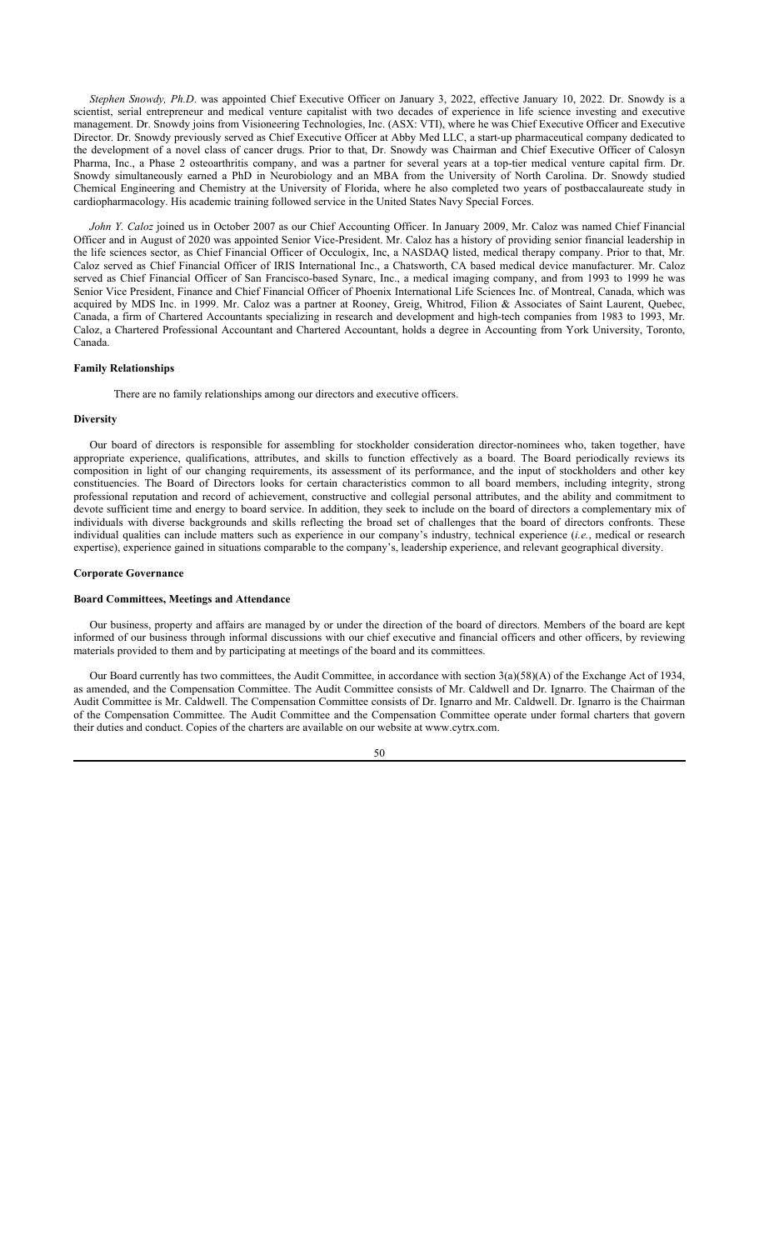*Stephen Snowdy, Ph.D*. was appointed Chief Executive Officer on January 3, 2022, effective January 10, 2022. Dr. Snowdy is a scientist, serial entrepreneur and medical venture capitalist with two decades of experience in life science investing and executive management. Dr. Snowdy joins from Visioneering Technologies, Inc. (ASX: VTI), where he was Chief Executive Officer and Executive Director. Dr. Snowdy previously served as Chief Executive Officer at Abby Med LLC, a start-up pharmaceutical company dedicated to the development of a novel class of cancer drugs. Prior to that, Dr. Snowdy was Chairman and Chief Executive Officer of Calosyn Pharma, Inc., a Phase 2 osteoarthritis company, and was a partner for several years at a top-tier medical venture capital firm. Dr. Snowdy simultaneously earned a PhD in Neurobiology and an MBA from the University of North Carolina. Dr. Snowdy studied Chemical Engineering and Chemistry at the University of Florida, where he also completed two years of postbaccalaureate study in cardiopharmacology. His academic training followed service in the United States Navy Special Forces.

*John Y. Caloz* joined us in October 2007 as our Chief Accounting Officer. In January 2009, Mr. Caloz was named Chief Financial Officer and in August of 2020 was appointed Senior Vice-President. Mr. Caloz has a history of providing senior financial leadership in the life sciences sector, as Chief Financial Officer of Occulogix, Inc, a NASDAQ listed, medical therapy company. Prior to that, Mr. Caloz served as Chief Financial Officer of IRIS International Inc., a Chatsworth, CA based medical device manufacturer. Mr. Caloz served as Chief Financial Officer of San Francisco-based Synarc, Inc., a medical imaging company, and from 1993 to 1999 he was Senior Vice President, Finance and Chief Financial Officer of Phoenix International Life Sciences Inc. of Montreal, Canada, which was acquired by MDS Inc. in 1999. Mr. Caloz was a partner at Rooney, Greig, Whitrod, Filion & Associates of Saint Laurent, Quebec, Canada, a firm of Chartered Accountants specializing in research and development and high-tech companies from 1983 to 1993, Mr. Caloz, a Chartered Professional Accountant and Chartered Accountant, holds a degree in Accounting from York University, Toronto, Canada.

## **Family Relationships**

There are no family relationships among our directors and executive officers.

## **Diversity**

Our board of directors is responsible for assembling for stockholder consideration director-nominees who, taken together, have appropriate experience, qualifications, attributes, and skills to function effectively as a board. The Board periodically reviews its composition in light of our changing requirements, its assessment of its performance, and the input of stockholders and other key constituencies. The Board of Directors looks for certain characteristics common to all board members, including integrity, strong professional reputation and record of achievement, constructive and collegial personal attributes, and the ability and commitment to devote sufficient time and energy to board service. In addition, they seek to include on the board of directors a complementary mix of individuals with diverse backgrounds and skills reflecting the broad set of challenges that the board of directors confronts. These individual qualities can include matters such as experience in our company's industry, technical experience (*i.e.*, medical or research expertise), experience gained in situations comparable to the company's, leadership experience, and relevant geographical diversity.

## **Corporate Governance**

## **Board Committees, Meetings and Attendance**

Our business, property and affairs are managed by or under the direction of the board of directors. Members of the board are kept informed of our business through informal discussions with our chief executive and financial officers and other officers, by reviewing materials provided to them and by participating at meetings of the board and its committees.

Our Board currently has two committees, the Audit Committee, in accordance with section 3(a)(58)(A) of the Exchange Act of 1934, as amended, and the Compensation Committee. The Audit Committee consists of Mr. Caldwell and Dr. Ignarro. The Chairman of the Audit Committee is Mr. Caldwell. The Compensation Committee consists of Dr. Ignarro and Mr. Caldwell. Dr. Ignarro is the Chairman of the Compensation Committee. The Audit Committee and the Compensation Committee operate under formal charters that govern their duties and conduct. Copies of the charters are available on our website at www.cytrx.com.

$$
50\\
$$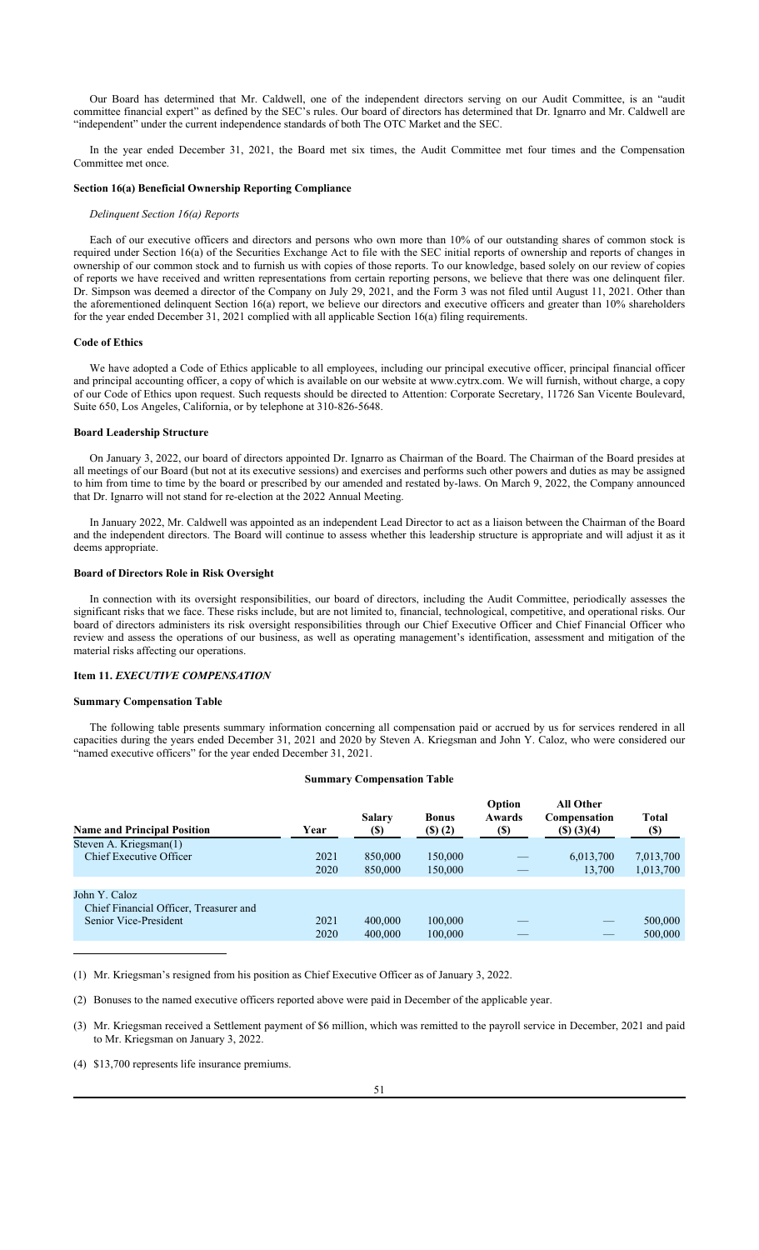Our Board has determined that Mr. Caldwell, one of the independent directors serving on our Audit Committee, is an "audit committee financial expert" as defined by the SEC's rules. Our board of directors has determined that Dr. Ignarro and Mr. Caldwell are "independent" under the current independence standards of both The OTC Market and the SEC.

In the year ended December 31, 2021, the Board met six times, the Audit Committee met four times and the Compensation Committee met once.

## **Section 16(a) Beneficial Ownership Reporting Compliance**

#### *Delinquent Section 16(a) Reports*

Each of our executive officers and directors and persons who own more than 10% of our outstanding shares of common stock is required under Section 16(a) of the Securities Exchange Act to file with the SEC initial reports of ownership and reports of changes in ownership of our common stock and to furnish us with copies of those reports. To our knowledge, based solely on our review of copies of reports we have received and written representations from certain reporting persons, we believe that there was one delinquent filer. Dr. Simpson was deemed a director of the Company on July 29, 2021, and the Form 3 was not filed until August 11, 2021. Other than the aforementioned delinquent Section 16(a) report, we believe our directors and executive officers and greater than 10% shareholders for the year ended December 31, 2021 complied with all applicable Section 16(a) filing requirements.

## **Code of Ethics**

We have adopted a Code of Ethics applicable to all employees, including our principal executive officer, principal financial officer and principal accounting officer, a copy of which is available on our website at www.cytrx.com. We will furnish, without charge, a copy of our Code of Ethics upon request. Such requests should be directed to Attention: Corporate Secretary, 11726 San Vicente Boulevard, Suite 650, Los Angeles, California, or by telephone at 310-826-5648.

#### **Board Leadership Structure**

On January 3, 2022, our board of directors appointed Dr. Ignarro as Chairman of the Board. The Chairman of the Board presides at all meetings of our Board (but not at its executive sessions) and exercises and performs such other powers and duties as may be assigned to him from time to time by the board or prescribed by our amended and restated by-laws. On March 9, 2022, the Company announced that Dr. Ignarro will not stand for re-election at the 2022 Annual Meeting.

In January 2022, Mr. Caldwell was appointed as an independent Lead Director to act as a liaison between the Chairman of the Board and the independent directors. The Board will continue to assess whether this leadership structure is appropriate and will adjust it as it deems appropriate.

## **Board of Directors Role in Risk Oversight**

In connection with its oversight responsibilities, our board of directors, including the Audit Committee, periodically assesses the significant risks that we face. These risks include, but are not limited to, financial, technological, competitive, and operational risks. Our board of directors administers its risk oversight responsibilities through our Chief Executive Officer and Chief Financial Officer who review and assess the operations of our business, as well as operating management's identification, assessment and mitigation of the material risks affecting our operations.

## **Item 11.** *EXECUTIVE COMPENSATION*

#### **Summary Compensation Table**

The following table presents summary information concerning all compensation paid or accrued by us for services rendered in all capacities during the years ended December 31, 2021 and 2020 by Steven A. Kriegsman and John Y. Caloz, who were considered our "named executive officers" for the year ended December 31, 2021.

## **Summary Compensation Table**

| <b>Name and Principal Position</b>     | Year | <b>Salary</b><br><b>(\$)</b> | <b>Bonus</b><br>$($ \$ $)(2)$ | Option<br>Awards<br><b>(\$)</b> | <b>All Other</b><br>Compensation<br>() (3)(4) | Total<br><b>(\$)</b> |
|----------------------------------------|------|------------------------------|-------------------------------|---------------------------------|-----------------------------------------------|----------------------|
| Steven A. Kriegsman(1)                 |      |                              |                               |                                 |                                               |                      |
| Chief Executive Officer                | 2021 | 850,000                      | 150,000                       |                                 | 6,013,700                                     | 7,013,700            |
|                                        | 2020 | 850,000                      | 150,000                       |                                 | 13,700                                        | 1,013,700            |
|                                        |      |                              |                               |                                 |                                               |                      |
| John Y. Caloz                          |      |                              |                               |                                 |                                               |                      |
| Chief Financial Officer, Treasurer and |      |                              |                               |                                 |                                               |                      |
| Senior Vice-President                  | 2021 | 400,000                      | 100,000                       |                                 |                                               | 500,000              |
|                                        | 2020 | 400,000                      | 100,000                       |                                 |                                               | 500,000              |

(1) Mr. Kriegsman's resigned from his position as Chief Executive Officer as of January 3, 2022.

(2) Bonuses to the named executive officers reported above were paid in December of the applicable year.

(3) Mr. Kriegsman received a Settlement payment of \$6 million, which was remitted to the payroll service in December, 2021 and paid to Mr. Kriegsman on January 3, 2022.

(4) \$13,700 represents life insurance premiums.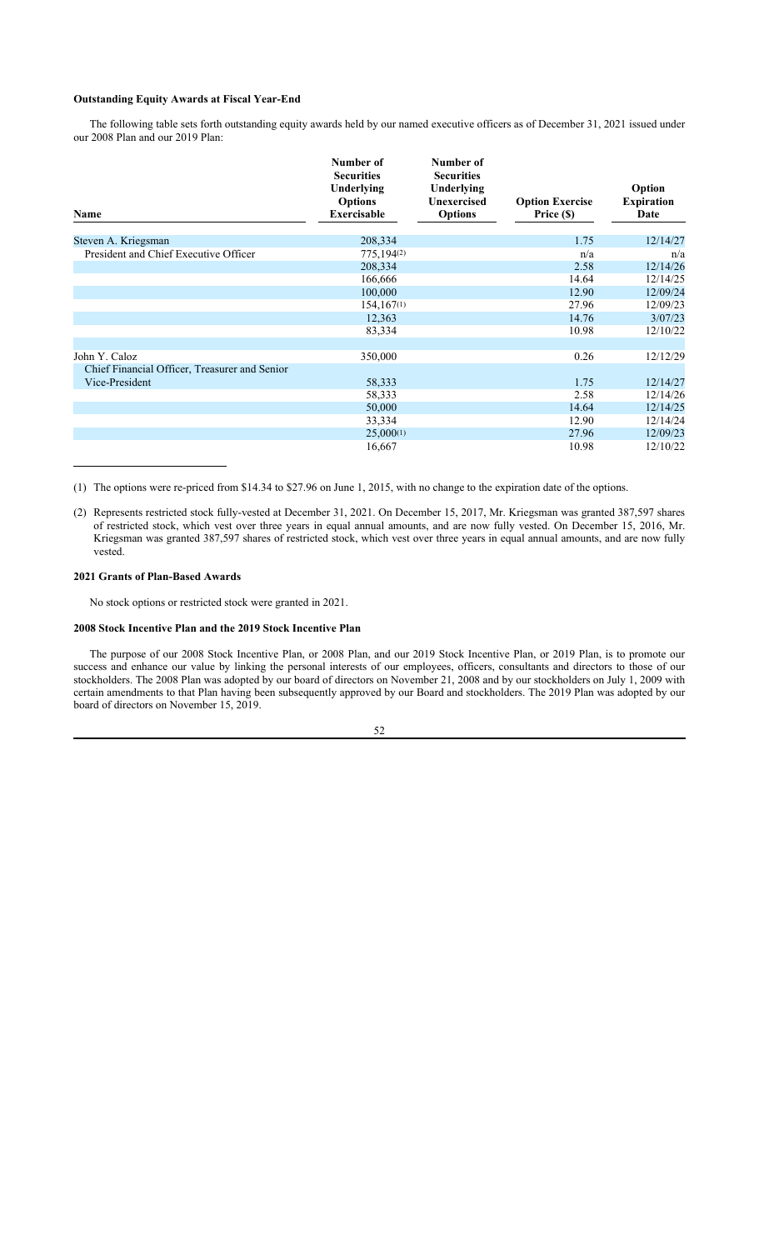## **Outstanding Equity Awards at Fiscal Year-End**

The following table sets forth outstanding equity awards held by our named executive officers as of December 31, 2021 issued under our 2008 Plan and our 2019 Plan:

| Name                                          | Number of<br><b>Securities</b><br>Underlying<br><b>Options</b><br><b>Exercisable</b> | Number of<br><b>Securities</b><br>Underlying<br>Unexercised<br><b>Options</b> | <b>Option Exercise</b><br>Price (\$) | Option<br><b>Expiration</b><br>Date |
|-----------------------------------------------|--------------------------------------------------------------------------------------|-------------------------------------------------------------------------------|--------------------------------------|-------------------------------------|
| Steven A. Kriegsman                           | 208,334                                                                              |                                                                               | 1.75                                 | 12/14/27                            |
| President and Chief Executive Officer         | 775,194(2)                                                                           |                                                                               | n/a                                  | n/a                                 |
|                                               | 208,334                                                                              |                                                                               | 2.58                                 | 12/14/26                            |
|                                               | 166,666                                                                              |                                                                               | 14.64                                | 12/14/25                            |
|                                               | 100,000                                                                              |                                                                               | 12.90                                | 12/09/24                            |
|                                               | 154, 167(1)                                                                          |                                                                               | 27.96                                | 12/09/23                            |
|                                               | 12,363                                                                               |                                                                               | 14.76                                | 3/07/23                             |
|                                               | 83,334                                                                               |                                                                               | 10.98                                | 12/10/22                            |
| John Y. Caloz                                 | 350,000                                                                              |                                                                               | 0.26                                 | 12/12/29                            |
| Chief Financial Officer, Treasurer and Senior |                                                                                      |                                                                               |                                      |                                     |
| Vice-President                                | 58,333                                                                               |                                                                               | 1.75                                 | 12/14/27                            |
|                                               | 58,333                                                                               |                                                                               | 2.58                                 | 12/14/26                            |
|                                               | 50,000                                                                               |                                                                               | 14.64                                | 12/14/25                            |
|                                               | 33,334                                                                               |                                                                               | 12.90                                | 12/14/24                            |
|                                               | 25,000(1)                                                                            |                                                                               | 27.96                                | 12/09/23                            |
|                                               | 16,667                                                                               |                                                                               | 10.98                                | 12/10/22                            |

(1) The options were re-priced from \$14.34 to \$27.96 on June 1, 2015, with no change to the expiration date of the options.

(2) Represents restricted stock fully-vested at December 31, 2021. On December 15, 2017, Mr. Kriegsman was granted 387,597 shares of restricted stock, which vest over three years in equal annual amounts, and are now fully vested. On December 15, 2016, Mr. Kriegsman was granted 387,597 shares of restricted stock, which vest over three years in equal annual amounts, and are now fully vested.

## **2021 Grants of Plan-Based Awards**

No stock options or restricted stock were granted in 2021.

## **2008 Stock Incentive Plan and the 2019 Stock Incentive Plan**

The purpose of our 2008 Stock Incentive Plan, or 2008 Plan, and our 2019 Stock Incentive Plan, or 2019 Plan, is to promote our success and enhance our value by linking the personal interests of our employees, officers, consultants and directors to those of our stockholders. The 2008 Plan was adopted by our board of directors on November 21, 2008 and by our stockholders on July 1, 2009 with certain amendments to that Plan having been subsequently approved by our Board and stockholders. The 2019 Plan was adopted by our board of directors on November 15, 2019.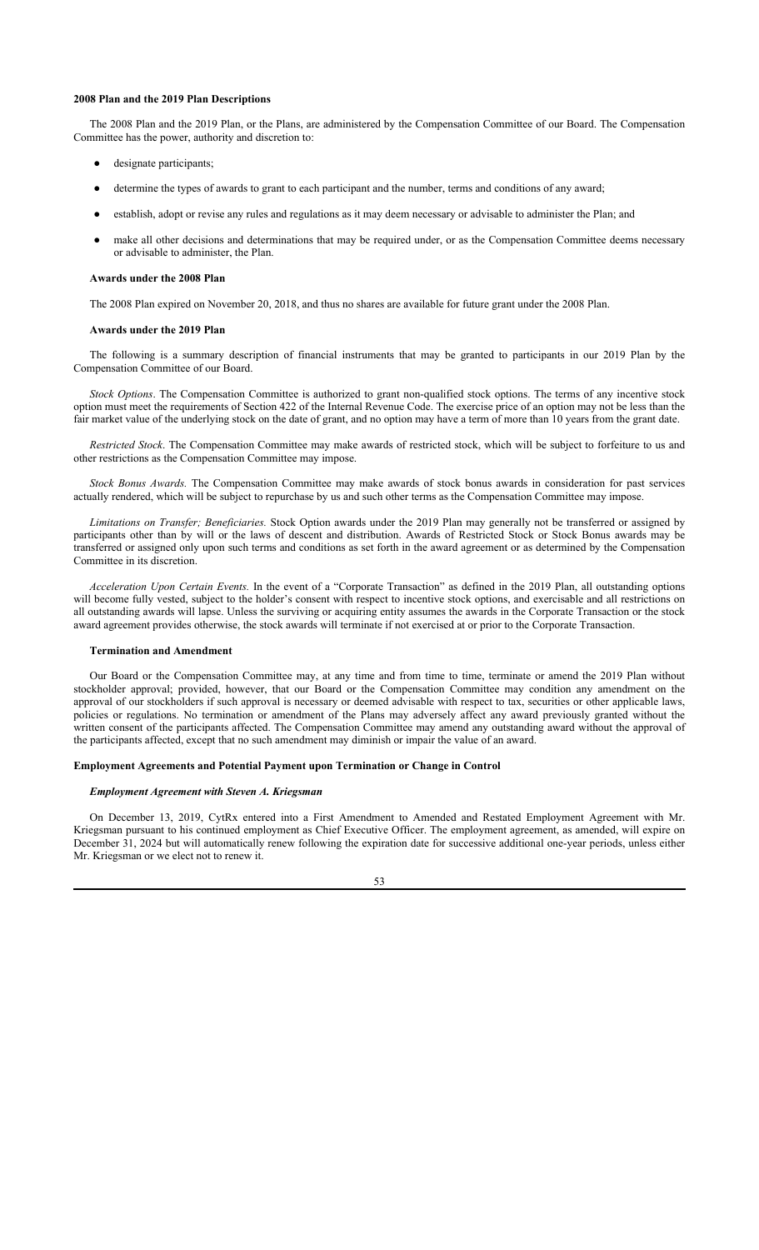#### **2008 Plan and the 2019 Plan Descriptions**

The 2008 Plan and the 2019 Plan, or the Plans, are administered by the Compensation Committee of our Board. The Compensation Committee has the power, authority and discretion to:

- $\bullet$  designate participants;
- determine the types of awards to grant to each participant and the number, terms and conditions of any award;
- establish, adopt or revise any rules and regulations as it may deem necessary or advisable to administer the Plan; and
- make all other decisions and determinations that may be required under, or as the Compensation Committee deems necessary or advisable to administer, the Plan.

#### **Awards under the 2008 Plan**

The 2008 Plan expired on November 20, 2018, and thus no shares are available for future grant under the 2008 Plan.

#### **Awards under the 2019 Plan**

The following is a summary description of financial instruments that may be granted to participants in our 2019 Plan by the Compensation Committee of our Board.

*Stock Options*. The Compensation Committee is authorized to grant non-qualified stock options. The terms of any incentive stock option must meet the requirements of Section 422 of the Internal Revenue Code. The exercise price of an option may not be less than the fair market value of the underlying stock on the date of grant, and no option may have a term of more than 10 years from the grant date.

*Restricted Stock*. The Compensation Committee may make awards of restricted stock, which will be subject to forfeiture to us and other restrictions as the Compensation Committee may impose.

*Stock Bonus Awards.* The Compensation Committee may make awards of stock bonus awards in consideration for past services actually rendered, which will be subject to repurchase by us and such other terms as the Compensation Committee may impose.

*Limitations on Transfer; Beneficiaries.* Stock Option awards under the 2019 Plan may generally not be transferred or assigned by participants other than by will or the laws of descent and distribution. Awards of Restricted Stock or Stock Bonus awards may be transferred or assigned only upon such terms and conditions as set forth in the award agreement or as determined by the Compensation Committee in its discretion.

*Acceleration Upon Certain Events.* In the event of a "Corporate Transaction" as defined in the 2019 Plan, all outstanding options will become fully vested, subject to the holder's consent with respect to incentive stock options, and exercisable and all restrictions on all outstanding awards will lapse. Unless the surviving or acquiring entity assumes the awards in the Corporate Transaction or the stock award agreement provides otherwise, the stock awards will terminate if not exercised at or prior to the Corporate Transaction.

#### **Termination and Amendment**

Our Board or the Compensation Committee may, at any time and from time to time, terminate or amend the 2019 Plan without stockholder approval; provided, however, that our Board or the Compensation Committee may condition any amendment on the approval of our stockholders if such approval is necessary or deemed advisable with respect to tax, securities or other applicable laws, policies or regulations. No termination or amendment of the Plans may adversely affect any award previously granted without the written consent of the participants affected. The Compensation Committee may amend any outstanding award without the approval of the participants affected, except that no such amendment may diminish or impair the value of an award.

## **Employment Agreements and Potential Payment upon Termination or Change in Control**

#### *Employment Agreement with Steven A. Kriegsman*

On December 13, 2019, CytRx entered into a First Amendment to Amended and Restated Employment Agreement with Mr. Kriegsman pursuant to his continued employment as Chief Executive Officer. The employment agreement, as amended, will expire on December 31, 2024 but will automatically renew following the expiration date for successive additional one-year periods, unless either Mr. Kriegsman or we elect not to renew it.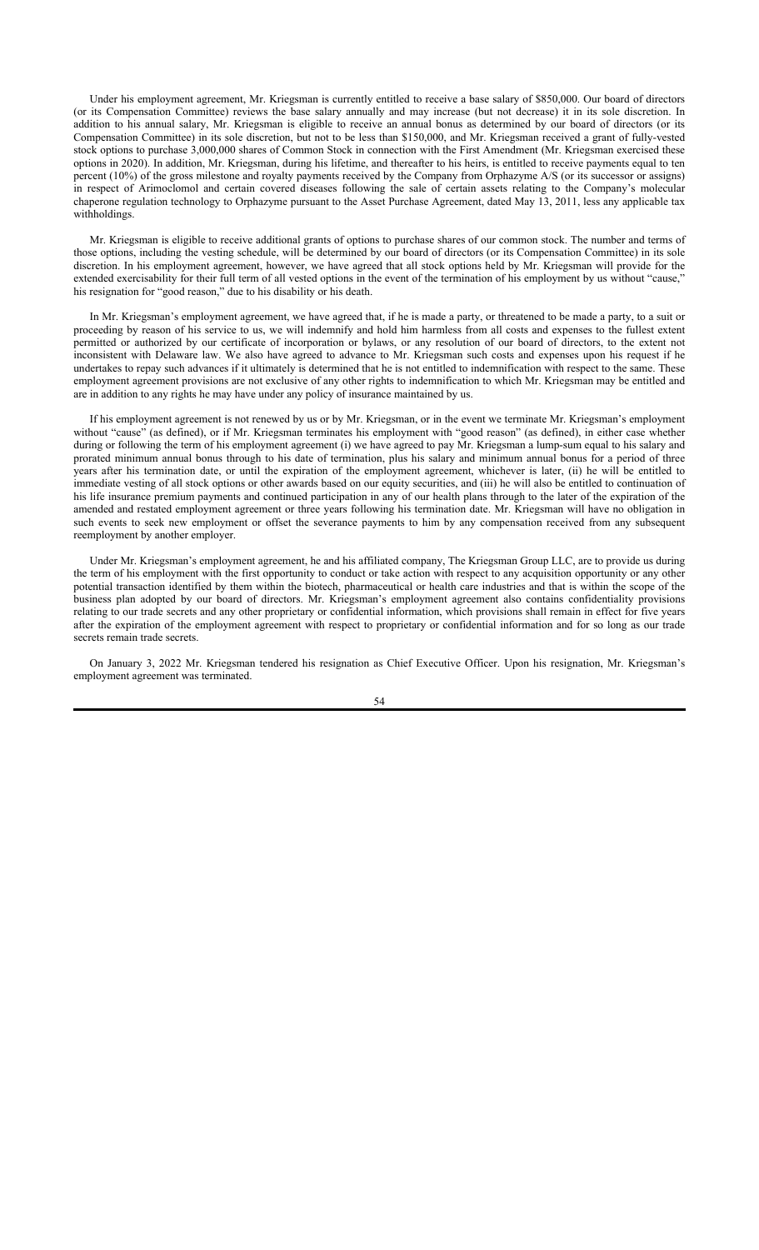Under his employment agreement, Mr. Kriegsman is currently entitled to receive a base salary of \$850,000. Our board of directors (or its Compensation Committee) reviews the base salary annually and may increase (but not decrease) it in its sole discretion. In addition to his annual salary, Mr. Kriegsman is eligible to receive an annual bonus as determined by our board of directors (or its Compensation Committee) in its sole discretion, but not to be less than \$150,000, and Mr. Kriegsman received a grant of fully-vested stock options to purchase 3,000,000 shares of Common Stock in connection with the First Amendment (Mr. Kriegsman exercised these options in 2020). In addition, Mr. Kriegsman, during his lifetime, and thereafter to his heirs, is entitled to receive payments equal to ten percent (10%) of the gross milestone and royalty payments received by the Company from Orphazyme A/S (or its successor or assigns) in respect of Arimoclomol and certain covered diseases following the sale of certain assets relating to the Company's molecular chaperone regulation technology to Orphazyme pursuant to the Asset Purchase Agreement, dated May 13, 2011, less any applicable tax withholdings.

Mr. Kriegsman is eligible to receive additional grants of options to purchase shares of our common stock. The number and terms of those options, including the vesting schedule, will be determined by our board of directors (or its Compensation Committee) in its sole discretion. In his employment agreement, however, we have agreed that all stock options held by Mr. Kriegsman will provide for the extended exercisability for their full term of all vested options in the event of the termination of his employment by us without "cause," his resignation for "good reason," due to his disability or his death.

In Mr. Kriegsman's employment agreement, we have agreed that, if he is made a party, or threatened to be made a party, to a suit or proceeding by reason of his service to us, we will indemnify and hold him harmless from all costs and expenses to the fullest extent permitted or authorized by our certificate of incorporation or bylaws, or any resolution of our board of directors, to the extent not inconsistent with Delaware law. We also have agreed to advance to Mr. Kriegsman such costs and expenses upon his request if he undertakes to repay such advances if it ultimately is determined that he is not entitled to indemnification with respect to the same. These employment agreement provisions are not exclusive of any other rights to indemnification to which Mr. Kriegsman may be entitled and are in addition to any rights he may have under any policy of insurance maintained by us.

If his employment agreement is not renewed by us or by Mr. Kriegsman, or in the event we terminate Mr. Kriegsman's employment without "cause" (as defined), or if Mr. Kriegsman terminates his employment with "good reason" (as defined), in either case whether during or following the term of his employment agreement (i) we have agreed to pay Mr. Kriegsman a lump-sum equal to his salary and prorated minimum annual bonus through to his date of termination, plus his salary and minimum annual bonus for a period of three years after his termination date, or until the expiration of the employment agreement, whichever is later, (ii) he will be entitled to immediate vesting of all stock options or other awards based on our equity securities, and (iii) he will also be entitled to continuation of his life insurance premium payments and continued participation in any of our health plans through to the later of the expiration of the amended and restated employment agreement or three years following his termination date. Mr. Kriegsman will have no obligation in such events to seek new employment or offset the severance payments to him by any compensation received from any subsequent reemployment by another employer.

Under Mr. Kriegsman's employment agreement, he and his affiliated company, The Kriegsman Group LLC, are to provide us during the term of his employment with the first opportunity to conduct or take action with respect to any acquisition opportunity or any other potential transaction identified by them within the biotech, pharmaceutical or health care industries and that is within the scope of the business plan adopted by our board of directors. Mr. Kriegsman's employment agreement also contains confidentiality provisions relating to our trade secrets and any other proprietary or confidential information, which provisions shall remain in effect for five years after the expiration of the employment agreement with respect to proprietary or confidential information and for so long as our trade secrets remain trade secrets.

On January 3, 2022 Mr. Kriegsman tendered his resignation as Chief Executive Officer. Upon his resignation, Mr. Kriegsman's employment agreement was terminated.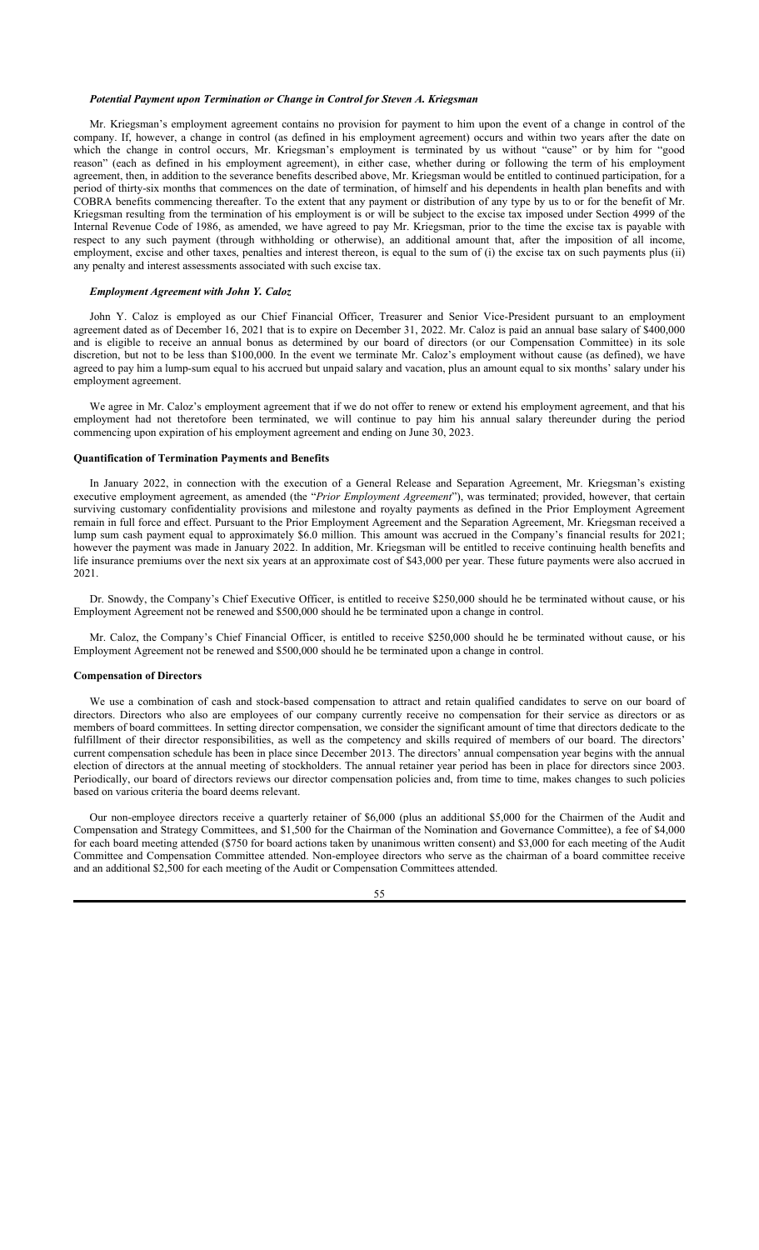## *Potential Payment upon Termination or Change in Control for Steven A. Kriegsman*

Mr. Kriegsman's employment agreement contains no provision for payment to him upon the event of a change in control of the company. If, however, a change in control (as defined in his employment agreement) occurs and within two years after the date on which the change in control occurs, Mr. Kriegsman's employment is terminated by us without "cause" or by him for "good reason" (each as defined in his employment agreement), in either case, whether during or following the term of his employment agreement, then, in addition to the severance benefits described above, Mr. Kriegsman would be entitled to continued participation, for a period of thirty-six months that commences on the date of termination, of himself and his dependents in health plan benefits and with COBRA benefits commencing thereafter. To the extent that any payment or distribution of any type by us to or for the benefit of Mr. Kriegsman resulting from the termination of his employment is or will be subject to the excise tax imposed under Section 4999 of the Internal Revenue Code of 1986, as amended, we have agreed to pay Mr. Kriegsman, prior to the time the excise tax is payable with respect to any such payment (through withholding or otherwise), an additional amount that, after the imposition of all income, employment, excise and other taxes, penalties and interest thereon, is equal to the sum of (i) the excise tax on such payments plus (ii) any penalty and interest assessments associated with such excise tax.

## *Employment Agreement with John Y. Caloz*

John Y. Caloz is employed as our Chief Financial Officer, Treasurer and Senior Vice-President pursuant to an employment agreement dated as of December 16, 2021 that is to expire on December 31, 2022. Mr. Caloz is paid an annual base salary of \$400,000 and is eligible to receive an annual bonus as determined by our board of directors (or our Compensation Committee) in its sole discretion, but not to be less than \$100,000. In the event we terminate Mr. Caloz's employment without cause (as defined), we have agreed to pay him a lump-sum equal to his accrued but unpaid salary and vacation, plus an amount equal to six months' salary under his employment agreement.

We agree in Mr. Caloz's employment agreement that if we do not offer to renew or extend his employment agreement, and that his employment had not theretofore been terminated, we will continue to pay him his annual salary thereunder during the period commencing upon expiration of his employment agreement and ending on June 30, 2023.

#### **Quantification of Termination Payments and Benefits**

In January 2022, in connection with the execution of a General Release and Separation Agreement, Mr. Kriegsman's existing executive employment agreement, as amended (the "*Prior Employment Agreement*"), was terminated; provided, however, that certain surviving customary confidentiality provisions and milestone and royalty payments as defined in the Prior Employment Agreement remain in full force and effect. Pursuant to the Prior Employment Agreement and the Separation Agreement, Mr. Kriegsman received a lump sum cash payment equal to approximately \$6.0 million. This amount was accrued in the Company's financial results for 2021; however the payment was made in January 2022. In addition, Mr. Kriegsman will be entitled to receive continuing health benefits and life insurance premiums over the next six years at an approximate cost of \$43,000 per year. These future payments were also accrued in 2021.

Dr. Snowdy, the Company's Chief Executive Officer, is entitled to receive \$250,000 should he be terminated without cause, or his Employment Agreement not be renewed and \$500,000 should he be terminated upon a change in control.

Mr. Caloz, the Company's Chief Financial Officer, is entitled to receive \$250,000 should he be terminated without cause, or his Employment Agreement not be renewed and \$500,000 should he be terminated upon a change in control.

#### **Compensation of Directors**

We use a combination of cash and stock-based compensation to attract and retain qualified candidates to serve on our board of directors. Directors who also are employees of our company currently receive no compensation for their service as directors or as members of board committees. In setting director compensation, we consider the significant amount of time that directors dedicate to the fulfillment of their director responsibilities, as well as the competency and skills required of members of our board. The directors' current compensation schedule has been in place since December 2013. The directors' annual compensation year begins with the annual election of directors at the annual meeting of stockholders. The annual retainer year period has been in place for directors since 2003. Periodically, our board of directors reviews our director compensation policies and, from time to time, makes changes to such policies based on various criteria the board deems relevant.

Our non-employee directors receive a quarterly retainer of \$6,000 (plus an additional \$5,000 for the Chairmen of the Audit and Compensation and Strategy Committees, and \$1,500 for the Chairman of the Nomination and Governance Committee), a fee of \$4,000 for each board meeting attended (\$750 for board actions taken by unanimous written consent) and \$3,000 for each meeting of the Audit Committee and Compensation Committee attended. Non-employee directors who serve as the chairman of a board committee receive and an additional \$2,500 for each meeting of the Audit or Compensation Committees attended.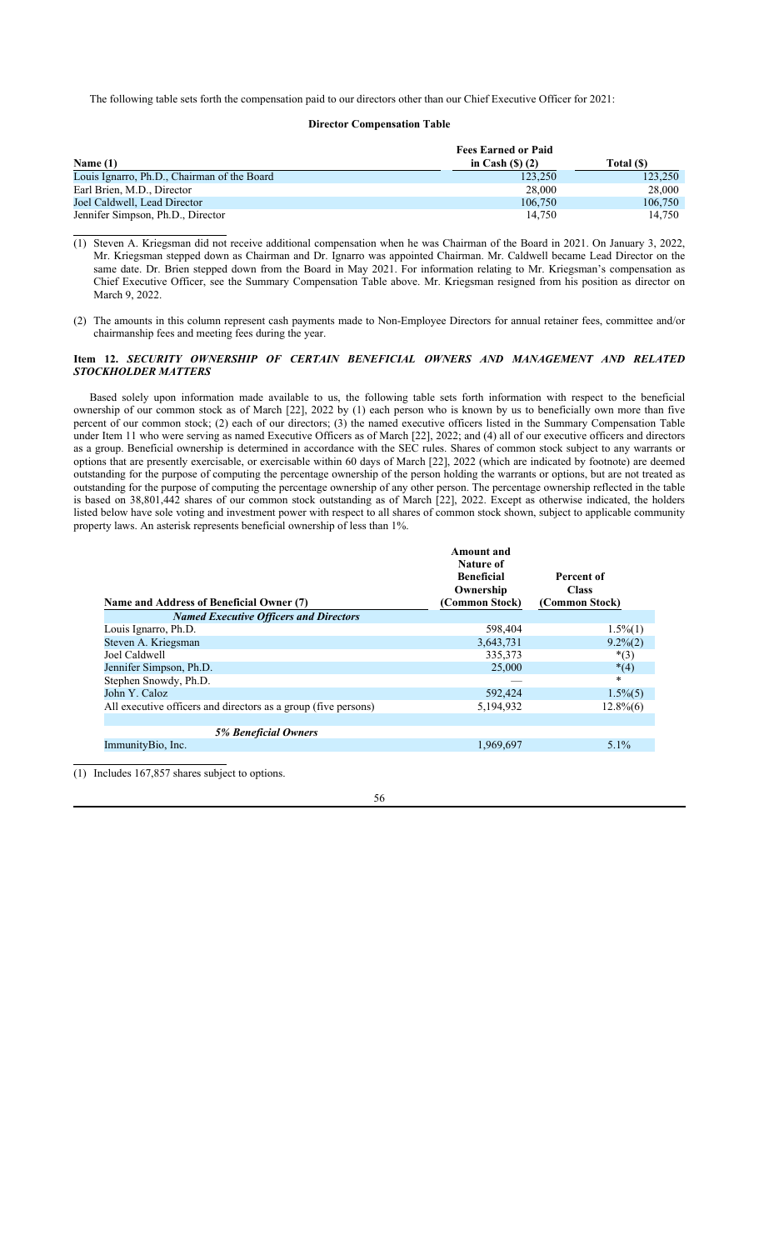The following table sets forth the compensation paid to our directors other than our Chief Executive Officer for 2021:

## **Director Compensation Table**

|                                             | <b>Fees Earned or Paid</b> |            |
|---------------------------------------------|----------------------------|------------|
| Name $(1)$                                  | in Cash $(S)$ $(2)$        | Total (\$) |
| Louis Ignarro, Ph.D., Chairman of the Board | 123,250                    | 123,250    |
| Earl Brien, M.D., Director                  | 28,000                     | 28,000     |
| Joel Caldwell, Lead Director                | 106,750                    | 106,750    |
| Jennifer Simpson, Ph.D., Director           | 14.750                     | 14.750     |

(1) Steven A. Kriegsman did not receive additional compensation when he was Chairman of the Board in 2021. On January 3, 2022, Mr. Kriegsman stepped down as Chairman and Dr. Ignarro was appointed Chairman. Mr. Caldwell became Lead Director on the same date. Dr. Brien stepped down from the Board in May 2021. For information relating to Mr. Kriegsman's compensation as Chief Executive Officer, see the Summary Compensation Table above. Mr. Kriegsman resigned from his position as director on March 9, 2022.

(2) The amounts in this column represent cash payments made to Non-Employee Directors for annual retainer fees, committee and/or chairmanship fees and meeting fees during the year.

## **Item 12.** *SECURITY OWNERSHIP OF CERTAIN BENEFICIAL OWNERS AND MANAGEMENT AND RELATED STOCKHOLDER MATTERS*

Based solely upon information made available to us, the following table sets forth information with respect to the beneficial ownership of our common stock as of March [22], 2022 by (1) each person who is known by us to beneficially own more than five percent of our common stock; (2) each of our directors; (3) the named executive officers listed in the Summary Compensation Table under Item 11 who were serving as named Executive Officers as of March [22], 2022; and (4) all of our executive officers and directors as a group. Beneficial ownership is determined in accordance with the SEC rules. Shares of common stock subject to any warrants or options that are presently exercisable, or exercisable within 60 days of March [22], 2022 (which are indicated by footnote) are deemed outstanding for the purpose of computing the percentage ownership of the person holding the warrants or options, but are not treated as outstanding for the purpose of computing the percentage ownership of any other person. The percentage ownership reflected in the table is based on 38,801,442 shares of our common stock outstanding as of March [22], 2022. Except as otherwise indicated, the holders listed below have sole voting and investment power with respect to all shares of common stock shown, subject to applicable community property laws. An asterisk represents beneficial ownership of less than 1%.

|                                                                | <b>Amount</b> and<br>Nature of<br><b>Beneficial</b><br>Ownership | Percent of<br><b>Class</b> |
|----------------------------------------------------------------|------------------------------------------------------------------|----------------------------|
| Name and Address of Beneficial Owner (7)                       | (Common Stock)                                                   | (Common Stock)             |
| <b>Named Executive Officers and Directors</b>                  |                                                                  |                            |
| Louis Ignarro, Ph.D.                                           | 598,404                                                          | $1.5\%(1)$                 |
| Steven A. Kriegsman                                            | 3,643,731                                                        | $9.2\%(2)$                 |
| Joel Caldwell                                                  | 335,373                                                          | $*(3)$                     |
| Jennifer Simpson, Ph.D.                                        | 25,000                                                           | $*(4)$                     |
| Stephen Snowdy, Ph.D.                                          |                                                                  | $*$                        |
| John Y. Caloz                                                  | 592,424                                                          | $1.5\%(5)$                 |
| All executive officers and directors as a group (five persons) | 5,194,932                                                        | $12.8\%$ (6)               |
|                                                                |                                                                  |                            |
| <b>5% Beneficial Owners</b>                                    |                                                                  |                            |
| ImmunityBio, Inc.                                              | 1.969.697                                                        | $5.1\%$                    |

(1) Includes 167,857 shares subject to options.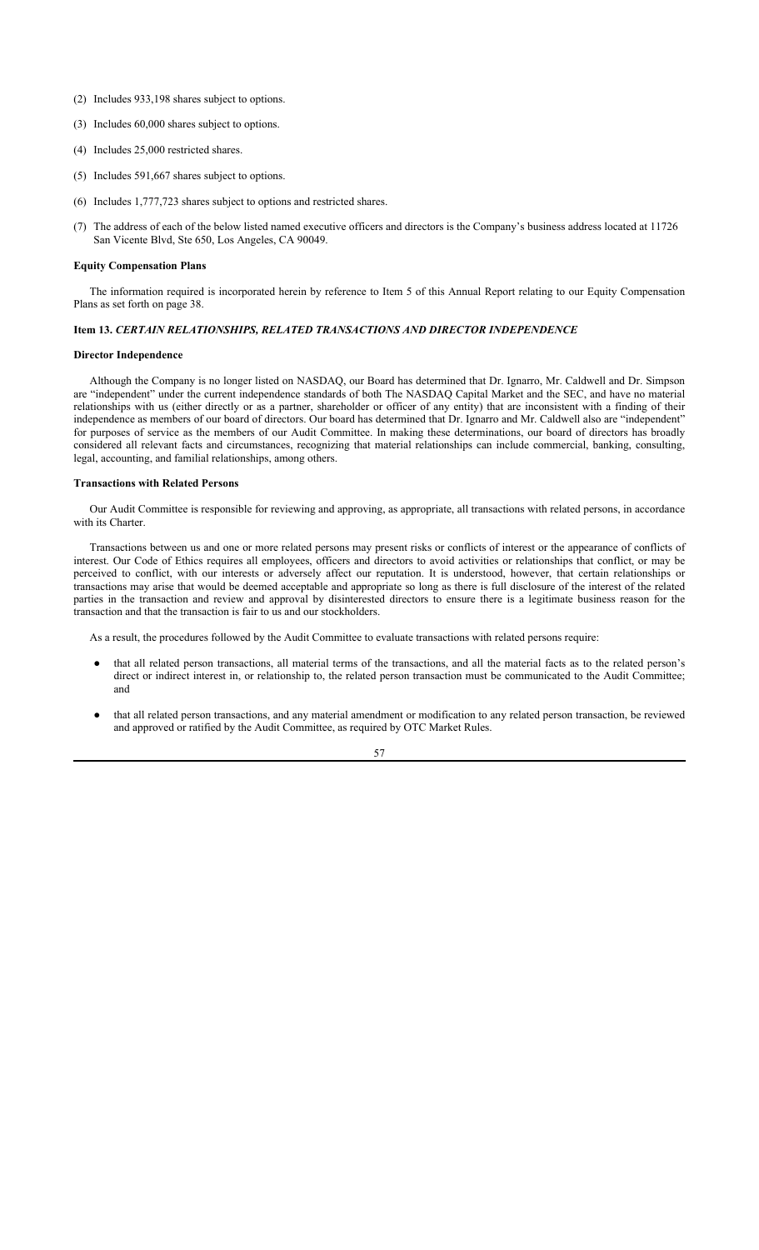- (2) Includes 933,198 shares subject to options.
- (3) Includes 60,000 shares subject to options.
- (4) Includes 25,000 restricted shares.
- (5) Includes 591,667 shares subject to options.
- (6) Includes 1,777,723 shares subject to options and restricted shares.
- (7) The address of each of the below listed named executive officers and directors is the Company's business address located at 11726 San Vicente Blvd, Ste 650, Los Angeles, CA 90049.

#### **Equity Compensation Plans**

The information required is incorporated herein by reference to Item 5 of this Annual Report relating to our Equity Compensation Plans as set forth on page 38.

## **Item 13.** *CERTAIN RELATIONSHIPS, RELATED TRANSACTIONS AND DIRECTOR INDEPENDENCE*

## **Director Independence**

Although the Company is no longer listed on NASDAQ, our Board has determined that Dr. Ignarro, Mr. Caldwell and Dr. Simpson are "independent" under the current independence standards of both The NASDAQ Capital Market and the SEC, and have no material relationships with us (either directly or as a partner, shareholder or officer of any entity) that are inconsistent with a finding of their independence as members of our board of directors. Our board has determined that Dr. Ignarro and Mr. Caldwell also are "independent" for purposes of service as the members of our Audit Committee. In making these determinations, our board of directors has broadly considered all relevant facts and circumstances, recognizing that material relationships can include commercial, banking, consulting, legal, accounting, and familial relationships, among others.

## **Transactions with Related Persons**

Our Audit Committee is responsible for reviewing and approving, as appropriate, all transactions with related persons, in accordance with its Charter.

Transactions between us and one or more related persons may present risks or conflicts of interest or the appearance of conflicts of interest. Our Code of Ethics requires all employees, officers and directors to avoid activities or relationships that conflict, or may be perceived to conflict, with our interests or adversely affect our reputation. It is understood, however, that certain relationships or transactions may arise that would be deemed acceptable and appropriate so long as there is full disclosure of the interest of the related parties in the transaction and review and approval by disinterested directors to ensure there is a legitimate business reason for the transaction and that the transaction is fair to us and our stockholders.

As a result, the procedures followed by the Audit Committee to evaluate transactions with related persons require:

- Ɣ that all related person transactions, all material terms of the transactions, and all the material facts as to the related person's direct or indirect interest in, or relationship to, the related person transaction must be communicated to the Audit Committee; and
- Ɣ that all related person transactions, and any material amendment or modification to any related person transaction, be reviewed and approved or ratified by the Audit Committee, as required by OTC Market Rules.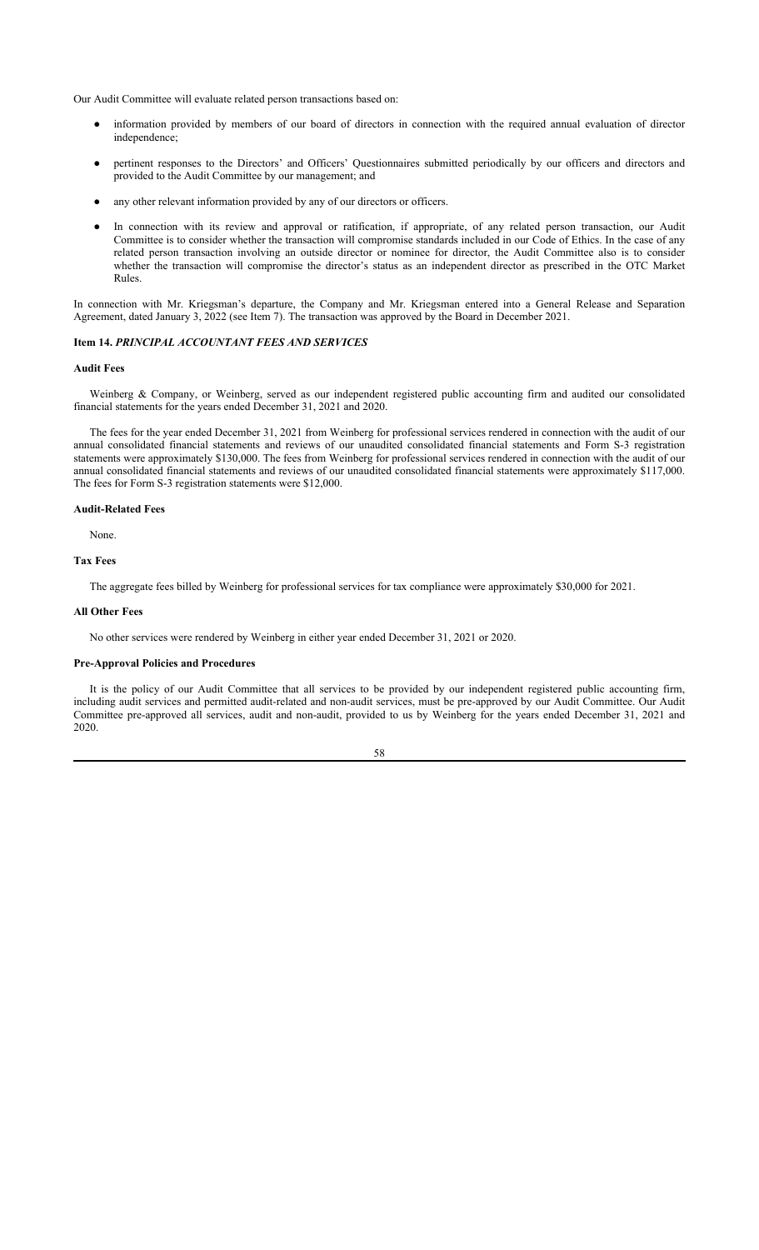Our Audit Committee will evaluate related person transactions based on:

- Ɣ information provided by members of our board of directors in connection with the required annual evaluation of director independence;
- Ɣ pertinent responses to the Directors' and Officers' Questionnaires submitted periodically by our officers and directors and provided to the Audit Committee by our management; and
- Ɣ any other relevant information provided by any of our directors or officers.
- In connection with its review and approval or ratification, if appropriate, of any related person transaction, our Audit Committee is to consider whether the transaction will compromise standards included in our Code of Ethics. In the case of any related person transaction involving an outside director or nominee for director, the Audit Committee also is to consider whether the transaction will compromise the director's status as an independent director as prescribed in the OTC Market Rules.

In connection with Mr. Kriegsman's departure, the Company and Mr. Kriegsman entered into a General Release and Separation Agreement, dated January 3, 2022 (see Item 7). The transaction was approved by the Board in December 2021.

## **Item 14.** *PRINCIPAL ACCOUNTANT FEES AND SERVICES*

## **Audit Fees**

Weinberg & Company, or Weinberg, served as our independent registered public accounting firm and audited our consolidated financial statements for the years ended December 31, 2021 and 2020.

The fees for the year ended December 31, 2021 from Weinberg for professional services rendered in connection with the audit of our annual consolidated financial statements and reviews of our unaudited consolidated financial statements and Form S-3 registration statements were approximately \$130,000. The fees from Weinberg for professional services rendered in connection with the audit of our annual consolidated financial statements and reviews of our unaudited consolidated financial statements were approximately \$117,000. The fees for Form S-3 registration statements were \$12,000.

#### **Audit-Related Fees**

None.

#### **Tax Fees**

The aggregate fees billed by Weinberg for professional services for tax compliance were approximately \$30,000 for 2021.

## **All Other Fees**

No other services were rendered by Weinberg in either year ended December 31, 2021 or 2020.

## **Pre-Approval Policies and Procedures**

It is the policy of our Audit Committee that all services to be provided by our independent registered public accounting firm, including audit services and permitted audit-related and non-audit services, must be pre-approved by our Audit Committee. Our Audit Committee pre-approved all services, audit and non-audit, provided to us by Weinberg for the years ended December 31, 2021 and 2020.

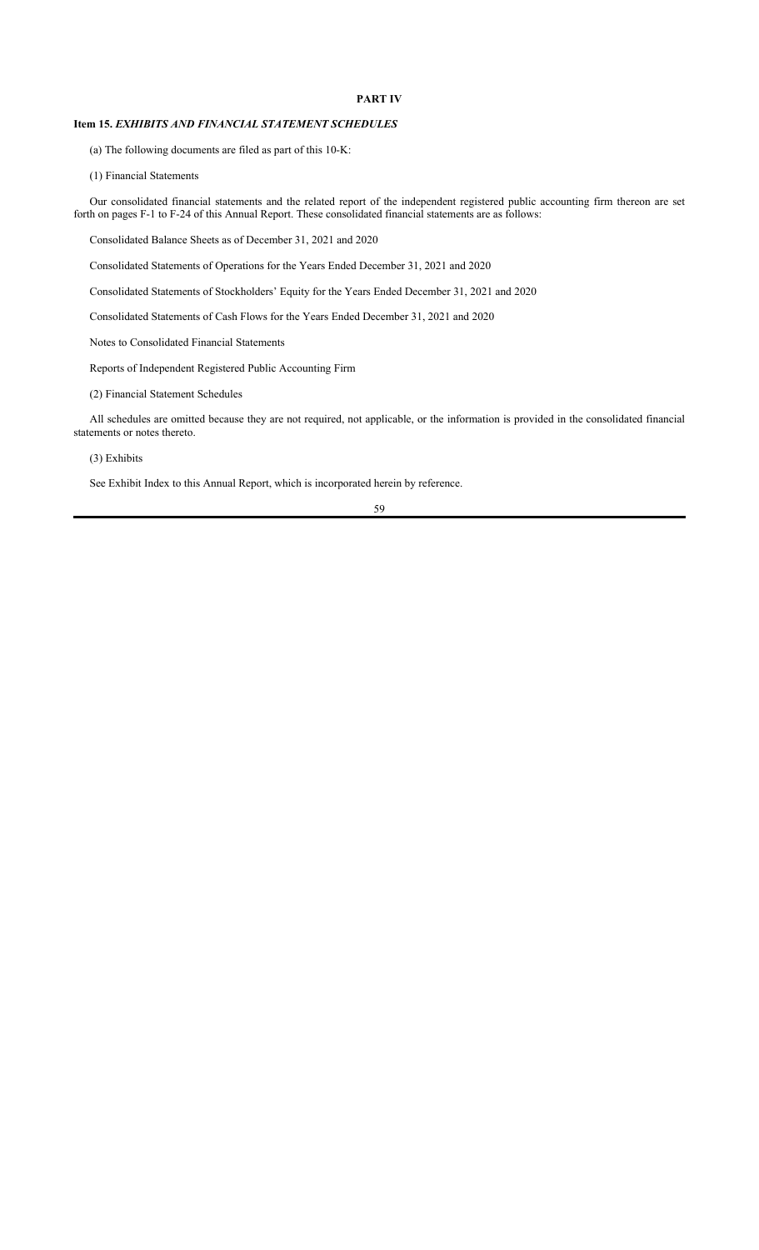## **PART IV**

## **Item 15.** *EXHIBITS AND FINANCIAL STATEMENT SCHEDULES*

(a) The following documents are filed as part of this 10-K:

(1) Financial Statements

Our consolidated financial statements and the related report of the independent registered public accounting firm thereon are set forth on pages F-1 to F-24 of this Annual Report. These consolidated financial statements are as follows:

Consolidated Balance Sheets as of December 31, 2021 and 2020

Consolidated Statements of Operations for the Years Ended December 31, 2021 and 2020

Consolidated Statements of Stockholders' Equity for the Years Ended December 31, 2021 and 2020

Consolidated Statements of Cash Flows for the Years Ended December 31, 2021 and 2020

Notes to Consolidated Financial Statements

Reports of Independent Registered Public Accounting Firm

(2) Financial Statement Schedules

All schedules are omitted because they are not required, not applicable, or the information is provided in the consolidated financial statements or notes thereto.

## (3) Exhibits

See Exhibit Index to this Annual Report, which is incorporated herein by reference.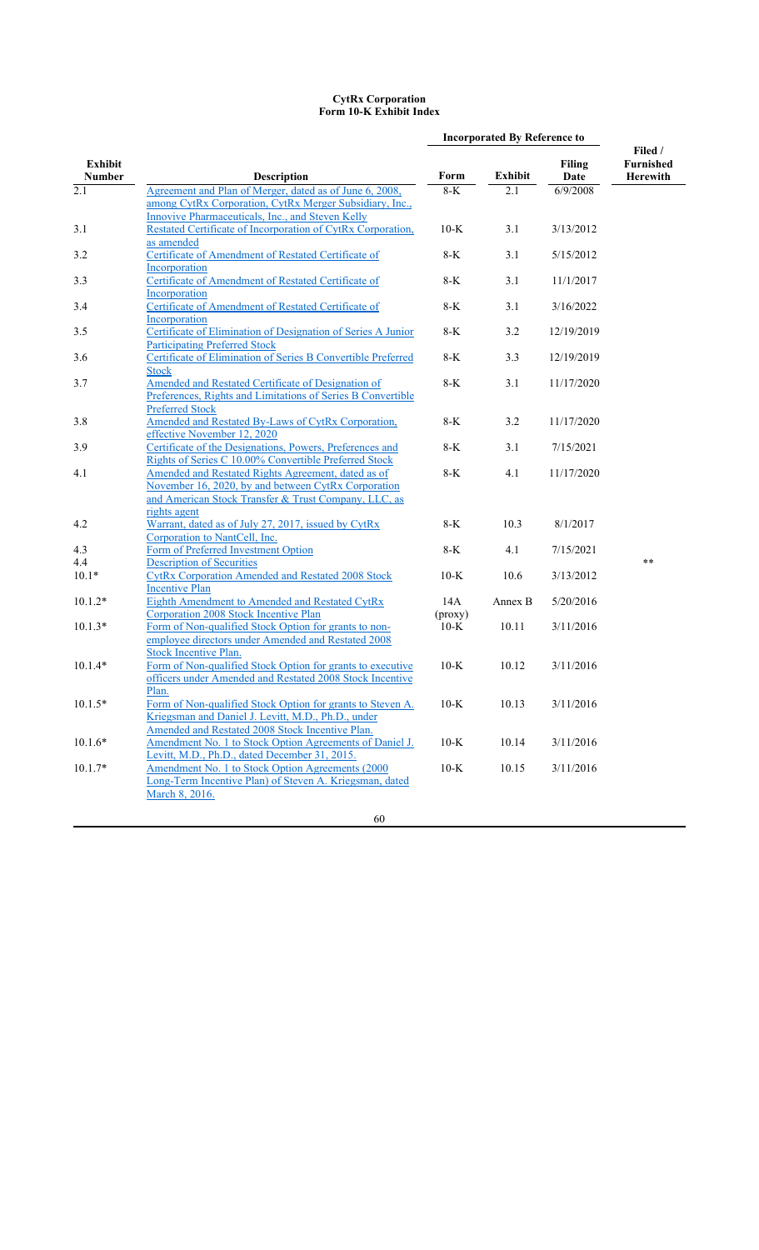## **CytRx Corporation Form 10-K Exhibit Index**

|                                 |                                                                                                                                                                        | <b>Incorporated By Reference to</b> |                |                       |                                  |  |
|---------------------------------|------------------------------------------------------------------------------------------------------------------------------------------------------------------------|-------------------------------------|----------------|-----------------------|----------------------------------|--|
| <b>Exhibit</b><br><b>Number</b> | <b>Description</b>                                                                                                                                                     | Form                                | <b>Exhibit</b> | <b>Filing</b><br>Date | Filed /<br>Furnished<br>Herewith |  |
| 2.1                             | Agreement and Plan of Merger, dated as of June 6, 2008,<br>among CytRx Corporation, CytRx Merger Subsidiary, Inc.,<br>Innovive Pharmaceuticals, Inc., and Steven Kelly | $8-K$                               | 2.1            | 6/9/2008              |                                  |  |
| 3.1                             | Restated Certificate of Incorporation of CytRx Corporation,<br>as amended                                                                                              | $10-K$                              | 3.1            | 3/13/2012             |                                  |  |
| 3.2                             | Certificate of Amendment of Restated Certificate of<br>Incorporation                                                                                                   | $8-K$                               | 3.1            | 5/15/2012             |                                  |  |
| 3.3                             | Certificate of Amendment of Restated Certificate of<br>Incorporation                                                                                                   | $8-K$                               | 3.1            | 11/1/2017             |                                  |  |
| 3.4                             | Certificate of Amendment of Restated Certificate of<br>Incorporation                                                                                                   | $8-K$                               | 3.1            | 3/16/2022             |                                  |  |
| 3.5                             | Certificate of Elimination of Designation of Series A Junior<br><b>Participating Preferred Stock</b>                                                                   | $8-K$                               | 3.2            | 12/19/2019            |                                  |  |
| 3.6                             | Certificate of Elimination of Series B Convertible Preferred<br><b>Stock</b>                                                                                           | $8-K$                               | 3.3            | 12/19/2019            |                                  |  |
| 3.7                             | Amended and Restated Certificate of Designation of<br>Preferences, Rights and Limitations of Series B Convertible<br><b>Preferred Stock</b>                            | $8-K$                               | 3.1            | 11/17/2020            |                                  |  |
| 3.8                             | Amended and Restated By-Laws of CytRx Corporation,<br>effective November 12, 2020                                                                                      | $8-K$                               | 3.2            | 11/17/2020            |                                  |  |
| 3.9                             | Certificate of the Designations, Powers, Preferences and<br>Rights of Series C 10.00% Convertible Preferred Stock                                                      | $8-K$                               | 3.1            | 7/15/2021             |                                  |  |
| 4.1                             | Amended and Restated Rights Agreement, dated as of<br>November 16, 2020, by and between CytRx Corporation<br>and American Stock Transfer & Trust Company, LLC, as      | $8-K$                               | 4.1            | 11/17/2020            |                                  |  |
| 4.2                             | rights agent<br>Warrant, dated as of July 27, 2017, issued by CytRx<br>Corporation to NantCell, Inc.                                                                   | $8-K$                               | 10.3           | 8/1/2017              |                                  |  |
| 4.3<br>4.4                      | Form of Preferred Investment Option<br><b>Description of Securities</b>                                                                                                | $8-K$                               | 4.1            | 7/15/2021             | **                               |  |
| $10.1*$                         | <b>CytRx Corporation Amended and Restated 2008 Stock</b><br><b>Incentive Plan</b>                                                                                      | $10-K$                              | 10.6           | 3/13/2012             |                                  |  |
| $10.1.2*$                       | Eighth Amendment to Amended and Restated CytRx<br>Corporation 2008 Stock Incentive Plan                                                                                | 14A<br>(proxy)                      | Annex B        | 5/20/2016             |                                  |  |
| $10.1.3*$                       | Form of Non-qualified Stock Option for grants to non-<br>employee directors under Amended and Restated 2008<br><b>Stock Incentive Plan.</b>                            | $10-K$                              | 10.11          | 3/11/2016             |                                  |  |
| $10.1.4*$                       | Form of Non-qualified Stock Option for grants to executive<br>officers under Amended and Restated 2008 Stock Incentive<br>Plan.                                        | $10-K$                              | 10.12          | 3/11/2016             |                                  |  |
| $10.1.5*$                       | Form of Non-qualified Stock Option for grants to Steven A.<br>Kriegsman and Daniel J. Levitt, M.D., Ph.D., under<br>Amended and Restated 2008 Stock Incentive Plan.    | $10-K$                              | 10.13          | 3/11/2016             |                                  |  |
| $10.1.6*$                       | Amendment No. 1 to Stock Option Agreements of Daniel J.<br>Levitt, M.D., Ph.D., dated December 31, 2015.                                                               | $10-K$                              | 10.14          | 3/11/2016             |                                  |  |
| $10.1.7*$                       | Amendment No. 1 to Stock Option Agreements (2000<br>Long-Term Incentive Plan) of Steven A. Kriegsman, dated<br>March 8, 2016.                                          | $10-K$                              | 10.15          | 3/11/2016             |                                  |  |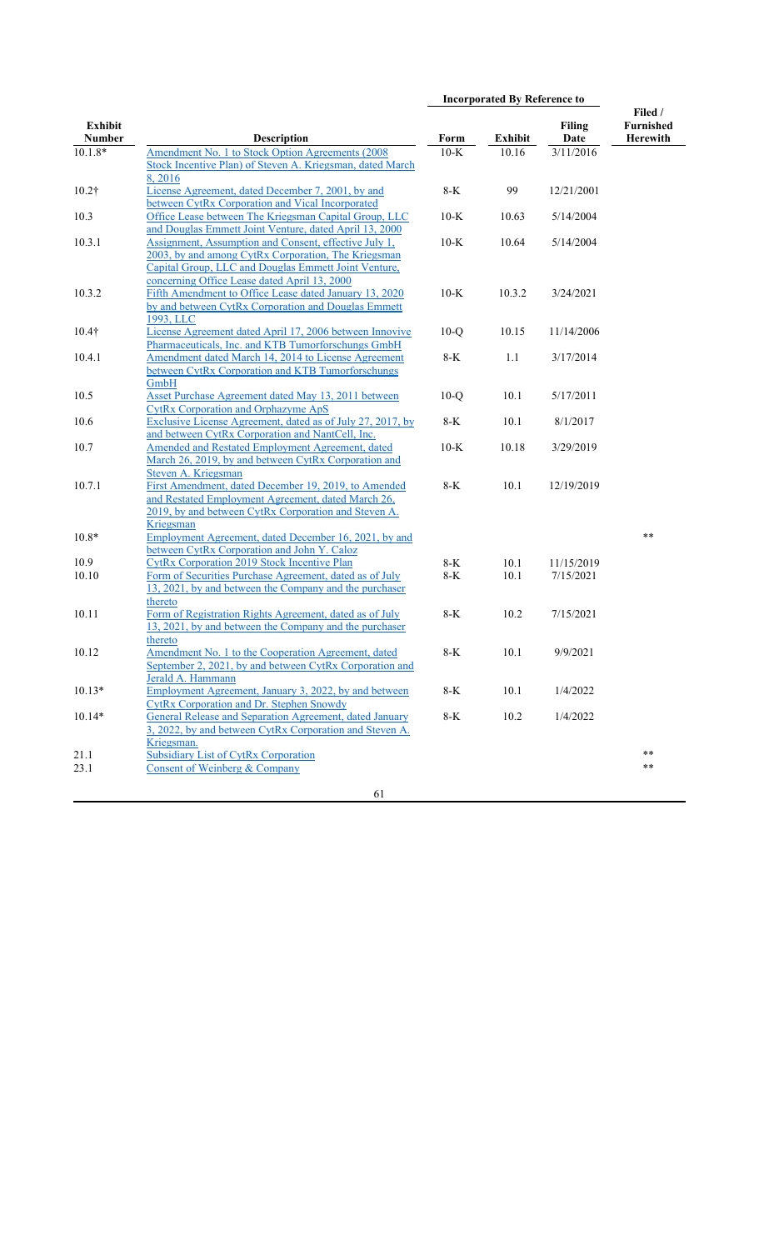|                          |                                                                                                                                                                                                                      | <b>Incorporated By Reference to</b> |                |                |                                  |  |
|--------------------------|----------------------------------------------------------------------------------------------------------------------------------------------------------------------------------------------------------------------|-------------------------------------|----------------|----------------|----------------------------------|--|
| <b>Exhibit</b><br>Number | <b>Description</b>                                                                                                                                                                                                   | Form                                | <b>Exhibit</b> | Filing<br>Date | Filed /<br>Furnished<br>Herewith |  |
| $10.1.8*$                | Amendment No. 1 to Stock Option Agreements (2008)<br>Stock Incentive Plan) of Steven A. Kriegsman, dated March<br>8.2016                                                                                             | $10-K$                              | 10.16          | 3/11/2016      |                                  |  |
| $10.2\dagger$            | License Agreement, dated December 7, 2001, by and<br>between CytRx Corporation and Vical Incorporated                                                                                                                | $8-K$                               | 99             | 12/21/2001     |                                  |  |
| 10.3                     | Office Lease between The Kriegsman Capital Group, LLC<br>and Douglas Emmett Joint Venture, dated April 13, 2000                                                                                                      | $10-K$                              | 10.63          | 5/14/2004      |                                  |  |
| 10.3.1                   | Assignment, Assumption and Consent, effective July 1,<br>2003, by and among CytRx Corporation, The Kriegsman<br>Capital Group, LLC and Douglas Emmett Joint Venture,<br>concerning Office Lease dated April 13, 2000 | $10-K$                              | 10.64          | 5/14/2004      |                                  |  |
| 10.3.2                   | Fifth Amendment to Office Lease dated January 13, 2020<br>by and between CytRx Corporation and Douglas Emmett<br>1993, LLC                                                                                           | $10-K$                              | 10.3.2         | 3/24/2021      |                                  |  |
| $10.4\dagger$            | License Agreement dated April 17, 2006 between Innovive<br>Pharmaceuticals, Inc. and KTB Tumorforschungs GmbH                                                                                                        | $10-Q$                              | 10.15          | 11/14/2006     |                                  |  |
| 10.4.1                   | Amendment dated March 14, 2014 to License Agreement<br>between CytRx Corporation and KTB Tumorforschungs<br>GmbH                                                                                                     | $8-K$                               | 1.1            | 3/17/2014      |                                  |  |
| 10.5                     | Asset Purchase Agreement dated May 13, 2011 between<br>CytRx Corporation and Orphazyme ApS                                                                                                                           | $10-Q$                              | 10.1           | 5/17/2011      |                                  |  |
| 10.6                     | Exclusive License Agreement, dated as of July 27, 2017, by<br>and between CytRx Corporation and NantCell, Inc.                                                                                                       | $8-K$                               | 10.1           | 8/1/2017       |                                  |  |
| 10.7                     | Amended and Restated Employment Agreement, dated<br>March 26, 2019, by and between CytRx Corporation and<br>Steven A. Kriegsman                                                                                      | $10-K$                              | 10.18          | 3/29/2019      |                                  |  |
| 10.7.1                   | First Amendment, dated December 19, 2019, to Amended<br>and Restated Employment Agreement, dated March 26,<br>2019, by and between CytRx Corporation and Steven A.<br>Kriegsman                                      | $8-K$                               | 10.1           | 12/19/2019     |                                  |  |
| $10.8*$                  | Employment Agreement, dated December 16, 2021, by and<br>between CytRx Corporation and John Y. Caloz                                                                                                                 |                                     |                |                | **                               |  |
| 10.9                     | <b>CytRx Corporation 2019 Stock Incentive Plan</b>                                                                                                                                                                   | $8-K$                               | 10.1           | 11/15/2019     |                                  |  |
| 10.10                    | Form of Securities Purchase Agreement, dated as of July<br>13, 2021, by and between the Company and the purchaser<br>thereto                                                                                         | $8-K$                               | 10.1           | 7/15/2021      |                                  |  |
| 10.11                    | Form of Registration Rights Agreement, dated as of July<br>13, 2021, by and between the Company and the purchaser<br>thereto                                                                                         | $8-K$                               | 10.2           | 7/15/2021      |                                  |  |
| 10.12                    | Amendment No. 1 to the Cooperation Agreement, dated<br>September 2, 2021, by and between CytRx Corporation and<br>Jerald A. Hammann                                                                                  | $8 - K$                             | 10.1           | 9/9/2021       |                                  |  |
| $10.13*$                 | Employment Agreement, January 3, 2022, by and between<br>CytRx Corporation and Dr. Stephen Snowdy                                                                                                                    | $8-K$                               | 10.1           | 1/4/2022       |                                  |  |
| $10.14*$                 | General Release and Separation Agreement, dated January<br>3, 2022, by and between CytRx Corporation and Steven A.<br>Kriegsman.                                                                                     | $8-K$                               | 10.2           | 1/4/2022       |                                  |  |
| 21.1                     | <b>Subsidiary List of CytRx Corporation</b>                                                                                                                                                                          |                                     |                |                | **                               |  |
| 23.1                     | Consent of Weinberg & Company                                                                                                                                                                                        |                                     |                |                | **                               |  |
|                          | 61                                                                                                                                                                                                                   |                                     |                |                |                                  |  |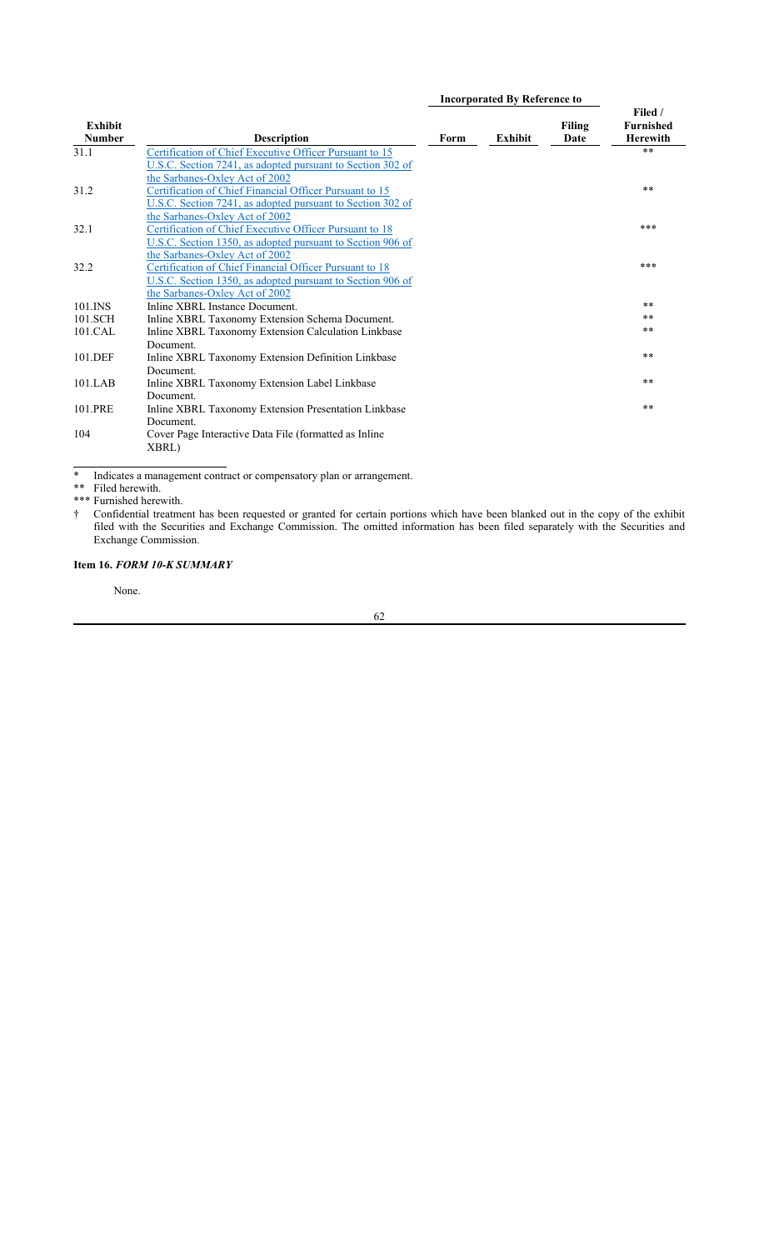|                          |                                                            | <b>Incorporated By Reference to</b> |         |                       |                                         |
|--------------------------|------------------------------------------------------------|-------------------------------------|---------|-----------------------|-----------------------------------------|
| Exhibit<br><b>Number</b> | <b>Description</b>                                         | Form                                | Exhibit | <b>Filing</b><br>Date | Filed /<br><b>Furnished</b><br>Herewith |
| 31.1                     | Certification of Chief Executive Officer Pursuant to 15    |                                     |         |                       | **                                      |
|                          | U.S.C. Section 7241, as adopted pursuant to Section 302 of |                                     |         |                       |                                         |
|                          | the Sarbanes-Oxley Act of 2002                             |                                     |         |                       |                                         |
| 31.2                     | Certification of Chief Financial Officer Pursuant to 15    |                                     |         |                       | **                                      |
|                          | U.S.C. Section 7241, as adopted pursuant to Section 302 of |                                     |         |                       |                                         |
|                          | the Sarbanes-Oxley Act of 2002                             |                                     |         |                       |                                         |
| 32.1                     | Certification of Chief Executive Officer Pursuant to 18    |                                     |         |                       | ***                                     |
|                          | U.S.C. Section 1350, as adopted pursuant to Section 906 of |                                     |         |                       |                                         |
|                          | the Sarbanes-Oxley Act of 2002                             |                                     |         |                       |                                         |
| 32.2                     | Certification of Chief Financial Officer Pursuant to 18    |                                     |         |                       | ***                                     |
|                          | U.S.C. Section 1350, as adopted pursuant to Section 906 of |                                     |         |                       |                                         |
|                          | the Sarbanes-Oxley Act of 2002                             |                                     |         |                       |                                         |
| 101.INS                  | Inline XBRL Instance Document.                             |                                     |         |                       | **                                      |
| 101.SCH                  | Inline XBRL Taxonomy Extension Schema Document.            |                                     |         |                       | **                                      |
| 101.CAL                  | Inline XBRL Taxonomy Extension Calculation Linkbase        |                                     |         |                       | **                                      |
|                          | Document.                                                  |                                     |         |                       |                                         |
| 101.DEF                  | Inline XBRL Taxonomy Extension Definition Linkbase         |                                     |         |                       | **                                      |
|                          | Document.                                                  |                                     |         |                       |                                         |
| 101.LAB                  | Inline XBRL Taxonomy Extension Label Linkbase              |                                     |         |                       | **                                      |
|                          | Document.                                                  |                                     |         |                       |                                         |
| 101.PRE                  | Inline XBRL Taxonomy Extension Presentation Linkbase       |                                     |         |                       | **                                      |
|                          | Document.                                                  |                                     |         |                       |                                         |
| 104                      | Cover Page Interactive Data File (formatted as Inline      |                                     |         |                       |                                         |
|                          | XBRL)                                                      |                                     |         |                       |                                         |
|                          |                                                            |                                     |         |                       |                                         |

\* Indicates a management contract or compensatory plan or arrangement.

\*\* Filed herewith.

\*\*\* Furnished herewith.

† Confidential treatment has been requested or granted for certain portions which have been blanked out in the copy of the exhibit filed with the Securities and Exchange Commission. The omitted information has been filed separately with the Securities and Exchange Commission.

## **Item 16.** *FORM 10-K SUMMARY*

None.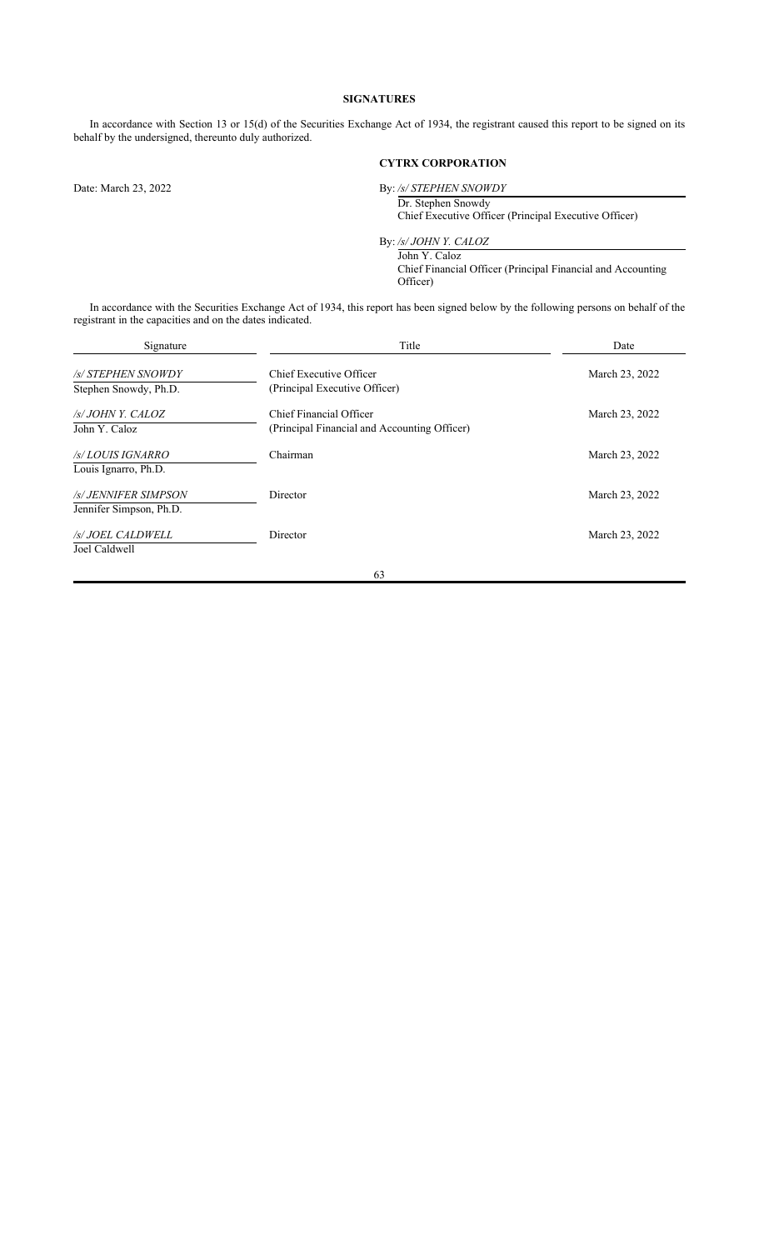## **SIGNATURES**

In accordance with Section 13 or 15(d) of the Securities Exchange Act of 1934, the registrant caused this report to be signed on its behalf by the undersigned, thereunto duly authorized.

**CYTRX CORPORATION**

# Date: March 23, 2022 By: */s/ STEPHEN SNOWDY*

Dr. Stephen Snowdy Chief Executive Officer (Principal Executive Officer)

By: */s/ JOHN Y. CALOZ*

John Y. Caloz Chief Financial Officer (Principal Financial and Accounting Officer)

In accordance with the Securities Exchange Act of 1934, this report has been signed below by the following persons on behalf of the registrant in the capacities and on the dates indicated.

| Signature               | Title                                        | Date           |
|-------------------------|----------------------------------------------|----------------|
| /s/ STEPHEN SNOWDY      | Chief Executive Officer                      | March 23, 2022 |
| Stephen Snowdy, Ph.D.   | (Principal Executive Officer)                |                |
| /s/ JOHN Y. CALOZ       | Chief Financial Officer                      | March 23, 2022 |
| John Y. Caloz           | (Principal Financial and Accounting Officer) |                |
| /s/ LOUIS IGNARRO       | Chairman                                     | March 23, 2022 |
| Louis Ignarro, Ph.D.    |                                              |                |
| /s/ JENNIFER SIMPSON    | Director                                     | March 23, 2022 |
| Jennifer Simpson, Ph.D. |                                              |                |
| /s/ JOEL CALDWELL       | Director                                     | March 23, 2022 |
| Joel Caldwell           |                                              |                |
|                         | $\sim$                                       |                |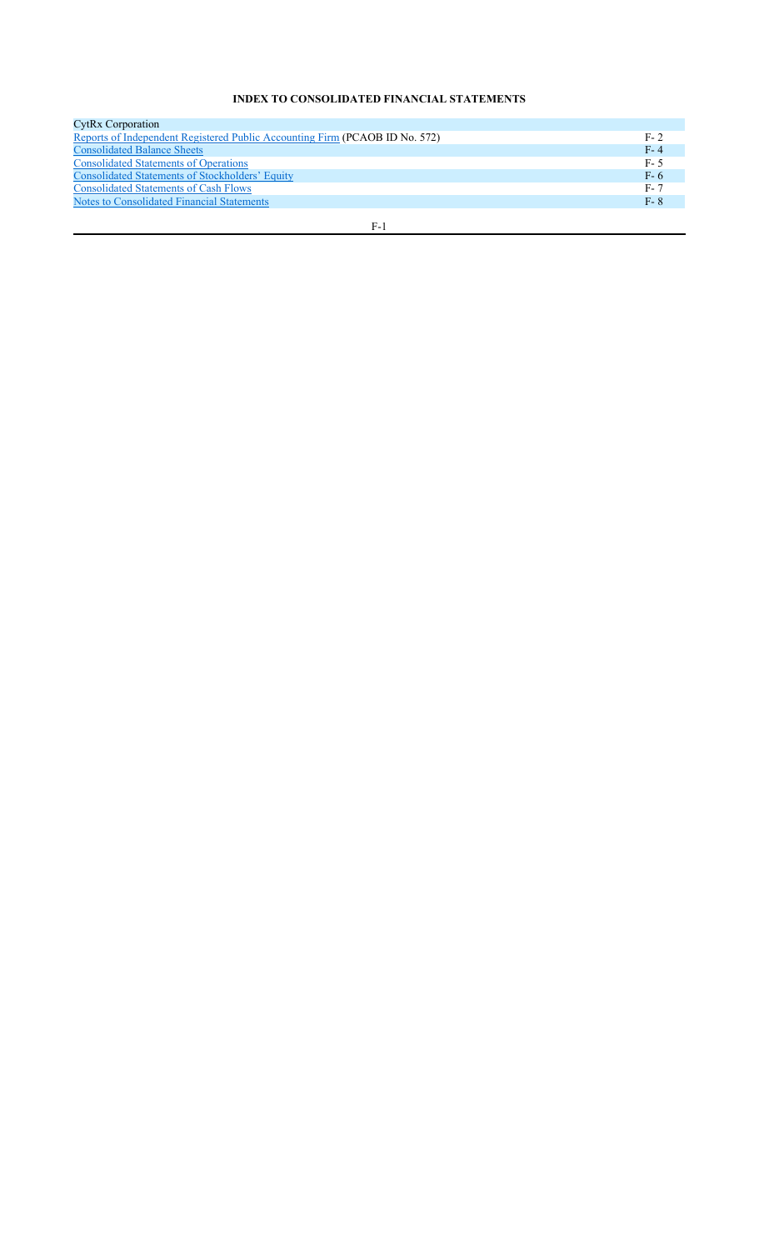## **INDEX TO CONSOLIDATED FINANCIAL STATEMENTS**

| <b>CytRx Corporation</b>                                                    |         |  |
|-----------------------------------------------------------------------------|---------|--|
| Reports of Independent Registered Public Accounting Firm (PCAOB ID No. 572) |         |  |
| <b>Consolidated Balance Sheets</b>                                          | $F - 4$ |  |
| <b>Consolidated Statements of Operations</b>                                | $F - 5$ |  |
| <b>Consolidated Statements of Stockholders' Equity</b>                      | $F-6$   |  |
| <b>Consolidated Statements of Cash Flows</b>                                | $F - 7$ |  |
| <b>Notes to Consolidated Financial Statements</b>                           | $F - 8$ |  |
|                                                                             |         |  |
| $F-1$                                                                       |         |  |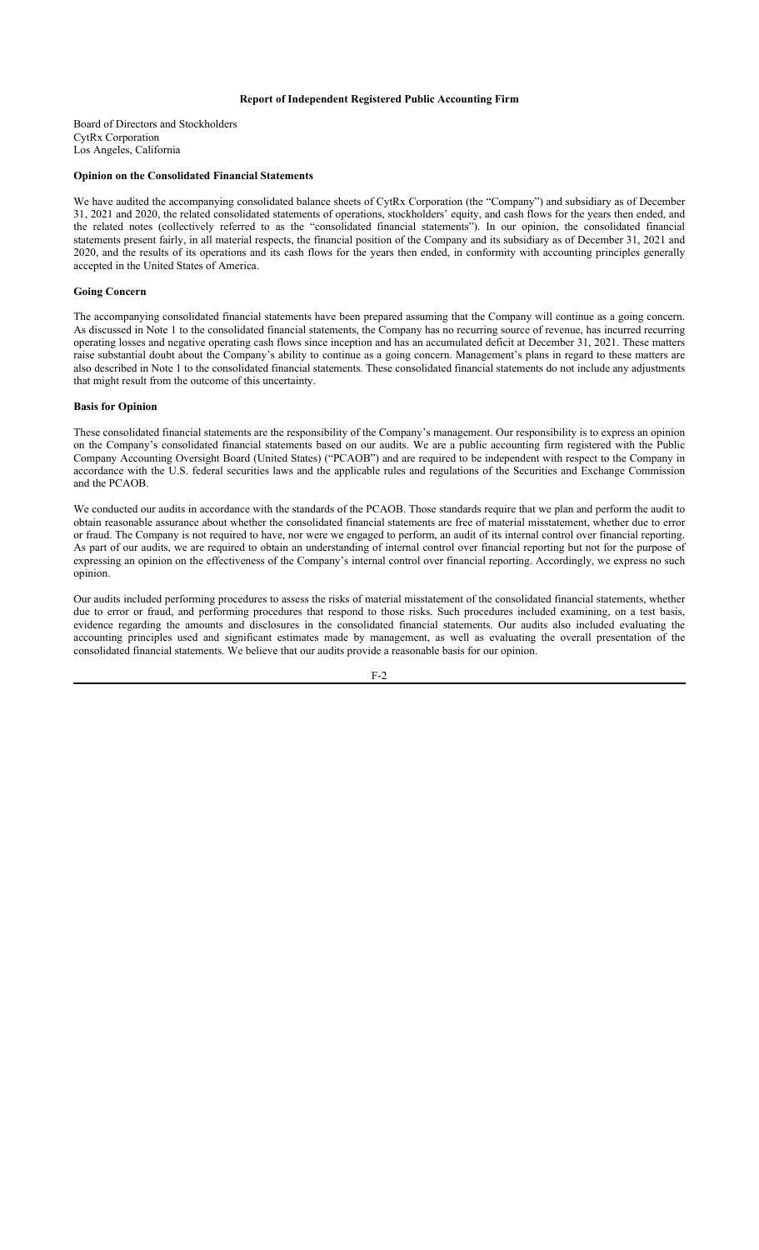## **Report of Independent Registered Public Accounting Firm**

Board of Directors and Stockholders CytRx Corporation Los Angeles, California

## **Opinion on the Consolidated Financial Statements**

We have audited the accompanying consolidated balance sheets of CytRx Corporation (the "Company") and subsidiary as of December 31, 2021 and 2020, the related consolidated statements of operations, stockholders' equity, and cash flows for the years then ended, and the related notes (collectively referred to as the "consolidated financial statements"). In our opinion, the consolidated financial statements present fairly, in all material respects, the financial position of the Company and its subsidiary as of December 31, 2021 and 2020, and the results of its operations and its cash flows for the years then ended, in conformity with accounting principles generally accepted in the United States of America.

## **Going Concern**

The accompanying consolidated financial statements have been prepared assuming that the Company will continue as a going concern. As discussed in Note 1 to the consolidated financial statements, the Company has no recurring source of revenue, has incurred recurring operating losses and negative operating cash flows since inception and has an accumulated deficit at December 31, 2021. These matters raise substantial doubt about the Company's ability to continue as a going concern. Management's plans in regard to these matters are also described in Note 1 to the consolidated financial statements. These consolidated financial statements do not include any adjustments that might result from the outcome of this uncertainty.

#### **Basis for Opinion**

These consolidated financial statements are the responsibility of the Company's management. Our responsibility is to express an opinion on the Company's consolidated financial statements based on our audits. We are a public accounting firm registered with the Public Company Accounting Oversight Board (United States) ("PCAOB") and are required to be independent with respect to the Company in accordance with the U.S. federal securities laws and the applicable rules and regulations of the Securities and Exchange Commission and the PCAOB.

We conducted our audits in accordance with the standards of the PCAOB. Those standards require that we plan and perform the audit to obtain reasonable assurance about whether the consolidated financial statements are free of material misstatement, whether due to error or fraud. The Company is not required to have, nor were we engaged to perform, an audit of its internal control over financial reporting. As part of our audits, we are required to obtain an understanding of internal control over financial reporting but not for the purpose of expressing an opinion on the effectiveness of the Company's internal control over financial reporting. Accordingly, we express no such opinion.

Our audits included performing procedures to assess the risks of material misstatement of the consolidated financial statements, whether due to error or fraud, and performing procedures that respond to those risks. Such procedures included examining, on a test basis, evidence regarding the amounts and disclosures in the consolidated financial statements. Our audits also included evaluating the accounting principles used and significant estimates made by management, as well as evaluating the overall presentation of the consolidated financial statements. We believe that our audits provide a reasonable basis for our opinion.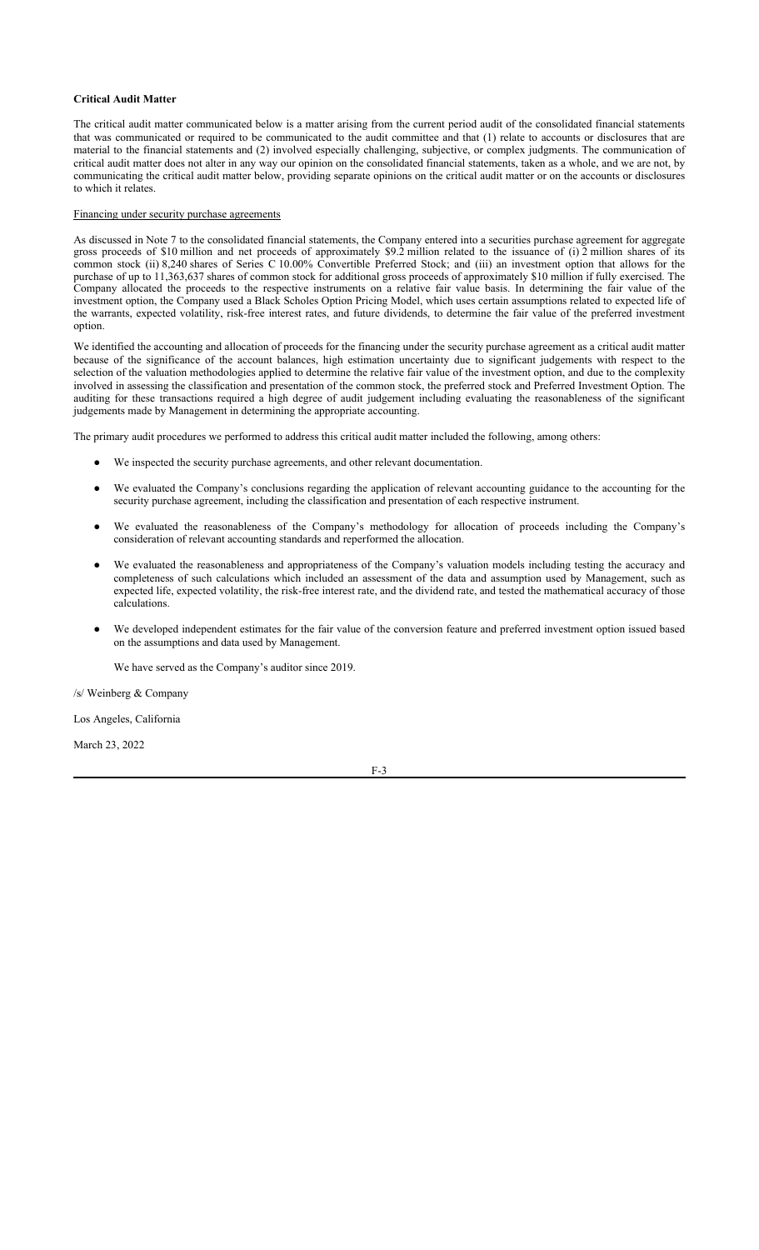## **Critical Audit Matter**

The critical audit matter communicated below is a matter arising from the current period audit of the consolidated financial statements that was communicated or required to be communicated to the audit committee and that (1) relate to accounts or disclosures that are material to the financial statements and (2) involved especially challenging, subjective, or complex judgments. The communication of critical audit matter does not alter in any way our opinion on the consolidated financial statements, taken as a whole, and we are not, by communicating the critical audit matter below, providing separate opinions on the critical audit matter or on the accounts or disclosures to which it relates.

## Financing under security purchase agreements

As discussed in Note 7 to the consolidated financial statements, the Company entered into a securities purchase agreement for aggregate gross proceeds of \$10 million and net proceeds of approximately \$9.2 million related to the issuance of (i) 2 million shares of its common stock (ii) 8,240 shares of Series C 10.00% Convertible Preferred Stock; and (iii) an investment option that allows for the purchase of up to 11,363,637 shares of common stock for additional gross proceeds of approximately \$10 million if fully exercised. The Company allocated the proceeds to the respective instruments on a relative fair value basis. In determining the fair value of the investment option, the Company used a Black Scholes Option Pricing Model, which uses certain assumptions related to expected life of the warrants, expected volatility, risk-free interest rates, and future dividends, to determine the fair value of the preferred investment option.

We identified the accounting and allocation of proceeds for the financing under the security purchase agreement as a critical audit matter because of the significance of the account balances, high estimation uncertainty due to significant judgements with respect to the selection of the valuation methodologies applied to determine the relative fair value of the investment option, and due to the complexity involved in assessing the classification and presentation of the common stock, the preferred stock and Preferred Investment Option. The auditing for these transactions required a high degree of audit judgement including evaluating the reasonableness of the significant judgements made by Management in determining the appropriate accounting.

The primary audit procedures we performed to address this critical audit matter included the following, among others:

- Ɣ We inspected the security purchase agreements, and other relevant documentation.
- We evaluated the Company's conclusions regarding the application of relevant accounting guidance to the accounting for the security purchase agreement, including the classification and presentation of each respective instrument.
- Ɣ We evaluated the reasonableness of the Company's methodology for allocation of proceeds including the Company's consideration of relevant accounting standards and reperformed the allocation.
- Ɣ We evaluated the reasonableness and appropriateness of the Company's valuation models including testing the accuracy and completeness of such calculations which included an assessment of the data and assumption used by Management, such as expected life, expected volatility, the risk-free interest rate, and the dividend rate, and tested the mathematical accuracy of those calculations.
- We developed independent estimates for the fair value of the conversion feature and preferred investment option issued based on the assumptions and data used by Management.

We have served as the Company's auditor since 2019.

/s/ Weinberg & Company

Los Angeles, California

March 23, 2022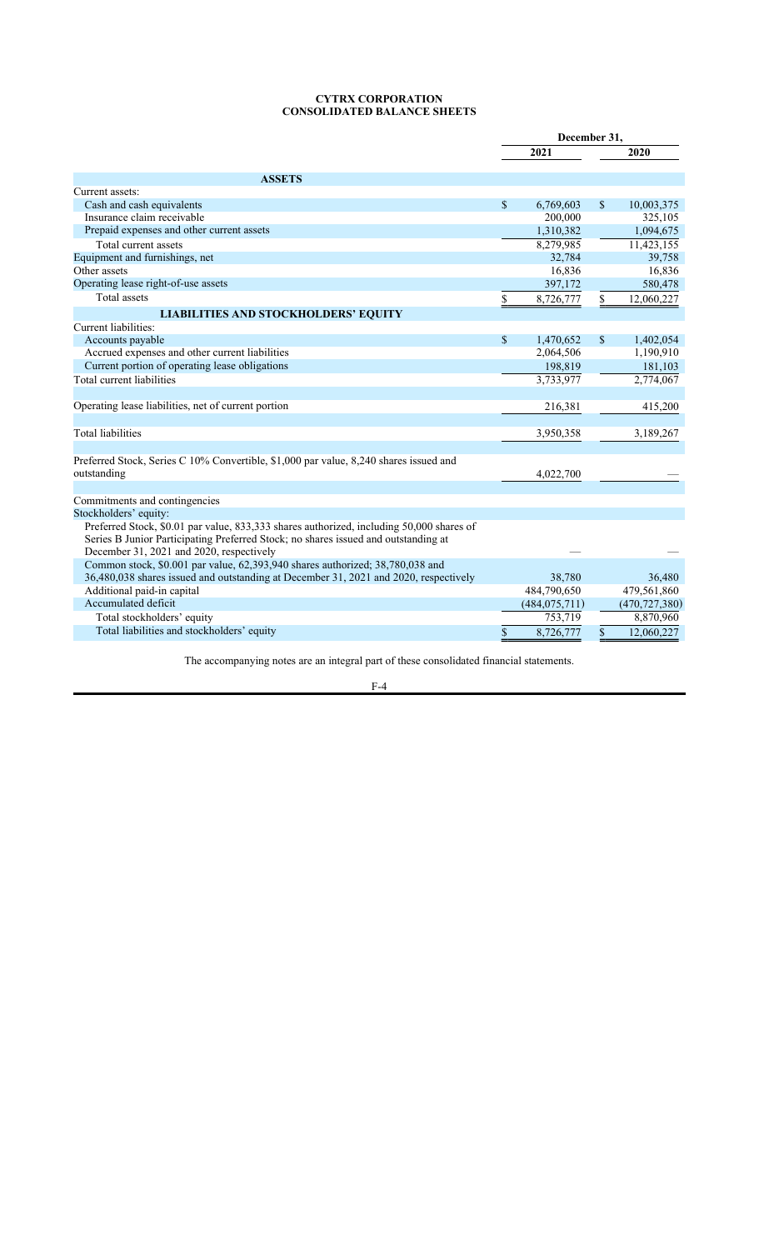## **CYTRX CORPORATION CONSOLIDATED BALANCE SHEETS**

|                                                                                          | December 31,    |              |                 |  |
|------------------------------------------------------------------------------------------|-----------------|--------------|-----------------|--|
|                                                                                          | 2021            |              | 2020            |  |
| <b>ASSETS</b>                                                                            |                 |              |                 |  |
| Current assets:                                                                          |                 |              |                 |  |
| Cash and cash equivalents                                                                | \$<br>6,769,603 | $\mathbf{s}$ | 10,003,375      |  |
| Insurance claim receivable                                                               | 200,000         |              | 325,105         |  |
| Prepaid expenses and other current assets                                                | 1,310,382       |              | 1,094,675       |  |
| Total current assets                                                                     | 8,279,985       |              | 11,423,155      |  |
| Equipment and furnishings, net                                                           | 32,784          |              | 39,758          |  |
| Other assets                                                                             | 16,836          |              | 16,836          |  |
| Operating lease right-of-use assets                                                      | 397,172         |              | 580,478         |  |
| Total assets                                                                             | \$<br>8,726,777 | \$           | 12,060,227      |  |
| <b>LIABILITIES AND STOCKHOLDERS' EQUITY</b>                                              |                 |              |                 |  |
| Current liabilities:                                                                     |                 |              |                 |  |
| Accounts payable                                                                         | \$<br>1,470,652 | \$           | 1,402,054       |  |
| Accrued expenses and other current liabilities                                           | 2,064,506       |              | 1,190,910       |  |
| Current portion of operating lease obligations                                           | 198,819         |              | 181,103         |  |
| Total current liabilities                                                                | 3,733,977       |              | 2,774,067       |  |
|                                                                                          |                 |              |                 |  |
| Operating lease liabilities, net of current portion                                      | 216,381         |              | 415,200         |  |
|                                                                                          |                 |              |                 |  |
| <b>Total liabilities</b>                                                                 | 3,950,358       |              | 3,189,267       |  |
|                                                                                          |                 |              |                 |  |
| Preferred Stock, Series C 10% Convertible, \$1,000 par value, 8,240 shares issued and    |                 |              |                 |  |
| outstanding                                                                              | 4,022,700       |              |                 |  |
|                                                                                          |                 |              |                 |  |
| Commitments and contingencies                                                            |                 |              |                 |  |
| Stockholders' equity:                                                                    |                 |              |                 |  |
| Preferred Stock, \$0.01 par value, 833,333 shares authorized, including 50,000 shares of |                 |              |                 |  |
| Series B Junior Participating Preferred Stock; no shares issued and outstanding at       |                 |              |                 |  |
| December 31, 2021 and 2020, respectively                                                 |                 |              |                 |  |
| Common stock, \$0.001 par value, 62,393,940 shares authorized; 38,780,038 and            |                 |              |                 |  |
| 36,480,038 shares issued and outstanding at December 31, 2021 and 2020, respectively     | 38,780          |              | 36,480          |  |
| Additional paid-in capital                                                               | 484,790,650     |              | 479,561,860     |  |
| Accumulated deficit                                                                      | (484, 075, 711) |              | (470, 727, 380) |  |
| Total stockholders' equity                                                               | 753,719         |              | 8,870,960       |  |
| Total liabilities and stockholders' equity                                               | \$<br>8,726,777 | \$           | 12,060,227      |  |
|                                                                                          |                 |              |                 |  |

The accompanying notes are an integral part of these consolidated financial statements.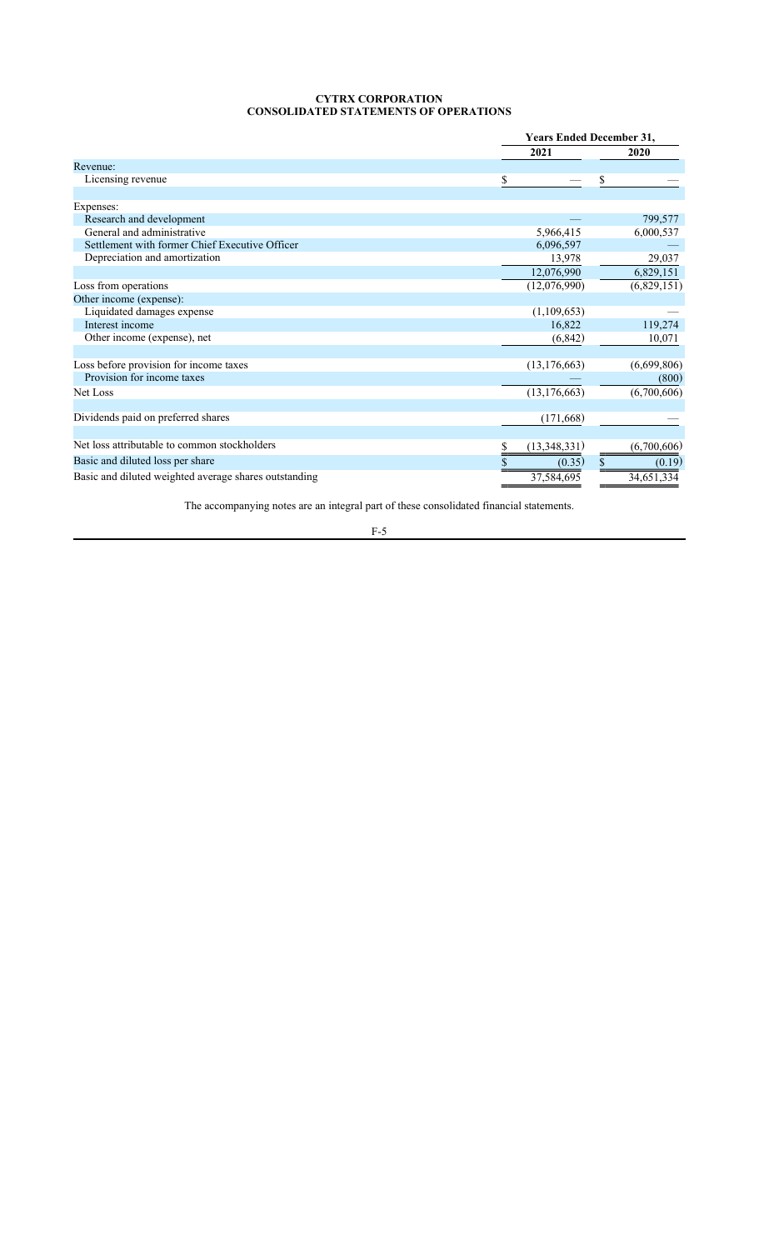## **CYTRX CORPORATION CONSOLIDATED STATEMENTS OF OPERATIONS**

|                                                       |                | <b>Years Ended December 31,</b> |
|-------------------------------------------------------|----------------|---------------------------------|
|                                                       | 2021           | 2020                            |
| Revenue:                                              |                |                                 |
| Licensing revenue                                     |                |                                 |
|                                                       |                |                                 |
| Expenses:                                             |                |                                 |
| Research and development                              |                | 799,577                         |
| General and administrative                            | 5,966,415      | 6,000,537                       |
| Settlement with former Chief Executive Officer        | 6,096,597      |                                 |
| Depreciation and amortization                         | 13,978         | 29,037                          |
|                                                       | 12,076,990     | 6,829,151                       |
| Loss from operations                                  | (12,076,990)   | (6,829,151)                     |
| Other income (expense):                               |                |                                 |
| Liquidated damages expense                            | (1,109,653)    |                                 |
| Interest income                                       | 16,822         | 119,274                         |
| Other income (expense), net                           | (6, 842)       | 10,071                          |
|                                                       |                |                                 |
| Loss before provision for income taxes                | (13, 176, 663) | (6,699,806)                     |
| Provision for income taxes                            |                | (800)                           |
| Net Loss                                              | (13, 176, 663) | $\overline{(6,700,606)}$        |
|                                                       |                |                                 |
| Dividends paid on preferred shares                    | (171, 668)     |                                 |
| Net loss attributable to common stockholders          | (13,348,331)   | (6,700,606)                     |
| Basic and diluted loss per share                      | (0.35)         | (0.19)                          |
| Basic and diluted weighted average shares outstanding | 37,584,695     | 34,651,334                      |

The accompanying notes are an integral part of these consolidated financial statements.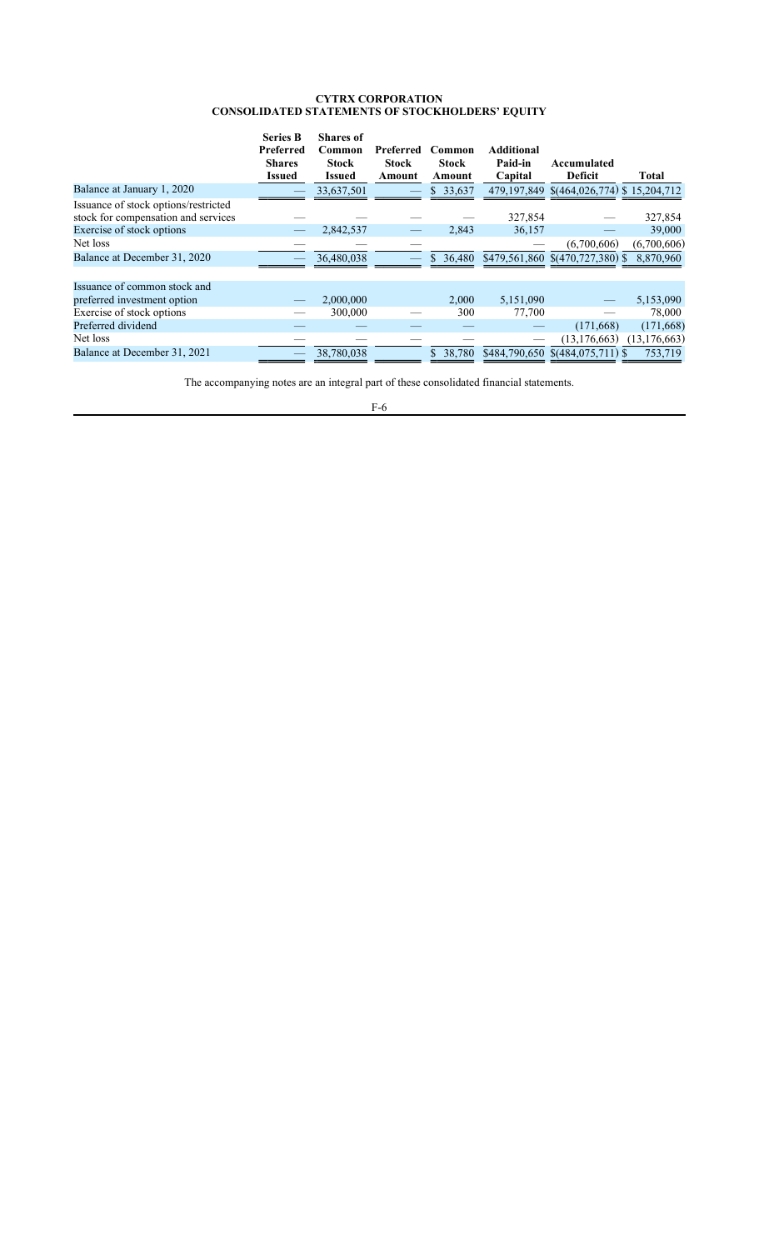## **CYTRX CORPORATION CONSOLIDATED STATEMENTS OF STOCKHOLDERS' EQUITY**

|                                                                             | <b>Series B</b><br>Preferred<br><b>Shares</b><br><b>Issued</b> | <b>Shares</b> of<br>Common<br><b>Stock</b><br>Issued | Preferred<br><b>Stock</b><br>Amount | Common<br><b>Stock</b><br>Amount | <b>Additional</b><br>Paid-in<br>Capital | Accumulated<br><b>Deficit</b>                   | Total          |
|-----------------------------------------------------------------------------|----------------------------------------------------------------|------------------------------------------------------|-------------------------------------|----------------------------------|-----------------------------------------|-------------------------------------------------|----------------|
| Balance at January 1, 2020                                                  |                                                                | 33,637,501                                           |                                     | \$33,637                         |                                         | 479, 197, 849 \$ (464, 026, 774) \$15, 204, 712 |                |
| Issuance of stock options/restricted<br>stock for compensation and services |                                                                |                                                      |                                     |                                  | 327,854                                 |                                                 | 327,854        |
| Exercise of stock options                                                   |                                                                | 2,842,537                                            |                                     | 2,843                            | 36,157                                  |                                                 | 39,000         |
| Net loss                                                                    |                                                                |                                                      |                                     |                                  |                                         | (6,700,606)                                     | (6,700,606)    |
| Balance at December 31, 2020                                                |                                                                | 36,480,038                                           |                                     | \$36,480                         |                                         | $$479,561,860 \quad $(470,727,380) \$           | 8,870,960      |
| Issuance of common stock and                                                |                                                                |                                                      |                                     |                                  |                                         |                                                 |                |
| preferred investment option                                                 |                                                                | 2,000,000                                            |                                     | 2,000                            | 5,151,090                               |                                                 | 5,153,090      |
| Exercise of stock options                                                   |                                                                | 300,000                                              |                                     | 300                              | 77,700                                  |                                                 | 78,000         |
| Preferred dividend                                                          |                                                                |                                                      |                                     |                                  |                                         | (171,668)                                       | (171,668)      |
| Net loss                                                                    |                                                                |                                                      |                                     |                                  |                                         | (13, 176, 663)                                  | (13, 176, 663) |
| Balance at December 31, 2021                                                |                                                                | 38,780,038                                           |                                     | \$ 38,780                        |                                         | \$484,790,650 \$(484,075,711) \$                | 753,719        |

The accompanying notes are an integral part of these consolidated financial statements.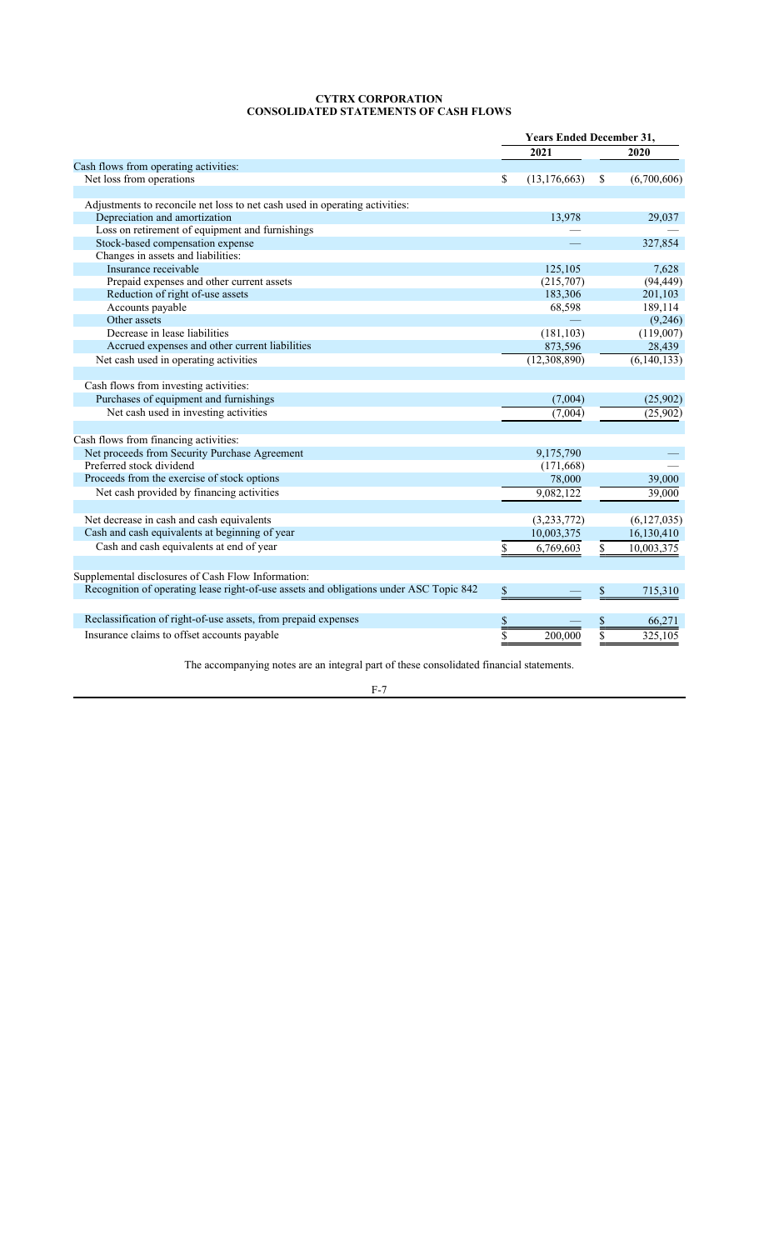## **CYTRX CORPORATION CONSOLIDATED STATEMENTS OF CASH FLOWS**

|                                                                                        | <b>Years Ended December 31,</b> |                |                 |             |
|----------------------------------------------------------------------------------------|---------------------------------|----------------|-----------------|-------------|
|                                                                                        |                                 | 2021           |                 | 2020        |
| Cash flows from operating activities:                                                  |                                 |                |                 |             |
| Net loss from operations                                                               | \$                              | (13, 176, 663) | S               | (6,700,606) |
| Adjustments to reconcile net loss to net cash used in operating activities:            |                                 |                |                 |             |
| Depreciation and amortization                                                          |                                 | 13,978         |                 | 29,037      |
| Loss on retirement of equipment and furnishings                                        |                                 |                |                 |             |
| Stock-based compensation expense                                                       |                                 |                |                 | 327,854     |
| Changes in assets and liabilities:                                                     |                                 |                |                 |             |
| Insurance receivable                                                                   |                                 | 125,105        |                 | 7,628       |
| Prepaid expenses and other current assets                                              |                                 | (215,707)      |                 | (94, 449)   |
| Reduction of right of-use assets                                                       |                                 | 183,306        |                 | 201,103     |
| Accounts payable                                                                       |                                 | 68,598         |                 | 189,114     |
| Other assets                                                                           |                                 |                |                 | (9,246)     |
| Decrease in lease liabilities                                                          |                                 | (181, 103)     |                 | (119,007)   |
| Accrued expenses and other current liabilities                                         |                                 | 873,596        |                 | 28,439      |
| Net cash used in operating activities                                                  |                                 | (12,308,890)   |                 | (6,140,133) |
| Cash flows from investing activities:                                                  |                                 |                |                 |             |
| Purchases of equipment and furnishings                                                 |                                 | (7,004)        |                 | (25,902)    |
| Net cash used in investing activities                                                  |                                 | (7,004)        |                 | (25,902)    |
| Cash flows from financing activities:                                                  |                                 |                |                 |             |
| Net proceeds from Security Purchase Agreement                                          |                                 | 9,175,790      |                 |             |
| Preferred stock dividend                                                               |                                 | (171, 668)     |                 |             |
| Proceeds from the exercise of stock options                                            |                                 | 78,000         |                 | 39,000      |
| Net cash provided by financing activities                                              |                                 | 9,082,122      |                 | 39,000      |
|                                                                                        |                                 |                |                 |             |
| Net decrease in cash and cash equivalents                                              |                                 | (3,233,772)    |                 | (6,127,035) |
| Cash and cash equivalents at beginning of year                                         |                                 | 10,003,375     |                 | 16,130,410  |
| Cash and cash equivalents at end of year                                               | \$                              | 6,769,603      | \$              | 10,003,375  |
|                                                                                        |                                 |                |                 |             |
| Supplemental disclosures of Cash Flow Information:                                     |                                 |                |                 |             |
| Recognition of operating lease right-of-use assets and obligations under ASC Topic 842 | \$                              |                | \$              | 715,310     |
| Reclassification of right-of-use assets, from prepaid expenses                         | $\frac{1}{2}$                   |                | \$              | 66,271      |
| Insurance claims to offset accounts payable                                            | $\overline{\$}$                 | 200,000        | $\overline{\$}$ | 325,105     |
|                                                                                        |                                 |                |                 |             |

The accompanying notes are an integral part of these consolidated financial statements.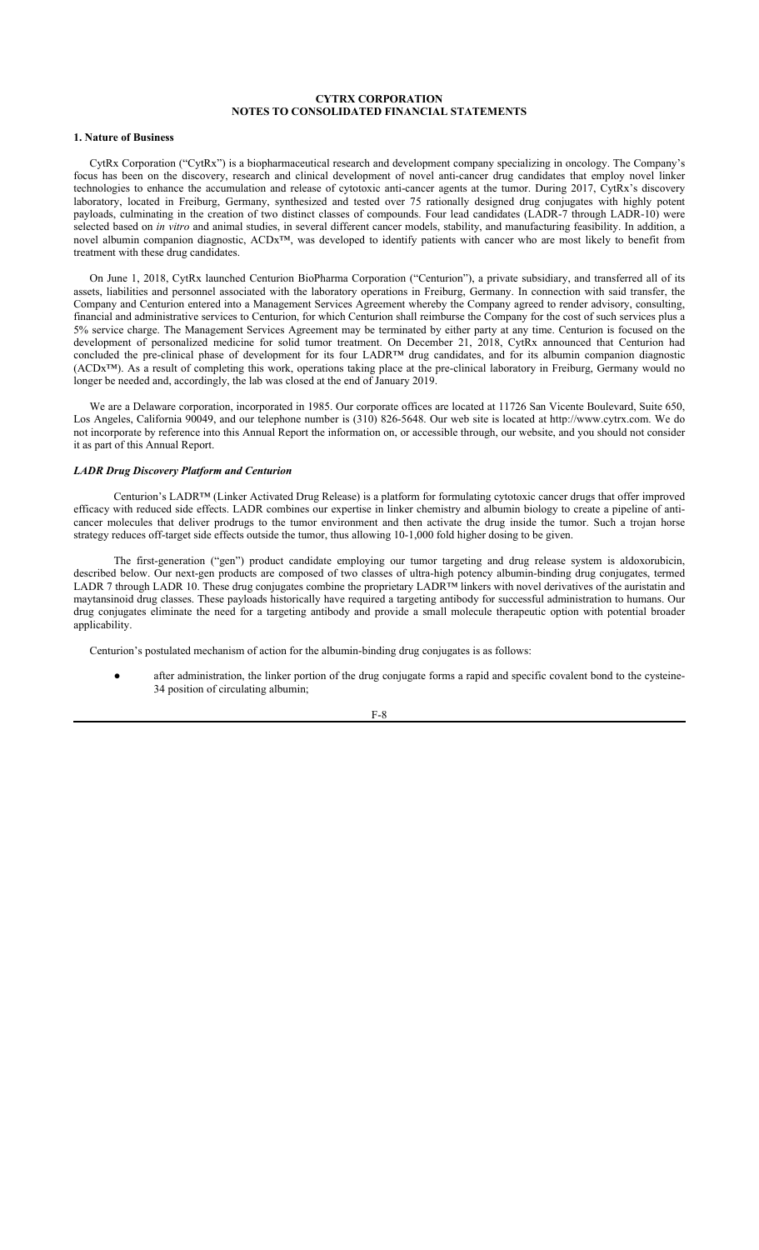## **CYTRX CORPORATION NOTES TO CONSOLIDATED FINANCIAL STATEMENTS**

## **1. Nature of Business**

CytRx Corporation ("CytRx") is a biopharmaceutical research and development company specializing in oncology. The Company's focus has been on the discovery, research and clinical development of novel anti-cancer drug candidates that employ novel linker technologies to enhance the accumulation and release of cytotoxic anti-cancer agents at the tumor. During 2017, CytRx's discovery laboratory, located in Freiburg, Germany, synthesized and tested over 75 rationally designed drug conjugates with highly potent payloads, culminating in the creation of two distinct classes of compounds. Four lead candidates (LADR-7 through LADR-10) were selected based on *in vitro* and animal studies, in several different cancer models, stability, and manufacturing feasibility. In addition, a novel albumin companion diagnostic, ACDx™, was developed to identify patients with cancer who are most likely to benefit from treatment with these drug candidates.

On June 1, 2018, CytRx launched Centurion BioPharma Corporation ("Centurion"), a private subsidiary, and transferred all of its assets, liabilities and personnel associated with the laboratory operations in Freiburg, Germany. In connection with said transfer, the Company and Centurion entered into a Management Services Agreement whereby the Company agreed to render advisory, consulting, financial and administrative services to Centurion, for which Centurion shall reimburse the Company for the cost of such services plus a 5% service charge. The Management Services Agreement may be terminated by either party at any time. Centurion is focused on the development of personalized medicine for solid tumor treatment. On December 21, 2018, CytRx announced that Centurion had concluded the pre-clinical phase of development for its four LADR™ drug candidates, and for its albumin companion diagnostic (ACDx™). As a result of completing this work, operations taking place at the pre-clinical laboratory in Freiburg, Germany would no longer be needed and, accordingly, the lab was closed at the end of January 2019.

We are a Delaware corporation, incorporated in 1985. Our corporate offices are located at 11726 San Vicente Boulevard, Suite 650, Los Angeles, California 90049, and our telephone number is (310) 826-5648. Our web site is located at http://www.cytrx.com. We do not incorporate by reference into this Annual Report the information on, or accessible through, our website, and you should not consider it as part of this Annual Report.

## *LADR Drug Discovery Platform and Centurion*

Centurion's LADR™ (Linker Activated Drug Release) is a platform for formulating cytotoxic cancer drugs that offer improved efficacy with reduced side effects. LADR combines our expertise in linker chemistry and albumin biology to create a pipeline of anticancer molecules that deliver prodrugs to the tumor environment and then activate the drug inside the tumor. Such a trojan horse strategy reduces off-target side effects outside the tumor, thus allowing 10-1,000 fold higher dosing to be given.

The first-generation ("gen") product candidate employing our tumor targeting and drug release system is aldoxorubicin, described below. Our next-gen products are composed of two classes of ultra-high potency albumin-binding drug conjugates, termed LADR 7 through LADR 10. These drug conjugates combine the proprietary LADR™ linkers with novel derivatives of the auristatin and maytansinoid drug classes. These payloads historically have required a targeting antibody for successful administration to humans. Our drug conjugates eliminate the need for a targeting antibody and provide a small molecule therapeutic option with potential broader applicability.

Centurion's postulated mechanism of action for the albumin-binding drug conjugates is as follows:

after administration, the linker portion of the drug conjugate forms a rapid and specific covalent bond to the cysteine-34 position of circulating albumin;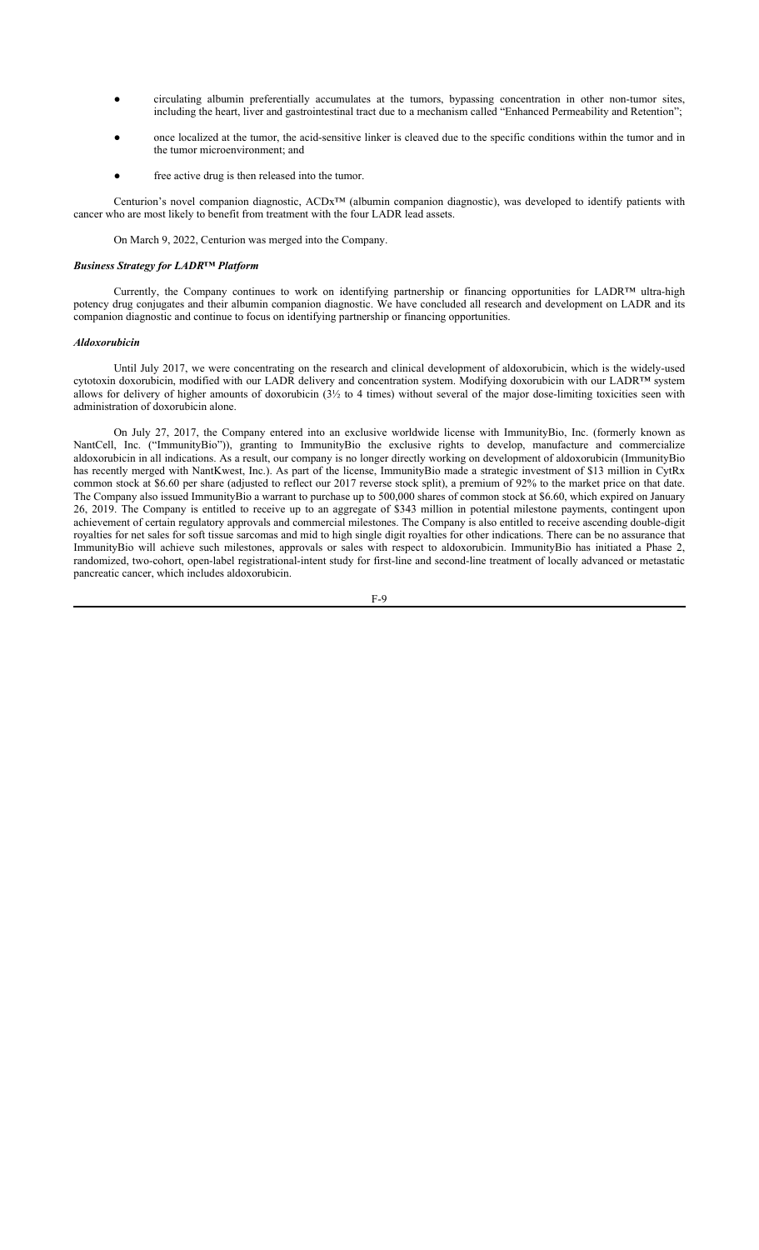- Ɣ circulating albumin preferentially accumulates at the tumors, bypassing concentration in other non-tumor sites, including the heart, liver and gastrointestinal tract due to a mechanism called "Enhanced Permeability and Retention";
- Ɣ once localized at the tumor, the acid-sensitive linker is cleaved due to the specific conditions within the tumor and in the tumor microenvironment; and
- free active drug is then released into the tumor.

Centurion's novel companion diagnostic, ACDx™ (albumin companion diagnostic), was developed to identify patients with cancer who are most likely to benefit from treatment with the four LADR lead assets.

On March 9, 2022, Centurion was merged into the Company.

## *Business Strategy for LADR™ Platform*

Currently, the Company continues to work on identifying partnership or financing opportunities for LADR™ ultra-high potency drug conjugates and their albumin companion diagnostic. We have concluded all research and development on LADR and its companion diagnostic and continue to focus on identifying partnership or financing opportunities.

# *Aldoxorubicin*

Until July 2017, we were concentrating on the research and clinical development of aldoxorubicin, which is the widely-used cytotoxin doxorubicin, modified with our LADR delivery and concentration system. Modifying doxorubicin with our LADR™ system allows for delivery of higher amounts of doxorubicin (3½ to 4 times) without several of the major dose-limiting toxicities seen with administration of doxorubicin alone.

On July 27, 2017, the Company entered into an exclusive worldwide license with ImmunityBio, Inc. (formerly known as NantCell, Inc. ("ImmunityBio")), granting to ImmunityBio the exclusive rights to develop, manufacture and commercialize aldoxorubicin in all indications. As a result, our company is no longer directly working on development of aldoxorubicin (ImmunityBio has recently merged with NantKwest, Inc.). As part of the license, ImmunityBio made a strategic investment of \$13 million in CytRx common stock at \$6.60 per share (adjusted to reflect our 2017 reverse stock split), a premium of 92% to the market price on that date. The Company also issued ImmunityBio a warrant to purchase up to 500,000 shares of common stock at \$6.60, which expired on January 26, 2019. The Company is entitled to receive up to an aggregate of \$343 million in potential milestone payments, contingent upon achievement of certain regulatory approvals and commercial milestones. The Company is also entitled to receive ascending double-digit royalties for net sales for soft tissue sarcomas and mid to high single digit royalties for other indications. There can be no assurance that ImmunityBio will achieve such milestones, approvals or sales with respect to aldoxorubicin. ImmunityBio has initiated a Phase 2, randomized, two-cohort, open-label registrational-intent study for first-line and second-line treatment of locally advanced or metastatic pancreatic cancer, which includes aldoxorubicin.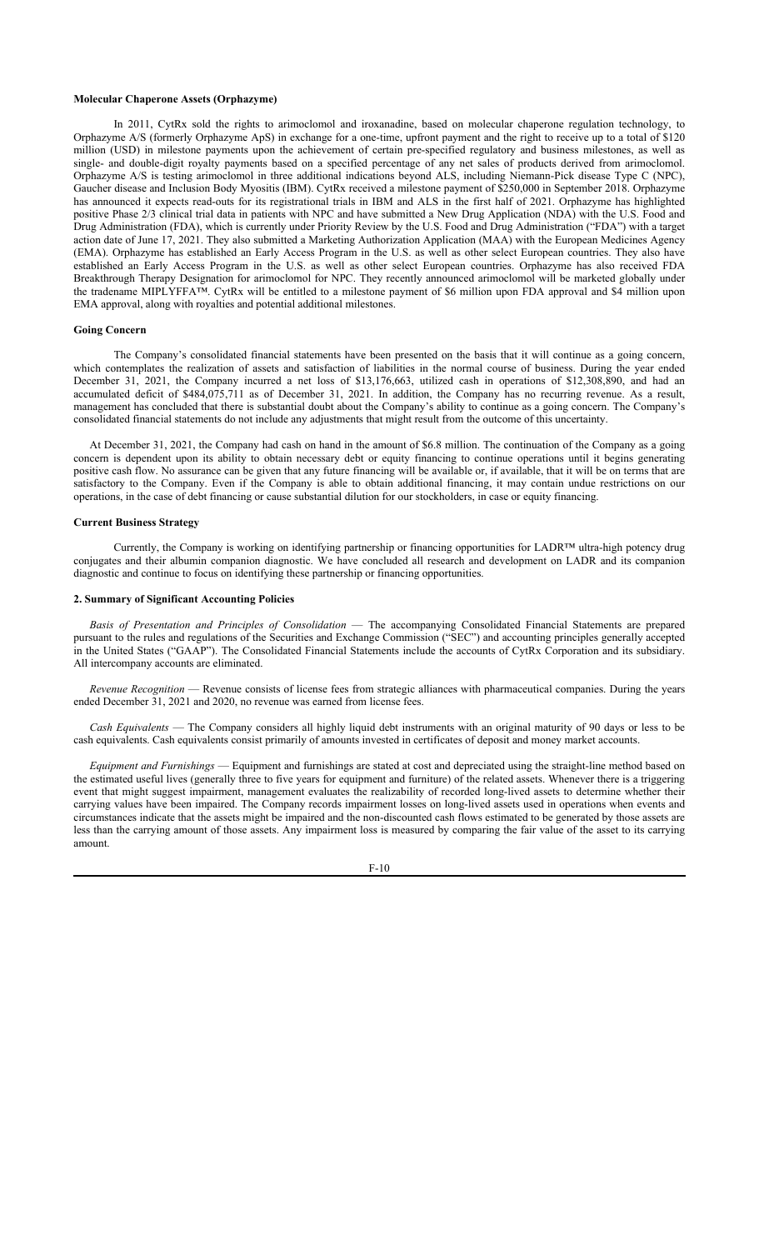## **Molecular Chaperone Assets (Orphazyme)**

In 2011, CytRx sold the rights to arimoclomol and iroxanadine, based on molecular chaperone regulation technology, to Orphazyme A/S (formerly Orphazyme ApS) in exchange for a one-time, upfront payment and the right to receive up to a total of \$120 million (USD) in milestone payments upon the achievement of certain pre-specified regulatory and business milestones, as well as single- and double-digit royalty payments based on a specified percentage of any net sales of products derived from arimoclomol. Orphazyme A/S is testing arimoclomol in three additional indications beyond ALS, including Niemann-Pick disease Type C (NPC), Gaucher disease and Inclusion Body Myositis (IBM). CytRx received a milestone payment of \$250,000 in September 2018. Orphazyme has announced it expects read-outs for its registrational trials in IBM and ALS in the first half of 2021. Orphazyme has highlighted positive Phase 2/3 clinical trial data in patients with NPC and have submitted a New Drug Application (NDA) with the U.S. Food and Drug Administration (FDA), which is currently under Priority Review by the U.S. Food and Drug Administration ("FDA") with a target action date of June 17, 2021. They also submitted a Marketing Authorization Application (MAA) with the European Medicines Agency (EMA). Orphazyme has established an Early Access Program in the U.S. as well as other select European countries. They also have established an Early Access Program in the U.S. as well as other select European countries. Orphazyme has also received FDA Breakthrough Therapy Designation for arimoclomol for NPC. They recently announced arimoclomol will be marketed globally under the tradename MIPLYFFA™. CytRx will be entitled to a milestone payment of \$6 million upon FDA approval and \$4 million upon EMA approval, along with royalties and potential additional milestones.

# **Going Concern**

The Company's consolidated financial statements have been presented on the basis that it will continue as a going concern, which contemplates the realization of assets and satisfaction of liabilities in the normal course of business. During the year ended December 31, 2021, the Company incurred a net loss of \$13,176,663, utilized cash in operations of \$12,308,890, and had an accumulated deficit of \$484,075,711 as of December 31, 2021. In addition, the Company has no recurring revenue. As a result, management has concluded that there is substantial doubt about the Company's ability to continue as a going concern. The Company's consolidated financial statements do not include any adjustments that might result from the outcome of this uncertainty.

At December 31, 2021, the Company had cash on hand in the amount of \$6.8 million. The continuation of the Company as a going concern is dependent upon its ability to obtain necessary debt or equity financing to continue operations until it begins generating positive cash flow. No assurance can be given that any future financing will be available or, if available, that it will be on terms that are satisfactory to the Company. Even if the Company is able to obtain additional financing, it may contain undue restrictions on our operations, in the case of debt financing or cause substantial dilution for our stockholders, in case or equity financing.

## **Current Business Strategy**

Currently, the Company is working on identifying partnership or financing opportunities for LADR™ ultra-high potency drug conjugates and their albumin companion diagnostic. We have concluded all research and development on LADR and its companion diagnostic and continue to focus on identifying these partnership or financing opportunities.

## **2. Summary of Significant Accounting Policies**

*Basis of Presentation and Principles of Consolidation* — The accompanying Consolidated Financial Statements are prepared pursuant to the rules and regulations of the Securities and Exchange Commission ("SEC") and accounting principles generally accepted in the United States ("GAAP"). The Consolidated Financial Statements include the accounts of CytRx Corporation and its subsidiary. All intercompany accounts are eliminated.

*Revenue Recognition* — Revenue consists of license fees from strategic alliances with pharmaceutical companies. During the years ended December 31, 2021 and 2020, no revenue was earned from license fees.

*Cash Equivalents* — The Company considers all highly liquid debt instruments with an original maturity of 90 days or less to be cash equivalents. Cash equivalents consist primarily of amounts invested in certificates of deposit and money market accounts.

*Equipment and Furnishings* — Equipment and furnishings are stated at cost and depreciated using the straight-line method based on the estimated useful lives (generally three to five years for equipment and furniture) of the related assets. Whenever there is a triggering event that might suggest impairment, management evaluates the realizability of recorded long-lived assets to determine whether their carrying values have been impaired. The Company records impairment losses on long-lived assets used in operations when events and circumstances indicate that the assets might be impaired and the non-discounted cash flows estimated to be generated by those assets are less than the carrying amount of those assets. Any impairment loss is measured by comparing the fair value of the asset to its carrying amount.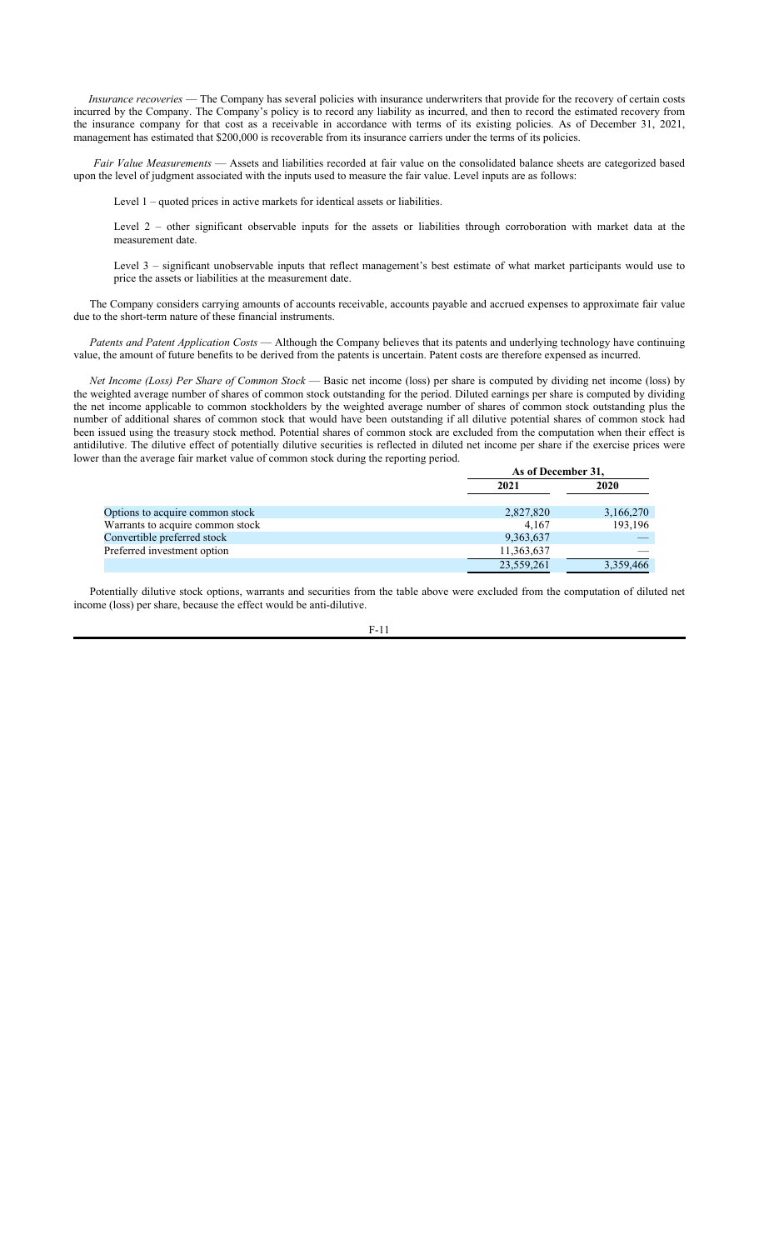*Insurance recoveries* — The Company has several policies with insurance underwriters that provide for the recovery of certain costs incurred by the Company. The Company's policy is to record any liability as incurred, and then to record the estimated recovery from the insurance company for that cost as a receivable in accordance with terms of its existing policies. As of December 31, 2021, management has estimated that \$200,000 is recoverable from its insurance carriers under the terms of its policies.

*Fair Value Measurements* — Assets and liabilities recorded at fair value on the consolidated balance sheets are categorized based upon the level of judgment associated with the inputs used to measure the fair value. Level inputs are as follows:

Level 1 – quoted prices in active markets for identical assets or liabilities.

Level 2 – other significant observable inputs for the assets or liabilities through corroboration with market data at the measurement date.

Level 3 – significant unobservable inputs that reflect management's best estimate of what market participants would use to price the assets or liabilities at the measurement date.

The Company considers carrying amounts of accounts receivable, accounts payable and accrued expenses to approximate fair value due to the short-term nature of these financial instruments.

*Patents and Patent Application Costs* — Although the Company believes that its patents and underlying technology have continuing value, the amount of future benefits to be derived from the patents is uncertain. Patent costs are therefore expensed as incurred.

*Net Income (Loss) Per Share of Common Stock* — Basic net income (loss) per share is computed by dividing net income (loss) by the weighted average number of shares of common stock outstanding for the period. Diluted earnings per share is computed by dividing the net income applicable to common stockholders by the weighted average number of shares of common stock outstanding plus the number of additional shares of common stock that would have been outstanding if all dilutive potential shares of common stock had been issued using the treasury stock method. Potential shares of common stock are excluded from the computation when their effect is antidilutive. The dilutive effect of potentially dilutive securities is reflected in diluted net income per share if the exercise prices were lower than the average fair market value of common stock during the reporting period.

|                                  | As of December 31, |           |
|----------------------------------|--------------------|-----------|
|                                  | 2021               | 2020      |
| Options to acquire common stock  | 2,827,820          | 3,166,270 |
| Warrants to acquire common stock | 4.167              | 193,196   |
| Convertible preferred stock      | 9,363,637          |           |
| Preferred investment option      | 11,363,637         |           |
|                                  | 23,559,261         | 3,359,466 |

Potentially dilutive stock options, warrants and securities from the table above were excluded from the computation of diluted net income (loss) per share, because the effect would be anti-dilutive.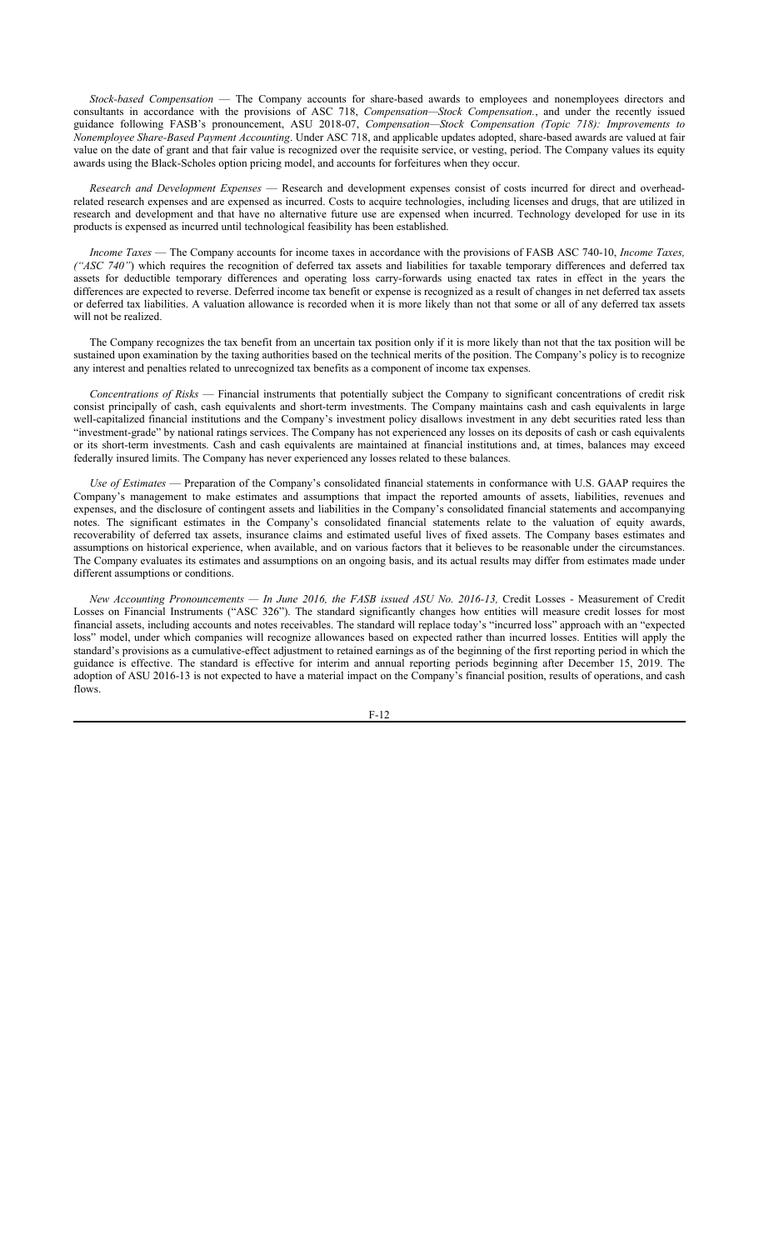*Stock-based Compensation* — The Company accounts for share-based awards to employees and nonemployees directors and consultants in accordance with the provisions of ASC 718, *Compensation—Stock Compensation.*, and under the recently issued guidance following FASB's pronouncement, ASU 2018-07, *Compensation—Stock Compensation (Topic 718): Improvements to Nonemployee Share-Based Payment Accounting*. Under ASC 718, and applicable updates adopted, share-based awards are valued at fair value on the date of grant and that fair value is recognized over the requisite service, or vesting, period. The Company values its equity awards using the Black-Scholes option pricing model, and accounts for forfeitures when they occur.

*Research and Development Expenses* — Research and development expenses consist of costs incurred for direct and overheadrelated research expenses and are expensed as incurred. Costs to acquire technologies, including licenses and drugs, that are utilized in research and development and that have no alternative future use are expensed when incurred. Technology developed for use in its products is expensed as incurred until technological feasibility has been established.

*Income Taxes* — The Company accounts for income taxes in accordance with the provisions of FASB ASC 740-10, *Income Taxes, ("ASC 740"*) which requires the recognition of deferred tax assets and liabilities for taxable temporary differences and deferred tax assets for deductible temporary differences and operating loss carry-forwards using enacted tax rates in effect in the years the differences are expected to reverse. Deferred income tax benefit or expense is recognized as a result of changes in net deferred tax assets or deferred tax liabilities. A valuation allowance is recorded when it is more likely than not that some or all of any deferred tax assets will not be realized.

The Company recognizes the tax benefit from an uncertain tax position only if it is more likely than not that the tax position will be sustained upon examination by the taxing authorities based on the technical merits of the position. The Company's policy is to recognize any interest and penalties related to unrecognized tax benefits as a component of income tax expenses.

*Concentrations of Risks* — Financial instruments that potentially subject the Company to significant concentrations of credit risk consist principally of cash, cash equivalents and short-term investments. The Company maintains cash and cash equivalents in large well-capitalized financial institutions and the Company's investment policy disallows investment in any debt securities rated less than "investment-grade" by national ratings services. The Company has not experienced any losses on its deposits of cash or cash equivalents or its short-term investments. Cash and cash equivalents are maintained at financial institutions and, at times, balances may exceed federally insured limits. The Company has never experienced any losses related to these balances.

*Use of Estimates* — Preparation of the Company's consolidated financial statements in conformance with U.S. GAAP requires the Company's management to make estimates and assumptions that impact the reported amounts of assets, liabilities, revenues and expenses, and the disclosure of contingent assets and liabilities in the Company's consolidated financial statements and accompanying notes. The significant estimates in the Company's consolidated financial statements relate to the valuation of equity awards, recoverability of deferred tax assets, insurance claims and estimated useful lives of fixed assets. The Company bases estimates and assumptions on historical experience, when available, and on various factors that it believes to be reasonable under the circumstances. The Company evaluates its estimates and assumptions on an ongoing basis, and its actual results may differ from estimates made under different assumptions or conditions.

*New Accounting Pronouncements — In June 2016, the FASB issued ASU No. 2016-13,* Credit Losses - Measurement of Credit Losses on Financial Instruments ("ASC 326"). The standard significantly changes how entities will measure credit losses for most financial assets, including accounts and notes receivables. The standard will replace today's "incurred loss" approach with an "expected loss" model, under which companies will recognize allowances based on expected rather than incurred losses. Entities will apply the standard's provisions as a cumulative-effect adjustment to retained earnings as of the beginning of the first reporting period in which the guidance is effective. The standard is effective for interim and annual reporting periods beginning after December 15, 2019. The adoption of ASU 2016-13 is not expected to have a material impact on the Company's financial position, results of operations, and cash flows.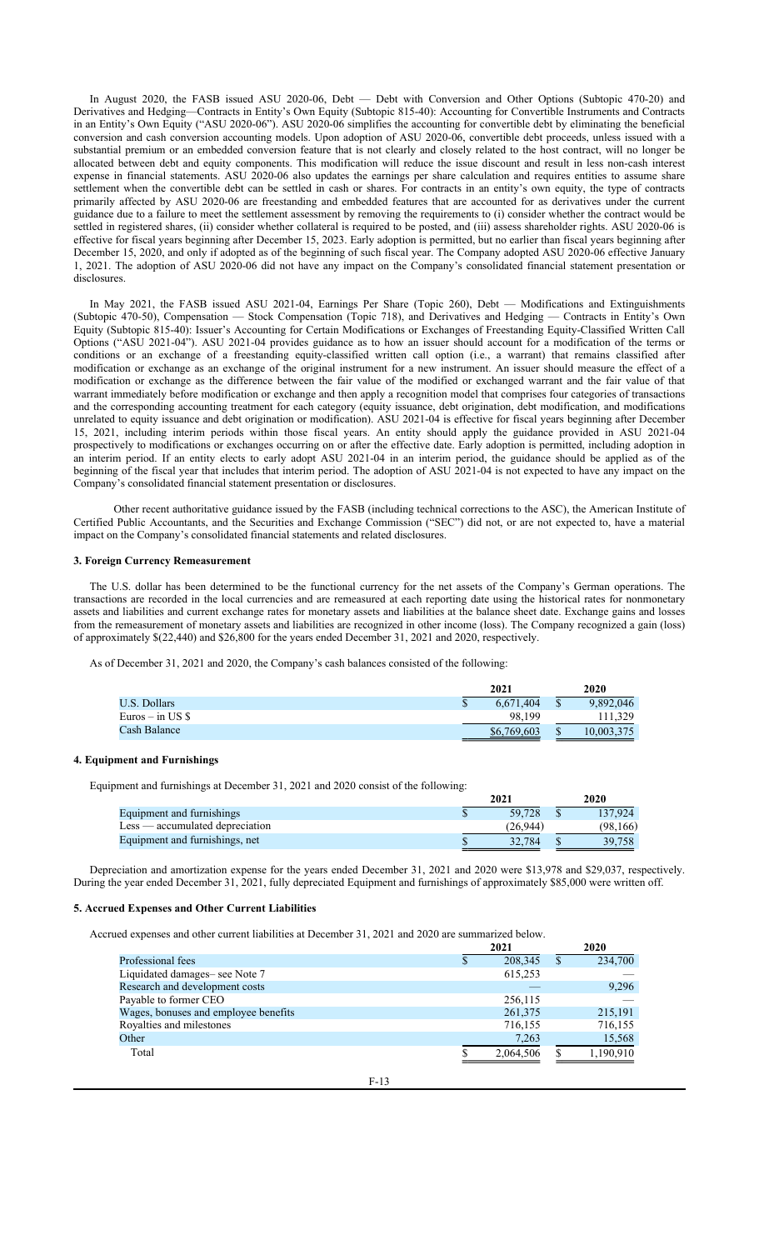In August 2020, the FASB issued ASU 2020-06, Debt — Debt with Conversion and Other Options (Subtopic 470-20) and Derivatives and Hedging—Contracts in Entity's Own Equity (Subtopic 815-40): Accounting for Convertible Instruments and Contracts in an Entity's Own Equity ("ASU 2020-06"). ASU 2020-06 simplifies the accounting for convertible debt by eliminating the beneficial conversion and cash conversion accounting models. Upon adoption of ASU 2020-06, convertible debt proceeds, unless issued with a substantial premium or an embedded conversion feature that is not clearly and closely related to the host contract, will no longer be allocated between debt and equity components. This modification will reduce the issue discount and result in less non-cash interest expense in financial statements. ASU 2020-06 also updates the earnings per share calculation and requires entities to assume share settlement when the convertible debt can be settled in cash or shares. For contracts in an entity's own equity, the type of contracts primarily affected by ASU 2020-06 are freestanding and embedded features that are accounted for as derivatives under the current guidance due to a failure to meet the settlement assessment by removing the requirements to (i) consider whether the contract would be settled in registered shares, (ii) consider whether collateral is required to be posted, and (iii) assess shareholder rights. ASU 2020-06 is effective for fiscal years beginning after December 15, 2023. Early adoption is permitted, but no earlier than fiscal years beginning after December 15, 2020, and only if adopted as of the beginning of such fiscal year. The Company adopted ASU 2020-06 effective January 1, 2021. The adoption of ASU 2020-06 did not have any impact on the Company's consolidated financial statement presentation or disclosures.

In May 2021, the FASB issued ASU 2021-04, Earnings Per Share (Topic 260), Debt — Modifications and Extinguishments (Subtopic 470-50), Compensation — Stock Compensation (Topic 718), and Derivatives and Hedging — Contracts in Entity's Own Equity (Subtopic 815-40): Issuer's Accounting for Certain Modifications or Exchanges of Freestanding Equity-Classified Written Call Options ("ASU 2021-04"). ASU 2021-04 provides guidance as to how an issuer should account for a modification of the terms or conditions or an exchange of a freestanding equity-classified written call option (i.e., a warrant) that remains classified after modification or exchange as an exchange of the original instrument for a new instrument. An issuer should measure the effect of a modification or exchange as the difference between the fair value of the modified or exchanged warrant and the fair value of that warrant immediately before modification or exchange and then apply a recognition model that comprises four categories of transactions and the corresponding accounting treatment for each category (equity issuance, debt origination, debt modification, and modifications unrelated to equity issuance and debt origination or modification). ASU 2021-04 is effective for fiscal years beginning after December 15, 2021, including interim periods within those fiscal years. An entity should apply the guidance provided in ASU 2021-04 prospectively to modifications or exchanges occurring on or after the effective date. Early adoption is permitted, including adoption in an interim period. If an entity elects to early adopt ASU 2021-04 in an interim period, the guidance should be applied as of the beginning of the fiscal year that includes that interim period. The adoption of ASU 2021-04 is not expected to have any impact on the Company's consolidated financial statement presentation or disclosures.

Other recent authoritative guidance issued by the FASB (including technical corrections to the ASC), the American Institute of Certified Public Accountants, and the Securities and Exchange Commission ("SEC") did not, or are not expected to, have a material impact on the Company's consolidated financial statements and related disclosures.

#### **3. Foreign Currency Remeasurement**

The U.S. dollar has been determined to be the functional currency for the net assets of the Company's German operations. The transactions are recorded in the local currencies and are remeasured at each reporting date using the historical rates for nonmonetary assets and liabilities and current exchange rates for monetary assets and liabilities at the balance sheet date. Exchange gains and losses from the remeasurement of monetary assets and liabilities are recognized in other income (loss). The Company recognized a gain (loss) of approximately \$(22,440) and \$26,800 for the years ended December 31, 2021 and 2020, respectively.

As of December 31, 2021 and 2020, the Company's cash balances consisted of the following:

|                    | 2021            | 2020       |
|--------------------|-----------------|------------|
| U.S. Dollars       | \$<br>6.671.404 | 9,892,046  |
| Euros $-$ in US \$ | 98.199          | 111.329    |
| Cash Balance       | \$6,769,603     | 10,003,375 |

## **4. Equipment and Furnishings**

Equipment and furnishings at December 31, 2021 and 2020 consist of the following:

|                                   | 2021 |          |  |          |
|-----------------------------------|------|----------|--|----------|
| Equipment and furnishings         |      | 59.728   |  | 137.924  |
| $Less$ — accumulated depreciation |      | (26.944) |  | (98.166) |
| Equipment and furnishings, net    |      | 32.784   |  | 39.758   |

Depreciation and amortization expense for the years ended December 31, 2021 and 2020 were \$13,978 and \$29,037, respectively. During the year ended December 31, 2021, fully depreciated Equipment and furnishings of approximately \$85,000 were written off.

## **5. Accrued Expenses and Other Current Liabilities**

Accrued expenses and other current liabilities at December 31, 2021 and 2020 are summarized below.

|                                      | 2021      | 2020      |
|--------------------------------------|-----------|-----------|
| Professional fees                    | 208,345   | 234,700   |
| Liquidated damages-see Note 7        | 615,253   |           |
| Research and development costs       |           | 9,296     |
| Payable to former CEO                | 256,115   |           |
| Wages, bonuses and employee benefits | 261,375   | 215,191   |
| Royalties and milestones             | 716,155   | 716,155   |
| Other                                | 7,263     | 15,568    |
| Total                                | 2,064,506 | 1,190,910 |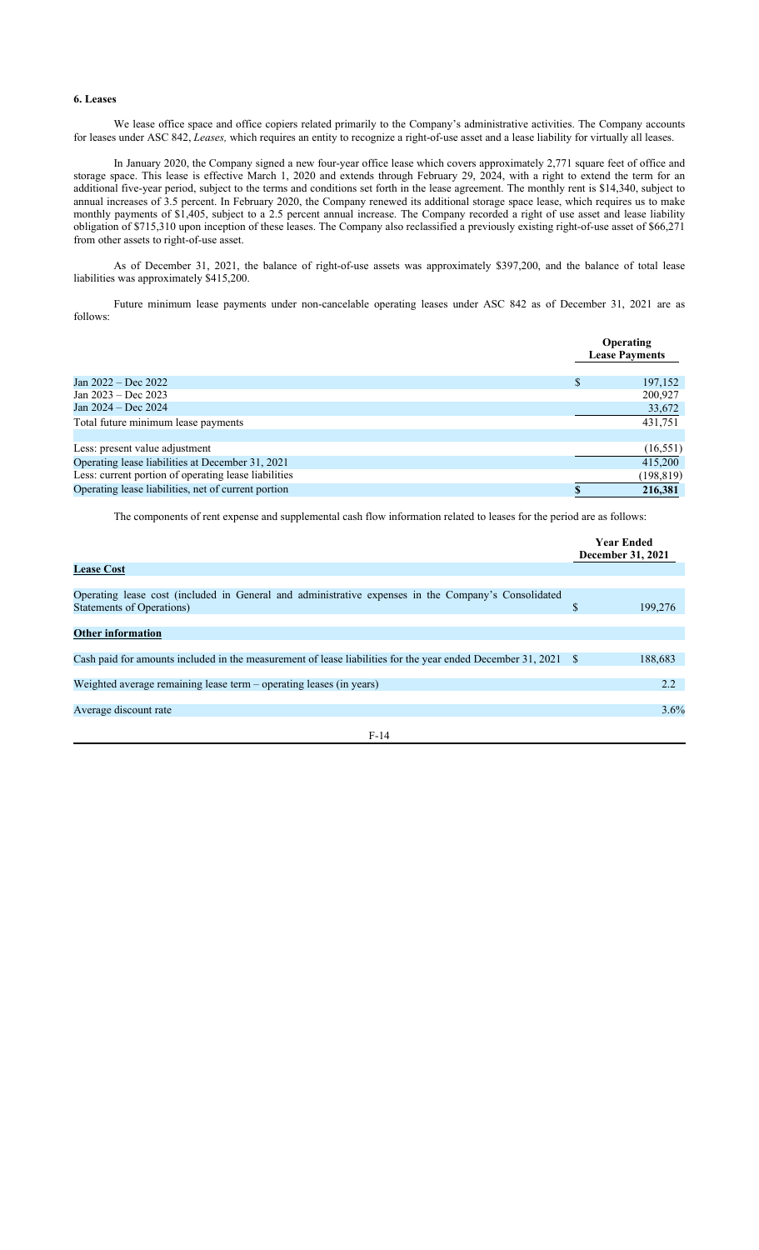## **6. Leases**

We lease office space and office copiers related primarily to the Company's administrative activities. The Company accounts for leases under ASC 842, *Leases,* which requires an entity to recognize a right-of-use asset and a lease liability for virtually all leases.

In January 2020, the Company signed a new four-year office lease which covers approximately 2,771 square feet of office and storage space. This lease is effective March 1, 2020 and extends through February 29, 2024, with a right to extend the term for an additional five-year period, subject to the terms and conditions set forth in the lease agreement. The monthly rent is \$14,340, subject to annual increases of 3.5 percent. In February 2020, the Company renewed its additional storage space lease, which requires us to make monthly payments of \$1,405, subject to a 2.5 percent annual increase. The Company recorded a right of use asset and lease liability obligation of \$715,310 upon inception of these leases. The Company also reclassified a previously existing right-of-use asset of \$66,271 from other assets to right-of-use asset.

As of December 31, 2021, the balance of right-of-use assets was approximately \$397,200, and the balance of total lease liabilities was approximately \$415,200.

Future minimum lease payments under non-cancelable operating leases under ASC 842 as of December 31, 2021 are as follows:

|                                                      | Operating<br><b>Lease Payments</b> |  |  |
|------------------------------------------------------|------------------------------------|--|--|
|                                                      |                                    |  |  |
| Jan 2022 – Dec 2022                                  | \$<br>197,152                      |  |  |
| Jan $2023 - Dec 2023$                                | 200,927                            |  |  |
| Jan 2024 – Dec 2024                                  | 33,672                             |  |  |
| Total future minimum lease payments                  | 431,751                            |  |  |
|                                                      |                                    |  |  |
| Less: present value adjustment                       | (16, 551)                          |  |  |
| Operating lease liabilities at December 31, 2021     | 415,200                            |  |  |
| Less: current portion of operating lease liabilities | (198,819)                          |  |  |
| Operating lease liabilities, net of current portion  | 216,381                            |  |  |

The components of rent expense and supplemental cash flow information related to leases for the period are as follows:

|                                                                                                                                  | <b>Year Ended</b><br>December 31, 2021 |         |  |
|----------------------------------------------------------------------------------------------------------------------------------|----------------------------------------|---------|--|
| <b>Lease Cost</b>                                                                                                                |                                        |         |  |
|                                                                                                                                  |                                        |         |  |
| Operating lease cost (included in General and administrative expenses in the Company's Consolidated<br>Statements of Operations) | \$                                     | 199,276 |  |
|                                                                                                                                  |                                        |         |  |
| <b>Other information</b>                                                                                                         |                                        |         |  |
|                                                                                                                                  |                                        |         |  |
| Cash paid for amounts included in the measurement of lease liabilities for the year ended December 31, 2021 \$                   |                                        | 188,683 |  |
|                                                                                                                                  |                                        |         |  |
| Weighted average remaining lease term - operating leases (in years)                                                              |                                        | 2.2     |  |
|                                                                                                                                  |                                        |         |  |
| Average discount rate                                                                                                            |                                        | 3.6%    |  |
| $F-14$                                                                                                                           |                                        |         |  |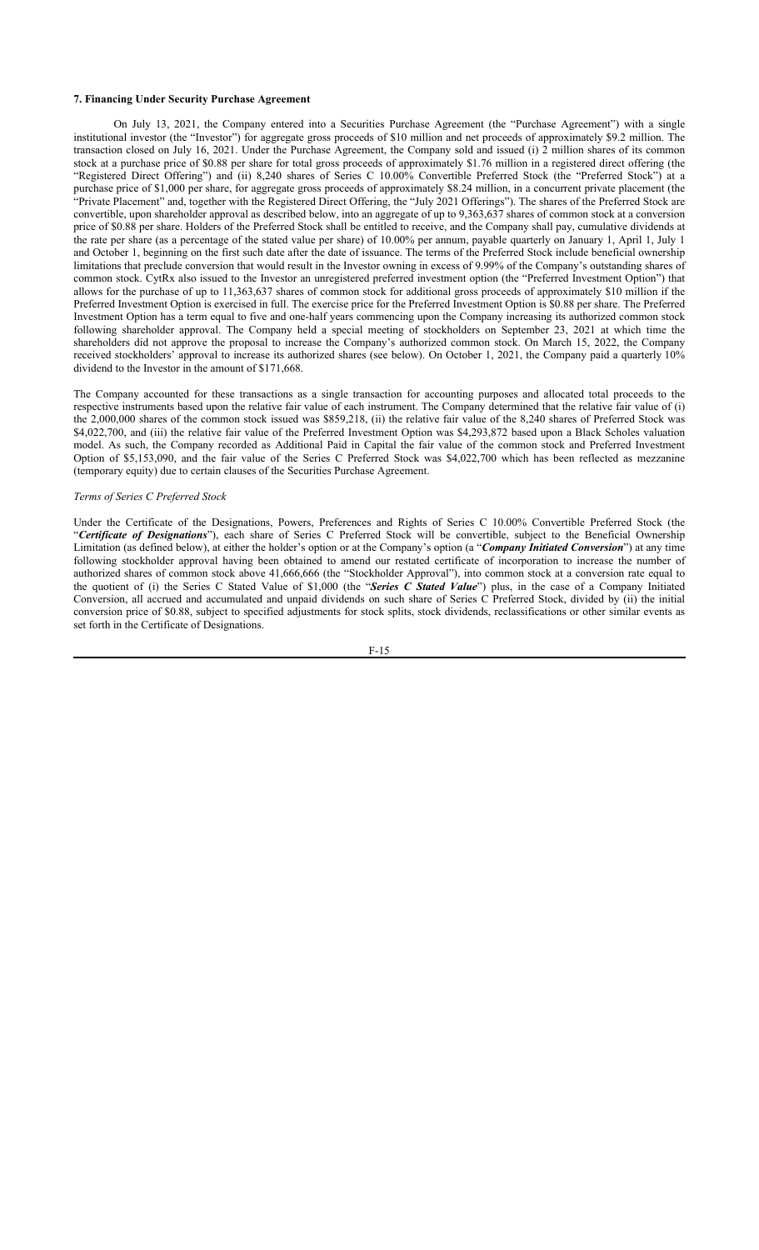## **7. Financing Under Security Purchase Agreement**

On July 13, 2021, the Company entered into a Securities Purchase Agreement (the "Purchase Agreement") with a single institutional investor (the "Investor") for aggregate gross proceeds of \$10 million and net proceeds of approximately \$9.2 million. The transaction closed on July 16, 2021. Under the Purchase Agreement, the Company sold and issued (i) 2 million shares of its common stock at a purchase price of \$0.88 per share for total gross proceeds of approximately \$1.76 million in a registered direct offering (the "Registered Direct Offering") and (ii) 8,240 shares of Series C 10.00% Convertible Preferred Stock (the "Preferred Stock") at a purchase price of \$1,000 per share, for aggregate gross proceeds of approximately \$8.24 million, in a concurrent private placement (the "Private Placement" and, together with the Registered Direct Offering, the "July 2021 Offerings"). The shares of the Preferred Stock are convertible, upon shareholder approval as described below, into an aggregate of up to 9,363,637 shares of common stock at a conversion price of \$0.88 per share. Holders of the Preferred Stock shall be entitled to receive, and the Company shall pay, cumulative dividends at the rate per share (as a percentage of the stated value per share) of 10.00% per annum, payable quarterly on January 1, April 1, July 1 and October 1, beginning on the first such date after the date of issuance. The terms of the Preferred Stock include beneficial ownership limitations that preclude conversion that would result in the Investor owning in excess of 9.99% of the Company's outstanding shares of common stock. CytRx also issued to the Investor an unregistered preferred investment option (the "Preferred Investment Option") that allows for the purchase of up to 11,363,637 shares of common stock for additional gross proceeds of approximately \$10 million if the Preferred Investment Option is exercised in full. The exercise price for the Preferred Investment Option is \$0.88 per share. The Preferred Investment Option has a term equal to five and one-half years commencing upon the Company increasing its authorized common stock following shareholder approval. The Company held a special meeting of stockholders on September 23, 2021 at which time the shareholders did not approve the proposal to increase the Company's authorized common stock. On March 15, 2022, the Company received stockholders' approval to increase its authorized shares (see below). On October 1, 2021, the Company paid a quarterly 10% dividend to the Investor in the amount of \$171,668.

The Company accounted for these transactions as a single transaction for accounting purposes and allocated total proceeds to the respective instruments based upon the relative fair value of each instrument. The Company determined that the relative fair value of (i) the 2,000,000 shares of the common stock issued was \$859,218, (ii) the relative fair value of the 8,240 shares of Preferred Stock was \$4,022,700, and (iii) the relative fair value of the Preferred Investment Option was \$4,293,872 based upon a Black Scholes valuation model. As such, the Company recorded as Additional Paid in Capital the fair value of the common stock and Preferred Investment Option of \$5,153,090, and the fair value of the Series C Preferred Stock was \$4,022,700 which has been reflected as mezzanine (temporary equity) due to certain clauses of the Securities Purchase Agreement.

# *Terms of Series C Preferred Stock*

Under the Certificate of the Designations, Powers, Preferences and Rights of Series C 10.00% Convertible Preferred Stock (the "*Certificate of Designations*"), each share of Series C Preferred Stock will be convertible, subject to the Beneficial Ownership Limitation (as defined below), at either the holder's option or at the Company's option (a "*Company Initiated Conversion*") at any time following stockholder approval having been obtained to amend our restated certificate of incorporation to increase the number of authorized shares of common stock above 41,666,666 (the "Stockholder Approval"), into common stock at a conversion rate equal to the quotient of (i) the Series C Stated Value of \$1,000 (the "*Series C Stated Value*") plus, in the case of a Company Initiated Conversion, all accrued and accumulated and unpaid dividends on such share of Series C Preferred Stock, divided by (ii) the initial conversion price of \$0.88, subject to specified adjustments for stock splits, stock dividends, reclassifications or other similar events as set forth in the Certificate of Designations.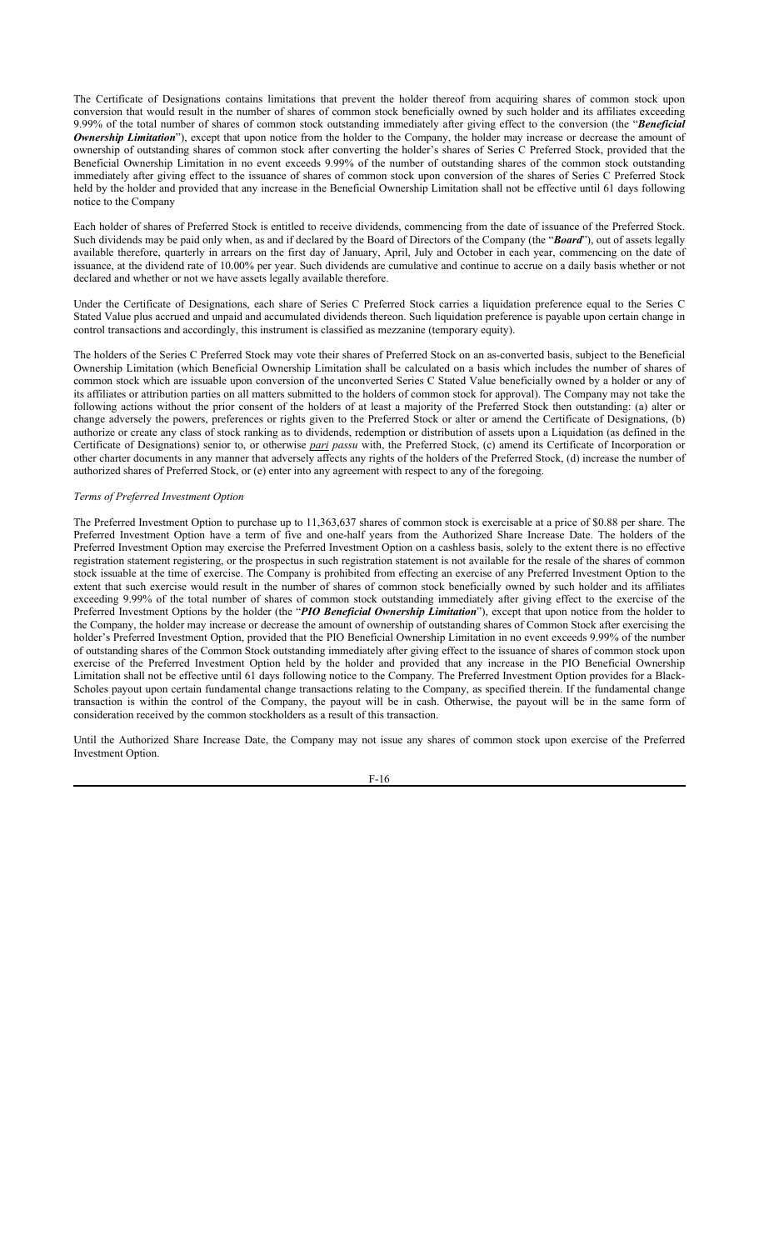The Certificate of Designations contains limitations that prevent the holder thereof from acquiring shares of common stock upon conversion that would result in the number of shares of common stock beneficially owned by such holder and its affiliates exceeding 9.99% of the total number of shares of common stock outstanding immediately after giving effect to the conversion (the "*Beneficial Ownership Limitation*"), except that upon notice from the holder to the Company, the holder may increase or decrease the amount of ownership of outstanding shares of common stock after converting the holder's shares of Series C Preferred Stock, provided that the Beneficial Ownership Limitation in no event exceeds 9.99% of the number of outstanding shares of the common stock outstanding immediately after giving effect to the issuance of shares of common stock upon conversion of the shares of Series C Preferred Stock held by the holder and provided that any increase in the Beneficial Ownership Limitation shall not be effective until 61 days following notice to the Company

Each holder of shares of Preferred Stock is entitled to receive dividends, commencing from the date of issuance of the Preferred Stock. Such dividends may be paid only when, as and if declared by the Board of Directors of the Company (the "*Board*"), out of assets legally available therefore, quarterly in arrears on the first day of January, April, July and October in each year, commencing on the date of issuance, at the dividend rate of 10.00% per year. Such dividends are cumulative and continue to accrue on a daily basis whether or not declared and whether or not we have assets legally available therefore.

Under the Certificate of Designations, each share of Series C Preferred Stock carries a liquidation preference equal to the Series C Stated Value plus accrued and unpaid and accumulated dividends thereon. Such liquidation preference is payable upon certain change in control transactions and accordingly, this instrument is classified as mezzanine (temporary equity).

The holders of the Series C Preferred Stock may vote their shares of Preferred Stock on an as-converted basis, subject to the Beneficial Ownership Limitation (which Beneficial Ownership Limitation shall be calculated on a basis which includes the number of shares of common stock which are issuable upon conversion of the unconverted Series C Stated Value beneficially owned by a holder or any of its affiliates or attribution parties on all matters submitted to the holders of common stock for approval). The Company may not take the following actions without the prior consent of the holders of at least a majority of the Preferred Stock then outstanding: (a) alter or change adversely the powers, preferences or rights given to the Preferred Stock or alter or amend the Certificate of Designations, (b) authorize or create any class of stock ranking as to dividends, redemption or distribution of assets upon a Liquidation (as defined in the Certificate of Designations) senior to, or otherwise *pari passu* with, the Preferred Stock, (c) amend its Certificate of Incorporation or other charter documents in any manner that adversely affects any rights of the holders of the Preferred Stock, (d) increase the number of authorized shares of Preferred Stock, or (e) enter into any agreement with respect to any of the foregoing.

## *Terms of Preferred Investment Option*

The Preferred Investment Option to purchase up to 11,363,637 shares of common stock is exercisable at a price of \$0.88 per share. The Preferred Investment Option have a term of five and one-half years from the Authorized Share Increase Date. The holders of the Preferred Investment Option may exercise the Preferred Investment Option on a cashless basis, solely to the extent there is no effective registration statement registering, or the prospectus in such registration statement is not available for the resale of the shares of common stock issuable at the time of exercise. The Company is prohibited from effecting an exercise of any Preferred Investment Option to the extent that such exercise would result in the number of shares of common stock beneficially owned by such holder and its affiliates exceeding 9.99% of the total number of shares of common stock outstanding immediately after giving effect to the exercise of the Preferred Investment Options by the holder (the "*PIO Beneficial Ownership Limitation*"), except that upon notice from the holder to the Company, the holder may increase or decrease the amount of ownership of outstanding shares of Common Stock after exercising the holder's Preferred Investment Option, provided that the PIO Beneficial Ownership Limitation in no event exceeds 9.99% of the number of outstanding shares of the Common Stock outstanding immediately after giving effect to the issuance of shares of common stock upon exercise of the Preferred Investment Option held by the holder and provided that any increase in the PIO Beneficial Ownership Limitation shall not be effective until 61 days following notice to the Company. The Preferred Investment Option provides for a Black-Scholes payout upon certain fundamental change transactions relating to the Company, as specified therein. If the fundamental change transaction is within the control of the Company, the payout will be in cash. Otherwise, the payout will be in the same form of consideration received by the common stockholders as a result of this transaction.

Until the Authorized Share Increase Date, the Company may not issue any shares of common stock upon exercise of the Preferred Investment Option.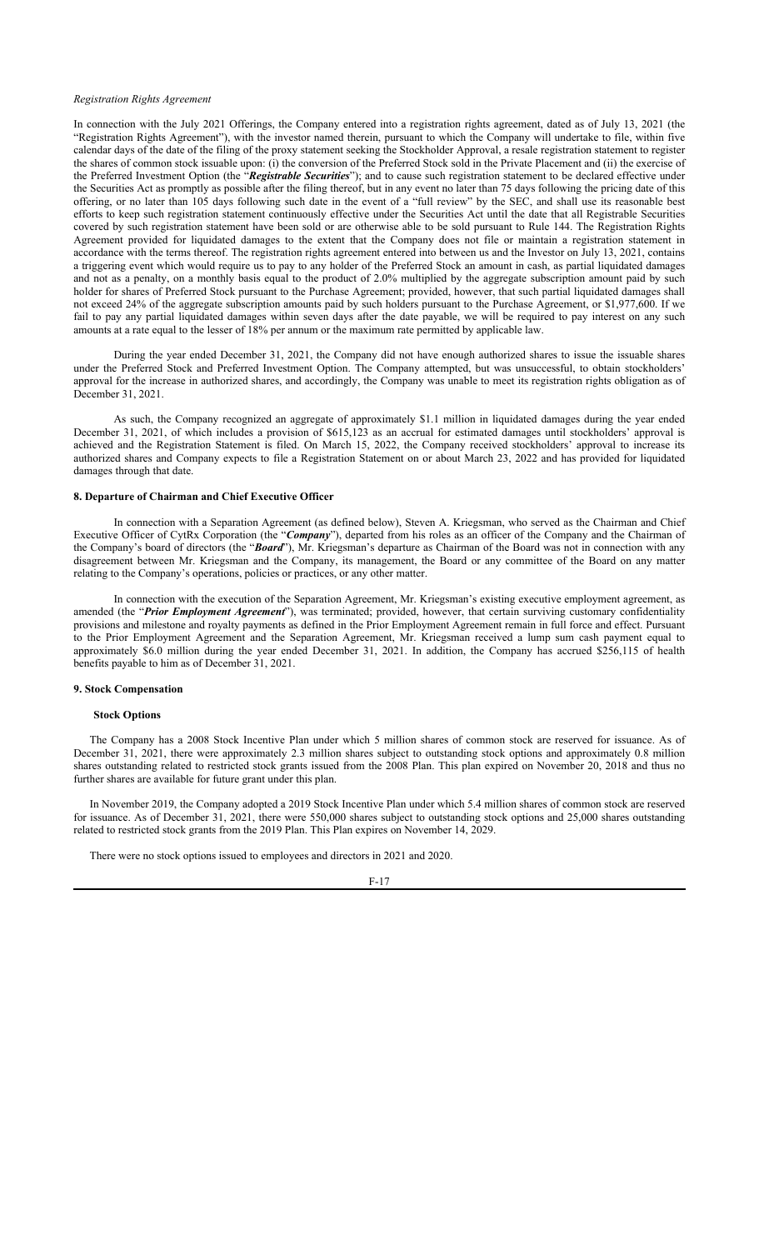## *Registration Rights Agreement*

In connection with the July 2021 Offerings, the Company entered into a registration rights agreement, dated as of July 13, 2021 (the "Registration Rights Agreement"), with the investor named therein, pursuant to which the Company will undertake to file, within five calendar days of the date of the filing of the proxy statement seeking the Stockholder Approval, a resale registration statement to register the shares of common stock issuable upon: (i) the conversion of the Preferred Stock sold in the Private Placement and (ii) the exercise of the Preferred Investment Option (the "*Registrable Securities*"); and to cause such registration statement to be declared effective under the Securities Act as promptly as possible after the filing thereof, but in any event no later than 75 days following the pricing date of this offering, or no later than 105 days following such date in the event of a "full review" by the SEC, and shall use its reasonable best efforts to keep such registration statement continuously effective under the Securities Act until the date that all Registrable Securities covered by such registration statement have been sold or are otherwise able to be sold pursuant to Rule 144. The Registration Rights Agreement provided for liquidated damages to the extent that the Company does not file or maintain a registration statement in accordance with the terms thereof. The registration rights agreement entered into between us and the Investor on July 13, 2021, contains a triggering event which would require us to pay to any holder of the Preferred Stock an amount in cash, as partial liquidated damages and not as a penalty, on a monthly basis equal to the product of 2.0% multiplied by the aggregate subscription amount paid by such holder for shares of Preferred Stock pursuant to the Purchase Agreement; provided, however, that such partial liquidated damages shall not exceed 24% of the aggregate subscription amounts paid by such holders pursuant to the Purchase Agreement, or \$1,977,600. If we fail to pay any partial liquidated damages within seven days after the date payable, we will be required to pay interest on any such amounts at a rate equal to the lesser of 18% per annum or the maximum rate permitted by applicable law.

During the year ended December 31, 2021, the Company did not have enough authorized shares to issue the issuable shares under the Preferred Stock and Preferred Investment Option. The Company attempted, but was unsuccessful, to obtain stockholders' approval for the increase in authorized shares, and accordingly, the Company was unable to meet its registration rights obligation as of December 31, 2021.

As such, the Company recognized an aggregate of approximately \$1.1 million in liquidated damages during the year ended December 31, 2021, of which includes a provision of \$615,123 as an accrual for estimated damages until stockholders' approval is achieved and the Registration Statement is filed. On March 15, 2022, the Company received stockholders' approval to increase its authorized shares and Company expects to file a Registration Statement on or about March 23, 2022 and has provided for liquidated damages through that date.

# **8. Departure of Chairman and Chief Executive Officer**

In connection with a Separation Agreement (as defined below), Steven A. Kriegsman, who served as the Chairman and Chief Executive Officer of CytRx Corporation (the "*Company*"), departed from his roles as an officer of the Company and the Chairman of the Company's board of directors (the "*Board*"), Mr. Kriegsman's departure as Chairman of the Board was not in connection with any disagreement between Mr. Kriegsman and the Company, its management, the Board or any committee of the Board on any matter relating to the Company's operations, policies or practices, or any other matter.

In connection with the execution of the Separation Agreement, Mr. Kriegsman's existing executive employment agreement, as amended (the "*Prior Employment Agreement*"), was terminated; provided, however, that certain surviving customary confidentiality provisions and milestone and royalty payments as defined in the Prior Employment Agreement remain in full force and effect. Pursuant to the Prior Employment Agreement and the Separation Agreement, Mr. Kriegsman received a lump sum cash payment equal to approximately \$6.0 million during the year ended December 31, 2021. In addition, the Company has accrued \$256,115 of health benefits payable to him as of December 31, 2021.

## **9. Stock Compensation**

## **Stock Options**

The Company has a 2008 Stock Incentive Plan under which 5 million shares of common stock are reserved for issuance. As of December 31, 2021, there were approximately 2.3 million shares subject to outstanding stock options and approximately 0.8 million shares outstanding related to restricted stock grants issued from the 2008 Plan. This plan expired on November 20, 2018 and thus no further shares are available for future grant under this plan.

In November 2019, the Company adopted a 2019 Stock Incentive Plan under which 5.4 million shares of common stock are reserved for issuance. As of December 31, 2021, there were 550,000 shares subject to outstanding stock options and 25,000 shares outstanding related to restricted stock grants from the 2019 Plan. This Plan expires on November 14, 2029.

There were no stock options issued to employees and directors in 2021 and 2020.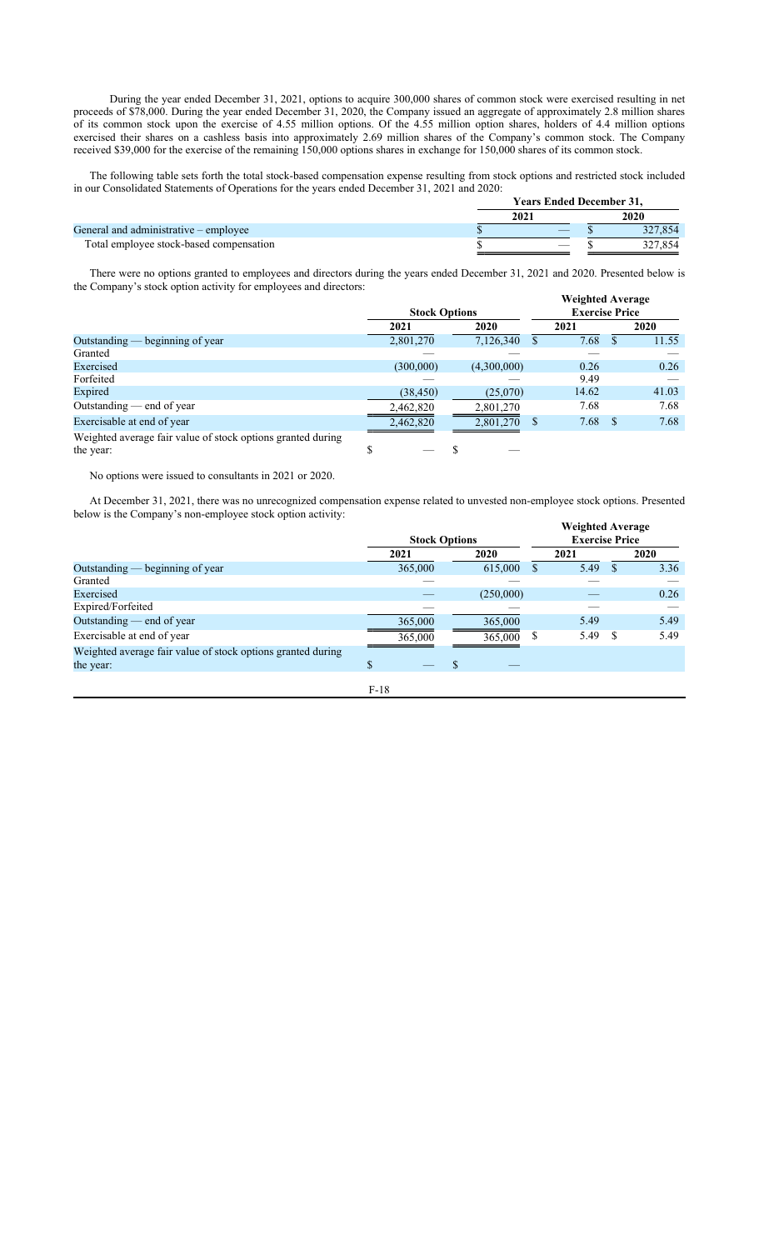During the year ended December 31, 2021, options to acquire 300,000 shares of common stock were exercised resulting in net proceeds of \$78,000. During the year ended December 31, 2020, the Company issued an aggregate of approximately 2.8 million shares of its common stock upon the exercise of 4.55 million options. Of the 4.55 million option shares, holders of 4.4 million options exercised their shares on a cashless basis into approximately 2.69 million shares of the Company's common stock. The Company received \$39,000 for the exercise of the remaining 150,000 options shares in exchange for 150,000 shares of its common stock.

The following table sets forth the total stock-based compensation expense resulting from stock options and restricted stock included in our Consolidated Statements of Operations for the years ended December 31, 2021 and 2020: **Years Ended December 31,**

| rears Ended December 31. |  |         |  |  |
|--------------------------|--|---------|--|--|
| $202^{\circ}$            |  | 2020    |  |  |
|                          |  |         |  |  |
|                          |  | 327.854 |  |  |
|                          |  |         |  |  |

There were no options granted to employees and directors during the years ended December 31, 2021 and 2020. Presented below is the Company's stock option activity for employees and directors: **Weighted A** 

|                                                             | <b>Stock Options</b> |  | weighted Average | <b>Exercise Price</b> |   |       |
|-------------------------------------------------------------|----------------------|--|------------------|-----------------------|---|-------|
|                                                             | 2021                 |  | 2020             | 2021                  |   | 2020  |
| Outstanding $-$ beginning of year                           | 2,801,270            |  | 7,126,340        | 7.68                  |   | 11.55 |
| Granted                                                     |                      |  |                  |                       |   |       |
| Exercised                                                   | (300,000)            |  | (4,300,000)      | 0.26                  |   | 0.26  |
| Forfeited                                                   |                      |  |                  | 9.49                  |   |       |
| Expired                                                     | (38, 450)            |  | (25,070)         | 14.62                 |   | 41.03 |
| Outstanding $-$ end of year                                 | 2,462,820            |  | 2,801,270        | 7.68                  |   | 7.68  |
| Exercisable at end of year                                  | 2,462,820            |  | 2,801,270        | 7.68                  | S | 7.68  |
| Weighted average fair value of stock options granted during |                      |  |                  |                       |   |       |
| the year:                                                   |                      |  |                  |                       |   |       |

No options were issued to consultants in 2021 or 2020.

At December 31, 2021, there was no unrecognized compensation expense related to unvested non-employee stock options. Presented below is the Company's non-employee stock option activity: **Weighted Average**

|                                                             |              | <b>Stock Options</b> |   | weighted Average<br><b>Exercise Price</b> |    |      |    |      |
|-------------------------------------------------------------|--------------|----------------------|---|-------------------------------------------|----|------|----|------|
|                                                             |              | 2021                 |   | 2020                                      |    | 2021 |    | 2020 |
| Outstanding — beginning of year                             |              | 365,000              |   | 615,000                                   |    | 5.49 | S  | 3.36 |
| Granted                                                     |              |                      |   |                                           |    |      |    |      |
| Exercised                                                   |              |                      |   | (250,000)                                 |    |      |    | 0.26 |
| Expired/Forfeited                                           |              |                      |   |                                           |    |      |    |      |
| Outstanding $-$ end of year                                 |              | 365,000              |   | 365,000                                   |    | 5.49 |    | 5.49 |
| Exercisable at end of year                                  |              | 365,000              |   | 365,000                                   | \$ | 5.49 | -S | 5.49 |
| Weighted average fair value of stock options granted during |              |                      |   |                                           |    |      |    |      |
| the year:                                                   | $\mathbb{S}$ |                      | S |                                           |    |      |    |      |
|                                                             | $F-18$       |                      |   |                                           |    |      |    |      |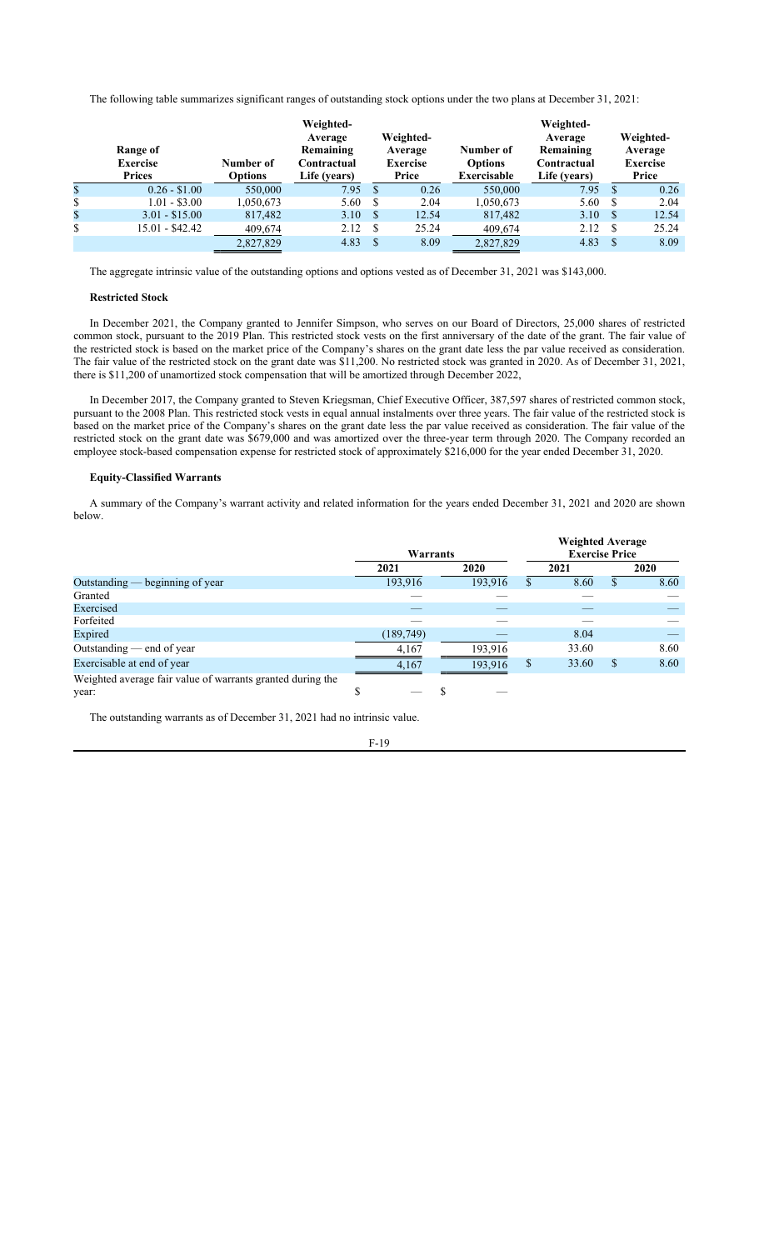The following table summarizes significant ranges of outstanding stock options under the two plans at December 31, 2021:

| Range of<br><b>Exercise</b><br><b>Prices</b> | Number of<br>Options | Weighted-<br>Average<br>Remaining<br>Contractual<br>Life (years) |   | Weighted-<br>Average<br><b>Exercise</b><br>Price | Number of<br><b>Options</b><br><b>Exercisable</b> | Weighted-<br>Average<br>Remaining<br>Contractual<br>Life (years) |      | Weighted-<br>Average<br><b>Exercise</b><br>Price |
|----------------------------------------------|----------------------|------------------------------------------------------------------|---|--------------------------------------------------|---------------------------------------------------|------------------------------------------------------------------|------|--------------------------------------------------|
| \$<br>$0.26 - $1.00$                         | 550,000              | 7.95                                                             | S | 0.26                                             | 550,000                                           | 7.95                                                             | S    | 0.26                                             |
| \$<br>$1.01 - $3.00$                         | 1,050,673            | 5.60                                                             | S | 2.04                                             | 1,050,673                                         | 5.60                                                             | -S   | 2.04                                             |
| \$<br>$3.01 - $15.00$                        | 817,482              | 3.10                                                             | S | 12.54                                            | 817,482                                           | 3.10                                                             | - \$ | 12.54                                            |
| \$<br>15.01 - \$42.42                        | 409,674              | 2.12                                                             | S | 25.24                                            | 409,674                                           | 2.12                                                             | S    | 25.24                                            |
|                                              | 2,827,829            | 4.83                                                             |   | 8.09                                             | 2.827.829                                         | 4.83                                                             |      | 8.09                                             |

The aggregate intrinsic value of the outstanding options and options vested as of December 31, 2021 was \$143,000.

## **Restricted Stock**

In December 2021, the Company granted to Jennifer Simpson, who serves on our Board of Directors, 25,000 shares of restricted common stock, pursuant to the 2019 Plan. This restricted stock vests on the first anniversary of the date of the grant. The fair value of the restricted stock is based on the market price of the Company's shares on the grant date less the par value received as consideration. The fair value of the restricted stock on the grant date was \$11,200. No restricted stock was granted in 2020. As of December 31, 2021, there is \$11,200 of unamortized stock compensation that will be amortized through December 2022,

In December 2017, the Company granted to Steven Kriegsman, Chief Executive Officer, 387,597 shares of restricted common stock, pursuant to the 2008 Plan. This restricted stock vests in equal annual instalments over three years. The fair value of the restricted stock is based on the market price of the Company's shares on the grant date less the par value received as consideration. The fair value of the restricted stock on the grant date was \$679,000 and was amortized over the three-year term through 2020. The Company recorded an employee stock-based compensation expense for restricted stock of approximately \$216,000 for the year ended December 31, 2020.

## **Equity-Classified Warrants**

A summary of the Company's warrant activity and related information for the years ended December 31, 2021 and 2020 are shown below.

|                                                            |      | Warrants   |  |         | <b>Weighted Average</b><br><b>Exercise Price</b> |    |      |
|------------------------------------------------------------|------|------------|--|---------|--------------------------------------------------|----|------|
|                                                            | 2021 |            |  | 2020    | 2021                                             |    | 2020 |
| Outstanding $-$ beginning of year                          |      | 193,916    |  | 193,916 | 8.60                                             | S  | 8.60 |
| Granted                                                    |      |            |  |         |                                                  |    |      |
| Exercised                                                  |      |            |  |         |                                                  |    |      |
| Forfeited                                                  |      |            |  |         |                                                  |    |      |
| Expired                                                    |      | (189, 749) |  |         | 8.04                                             |    |      |
| Outstanding — end of year                                  |      | 4.167      |  | 193.916 | 33.60                                            |    | 8.60 |
| Exercisable at end of year                                 |      | 4,167      |  | 193.916 | \$<br>33.60                                      | \$ | 8.60 |
| Weighted average fair value of warrants granted during the |      |            |  |         |                                                  |    |      |
| year:                                                      |      |            |  |         |                                                  |    |      |

The outstanding warrants as of December 31, 2021 had no intrinsic value.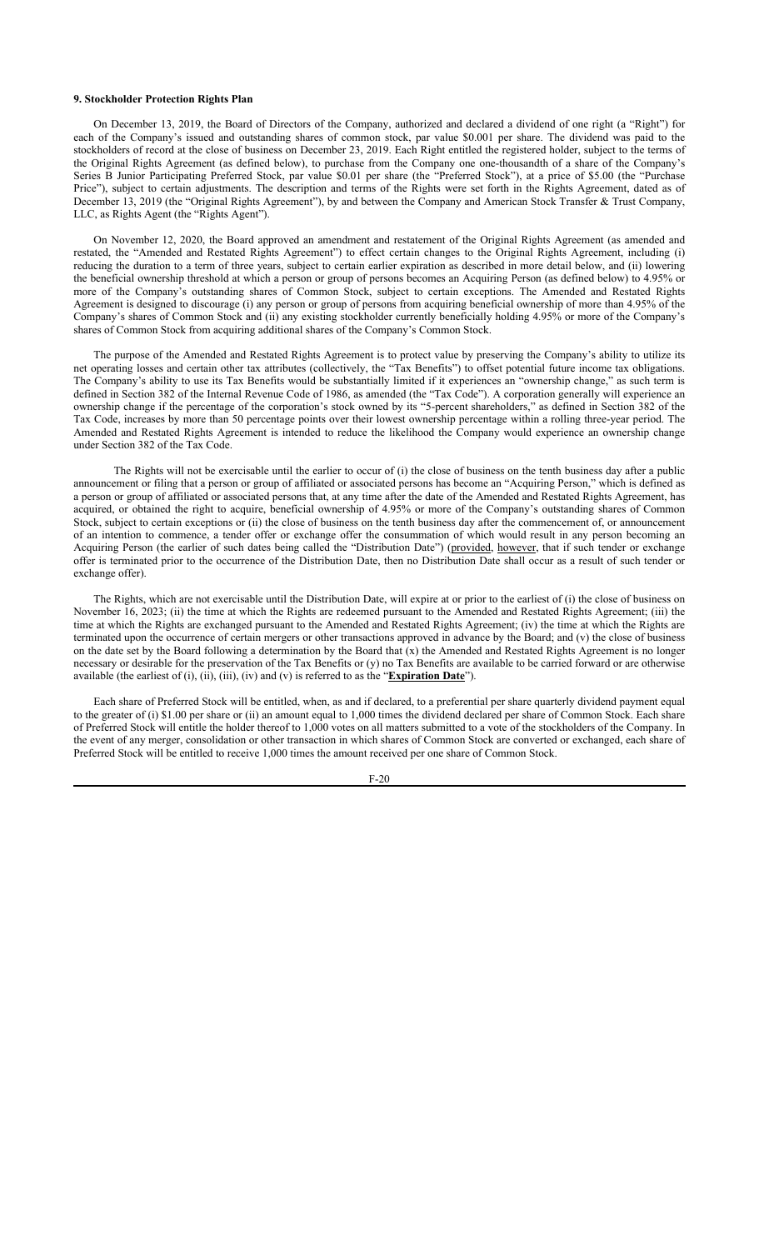### **9. Stockholder Protection Rights Plan**

On December 13, 2019, the Board of Directors of the Company, authorized and declared a dividend of one right (a "Right") for each of the Company's issued and outstanding shares of common stock, par value \$0.001 per share. The dividend was paid to the stockholders of record at the close of business on December 23, 2019. Each Right entitled the registered holder, subject to the terms of the Original Rights Agreement (as defined below), to purchase from the Company one one-thousandth of a share of the Company's Series B Junior Participating Preferred Stock, par value \$0.01 per share (the "Preferred Stock"), at a price of \$5.00 (the "Purchase Price"), subject to certain adjustments. The description and terms of the Rights were set forth in the Rights Agreement, dated as of December 13, 2019 (the "Original Rights Agreement"), by and between the Company and American Stock Transfer & Trust Company, LLC, as Rights Agent (the "Rights Agent").

On November 12, 2020, the Board approved an amendment and restatement of the Original Rights Agreement (as amended and restated, the "Amended and Restated Rights Agreement") to effect certain changes to the Original Rights Agreement, including (i) reducing the duration to a term of three years, subject to certain earlier expiration as described in more detail below, and (ii) lowering the beneficial ownership threshold at which a person or group of persons becomes an Acquiring Person (as defined below) to 4.95% or more of the Company's outstanding shares of Common Stock, subject to certain exceptions. The Amended and Restated Rights Agreement is designed to discourage (i) any person or group of persons from acquiring beneficial ownership of more than 4.95% of the Company's shares of Common Stock and (ii) any existing stockholder currently beneficially holding 4.95% or more of the Company's shares of Common Stock from acquiring additional shares of the Company's Common Stock.

The purpose of the Amended and Restated Rights Agreement is to protect value by preserving the Company's ability to utilize its net operating losses and certain other tax attributes (collectively, the "Tax Benefits") to offset potential future income tax obligations. The Company's ability to use its Tax Benefits would be substantially limited if it experiences an "ownership change," as such term is defined in Section 382 of the Internal Revenue Code of 1986, as amended (the "Tax Code"). A corporation generally will experience an ownership change if the percentage of the corporation's stock owned by its "5-percent shareholders," as defined in Section 382 of the Tax Code, increases by more than 50 percentage points over their lowest ownership percentage within a rolling three-year period. The Amended and Restated Rights Agreement is intended to reduce the likelihood the Company would experience an ownership change under Section 382 of the Tax Code.

The Rights will not be exercisable until the earlier to occur of (i) the close of business on the tenth business day after a public announcement or filing that a person or group of affiliated or associated persons has become an "Acquiring Person," which is defined as a person or group of affiliated or associated persons that, at any time after the date of the Amended and Restated Rights Agreement, has acquired, or obtained the right to acquire, beneficial ownership of 4.95% or more of the Company's outstanding shares of Common Stock, subject to certain exceptions or (ii) the close of business on the tenth business day after the commencement of, or announcement of an intention to commence, a tender offer or exchange offer the consummation of which would result in any person becoming an Acquiring Person (the earlier of such dates being called the "Distribution Date") (provided, however, that if such tender or exchange offer is terminated prior to the occurrence of the Distribution Date, then no Distribution Date shall occur as a result of such tender or exchange offer).

The Rights, which are not exercisable until the Distribution Date, will expire at or prior to the earliest of (i) the close of business on November 16, 2023; (ii) the time at which the Rights are redeemed pursuant to the Amended and Restated Rights Agreement; (iii) the time at which the Rights are exchanged pursuant to the Amended and Restated Rights Agreement; (iv) the time at which the Rights are terminated upon the occurrence of certain mergers or other transactions approved in advance by the Board; and (v) the close of business on the date set by the Board following a determination by the Board that (x) the Amended and Restated Rights Agreement is no longer necessary or desirable for the preservation of the Tax Benefits or (y) no Tax Benefits are available to be carried forward or are otherwise available (the earliest of (i), (ii), (iii), (iv) and (v) is referred to as the "**Expiration Date**").

Each share of Preferred Stock will be entitled, when, as and if declared, to a preferential per share quarterly dividend payment equal to the greater of (i) \$1.00 per share or (ii) an amount equal to 1,000 times the dividend declared per share of Common Stock. Each share of Preferred Stock will entitle the holder thereof to 1,000 votes on all matters submitted to a vote of the stockholders of the Company. In the event of any merger, consolidation or other transaction in which shares of Common Stock are converted or exchanged, each share of Preferred Stock will be entitled to receive 1,000 times the amount received per one share of Common Stock.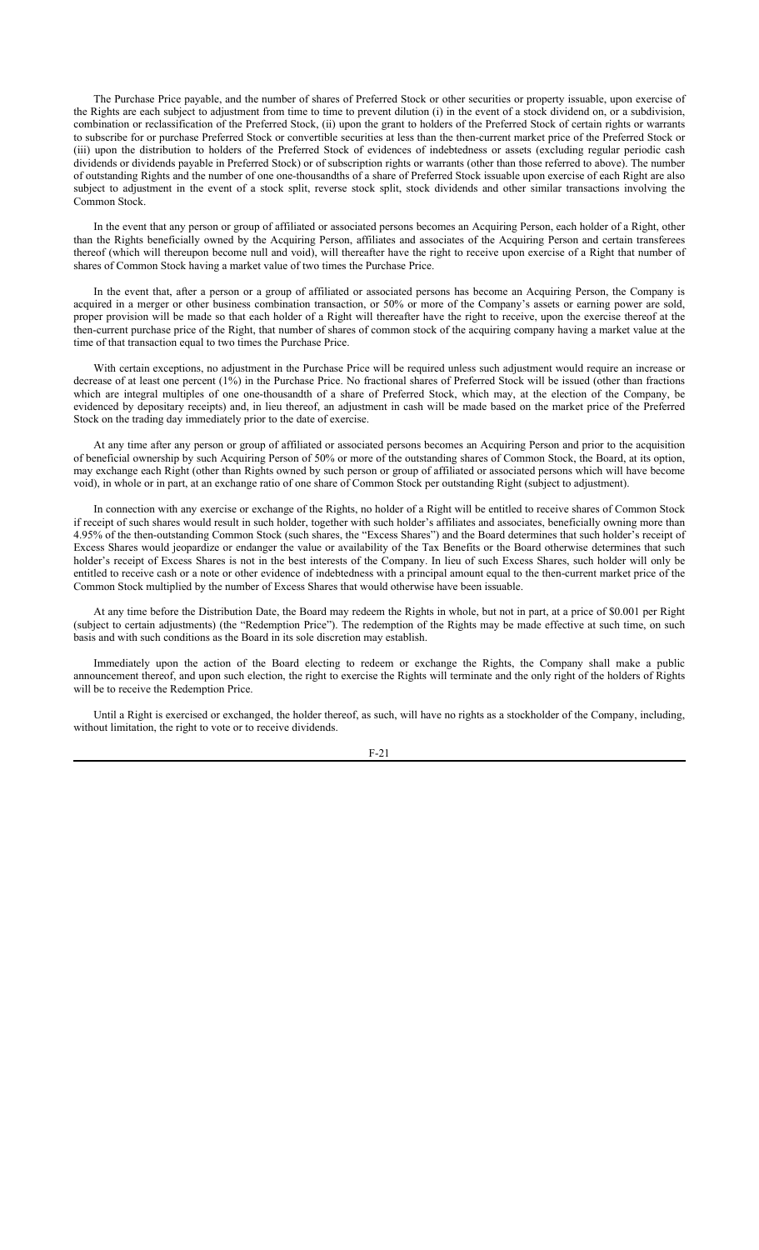The Purchase Price payable, and the number of shares of Preferred Stock or other securities or property issuable, upon exercise of the Rights are each subject to adjustment from time to time to prevent dilution (i) in the event of a stock dividend on, or a subdivision, combination or reclassification of the Preferred Stock, (ii) upon the grant to holders of the Preferred Stock of certain rights or warrants to subscribe for or purchase Preferred Stock or convertible securities at less than the then-current market price of the Preferred Stock or (iii) upon the distribution to holders of the Preferred Stock of evidences of indebtedness or assets (excluding regular periodic cash dividends or dividends payable in Preferred Stock) or of subscription rights or warrants (other than those referred to above). The number of outstanding Rights and the number of one one-thousandths of a share of Preferred Stock issuable upon exercise of each Right are also subject to adjustment in the event of a stock split, reverse stock split, stock dividends and other similar transactions involving the Common Stock.

In the event that any person or group of affiliated or associated persons becomes an Acquiring Person, each holder of a Right, other than the Rights beneficially owned by the Acquiring Person, affiliates and associates of the Acquiring Person and certain transferees thereof (which will thereupon become null and void), will thereafter have the right to receive upon exercise of a Right that number of shares of Common Stock having a market value of two times the Purchase Price.

In the event that, after a person or a group of affiliated or associated persons has become an Acquiring Person, the Company is acquired in a merger or other business combination transaction, or 50% or more of the Company's assets or earning power are sold, proper provision will be made so that each holder of a Right will thereafter have the right to receive, upon the exercise thereof at the then-current purchase price of the Right, that number of shares of common stock of the acquiring company having a market value at the time of that transaction equal to two times the Purchase Price.

With certain exceptions, no adjustment in the Purchase Price will be required unless such adjustment would require an increase or decrease of at least one percent (1%) in the Purchase Price. No fractional shares of Preferred Stock will be issued (other than fractions which are integral multiples of one one-thousandth of a share of Preferred Stock, which may, at the election of the Company, be evidenced by depositary receipts) and, in lieu thereof, an adjustment in cash will be made based on the market price of the Preferred Stock on the trading day immediately prior to the date of exercise.

At any time after any person or group of affiliated or associated persons becomes an Acquiring Person and prior to the acquisition of beneficial ownership by such Acquiring Person of 50% or more of the outstanding shares of Common Stock, the Board, at its option, may exchange each Right (other than Rights owned by such person or group of affiliated or associated persons which will have become void), in whole or in part, at an exchange ratio of one share of Common Stock per outstanding Right (subject to adjustment).

In connection with any exercise or exchange of the Rights, no holder of a Right will be entitled to receive shares of Common Stock if receipt of such shares would result in such holder, together with such holder's affiliates and associates, beneficially owning more than 4.95% of the then-outstanding Common Stock (such shares, the "Excess Shares") and the Board determines that such holder's receipt of Excess Shares would jeopardize or endanger the value or availability of the Tax Benefits or the Board otherwise determines that such holder's receipt of Excess Shares is not in the best interests of the Company. In lieu of such Excess Shares, such holder will only be entitled to receive cash or a note or other evidence of indebtedness with a principal amount equal to the then-current market price of the Common Stock multiplied by the number of Excess Shares that would otherwise have been issuable.

At any time before the Distribution Date, the Board may redeem the Rights in whole, but not in part, at a price of \$0.001 per Right (subject to certain adjustments) (the "Redemption Price"). The redemption of the Rights may be made effective at such time, on such basis and with such conditions as the Board in its sole discretion may establish.

Immediately upon the action of the Board electing to redeem or exchange the Rights, the Company shall make a public announcement thereof, and upon such election, the right to exercise the Rights will terminate and the only right of the holders of Rights will be to receive the Redemption Price.

Until a Right is exercised or exchanged, the holder thereof, as such, will have no rights as a stockholder of the Company, including, without limitation, the right to vote or to receive dividends.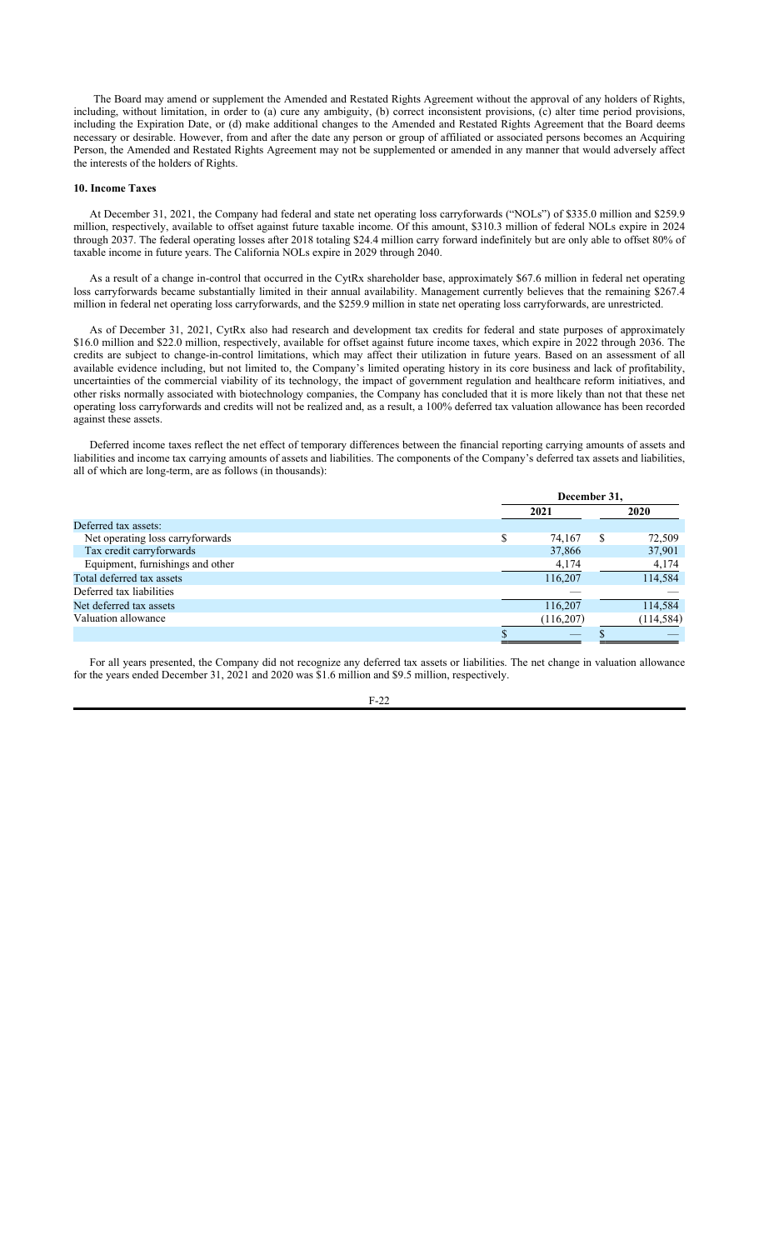The Board may amend or supplement the Amended and Restated Rights Agreement without the approval of any holders of Rights, including, without limitation, in order to (a) cure any ambiguity, (b) correct inconsistent provisions, (c) alter time period provisions, including the Expiration Date, or (d) make additional changes to the Amended and Restated Rights Agreement that the Board deems necessary or desirable. However, from and after the date any person or group of affiliated or associated persons becomes an Acquiring Person, the Amended and Restated Rights Agreement may not be supplemented or amended in any manner that would adversely affect the interests of the holders of Rights.

### **10. Income Taxes**

At December 31, 2021, the Company had federal and state net operating loss carryforwards ("NOLs") of \$335.0 million and \$259.9 million, respectively, available to offset against future taxable income. Of this amount, \$310.3 million of federal NOLs expire in 2024 through 2037. The federal operating losses after 2018 totaling \$24.4 million carry forward indefinitely but are only able to offset 80% of taxable income in future years. The California NOLs expire in 2029 through 2040.

As a result of a change in-control that occurred in the CytRx shareholder base, approximately \$67.6 million in federal net operating loss carryforwards became substantially limited in their annual availability. Management currently believes that the remaining \$267.4 million in federal net operating loss carryforwards, and the \$259.9 million in state net operating loss carryforwards, are unrestricted.

As of December 31, 2021, CytRx also had research and development tax credits for federal and state purposes of approximately \$16.0 million and \$22.0 million, respectively, available for offset against future income taxes, which expire in 2022 through 2036. The credits are subject to change-in-control limitations, which may affect their utilization in future years. Based on an assessment of all available evidence including, but not limited to, the Company's limited operating history in its core business and lack of profitability, uncertainties of the commercial viability of its technology, the impact of government regulation and healthcare reform initiatives, and other risks normally associated with biotechnology companies, the Company has concluded that it is more likely than not that these net operating loss carryforwards and credits will not be realized and, as a result, a 100% deferred tax valuation allowance has been recorded against these assets.

Deferred income taxes reflect the net effect of temporary differences between the financial reporting carrying amounts of assets and liabilities and income tax carrying amounts of assets and liabilities. The components of the Company's deferred tax assets and liabilities, all of which are long-term, are as follows (in thousands):

|                                  |   | December 31, |   |            |  |
|----------------------------------|---|--------------|---|------------|--|
|                                  |   | 2021         |   |            |  |
| Deferred tax assets:             |   |              |   |            |  |
| Net operating loss carryforwards | S | 74,167       | S | 72,509     |  |
| Tax credit carryforwards         |   | 37,866       |   | 37,901     |  |
| Equipment, furnishings and other |   | 4,174        |   | 4,174      |  |
| Total deferred tax assets        |   | 116,207      |   | 114,584    |  |
| Deferred tax liabilities         |   |              |   |            |  |
| Net deferred tax assets          |   | 116,207      |   | 114,584    |  |
| Valuation allowance              |   | (116,207)    |   | (114, 584) |  |
|                                  |   |              |   |            |  |

For all years presented, the Company did not recognize any deferred tax assets or liabilities. The net change in valuation allowance for the years ended December 31, 2021 and 2020 was \$1.6 million and \$9.5 million, respectively.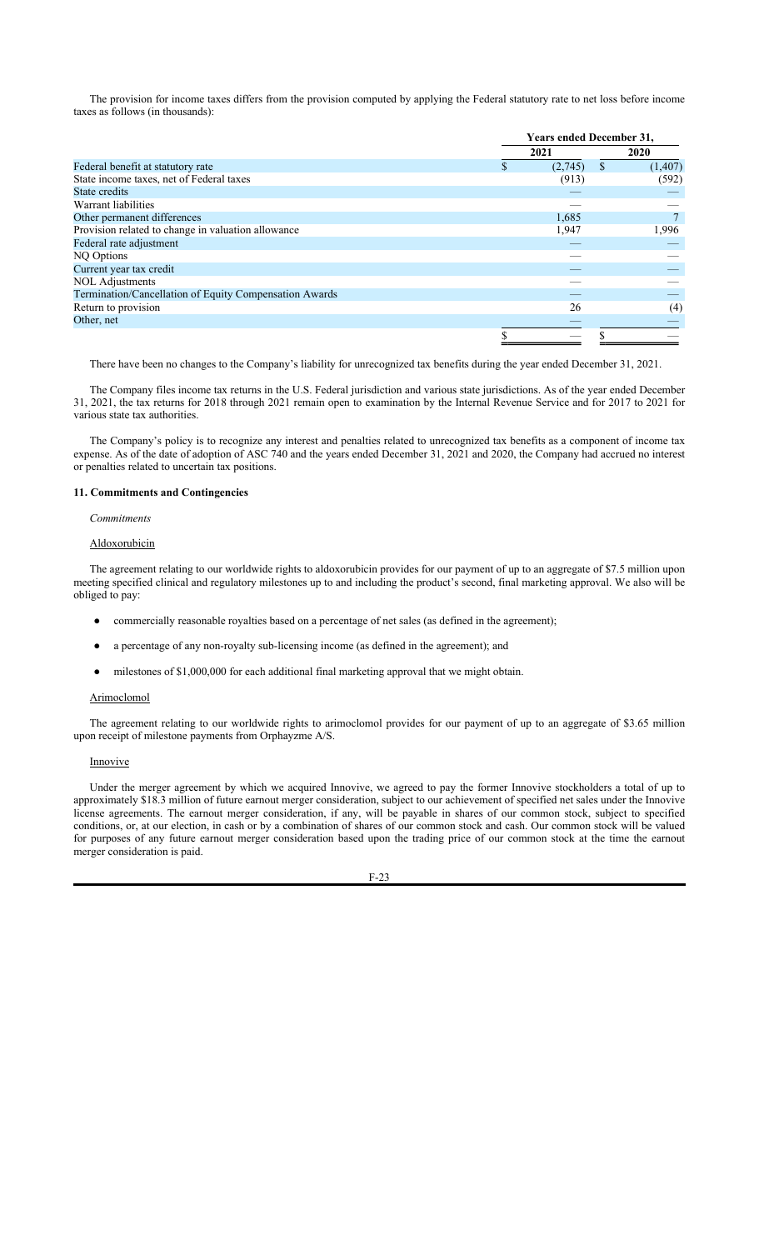The provision for income taxes differs from the provision computed by applying the Federal statutory rate to net loss before income taxes as follows (in thousands):

|                                                        |      | <b>Years ended December 31,</b> |         |
|--------------------------------------------------------|------|---------------------------------|---------|
|                                                        | 2021 | 2020                            |         |
| Federal benefit at statutory rate                      |      | (2,745)<br>S                    | (1,407) |
| State income taxes, net of Federal taxes               |      | (913)                           | (592)   |
| State credits                                          |      |                                 |         |
| Warrant liabilities                                    |      |                                 |         |
| Other permanent differences                            |      | 1,685                           |         |
| Provision related to change in valuation allowance     |      | 1,947                           | 1,996   |
| Federal rate adjustment                                |      |                                 |         |
| NQ Options                                             |      |                                 |         |
| Current year tax credit                                |      |                                 |         |
| <b>NOL Adjustments</b>                                 |      |                                 |         |
| Termination/Cancellation of Equity Compensation Awards |      |                                 |         |
| Return to provision                                    |      | 26                              | (4)     |
| Other, net                                             |      |                                 |         |
|                                                        |      |                                 |         |

There have been no changes to the Company's liability for unrecognized tax benefits during the year ended December 31, 2021.

The Company files income tax returns in the U.S. Federal jurisdiction and various state jurisdictions. As of the year ended December 31, 2021, the tax returns for 2018 through 2021 remain open to examination by the Internal Revenue Service and for 2017 to 2021 for various state tax authorities.

The Company's policy is to recognize any interest and penalties related to unrecognized tax benefits as a component of income tax expense. As of the date of adoption of ASC 740 and the years ended December 31, 2021 and 2020, the Company had accrued no interest or penalties related to uncertain tax positions.

### **11. Commitments and Contingencies**

*Commitments*

## Aldoxorubicin

The agreement relating to our worldwide rights to aldoxorubicin provides for our payment of up to an aggregate of \$7.5 million upon meeting specified clinical and regulatory milestones up to and including the product's second, final marketing approval. We also will be obliged to pay:

- Ɣ commercially reasonable royalties based on a percentage of net sales (as defined in the agreement);
- Ɣ a percentage of any non-royalty sub-licensing income (as defined in the agreement); and
- milestones of \$1,000,000 for each additional final marketing approval that we might obtain.

#### Arimoclomol

The agreement relating to our worldwide rights to arimoclomol provides for our payment of up to an aggregate of \$3.65 million upon receipt of milestone payments from Orphayzme A/S.

#### Innovive

Under the merger agreement by which we acquired Innovive, we agreed to pay the former Innovive stockholders a total of up to approximately \$18.3 million of future earnout merger consideration, subject to our achievement of specified net sales under the Innovive license agreements. The earnout merger consideration, if any, will be payable in shares of our common stock, subject to specified conditions, or, at our election, in cash or by a combination of shares of our common stock and cash. Our common stock will be valued for purposes of any future earnout merger consideration based upon the trading price of our common stock at the time the earnout merger consideration is paid.

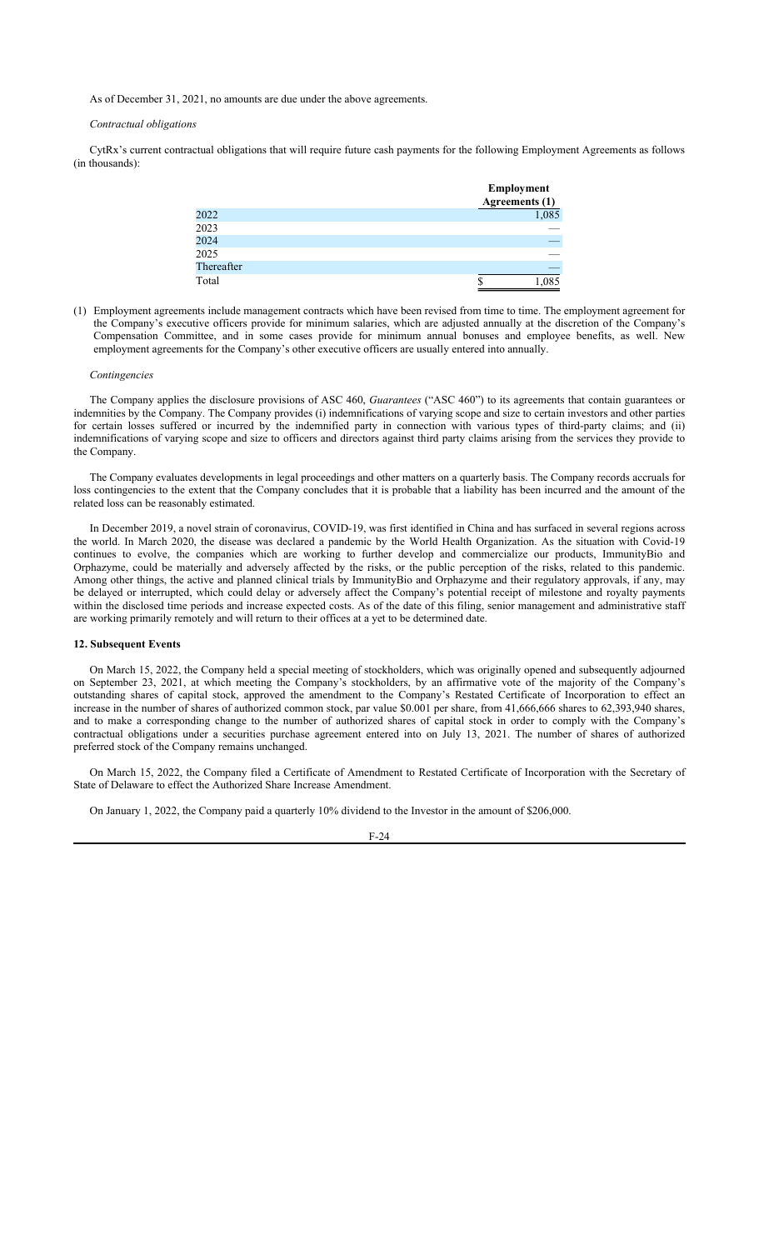As of December 31, 2021, no amounts are due under the above agreements.

## *Contractual obligations*

CytRx's current contractual obligations that will require future cash payments for the following Employment Agreements as follows (in thousands):

|            | Employment<br>Agreements (1) |
|------------|------------------------------|
| 2022       | 1,085                        |
| 2023       |                              |
| 2024       |                              |
| 2025       |                              |
| Thereafter |                              |
| Total      | 1,085                        |

(1) Employment agreements include management contracts which have been revised from time to time. The employment agreement for the Company's executive officers provide for minimum salaries, which are adjusted annually at the discretion of the Company's Compensation Committee, and in some cases provide for minimum annual bonuses and employee benefits, as well. New employment agreements for the Company's other executive officers are usually entered into annually.

## *Contingencies*

The Company applies the disclosure provisions of ASC 460, *Guarantees* ("ASC 460") to its agreements that contain guarantees or indemnities by the Company. The Company provides (i) indemnifications of varying scope and size to certain investors and other parties for certain losses suffered or incurred by the indemnified party in connection with various types of third-party claims; and (ii) indemnifications of varying scope and size to officers and directors against third party claims arising from the services they provide to the Company.

The Company evaluates developments in legal proceedings and other matters on a quarterly basis. The Company records accruals for loss contingencies to the extent that the Company concludes that it is probable that a liability has been incurred and the amount of the related loss can be reasonably estimated.

In December 2019, a novel strain of coronavirus, COVID-19, was first identified in China and has surfaced in several regions across the world. In March 2020, the disease was declared a pandemic by the World Health Organization. As the situation with Covid-19 continues to evolve, the companies which are working to further develop and commercialize our products, ImmunityBio and Orphazyme, could be materially and adversely affected by the risks, or the public perception of the risks, related to this pandemic. Among other things, the active and planned clinical trials by ImmunityBio and Orphazyme and their regulatory approvals, if any, may be delayed or interrupted, which could delay or adversely affect the Company's potential receipt of milestone and royalty payments within the disclosed time periods and increase expected costs. As of the date of this filing, senior management and administrative staff are working primarily remotely and will return to their offices at a yet to be determined date.

## **12. Subsequent Events**

On March 15, 2022, the Company held a special meeting of stockholders, which was originally opened and subsequently adjourned on September 23, 2021, at which meeting the Company's stockholders, by an affirmative vote of the majority of the Company's outstanding shares of capital stock, approved the amendment to the Company's Restated Certificate of Incorporation to effect an increase in the number of shares of authorized common stock, par value \$0.001 per share, from 41,666,666 shares to 62,393,940 shares, and to make a corresponding change to the number of authorized shares of capital stock in order to comply with the Company's contractual obligations under a securities purchase agreement entered into on July 13, 2021. The number of shares of authorized preferred stock of the Company remains unchanged.

On March 15, 2022, the Company filed a Certificate of Amendment to Restated Certificate of Incorporation with the Secretary of State of Delaware to effect the Authorized Share Increase Amendment.

On January 1, 2022, the Company paid a quarterly 10% dividend to the Investor in the amount of \$206,000.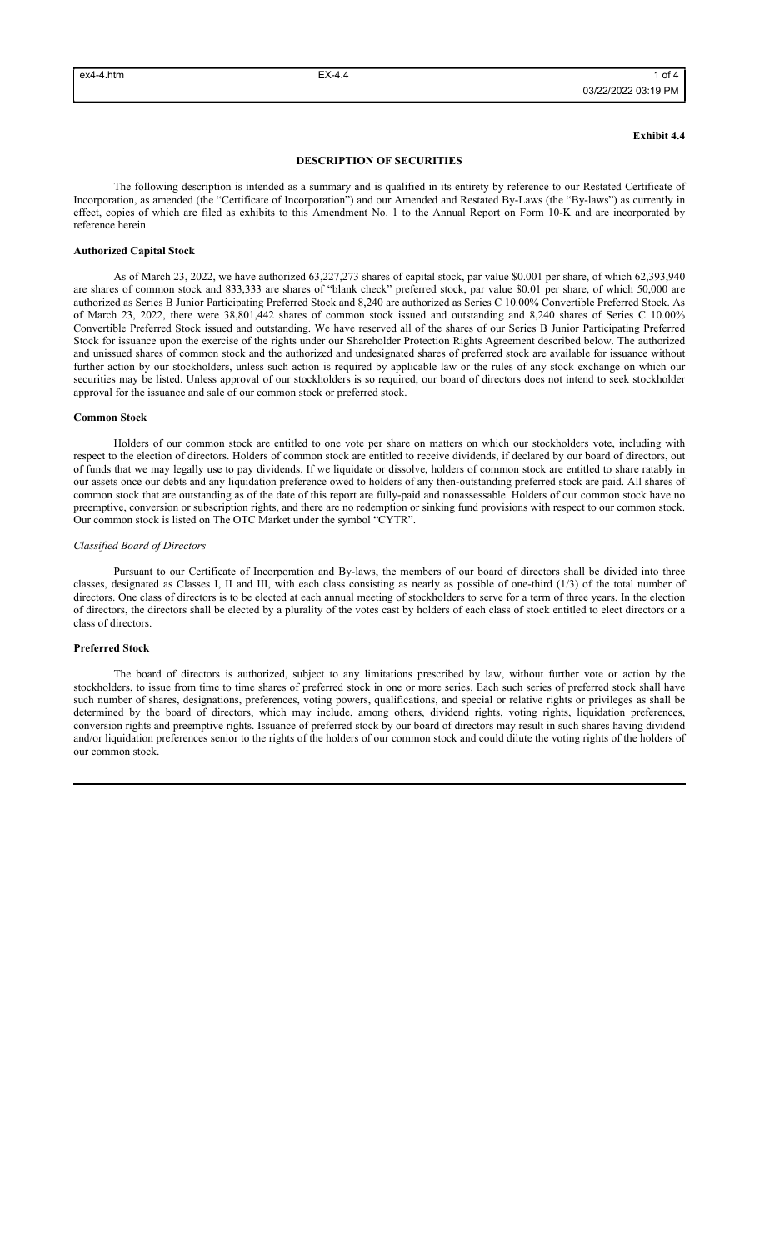#### **Exhibit 4.4**

## **DESCRIPTION OF SECURITIES**

The following description is intended as a summary and is qualified in its entirety by reference to our Restated Certificate of Incorporation, as amended (the "Certificate of Incorporation") and our Amended and Restated By-Laws (the "By-laws") as currently in effect, copies of which are filed as exhibits to this Amendment No. 1 to the Annual Report on Form 10-K and are incorporated by reference herein.

## **Authorized Capital Stock**

As of March 23, 2022, we have authorized 63,227,273 shares of capital stock, par value \$0.001 per share, of which 62,393,940 are shares of common stock and 833,333 are shares of "blank check" preferred stock, par value \$0.01 per share, of which 50,000 are authorized as Series B Junior Participating Preferred Stock and 8,240 are authorized as Series C 10.00% Convertible Preferred Stock. As of March 23, 2022, there were 38,801,442 shares of common stock issued and outstanding and 8,240 shares of Series C 10.00% Convertible Preferred Stock issued and outstanding. We have reserved all of the shares of our Series B Junior Participating Preferred Stock for issuance upon the exercise of the rights under our Shareholder Protection Rights Agreement described below. The authorized and unissued shares of common stock and the authorized and undesignated shares of preferred stock are available for issuance without further action by our stockholders, unless such action is required by applicable law or the rules of any stock exchange on which our securities may be listed. Unless approval of our stockholders is so required, our board of directors does not intend to seek stockholder approval for the issuance and sale of our common stock or preferred stock.

## **Common Stock**

Holders of our common stock are entitled to one vote per share on matters on which our stockholders vote, including with respect to the election of directors. Holders of common stock are entitled to receive dividends, if declared by our board of directors, out of funds that we may legally use to pay dividends. If we liquidate or dissolve, holders of common stock are entitled to share ratably in our assets once our debts and any liquidation preference owed to holders of any then-outstanding preferred stock are paid. All shares of common stock that are outstanding as of the date of this report are fully-paid and nonassessable. Holders of our common stock have no preemptive, conversion or subscription rights, and there are no redemption or sinking fund provisions with respect to our common stock. Our common stock is listed on The OTC Market under the symbol "CYTR".

## *Classified Board of Directors*

Pursuant to our Certificate of Incorporation and By-laws, the members of our board of directors shall be divided into three classes, designated as Classes I, II and III, with each class consisting as nearly as possible of one-third (1/3) of the total number of directors. One class of directors is to be elected at each annual meeting of stockholders to serve for a term of three years. In the election of directors, the directors shall be elected by a plurality of the votes cast by holders of each class of stock entitled to elect directors or a class of directors.

## **Preferred Stock**

The board of directors is authorized, subject to any limitations prescribed by law, without further vote or action by the stockholders, to issue from time to time shares of preferred stock in one or more series. Each such series of preferred stock shall have such number of shares, designations, preferences, voting powers, qualifications, and special or relative rights or privileges as shall be determined by the board of directors, which may include, among others, dividend rights, voting rights, liquidation preferences, conversion rights and preemptive rights. Issuance of preferred stock by our board of directors may result in such shares having dividend and/or liquidation preferences senior to the rights of the holders of our common stock and could dilute the voting rights of the holders of our common stock.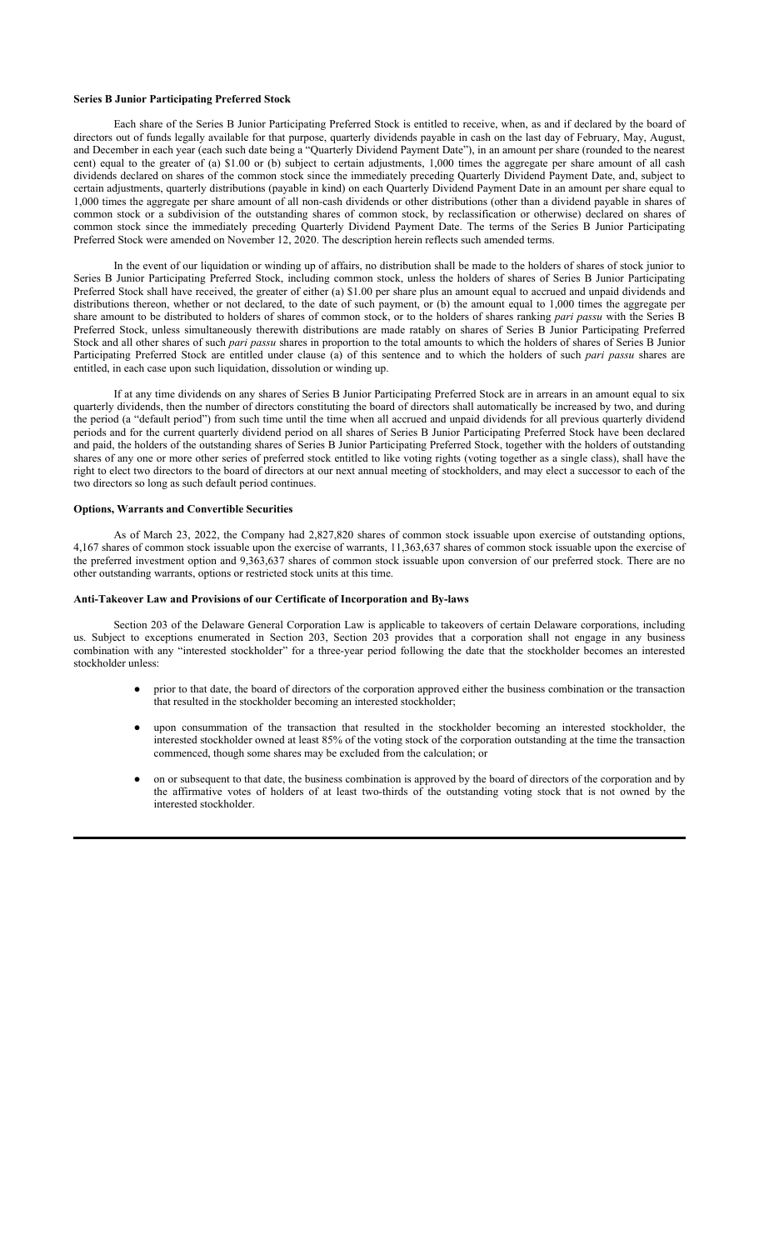## **Series B Junior Participating Preferred Stock**

Each share of the Series B Junior Participating Preferred Stock is entitled to receive, when, as and if declared by the board of directors out of funds legally available for that purpose, quarterly dividends payable in cash on the last day of February, May, August, and December in each year (each such date being a "Quarterly Dividend Payment Date"), in an amount per share (rounded to the nearest cent) equal to the greater of (a) \$1.00 or (b) subject to certain adjustments, 1,000 times the aggregate per share amount of all cash dividends declared on shares of the common stock since the immediately preceding Quarterly Dividend Payment Date, and, subject to certain adjustments, quarterly distributions (payable in kind) on each Quarterly Dividend Payment Date in an amount per share equal to 1,000 times the aggregate per share amount of all non-cash dividends or other distributions (other than a dividend payable in shares of common stock or a subdivision of the outstanding shares of common stock, by reclassification or otherwise) declared on shares of common stock since the immediately preceding Quarterly Dividend Payment Date. The terms of the Series B Junior Participating Preferred Stock were amended on November 12, 2020. The description herein reflects such amended terms.

In the event of our liquidation or winding up of affairs, no distribution shall be made to the holders of shares of stock junior to Series B Junior Participating Preferred Stock, including common stock, unless the holders of shares of Series B Junior Participating Preferred Stock shall have received, the greater of either (a) \$1.00 per share plus an amount equal to accrued and unpaid dividends and distributions thereon, whether or not declared, to the date of such payment, or (b) the amount equal to 1,000 times the aggregate per share amount to be distributed to holders of shares of common stock, or to the holders of shares ranking *pari passu* with the Series B Preferred Stock, unless simultaneously therewith distributions are made ratably on shares of Series B Junior Participating Preferred Stock and all other shares of such *pari passu* shares in proportion to the total amounts to which the holders of shares of Series B Junior Participating Preferred Stock are entitled under clause (a) of this sentence and to which the holders of such *pari passu* shares are entitled, in each case upon such liquidation, dissolution or winding up.

If at any time dividends on any shares of Series B Junior Participating Preferred Stock are in arrears in an amount equal to six quarterly dividends, then the number of directors constituting the board of directors shall automatically be increased by two, and during the period (a "default period") from such time until the time when all accrued and unpaid dividends for all previous quarterly dividend periods and for the current quarterly dividend period on all shares of Series B Junior Participating Preferred Stock have been declared and paid, the holders of the outstanding shares of Series B Junior Participating Preferred Stock, together with the holders of outstanding shares of any one or more other series of preferred stock entitled to like voting rights (voting together as a single class), shall have the right to elect two directors to the board of directors at our next annual meeting of stockholders, and may elect a successor to each of the two directors so long as such default period continues.

#### **Options, Warrants and Convertible Securities**

As of March 23, 2022, the Company had 2,827,820 shares of common stock issuable upon exercise of outstanding options, 4,167 shares of common stock issuable upon the exercise of warrants, 11,363,637 shares of common stock issuable upon the exercise of the preferred investment option and 9,363,637 shares of common stock issuable upon conversion of our preferred stock. There are no other outstanding warrants, options or restricted stock units at this time.

## **Anti-Takeover Law and Provisions of our Certificate of Incorporation and By-laws**

Section 203 of the Delaware General Corporation Law is applicable to takeovers of certain Delaware corporations, including us. Subject to exceptions enumerated in Section 203, Section 203 provides that a corporation shall not engage in any business combination with any "interested stockholder" for a three-year period following the date that the stockholder becomes an interested stockholder unless:

- prior to that date, the board of directors of the corporation approved either the business combination or the transaction that resulted in the stockholder becoming an interested stockholder;
- Ɣ upon consummation of the transaction that resulted in the stockholder becoming an interested stockholder, the interested stockholder owned at least 85% of the voting stock of the corporation outstanding at the time the transaction commenced, though some shares may be excluded from the calculation; or
- on or subsequent to that date, the business combination is approved by the board of directors of the corporation and by the affirmative votes of holders of at least two-thirds of the outstanding voting stock that is not owned by the interested stockholder.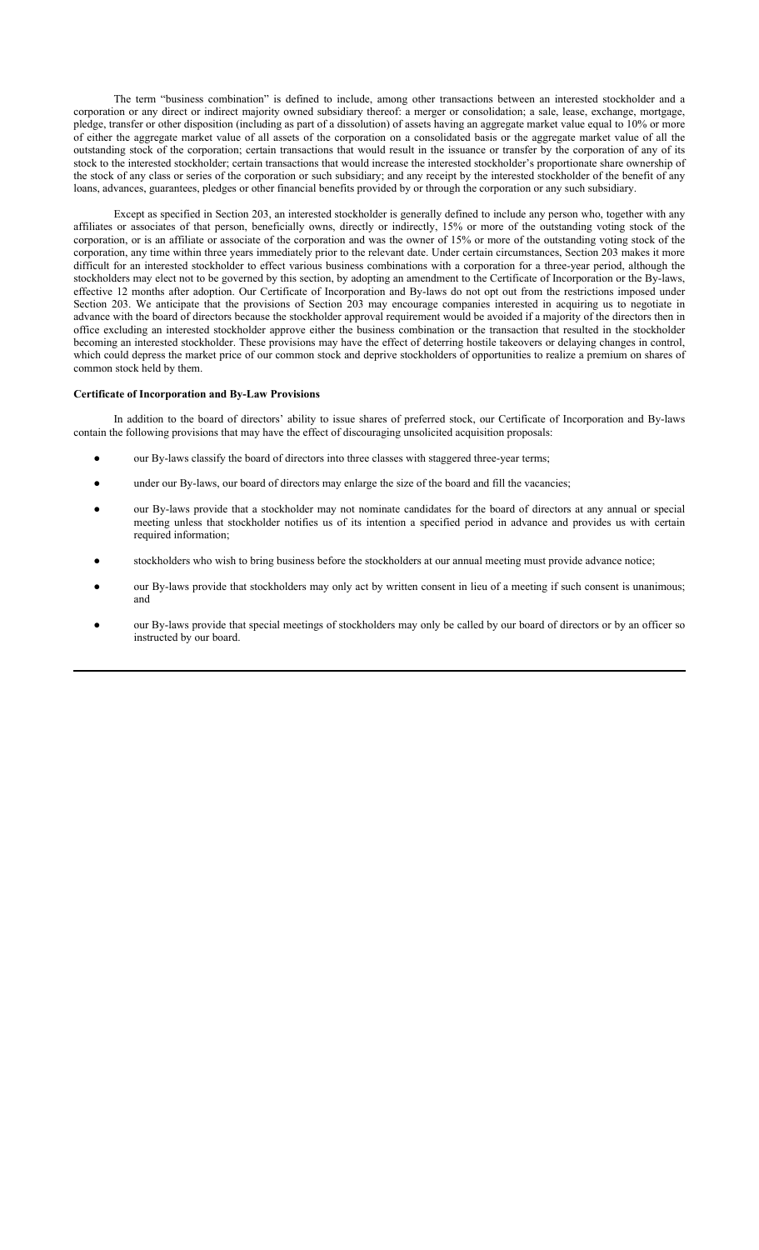The term "business combination" is defined to include, among other transactions between an interested stockholder and a corporation or any direct or indirect majority owned subsidiary thereof: a merger or consolidation; a sale, lease, exchange, mortgage, pledge, transfer or other disposition (including as part of a dissolution) of assets having an aggregate market value equal to 10% or more of either the aggregate market value of all assets of the corporation on a consolidated basis or the aggregate market value of all the outstanding stock of the corporation; certain transactions that would result in the issuance or transfer by the corporation of any of its stock to the interested stockholder; certain transactions that would increase the interested stockholder's proportionate share ownership of the stock of any class or series of the corporation or such subsidiary; and any receipt by the interested stockholder of the benefit of any loans, advances, guarantees, pledges or other financial benefits provided by or through the corporation or any such subsidiary.

Except as specified in Section 203, an interested stockholder is generally defined to include any person who, together with any affiliates or associates of that person, beneficially owns, directly or indirectly, 15% or more of the outstanding voting stock of the corporation, or is an affiliate or associate of the corporation and was the owner of 15% or more of the outstanding voting stock of the corporation, any time within three years immediately prior to the relevant date. Under certain circumstances, Section 203 makes it more difficult for an interested stockholder to effect various business combinations with a corporation for a three-year period, although the stockholders may elect not to be governed by this section, by adopting an amendment to the Certificate of Incorporation or the By-laws, effective 12 months after adoption. Our Certificate of Incorporation and By-laws do not opt out from the restrictions imposed under Section 203. We anticipate that the provisions of Section 203 may encourage companies interested in acquiring us to negotiate in advance with the board of directors because the stockholder approval requirement would be avoided if a majority of the directors then in office excluding an interested stockholder approve either the business combination or the transaction that resulted in the stockholder becoming an interested stockholder. These provisions may have the effect of deterring hostile takeovers or delaying changes in control, which could depress the market price of our common stock and deprive stockholders of opportunities to realize a premium on shares of common stock held by them.

## **Certificate of Incorporation and By-Law Provisions**

In addition to the board of directors' ability to issue shares of preferred stock, our Certificate of Incorporation and By-laws contain the following provisions that may have the effect of discouraging unsolicited acquisition proposals:

- our By-laws classify the board of directors into three classes with staggered three-year terms;
- under our By-laws, our board of directors may enlarge the size of the board and fill the vacancies;
- Ɣ our By-laws provide that a stockholder may not nominate candidates for the board of directors at any annual or special meeting unless that stockholder notifies us of its intention a specified period in advance and provides us with certain required information;
- stockholders who wish to bring business before the stockholders at our annual meeting must provide advance notice;
- our By-laws provide that stockholders may only act by written consent in lieu of a meeting if such consent is unanimous; and
- our By-laws provide that special meetings of stockholders may only be called by our board of directors or by an officer so instructed by our board.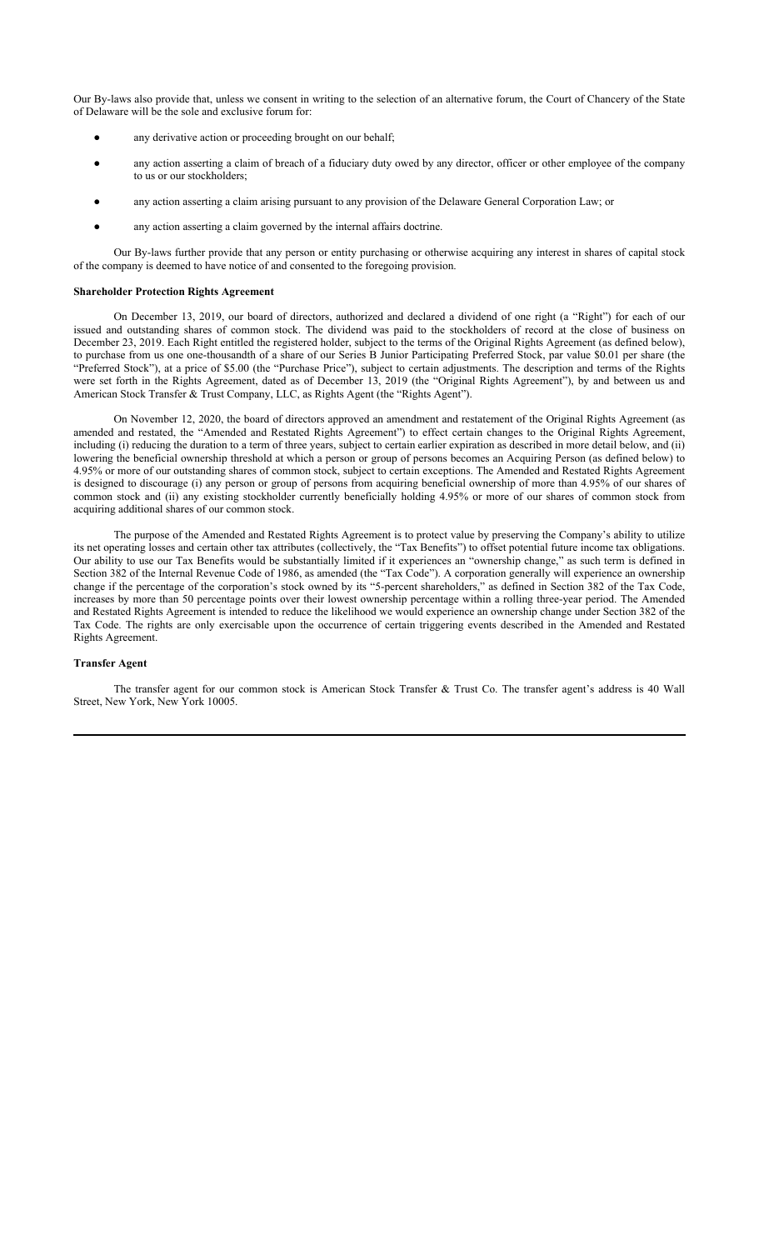Our By-laws also provide that, unless we consent in writing to the selection of an alternative forum, the Court of Chancery of the State of Delaware will be the sole and exclusive forum for:

- any derivative action or proceeding brought on our behalf;
- Ɣ any action asserting a claim of breach of a fiduciary duty owed by any director, officer or other employee of the company to us or our stockholders;
- any action asserting a claim arising pursuant to any provision of the Delaware General Corporation Law; or
- any action asserting a claim governed by the internal affairs doctrine.

Our By-laws further provide that any person or entity purchasing or otherwise acquiring any interest in shares of capital stock of the company is deemed to have notice of and consented to the foregoing provision.

## **Shareholder Protection Rights Agreement**

On December 13, 2019, our board of directors, authorized and declared a dividend of one right (a "Right") for each of our issued and outstanding shares of common stock. The dividend was paid to the stockholders of record at the close of business on December 23, 2019. Each Right entitled the registered holder, subject to the terms of the Original Rights Agreement (as defined below), to purchase from us one one-thousandth of a share of our Series B Junior Participating Preferred Stock, par value \$0.01 per share (the "Preferred Stock"), at a price of \$5.00 (the "Purchase Price"), subject to certain adjustments. The description and terms of the Rights were set forth in the Rights Agreement, dated as of December 13, 2019 (the "Original Rights Agreement"), by and between us and American Stock Transfer & Trust Company, LLC, as Rights Agent (the "Rights Agent").

On November 12, 2020, the board of directors approved an amendment and restatement of the Original Rights Agreement (as amended and restated, the "Amended and Restated Rights Agreement") to effect certain changes to the Original Rights Agreement, including (i) reducing the duration to a term of three years, subject to certain earlier expiration as described in more detail below, and (ii) lowering the beneficial ownership threshold at which a person or group of persons becomes an Acquiring Person (as defined below) to 4.95% or more of our outstanding shares of common stock, subject to certain exceptions. The Amended and Restated Rights Agreement is designed to discourage (i) any person or group of persons from acquiring beneficial ownership of more than 4.95% of our shares of common stock and (ii) any existing stockholder currently beneficially holding 4.95% or more of our shares of common stock from acquiring additional shares of our common stock.

The purpose of the Amended and Restated Rights Agreement is to protect value by preserving the Company's ability to utilize Its net operating losses and certain other tax attributes (collectively, the "Tax Benefits") to offset potential future income tax obligations. Our ability to use our Tax Benefits would be substantially limited if it experiences an "ownership change," as such term is defined in Section 382 of the Internal Revenue Code of 1986, as amended (the "Tax Code"). A corporation generally will experience an ownership change if the percentage of the corporation's stock owned by its "5-percent shareholders," as defined in Section 382 of the Tax Code, increases by more than 50 percentage points over their lowest ownership percentage within a rolling three-year period. The Amended and Restated Rights Agreement is intended to reduce the likelihood we would experience an ownership change under Section 382 of the Tax Code. The rights are only exercisable upon the occurrence of certain triggering events described in the Amended and Restated Rights Agreement.

# **Transfer Agent**

The transfer agent for our common stock is American Stock Transfer & Trust Co. The transfer agent's address is 40 Wall Street, New York, New York 10005.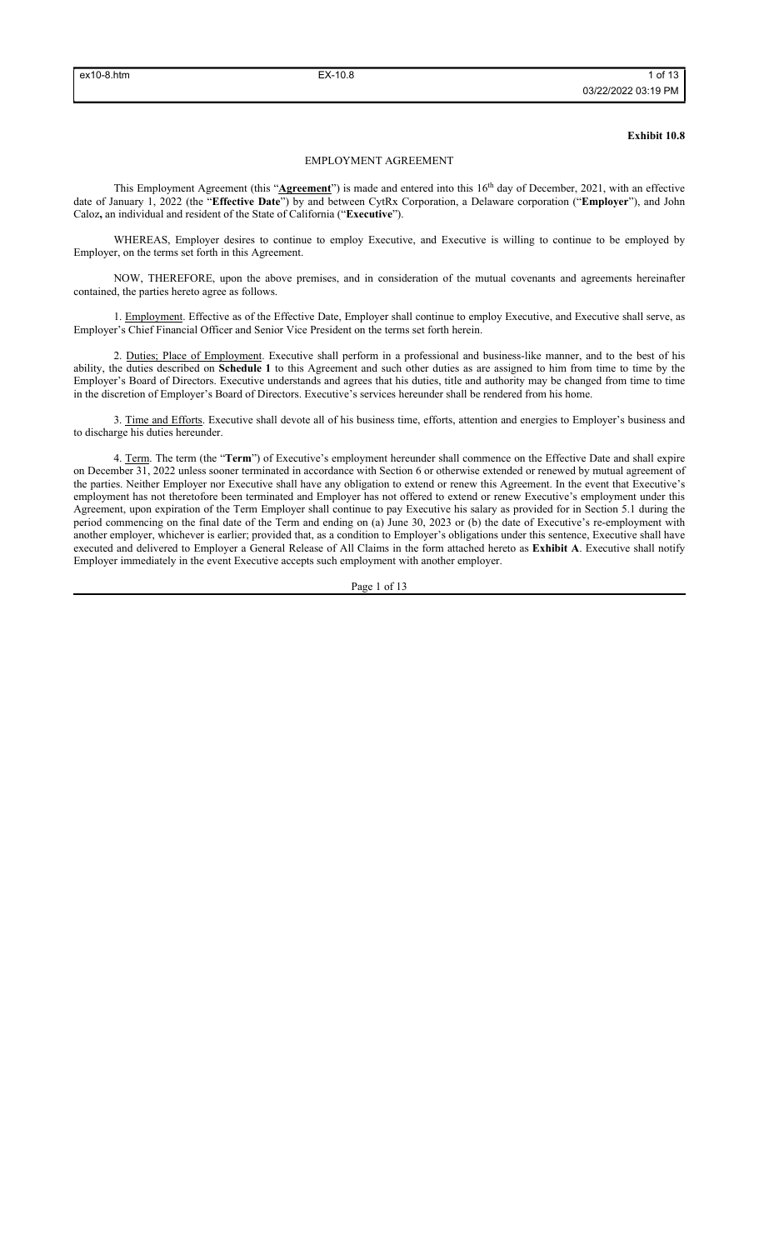#### **Exhibit 10.8**

## EMPLOYMENT AGREEMENT

This Employment Agreement (this "**Agreement**") is made and entered into this 16<sup>th</sup> day of December, 2021, with an effective date of January 1, 2022 (the "**Effective Date**") by and between CytRx Corporation, a Delaware corporation ("**Employer**"), and John Caloz**,** an individual and resident of the State of California ("**Executive**").

WHEREAS, Employer desires to continue to employ Executive, and Executive is willing to continue to be employed by Employer, on the terms set forth in this Agreement.

NOW, THEREFORE, upon the above premises, and in consideration of the mutual covenants and agreements hereinafter contained, the parties hereto agree as follows.

1. Employment. Effective as of the Effective Date, Employer shall continue to employ Executive, and Executive shall serve, as Employer's Chief Financial Officer and Senior Vice President on the terms set forth herein.

2. Duties; Place of Employment. Executive shall perform in a professional and business-like manner, and to the best of his ability, the duties described on **Schedule 1** to this Agreement and such other duties as are assigned to him from time to time by the Employer's Board of Directors. Executive understands and agrees that his duties, title and authority may be changed from time to time in the discretion of Employer's Board of Directors. Executive's services hereunder shall be rendered from his home.

3. Time and Efforts. Executive shall devote all of his business time, efforts, attention and energies to Employer's business and to discharge his duties hereunder.

4. Term. The term (the "**Term**") of Executive's employment hereunder shall commence on the Effective Date and shall expire on December 31, 2022 unless sooner terminated in accordance with Section 6 or otherwise extended or renewed by mutual agreement of the parties. Neither Employer nor Executive shall have any obligation to extend or renew this Agreement. In the event that Executive's employment has not theretofore been terminated and Employer has not offered to extend or renew Executive's employment under this Agreement, upon expiration of the Term Employer shall continue to pay Executive his salary as provided for in Section 5.1 during the period commencing on the final date of the Term and ending on (a) June 30, 2023 or (b) the date of Executive's re-employment with another employer, whichever is earlier; provided that, as a condition to Employer's obligations under this sentence, Executive shall have executed and delivered to Employer a General Release of All Claims in the form attached hereto as **Exhibit A**. Executive shall notify Employer immediately in the event Executive accepts such employment with another employer.

Page 1 of 13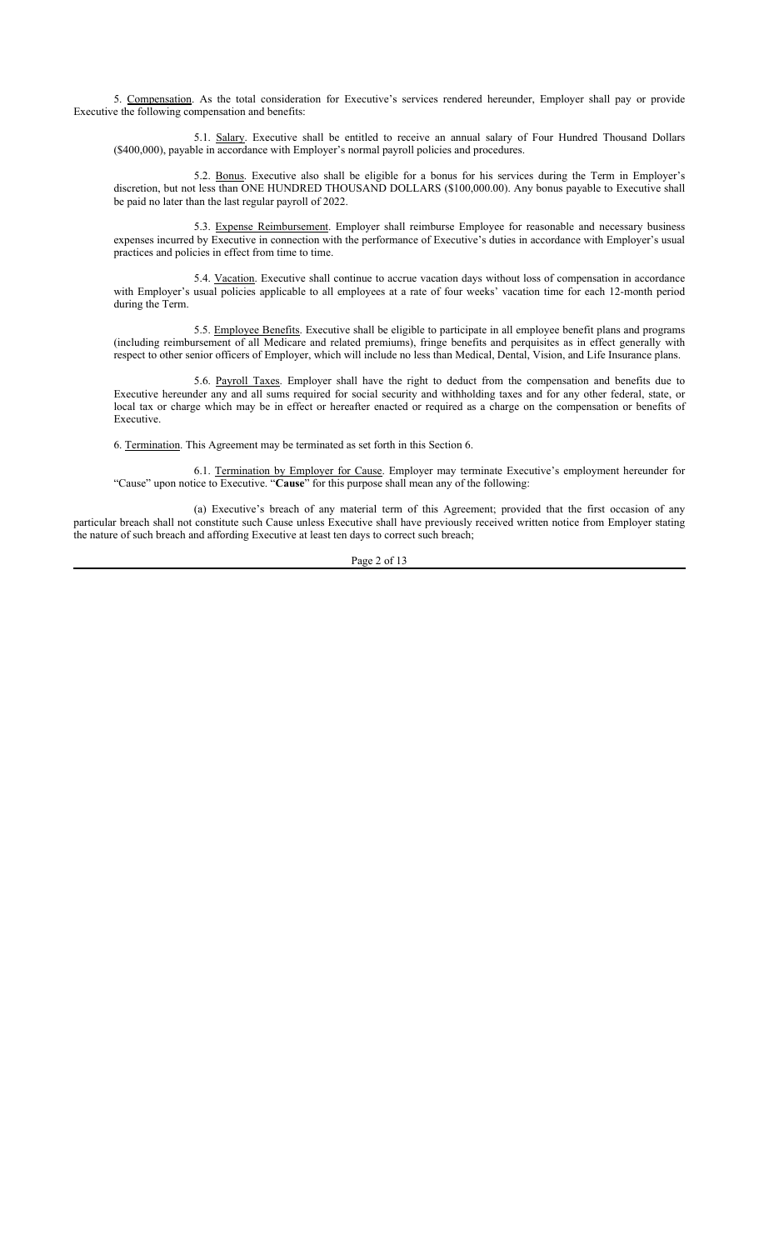5. Compensation. As the total consideration for Executive's services rendered hereunder, Employer shall pay or provide Executive the following compensation and benefits:

5.1. Salary. Executive shall be entitled to receive an annual salary of Four Hundred Thousand Dollars (\$400,000), payable in accordance with Employer's normal payroll policies and procedures.

5.2. Bonus. Executive also shall be eligible for a bonus for his services during the Term in Employer's discretion, but not less than ONE HUNDRED THOUSAND DOLLARS (\$100,000.00). Any bonus payable to Executive shall be paid no later than the last regular payroll of 2022.

5.3. Expense Reimbursement. Employer shall reimburse Employee for reasonable and necessary business expenses incurred by Executive in connection with the performance of Executive's duties in accordance with Employer's usual practices and policies in effect from time to time.

5.4. Vacation. Executive shall continue to accrue vacation days without loss of compensation in accordance with Employer's usual policies applicable to all employees at a rate of four weeks' vacation time for each 12-month period during the Term.

5.5. Employee Benefits. Executive shall be eligible to participate in all employee benefit plans and programs (including reimbursement of all Medicare and related premiums), fringe benefits and perquisites as in effect generally with respect to other senior officers of Employer, which will include no less than Medical, Dental, Vision, and Life Insurance plans.

5.6. Payroll Taxes. Employer shall have the right to deduct from the compensation and benefits due to Executive hereunder any and all sums required for social security and withholding taxes and for any other federal, state, or local tax or charge which may be in effect or hereafter enacted or required as a charge on the compensation or benefits of Executive.

6. Termination. This Agreement may be terminated as set forth in this Section 6.

6.1. Termination by Employer for Cause. Employer may terminate Executive's employment hereunder for "Cause" upon notice to Executive. "**Cause**" for this purpose shall mean any of the following:

(a) Executive's breach of any material term of this Agreement; provided that the first occasion of any particular breach shall not constitute such Cause unless Executive shall have previously received written notice from Employer stating the nature of such breach and affording Executive at least ten days to correct such breach;

Page 2 of 13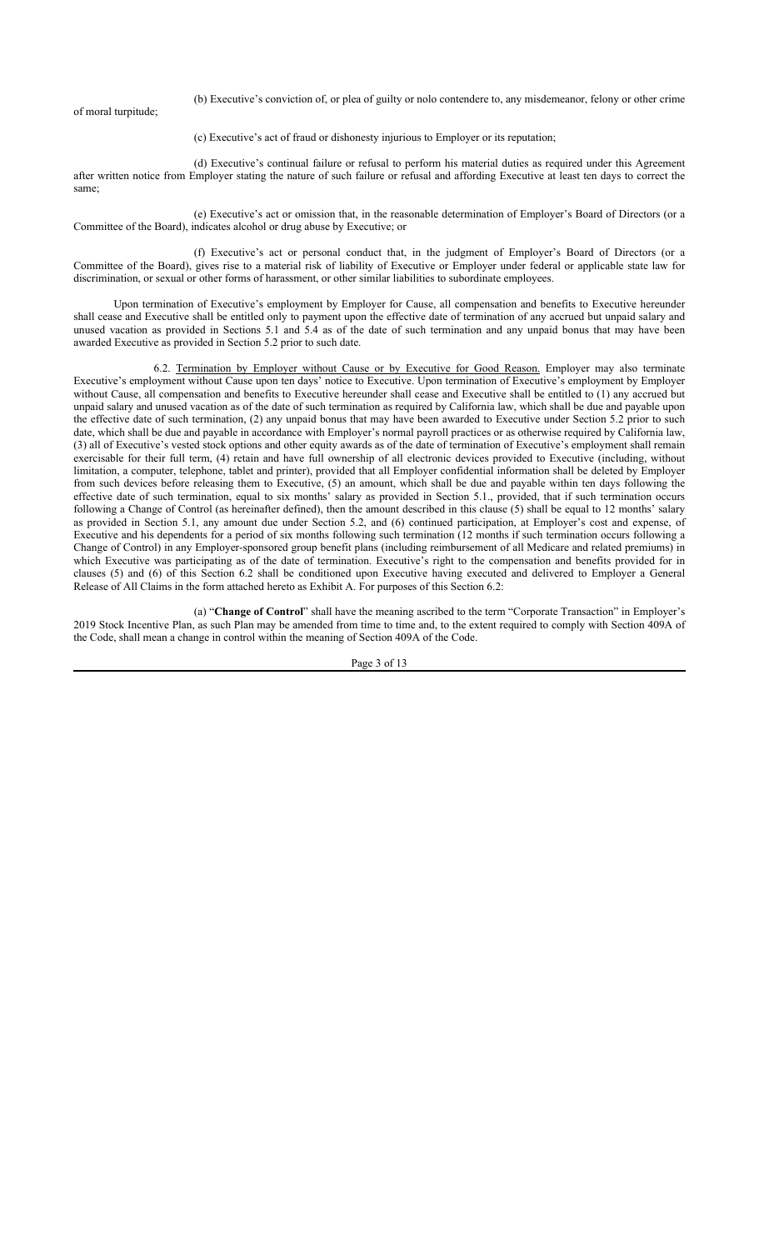of moral turpitude;

(b) Executive's conviction of, or plea of guilty or nolo contendere to, any misdemeanor, felony or other crime

(c) Executive's act of fraud or dishonesty injurious to Employer or its reputation;

(d) Executive's continual failure or refusal to perform his material duties as required under this Agreement after written notice from Employer stating the nature of such failure or refusal and affording Executive at least ten days to correct the same;

(e) Executive's act or omission that, in the reasonable determination of Employer's Board of Directors (or a Committee of the Board), indicates alcohol or drug abuse by Executive; or

(f) Executive's act or personal conduct that, in the judgment of Employer's Board of Directors (or a Committee of the Board), gives rise to a material risk of liability of Executive or Employer under federal or applicable state law for discrimination, or sexual or other forms of harassment, or other similar liabilities to subordinate employees.

Upon termination of Executive's employment by Employer for Cause, all compensation and benefits to Executive hereunder shall cease and Executive shall be entitled only to payment upon the effective date of termination of any accrued but unpaid salary and unused vacation as provided in Sections 5.1 and 5.4 as of the date of such termination and any unpaid bonus that may have been awarded Executive as provided in Section 5.2 prior to such date.

6.2. Termination by Employer without Cause or by Executive for Good Reason. Employer may also terminate Executive's employment without Cause upon ten days' notice to Executive. Upon termination of Executive's employment by Employer without Cause, all compensation and benefits to Executive hereunder shall cease and Executive shall be entitled to (1) any accrued but unpaid salary and unused vacation as of the date of such termination as required by California law, which shall be due and payable upon the effective date of such termination, (2) any unpaid bonus that may have been awarded to Executive under Section 5.2 prior to such date, which shall be due and payable in accordance with Employer's normal payroll practices or as otherwise required by California law, (3) all of Executive's vested stock options and other equity awards as of the date of termination of Executive's employment shall remain exercisable for their full term, (4) retain and have full ownership of all electronic devices provided to Executive (including, without limitation, a computer, telephone, tablet and printer), provided that all Employer confidential information shall be deleted by Employer from such devices before releasing them to Executive, (5) an amount, which shall be due and payable within ten days following the effective date of such termination, equal to six months' salary as provided in Section 5.1., provided, that if such termination occurs following a Change of Control (as hereinafter defined), then the amount described in this clause (5) shall be equal to 12 months' salary as provided in Section 5.1, any amount due under Section 5.2, and (6) continued participation, at Employer's cost and expense, of Executive and his dependents for a period of six months following such termination (12 months if such termination occurs following a Change of Control) in any Employer-sponsored group benefit plans (including reimbursement of all Medicare and related premiums) in which Executive was participating as of the date of termination. Executive's right to the compensation and benefits provided for in clauses (5) and (6) of this Section 6.2 shall be conditioned upon Executive having executed and delivered to Employer a General Release of All Claims in the form attached hereto as Exhibit A. For purposes of this Section 6.2:

(a) "**Change of Control**" shall have the meaning ascribed to the term "Corporate Transaction" in Employer's 2019 Stock Incentive Plan, as such Plan may be amended from time to time and, to the extent required to comply with Section 409A of the Code, shall mean a change in control within the meaning of Section 409A of the Code.

Page 3 of 13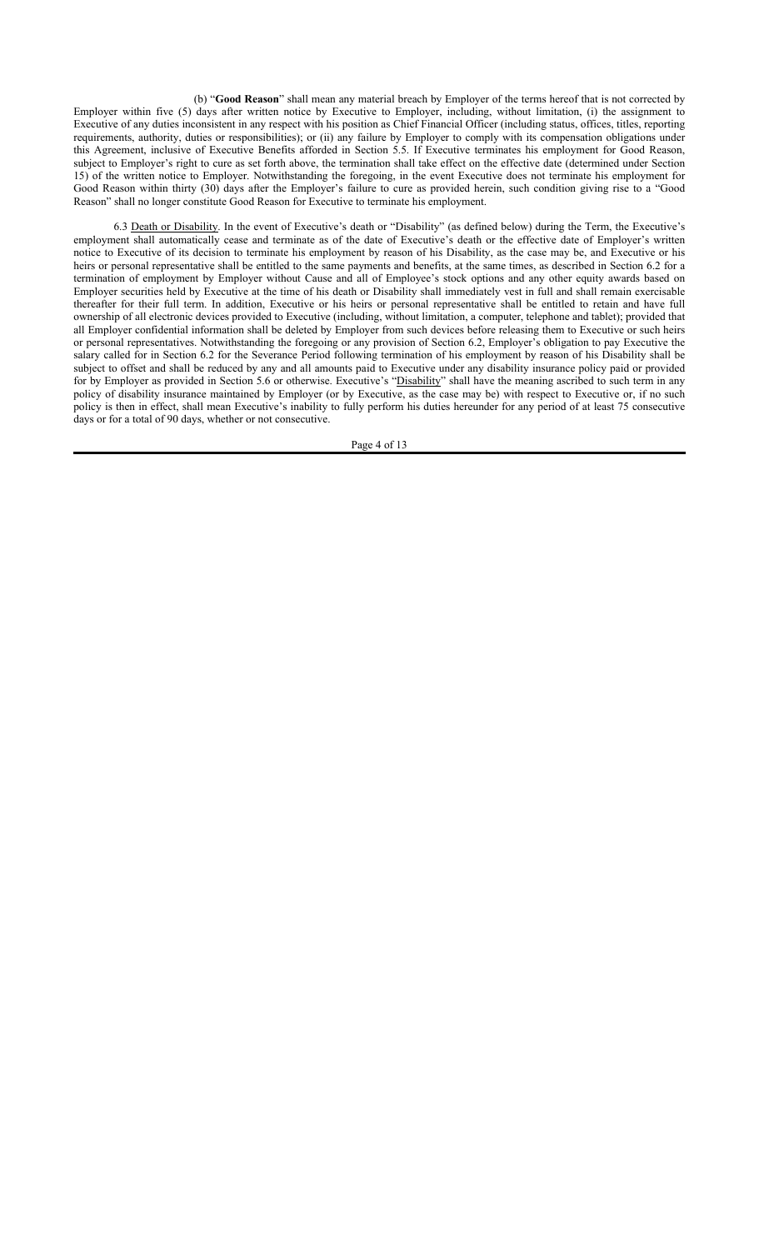(b) "**Good Reason**" shall mean any material breach by Employer of the terms hereof that is not corrected by Employer within five (5) days after written notice by Executive to Employer, including, without limitation, (i) the assignment to Executive of any duties inconsistent in any respect with his position as Chief Financial Officer (including status, offices, titles, reporting requirements, authority, duties or responsibilities); or (ii) any failure by Employer to comply with its compensation obligations under this Agreement, inclusive of Executive Benefits afforded in Section 5.5. If Executive terminates his employment for Good Reason, subject to Employer's right to cure as set forth above, the termination shall take effect on the effective date (determined under Section 15) of the written notice to Employer. Notwithstanding the foregoing, in the event Executive does not terminate his employment for Good Reason within thirty (30) days after the Employer's failure to cure as provided herein, such condition giving rise to a "Good Reason" shall no longer constitute Good Reason for Executive to terminate his employment.

6.3 Death or Disability. In the event of Executive's death or "Disability" (as defined below) during the Term, the Executive's employment shall automatically cease and terminate as of the date of Executive's death or the effective date of Employer's written notice to Executive of its decision to terminate his employment by reason of his Disability, as the case may be, and Executive or his heirs or personal representative shall be entitled to the same payments and benefits, at the same times, as described in Section 6.2 for a termination of employment by Employer without Cause and all of Employee's stock options and any other equity awards based on Employer securities held by Executive at the time of his death or Disability shall immediately vest in full and shall remain exercisable thereafter for their full term. In addition, Executive or his heirs or personal representative shall be entitled to retain and have full ownership of all electronic devices provided to Executive (including, without limitation, a computer, telephone and tablet); provided that all Employer confidential information shall be deleted by Employer from such devices before releasing them to Executive or such heirs or personal representatives. Notwithstanding the foregoing or any provision of Section 6.2, Employer's obligation to pay Executive the salary called for in Section 6.2 for the Severance Period following termination of his employment by reason of his Disability shall be subject to offset and shall be reduced by any and all amounts paid to Executive under any disability insurance policy paid or provided for by Employer as provided in Section 5.6 or otherwise. Executive's "Disability" shall have the meaning ascribed to such term in any policy of disability insurance maintained by Employer (or by Executive, as the case may be) with respect to Executive or, if no such policy is then in effect, shall mean Executive's inability to fully perform his duties hereunder for any period of at least 75 consecutive days or for a total of 90 days, whether or not consecutive.

Page 4 of 13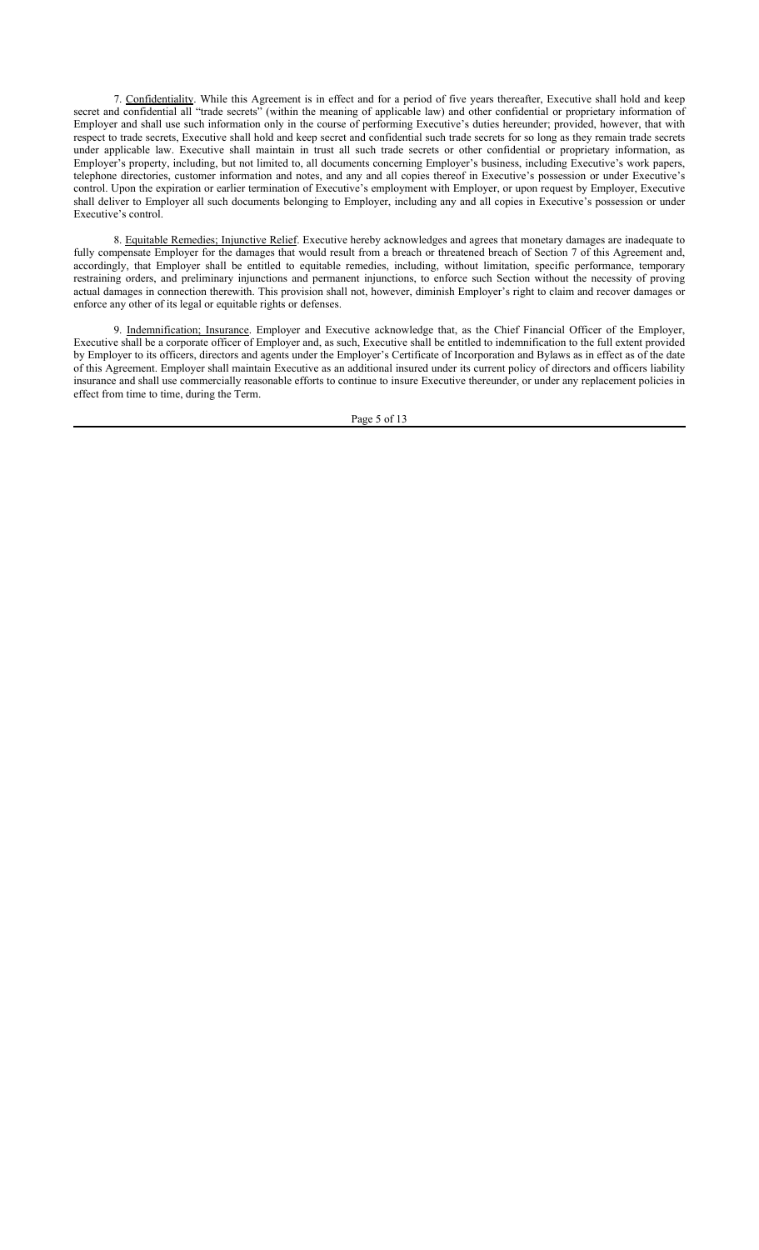7. Confidentiality. While this Agreement is in effect and for a period of five years thereafter, Executive shall hold and keep secret and confidential all "trade secrets" (within the meaning of applicable law) and other confidential or proprietary information of Employer and shall use such information only in the course of performing Executive's duties hereunder; provided, however, that with respect to trade secrets, Executive shall hold and keep secret and confidential such trade secrets for so long as they remain trade secrets under applicable law. Executive shall maintain in trust all such trade secrets or other confidential or proprietary information, as Employer's property, including, but not limited to, all documents concerning Employer's business, including Executive's work papers, telephone directories, customer information and notes, and any and all copies thereof in Executive's possession or under Executive's control. Upon the expiration or earlier termination of Executive's employment with Employer, or upon request by Employer, Executive shall deliver to Employer all such documents belonging to Employer, including any and all copies in Executive's possession or under Executive's control.

8. Equitable Remedies; Injunctive Relief. Executive hereby acknowledges and agrees that monetary damages are inadequate to fully compensate Employer for the damages that would result from a breach or threatened breach of Section 7 of this Agreement and, accordingly, that Employer shall be entitled to equitable remedies, including, without limitation, specific performance, temporary restraining orders, and preliminary injunctions and permanent injunctions, to enforce such Section without the necessity of proving actual damages in connection therewith. This provision shall not, however, diminish Employer's right to claim and recover damages or enforce any other of its legal or equitable rights or defenses.

9. Indemnification; Insurance. Employer and Executive acknowledge that, as the Chief Financial Officer of the Employer, Executive shall be a corporate officer of Employer and, as such, Executive shall be entitled to indemnification to the full extent provided by Employer to its officers, directors and agents under the Employer's Certificate of Incorporation and Bylaws as in effect as of the date of this Agreement. Employer shall maintain Executive as an additional insured under its current policy of directors and officers liability insurance and shall use commercially reasonable efforts to continue to insure Executive thereunder, or under any replacement policies in effect from time to time, during the Term.

Page 5 of 13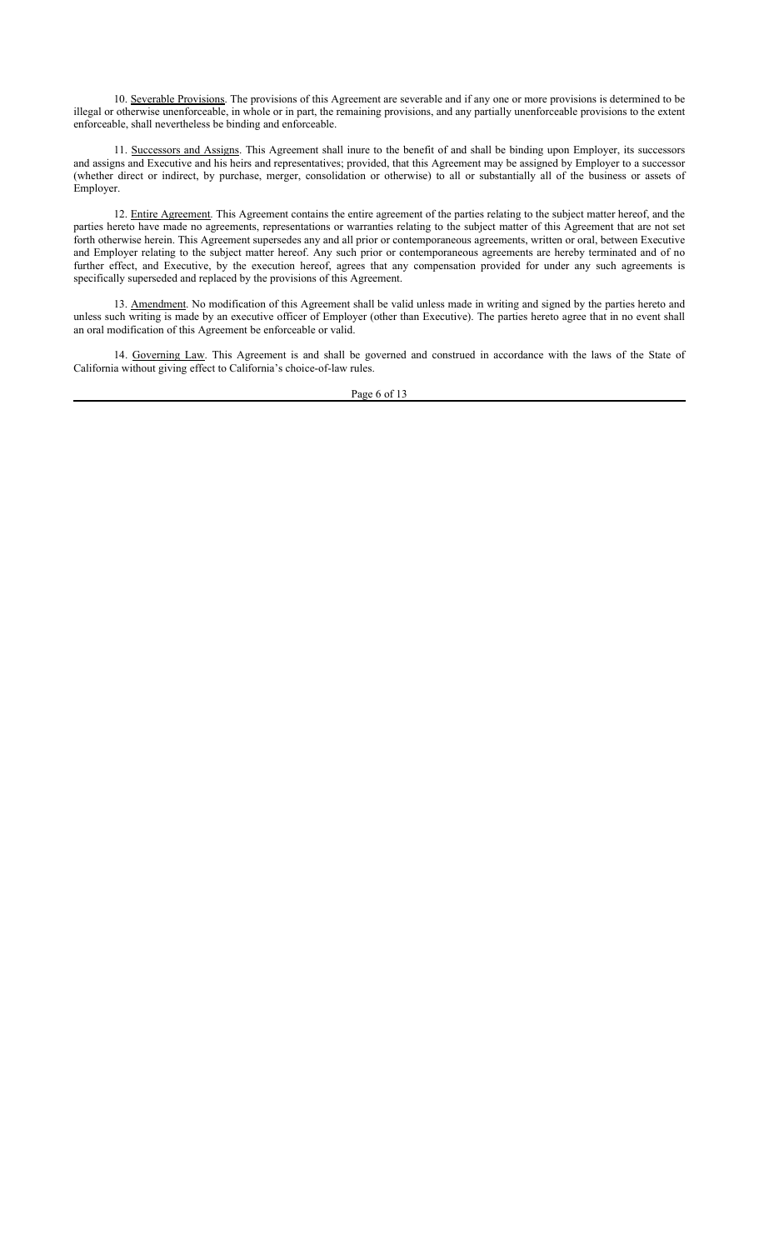10. Severable Provisions. The provisions of this Agreement are severable and if any one or more provisions is determined to be illegal or otherwise unenforceable, in whole or in part, the remaining provisions, and any partially unenforceable provisions to the extent enforceable, shall nevertheless be binding and enforceable.

11. Successors and Assigns. This Agreement shall inure to the benefit of and shall be binding upon Employer, its successors and assigns and Executive and his heirs and representatives; provided, that this Agreement may be assigned by Employer to a successor (whether direct or indirect, by purchase, merger, consolidation or otherwise) to all or substantially all of the business or assets of Employer.

12. Entire Agreement. This Agreement contains the entire agreement of the parties relating to the subject matter hereof, and the parties hereto have made no agreements, representations or warranties relating to the subject matter of this Agreement that are not set forth otherwise herein. This Agreement supersedes any and all prior or contemporaneous agreements, written or oral, between Executive and Employer relating to the subject matter hereof. Any such prior or contemporaneous agreements are hereby terminated and of no further effect, and Executive, by the execution hereof, agrees that any compensation provided for under any such agreements is specifically superseded and replaced by the provisions of this Agreement.

13. Amendment. No modification of this Agreement shall be valid unless made in writing and signed by the parties hereto and unless such writing is made by an executive officer of Employer (other than Executive). The parties hereto agree that in no event shall an oral modification of this Agreement be enforceable or valid.

14. Governing Law. This Agreement is and shall be governed and construed in accordance with the laws of the State of California without giving effect to California's choice-of-law rules.

Page 6 of 13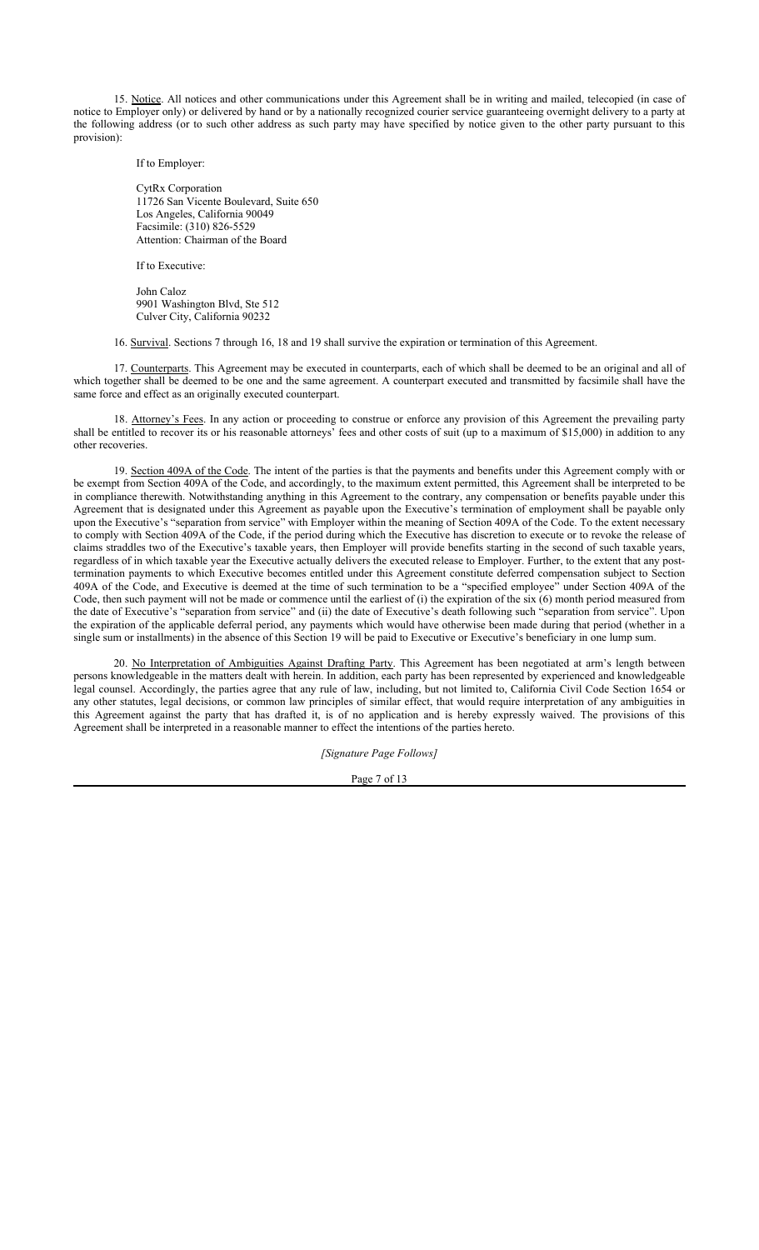15. Notice. All notices and other communications under this Agreement shall be in writing and mailed, telecopied (in case of notice to Employer only) or delivered by hand or by a nationally recognized courier service guaranteeing overnight delivery to a party at the following address (or to such other address as such party may have specified by notice given to the other party pursuant to this provision):

If to Employer:

CytRx Corporation 11726 San Vicente Boulevard, Suite 650 Los Angeles, California 90049 Facsimile: (310) 826-5529 Attention: Chairman of the Board

If to Executive:

John Caloz 9901 Washington Blvd, Ste 512 Culver City, California 90232

16. Survival. Sections 7 through 16, 18 and 19 shall survive the expiration or termination of this Agreement.

17. Counterparts. This Agreement may be executed in counterparts, each of which shall be deemed to be an original and all of which together shall be deemed to be one and the same agreement. A counterpart executed and transmitted by facsimile shall have the same force and effect as an originally executed counterpart.

18. Attorney's Fees. In any action or proceeding to construe or enforce any provision of this Agreement the prevailing party shall be entitled to recover its or his reasonable attorneys' fees and other costs of suit (up to a maximum of \$15,000) in addition to any other recoveries.

19. Section 409A of the Code. The intent of the parties is that the payments and benefits under this Agreement comply with or be exempt from Section 409A of the Code, and accordingly, to the maximum extent permitted, this Agreement shall be interpreted to be in compliance therewith. Notwithstanding anything in this Agreement to the contrary, any compensation or benefits payable under this Agreement that is designated under this Agreement as payable upon the Executive's termination of employment shall be payable only upon the Executive's "separation from service" with Employer within the meaning of Section 409A of the Code. To the extent necessary to comply with Section 409A of the Code, if the period during which the Executive has discretion to execute or to revoke the release of claims straddles two of the Executive's taxable years, then Employer will provide benefits starting in the second of such taxable years, regardless of in which taxable year the Executive actually delivers the executed release to Employer. Further, to the extent that any posttermination payments to which Executive becomes entitled under this Agreement constitute deferred compensation subject to Section 409A of the Code, and Executive is deemed at the time of such termination to be a "specified employee" under Section 409A of the Code, then such payment will not be made or commence until the earliest of (i) the expiration of the six (6) month period measured from the date of Executive's "separation from service" and (ii) the date of Executive's death following such "separation from service". Upon the expiration of the applicable deferral period, any payments which would have otherwise been made during that period (whether in a single sum or installments) in the absence of this Section 19 will be paid to Executive or Executive's beneficiary in one lump sum.

20. No Interpretation of Ambiguities Against Drafting Party. This Agreement has been negotiated at arm's length between persons knowledgeable in the matters dealt with herein. In addition, each party has been represented by experienced and knowledgeable legal counsel. Accordingly, the parties agree that any rule of law, including, but not limited to, California Civil Code Section 1654 or any other statutes, legal decisions, or common law principles of similar effect, that would require interpretation of any ambiguities in this Agreement against the party that has drafted it, is of no application and is hereby expressly waived. The provisions of this Agreement shall be interpreted in a reasonable manner to effect the intentions of the parties hereto.

*[Signature Page Follows]*

Page 7 of 13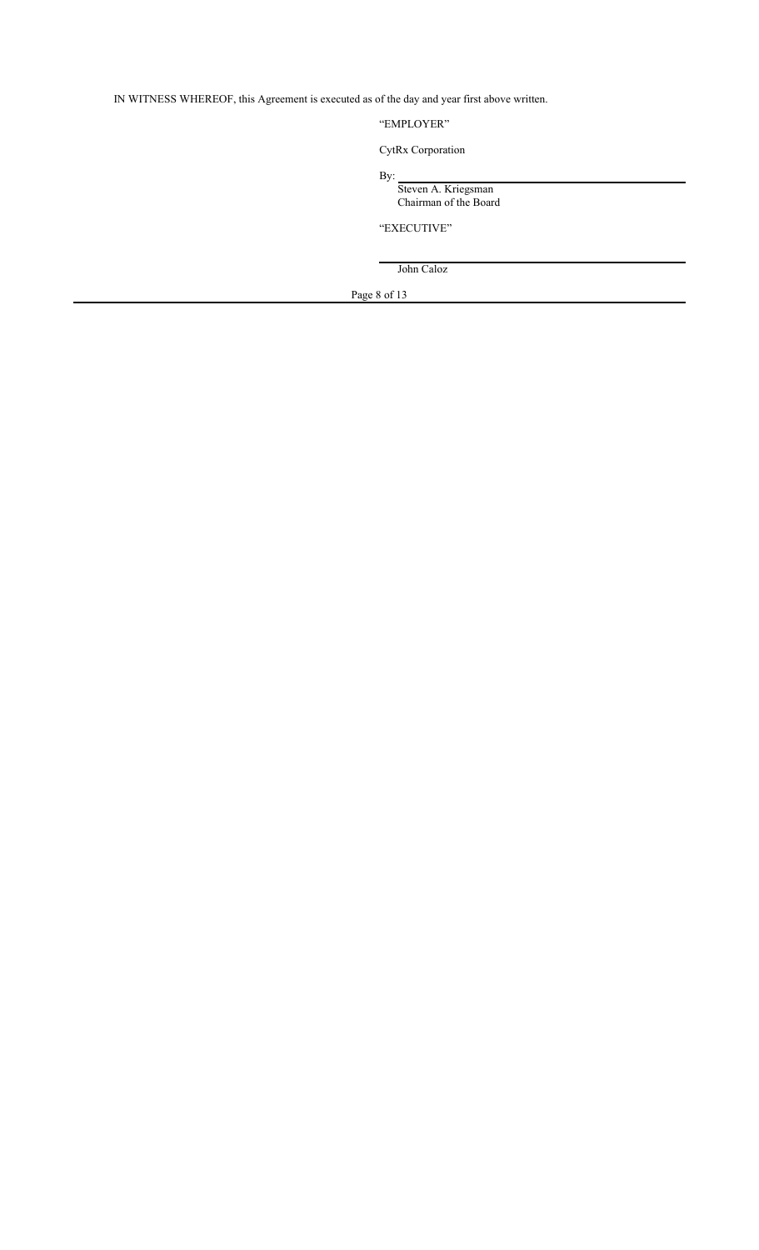IN WITNESS WHEREOF, this Agreement is executed as of the day and year first above written.

"EMPLOYER"

CytRx Corporation

By: Steven A. Kriegsman Chairman of the Board

"EXECUTIVE"

John Caloz

Page 8 of 13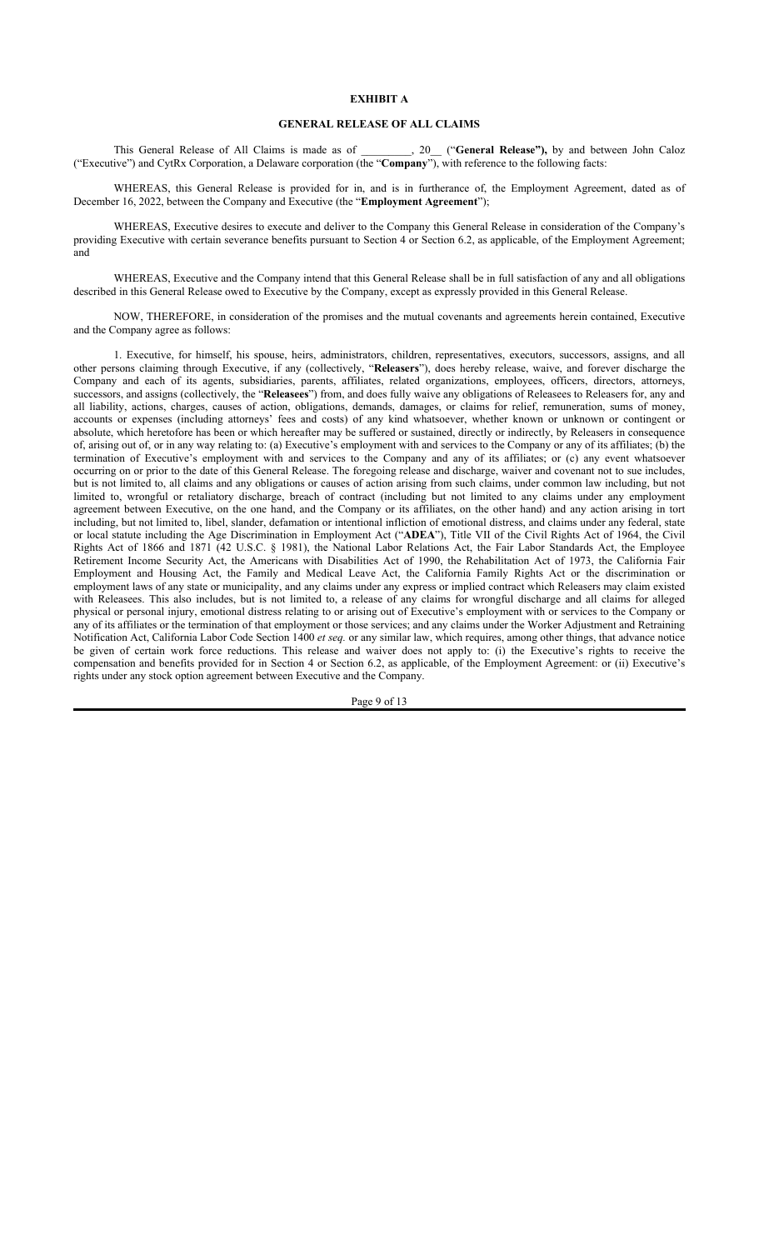# **EXHIBIT A**

## **GENERAL RELEASE OF ALL CLAIMS**

This General Release of All Claims is made as of \_\_\_\_\_\_\_\_\_, 20\_\_ ("**General Release"),** by and between John Caloz ("Executive") and CytRx Corporation, a Delaware corporation (the "**Company**"), with reference to the following facts:

WHEREAS, this General Release is provided for in, and is in furtherance of, the Employment Agreement, dated as of December 16, 2022, between the Company and Executive (the "**Employment Agreement**");

WHEREAS, Executive desires to execute and deliver to the Company this General Release in consideration of the Company's providing Executive with certain severance benefits pursuant to Section 4 or Section 6.2, as applicable, of the Employment Agreement; and

WHEREAS, Executive and the Company intend that this General Release shall be in full satisfaction of any and all obligations described in this General Release owed to Executive by the Company, except as expressly provided in this General Release.

NOW, THEREFORE, in consideration of the promises and the mutual covenants and agreements herein contained, Executive and the Company agree as follows:

1. Executive, for himself, his spouse, heirs, administrators, children, representatives, executors, successors, assigns, and all other persons claiming through Executive, if any (collectively, "**Releasers**"), does hereby release, waive, and forever discharge the Company and each of its agents, subsidiaries, parents, affiliates, related organizations, employees, officers, directors, attorneys, successors, and assigns (collectively, the "**Releasees**") from, and does fully waive any obligations of Releasees to Releasers for, any and all liability, actions, charges, causes of action, obligations, demands, damages, or claims for relief, remuneration, sums of money, accounts or expenses (including attorneys' fees and costs) of any kind whatsoever, whether known or unknown or contingent or absolute, which heretofore has been or which hereafter may be suffered or sustained, directly or indirectly, by Releasers in consequence of, arising out of, or in any way relating to: (a) Executive's employment with and services to the Company or any of its affiliates; (b) the termination of Executive's employment with and services to the Company and any of its affiliates; or (c) any event whatsoever occurring on or prior to the date of this General Release. The foregoing release and discharge, waiver and covenant not to sue includes, but is not limited to, all claims and any obligations or causes of action arising from such claims, under common law including, but not limited to, wrongful or retaliatory discharge, breach of contract (including but not limited to any claims under any employment agreement between Executive, on the one hand, and the Company or its affiliates, on the other hand) and any action arising in tort including, but not limited to, libel, slander, defamation or intentional infliction of emotional distress, and claims under any federal, state or local statute including the Age Discrimination in Employment Act ("**ADEA**"), Title VII of the Civil Rights Act of 1964, the Civil Rights Act of 1866 and 1871 (42 U.S.C. § 1981), the National Labor Relations Act, the Fair Labor Standards Act, the Employee Retirement Income Security Act, the Americans with Disabilities Act of 1990, the Rehabilitation Act of 1973, the California Fair Employment and Housing Act, the Family and Medical Leave Act, the California Family Rights Act or the discrimination or employment laws of any state or municipality, and any claims under any express or implied contract which Releasers may claim existed with Releasees. This also includes, but is not limited to, a release of any claims for wrongful discharge and all claims for alleged physical or personal injury, emotional distress relating to or arising out of Executive's employment with or services to the Company or any of its affiliates or the termination of that employment or those services; and any claims under the Worker Adjustment and Retraining Notification Act, California Labor Code Section 1400 *et seq.* or any similar law, which requires, among other things, that advance notice be given of certain work force reductions. This release and waiver does not apply to: (i) the Executive's rights to receive the compensation and benefits provided for in Section 4 or Section 6.2, as applicable, of the Employment Agreement: or (ii) Executive's rights under any stock option agreement between Executive and the Company.

Page 9 of 13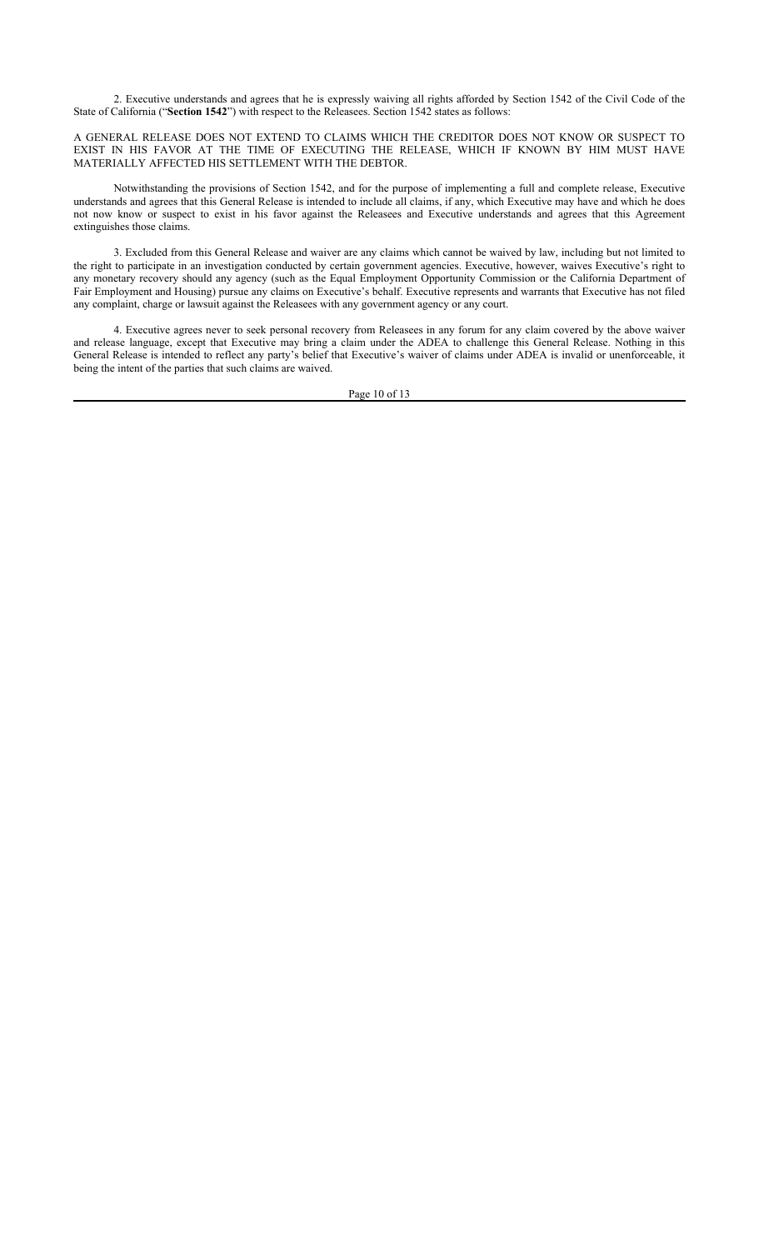2. Executive understands and agrees that he is expressly waiving all rights afforded by Section 1542 of the Civil Code of the State of California ("**Section 1542**") with respect to the Releasees. Section 1542 states as follows:

A GENERAL RELEASE DOES NOT EXTEND TO CLAIMS WHICH THE CREDITOR DOES NOT KNOW OR SUSPECT TO EXIST IN HIS FAVOR AT THE TIME OF EXECUTING THE RELEASE, WHICH IF KNOWN BY HIM MUST HAVE MATERIALLY AFFECTED HIS SETTLEMENT WITH THE DEBTOR.

Notwithstanding the provisions of Section 1542, and for the purpose of implementing a full and complete release, Executive understands and agrees that this General Release is intended to include all claims, if any, which Executive may have and which he does not now know or suspect to exist in his favor against the Releasees and Executive understands and agrees that this Agreement extinguishes those claims.

3. Excluded from this General Release and waiver are any claims which cannot be waived by law, including but not limited to the right to participate in an investigation conducted by certain government agencies. Executive, however, waives Executive's right to any monetary recovery should any agency (such as the Equal Employment Opportunity Commission or the California Department of Fair Employment and Housing) pursue any claims on Executive's behalf. Executive represents and warrants that Executive has not filed any complaint, charge or lawsuit against the Releasees with any government agency or any court.

4. Executive agrees never to seek personal recovery from Releasees in any forum for any claim covered by the above waiver and release language, except that Executive may bring a claim under the ADEA to challenge this General Release. Nothing in this General Release is intended to reflect any party's belief that Executive's waiver of claims under ADEA is invalid or unenforceable, it being the intent of the parties that such claims are waived.

Page 10 of 13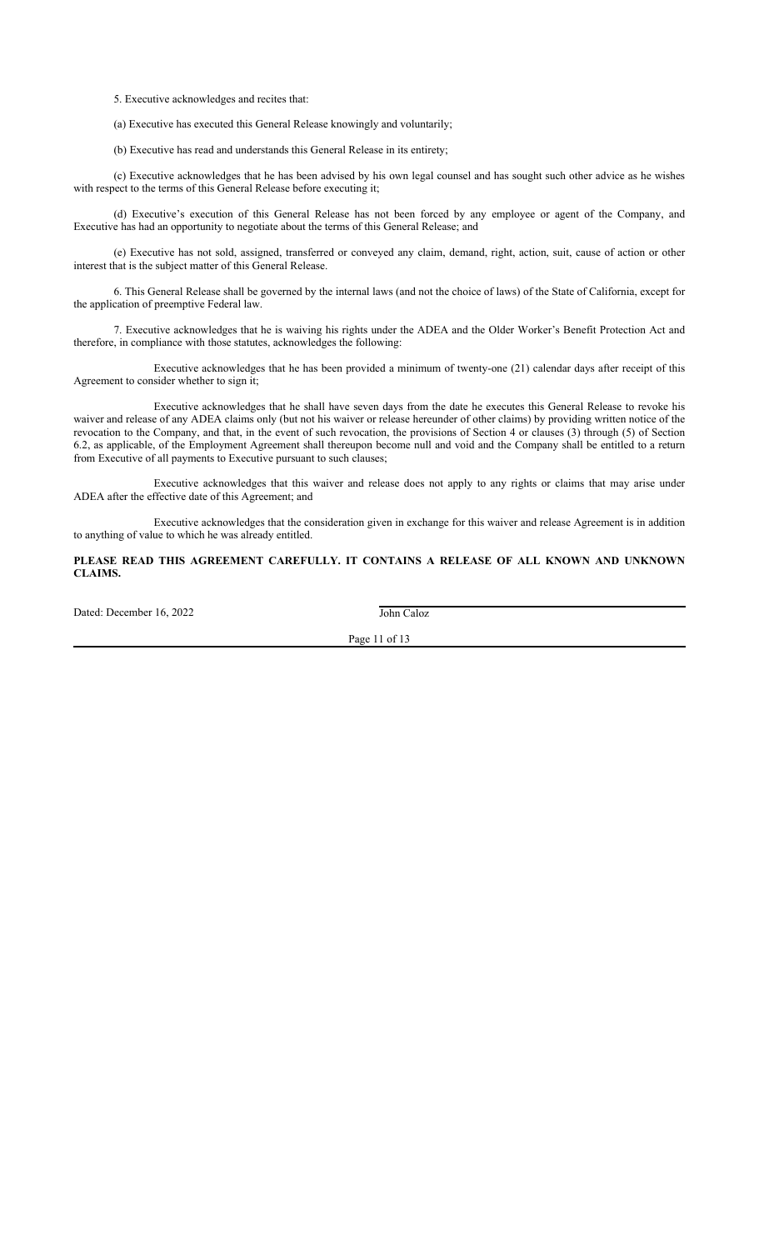5. Executive acknowledges and recites that:

(a) Executive has executed this General Release knowingly and voluntarily;

(b) Executive has read and understands this General Release in its entirety;

(c) Executive acknowledges that he has been advised by his own legal counsel and has sought such other advice as he wishes with respect to the terms of this General Release before executing it;

(d) Executive's execution of this General Release has not been forced by any employee or agent of the Company, and Executive has had an opportunity to negotiate about the terms of this General Release; and

(e) Executive has not sold, assigned, transferred or conveyed any claim, demand, right, action, suit, cause of action or other interest that is the subject matter of this General Release.

6. This General Release shall be governed by the internal laws (and not the choice of laws) of the State of California, except for the application of preemptive Federal law.

7. Executive acknowledges that he is waiving his rights under the ADEA and the Older Worker's Benefit Protection Act and therefore, in compliance with those statutes, acknowledges the following:

Executive acknowledges that he has been provided a minimum of twenty-one (21) calendar days after receipt of this Agreement to consider whether to sign it;

Executive acknowledges that he shall have seven days from the date he executes this General Release to revoke his waiver and release of any ADEA claims only (but not his waiver or release hereunder of other claims) by providing written notice of the revocation to the Company, and that, in the event of such revocation, the provisions of Section 4 or clauses (3) through (5) of Section 6.2, as applicable, of the Employment Agreement shall thereupon become null and void and the Company shall be entitled to a return from Executive of all payments to Executive pursuant to such clauses;

Executive acknowledges that this waiver and release does not apply to any rights or claims that may arise under ADEA after the effective date of this Agreement; and

Executive acknowledges that the consideration given in exchange for this waiver and release Agreement is in addition to anything of value to which he was already entitled.

# **PLEASE READ THIS AGREEMENT CAREFULLY. IT CONTAINS A RELEASE OF ALL KNOWN AND UNKNOWN CLAIMS.**

Dated: December 16, 2022 John Caloz

Page 11 of 13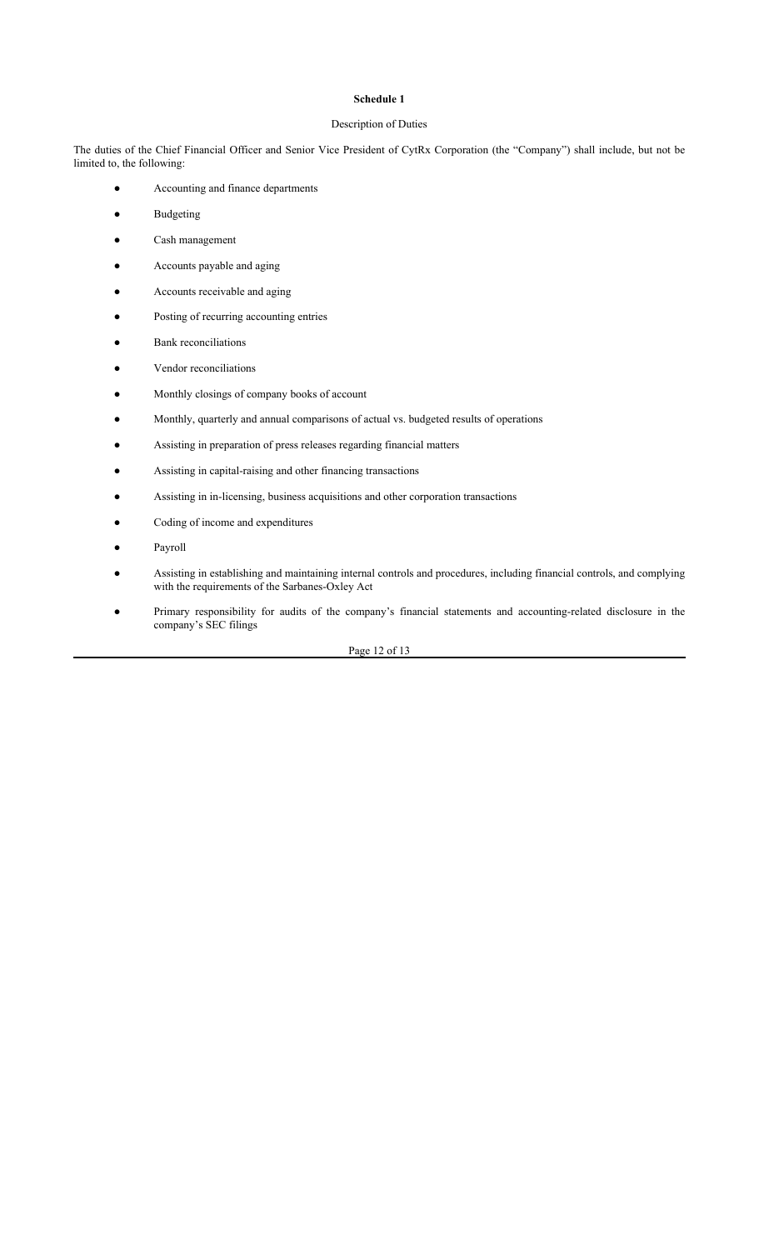# **Schedule 1**

# Description of Duties

The duties of the Chief Financial Officer and Senior Vice President of CytRx Corporation (the "Company") shall include, but not be limited to, the following:

- Ɣ Accounting and finance departments
- Budgeting
- **•** Cash management
- Ɣ Accounts payable and aging
- Accounts receivable and aging
- Posting of recurring accounting entries
- Ɣ Bank reconciliations
- Vendor reconciliations
- Ɣ Monthly closings of company books of account
- Ɣ Monthly, quarterly and annual comparisons of actual vs. budgeted results of operations
- Assisting in preparation of press releases regarding financial matters
- Assisting in capital-raising and other financing transactions
- Assisting in in-licensing, business acquisitions and other corporation transactions
- Ɣ Coding of income and expenditures
- Payroll
- Assisting in establishing and maintaining internal controls and procedures, including financial controls, and complying with the requirements of the Sarbanes-Oxley Act
- Primary responsibility for audits of the company's financial statements and accounting-related disclosure in the company's SEC filings

Page 12 of 13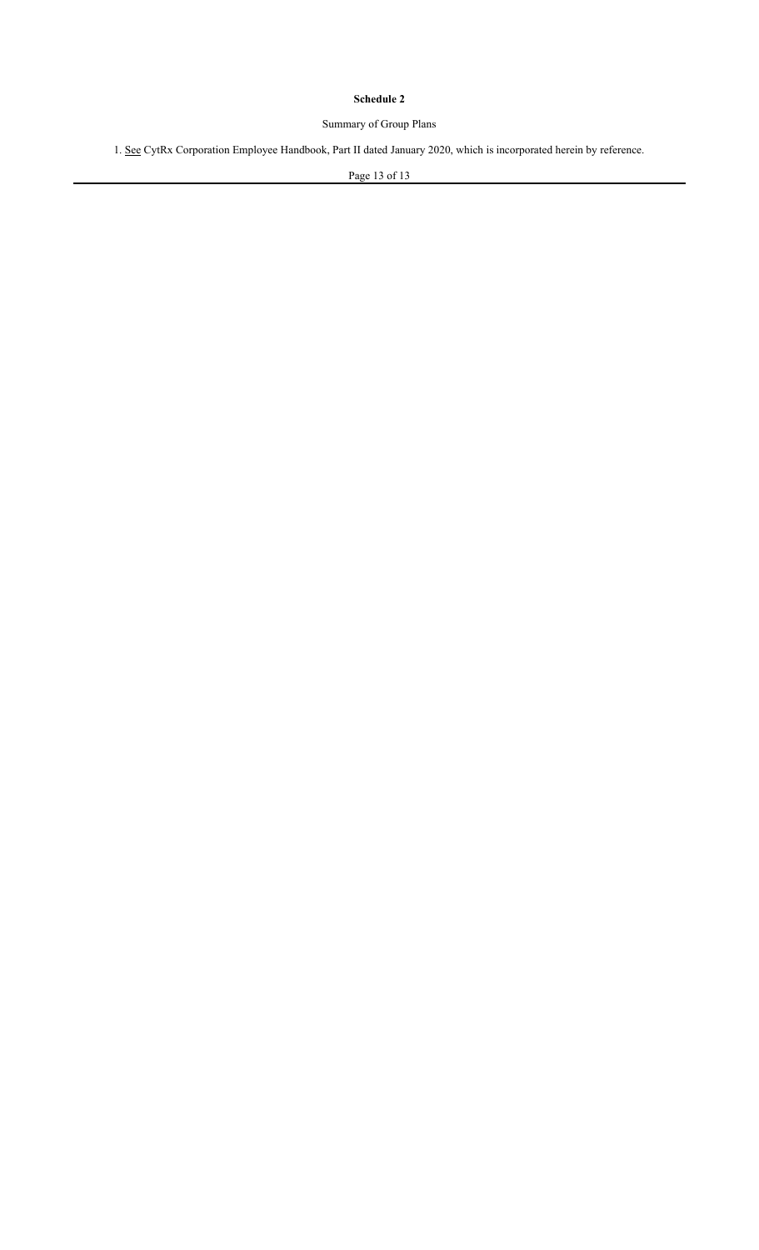# **Schedule 2**

# Summary of Group Plans

1. See CytRx Corporation Employee Handbook, Part II dated January 2020, which is incorporated herein by reference.

Page 13 of 13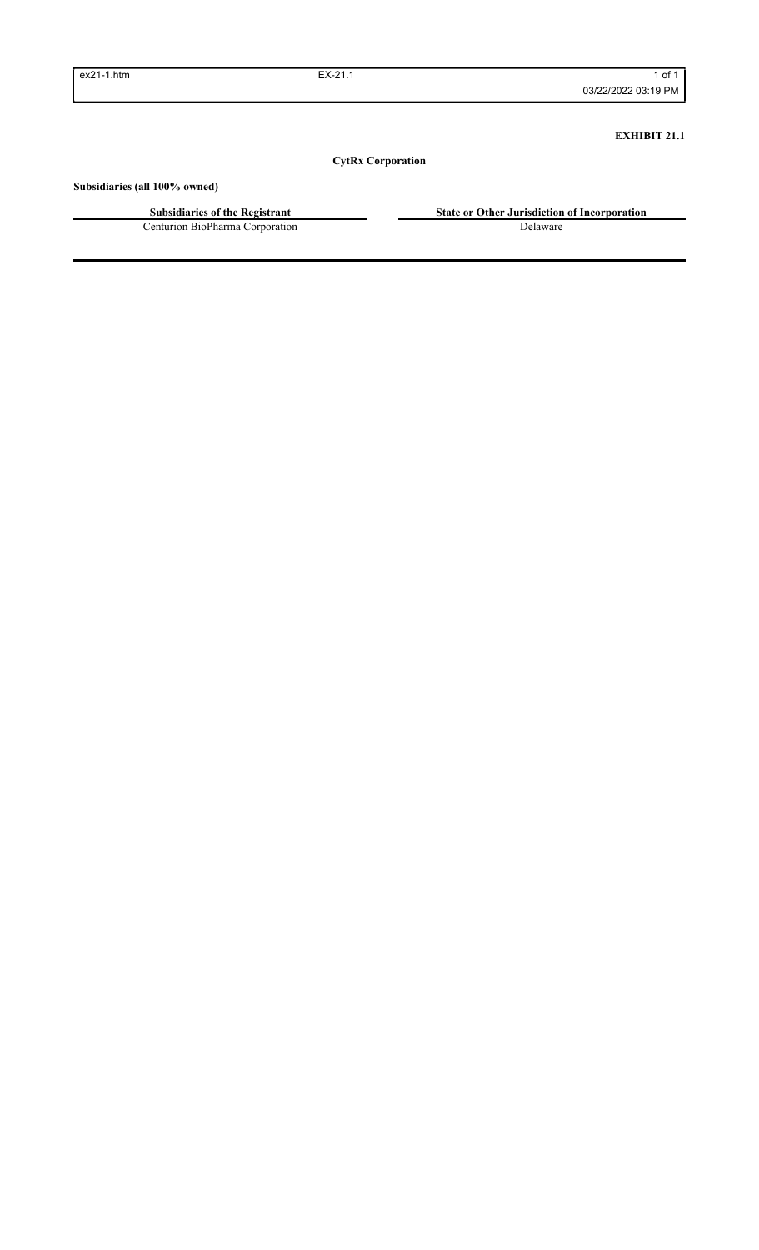# **EXHIBIT 21.1**

**CytRx Corporation**

**Subsidiaries (all 100% owned)**

**Subsidiaries of the Registrant**<br>Centurion BioPharma Corporation

**State or Other Jurisdiction of Incorporation**<br>Delaware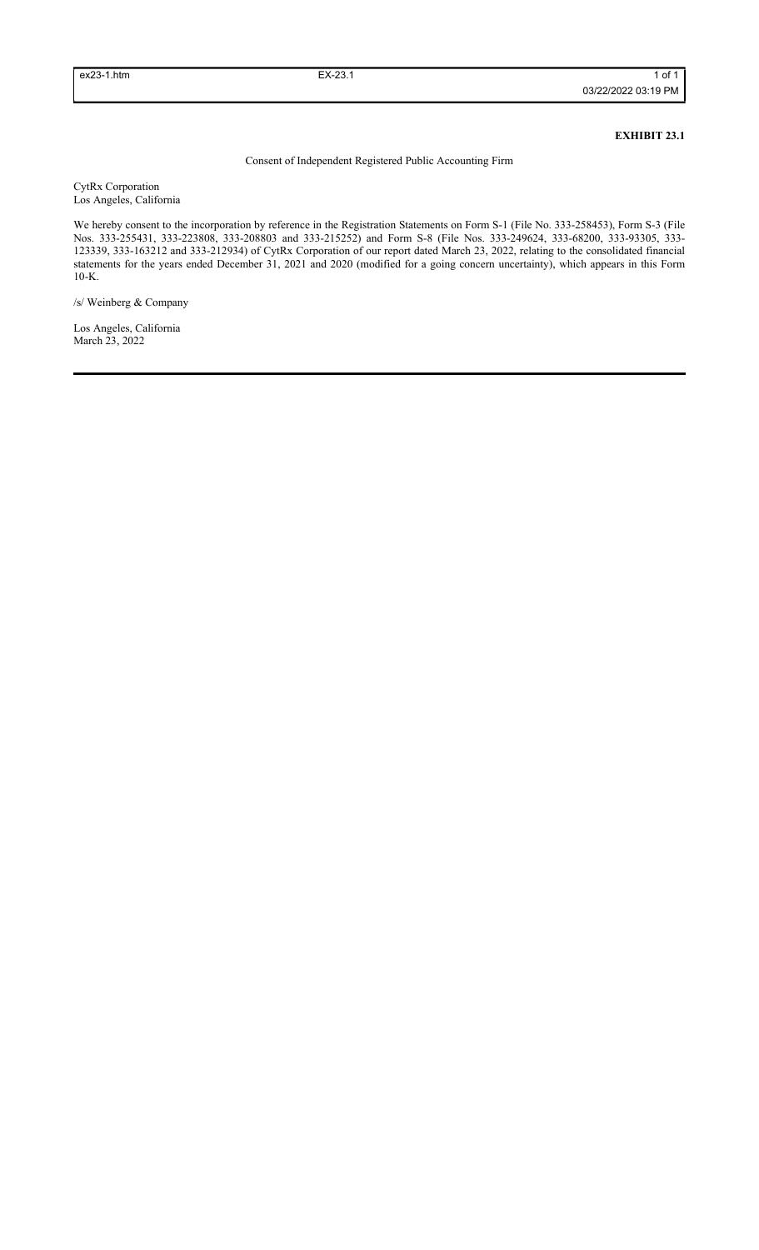# **EXHIBIT 23.1**

Consent of Independent Registered Public Accounting Firm

CytRx Corporation Los Angeles, California

We hereby consent to the incorporation by reference in the Registration Statements on Form S-1 (File No. 333-258453), Form S-3 (File Nos. 333-255431, 333-223808, 333-208803 and 333-215252) and Form S-8 (File Nos. 333-249624, 333-68200, 333-93305, 333- 123339, 333-163212 and 333-212934) of CytRx Corporation of our report dated March 23, 2022, relating to the consolidated financial statements for the years ended December 31, 2021 and 2020 (modified for a going concern uncertainty), which appears in this Form  $10-K$ .

/s/ Weinberg & Company

Los Angeles, California March 23, 2022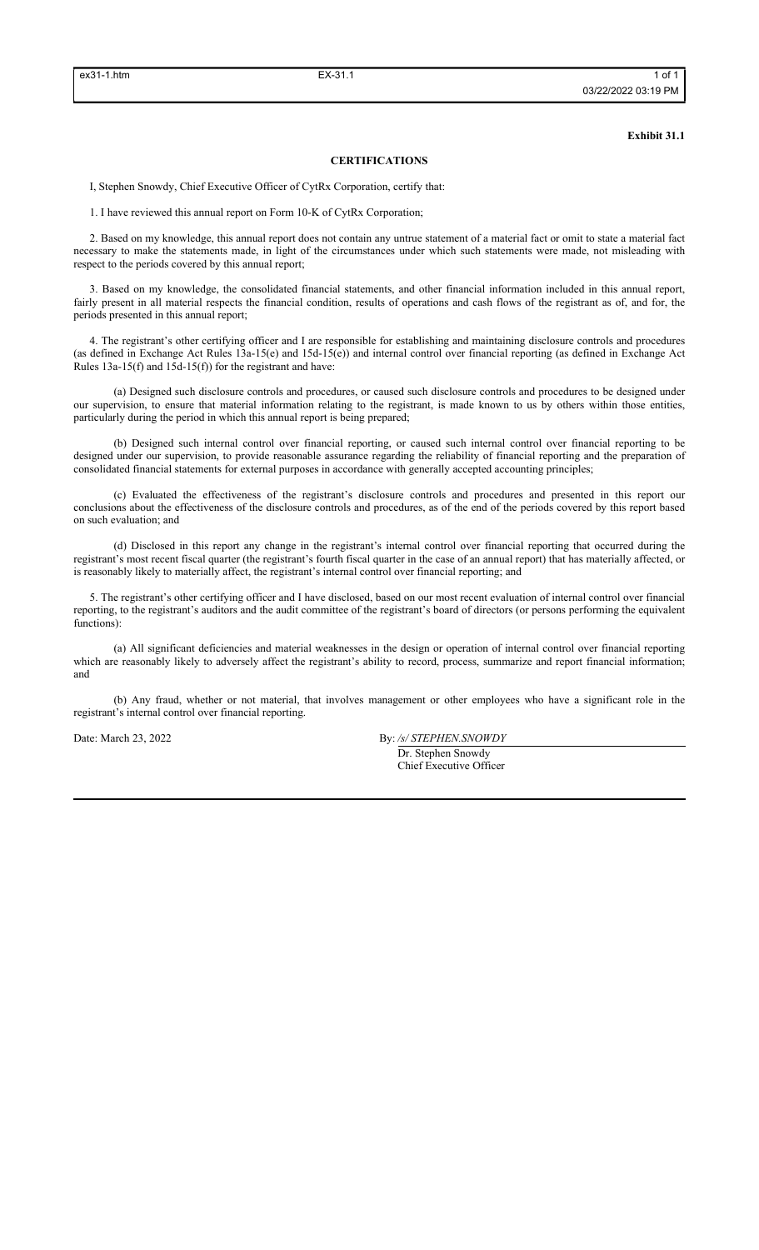#### **Exhibit 31.1**

#### **CERTIFICATIONS**

I, Stephen Snowdy, Chief Executive Officer of CytRx Corporation, certify that:

1. I have reviewed this annual report on Form 10-K of CytRx Corporation;

2. Based on my knowledge, this annual report does not contain any untrue statement of a material fact or omit to state a material fact necessary to make the statements made, in light of the circumstances under which such statements were made, not misleading with respect to the periods covered by this annual report;

3. Based on my knowledge, the consolidated financial statements, and other financial information included in this annual report, fairly present in all material respects the financial condition, results of operations and cash flows of the registrant as of, and for, the periods presented in this annual report;

4. The registrant's other certifying officer and I are responsible for establishing and maintaining disclosure controls and procedures (as defined in Exchange Act Rules 13a-15(e) and 15d-15(e)) and internal control over financial reporting (as defined in Exchange Act Rules 13a-15(f) and 15d-15(f)) for the registrant and have:

(a) Designed such disclosure controls and procedures, or caused such disclosure controls and procedures to be designed under our supervision, to ensure that material information relating to the registrant, is made known to us by others within those entities, particularly during the period in which this annual report is being prepared;

(b) Designed such internal control over financial reporting, or caused such internal control over financial reporting to be designed under our supervision, to provide reasonable assurance regarding the reliability of financial reporting and the preparation of consolidated financial statements for external purposes in accordance with generally accepted accounting principles;

(c) Evaluated the effectiveness of the registrant's disclosure controls and procedures and presented in this report our conclusions about the effectiveness of the disclosure controls and procedures, as of the end of the periods covered by this report based on such evaluation; and

(d) Disclosed in this report any change in the registrant's internal control over financial reporting that occurred during the registrant's most recent fiscal quarter (the registrant's fourth fiscal quarter in the case of an annual report) that has materially affected, or is reasonably likely to materially affect, the registrant's internal control over financial reporting; and

5. The registrant's other certifying officer and I have disclosed, based on our most recent evaluation of internal control over financial reporting, to the registrant's auditors and the audit committee of the registrant's board of directors (or persons performing the equivalent functions):

(a) All significant deficiencies and material weaknesses in the design or operation of internal control over financial reporting which are reasonably likely to adversely affect the registrant's ability to record, process, summarize and report financial information; and

(b) Any fraud, whether or not material, that involves management or other employees who have a significant role in the registrant's internal control over financial reporting.

Date: March 23, 2022 **By:** */s/ STEPHEN.SNOWDY* 

Dr. Stephen Snowdy Chief Executive Officer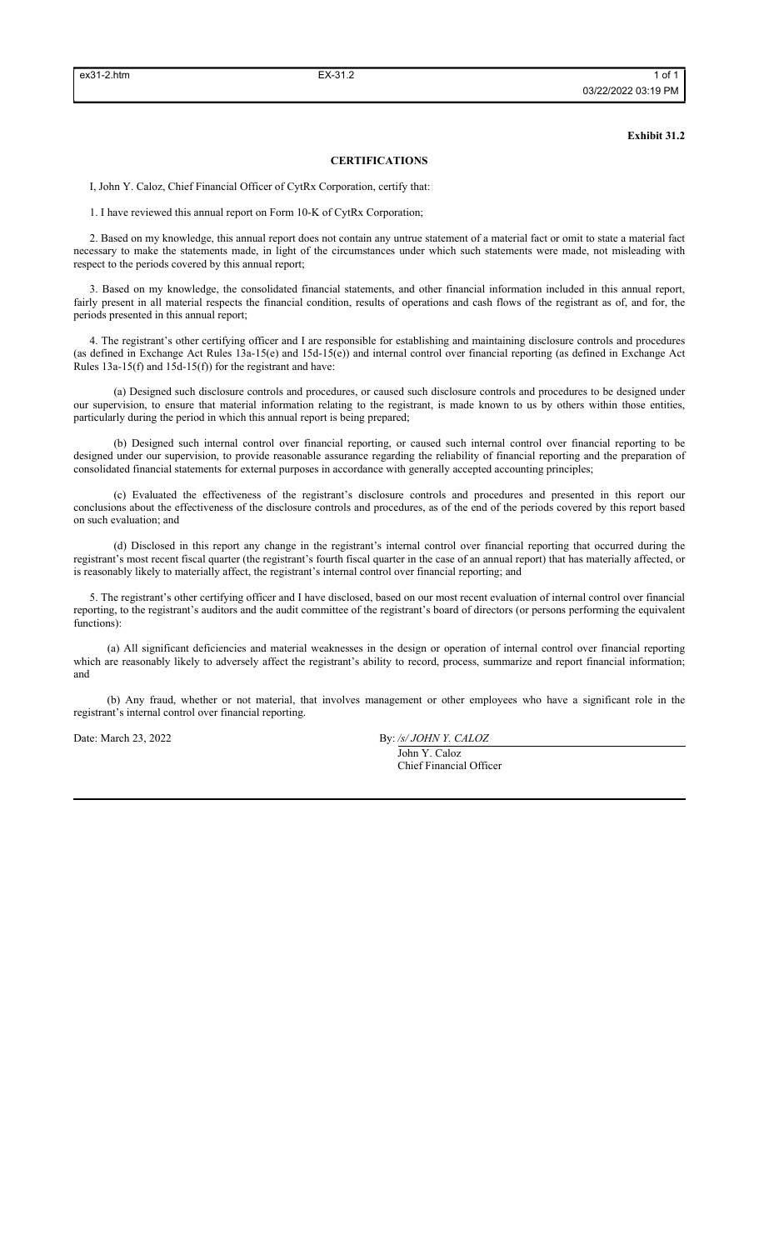#### **Exhibit 31.2**

#### **CERTIFICATIONS**

I, John Y. Caloz, Chief Financial Officer of CytRx Corporation, certify that:

1. I have reviewed this annual report on Form 10-K of CytRx Corporation;

2. Based on my knowledge, this annual report does not contain any untrue statement of a material fact or omit to state a material fact necessary to make the statements made, in light of the circumstances under which such statements were made, not misleading with respect to the periods covered by this annual report;

3. Based on my knowledge, the consolidated financial statements, and other financial information included in this annual report, fairly present in all material respects the financial condition, results of operations and cash flows of the registrant as of, and for, the periods presented in this annual report;

4. The registrant's other certifying officer and I are responsible for establishing and maintaining disclosure controls and procedures (as defined in Exchange Act Rules 13a-15(e) and 15d-15(e)) and internal control over financial reporting (as defined in Exchange Act Rules 13a-15(f) and 15d-15(f)) for the registrant and have:

(a) Designed such disclosure controls and procedures, or caused such disclosure controls and procedures to be designed under our supervision, to ensure that material information relating to the registrant, is made known to us by others within those entities, particularly during the period in which this annual report is being prepared;

(b) Designed such internal control over financial reporting, or caused such internal control over financial reporting to be designed under our supervision, to provide reasonable assurance regarding the reliability of financial reporting and the preparation of consolidated financial statements for external purposes in accordance with generally accepted accounting principles;

(c) Evaluated the effectiveness of the registrant's disclosure controls and procedures and presented in this report our conclusions about the effectiveness of the disclosure controls and procedures, as of the end of the periods covered by this report based on such evaluation; and

(d) Disclosed in this report any change in the registrant's internal control over financial reporting that occurred during the registrant's most recent fiscal quarter (the registrant's fourth fiscal quarter in the case of an annual report) that has materially affected, or is reasonably likely to materially affect, the registrant's internal control over financial reporting; and

5. The registrant's other certifying officer and I have disclosed, based on our most recent evaluation of internal control over financial reporting, to the registrant's auditors and the audit committee of the registrant's board of directors (or persons performing the equivalent functions):

(a) All significant deficiencies and material weaknesses in the design or operation of internal control over financial reporting which are reasonably likely to adversely affect the registrant's ability to record, process, summarize and report financial information; and

(b) Any fraud, whether or not material, that involves management or other employees who have a significant role in the registrant's internal control over financial reporting.

Date: March 23, 2022 By: */s/ JOHN Y. CALOZ*

John Y. Caloz Chief Financial Officer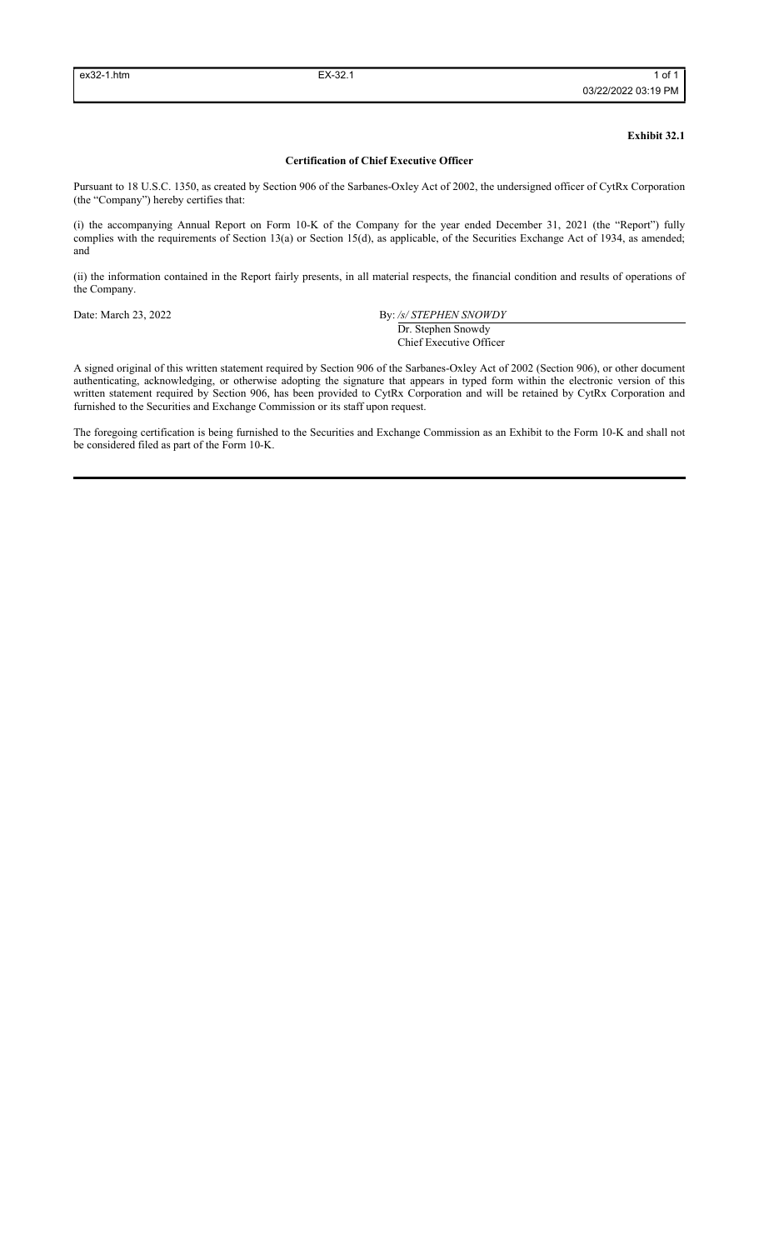### **Exhibit 32.1**

# **Certification of Chief Executive Officer**

Pursuant to 18 U.S.C. 1350, as created by Section 906 of the Sarbanes-Oxley Act of 2002, the undersigned officer of CytRx Corporation (the "Company") hereby certifies that:

(i) the accompanying Annual Report on Form 10-K of the Company for the year ended December 31, 2021 (the "Report") fully complies with the requirements of Section 13(a) or Section 15(d), as applicable, of the Securities Exchange Act of 1934, as amended; and

(ii) the information contained in the Report fairly presents, in all material respects, the financial condition and results of operations of the Company.

Date: March 23, 2022 **By:** */s/ STEPHEN SNOWDY* Dr. Stephen Snowdy Chief Executive Officer

A signed original of this written statement required by Section 906 of the Sarbanes-Oxley Act of 2002 (Section 906), or other document authenticating, acknowledging, or otherwise adopting the signature that appears in typed form within the electronic version of this written statement required by Section 906, has been provided to CytRx Corporation and will be retained by CytRx Corporation and furnished to the Securities and Exchange Commission or its staff upon request.

The foregoing certification is being furnished to the Securities and Exchange Commission as an Exhibit to the Form 10-K and shall not be considered filed as part of the Form 10-K.